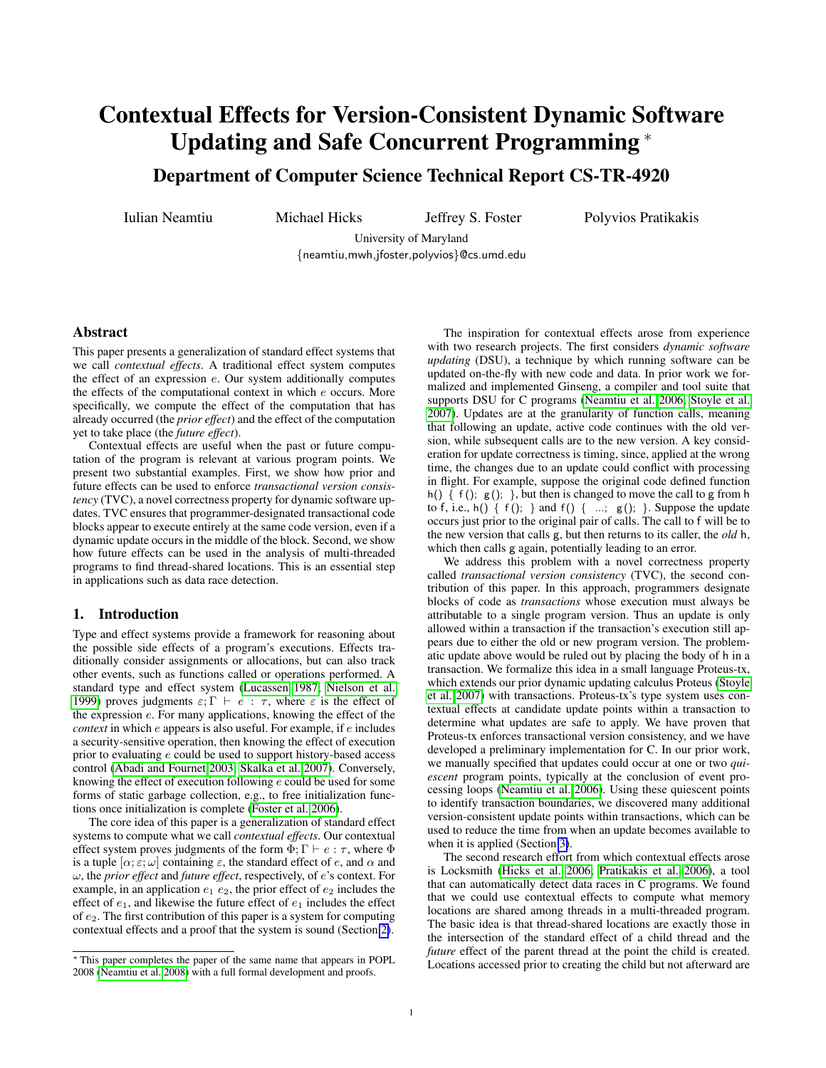# Contextual Effects for Version-Consistent Dynamic Software Updating and Safe Concurrent Programming <sup>∗</sup>

Department of Computer Science Technical Report CS-TR-4920

Iulian Neamtiu Michael Hicks Jeffrey S. Foster Polyvios Pratikakis

University of Maryland {neamtiu,mwh,jfoster,polyvios}@cs.umd.edu

# Abstract

This paper presents a generalization of standard effect systems that we call *contextual effects*. A traditional effect system computes the effect of an expression e. Our system additionally computes the effects of the computational context in which e occurs. More specifically, we compute the effect of the computation that has already occurred (the *prior effect*) and the effect of the computation yet to take place (the *future effect*).

Contextual effects are useful when the past or future computation of the program is relevant at various program points. We present two substantial examples. First, we show how prior and future effects can be used to enforce *transactional version consistency* (TVC), a novel correctness property for dynamic software updates. TVC ensures that programmer-designated transactional code blocks appear to execute entirely at the same code version, even if a dynamic update occurs in the middle of the block. Second, we show how future effects can be used in the analysis of multi-threaded programs to find thread-shared locations. This is an essential step in applications such as data race detection.

# 1. Introduction

Type and effect systems provide a framework for reasoning about the possible side effects of a program's executions. Effects traditionally consider assignments or allocations, but can also track other events, such as functions called or operations performed. A standard type and effect system [\(Lucassen 1987;](#page-12-0) [Nielson et al.](#page-12-1) [1999\)](#page-12-1) proves judgments  $\varepsilon$ ;  $\Gamma \vdash e : \tau$ , where  $\varepsilon$  is the effect of the expression e. For many applications, knowing the effect of the *context* in which e appears is also useful. For example, if e includes a security-sensitive operation, then knowing the effect of execution prior to evaluating e could be used to support history-based access control [\(Abadi and Fournet 2003;](#page-11-0) [Skalka et al. 2007\)](#page-12-2). Conversely, knowing the effect of execution following e could be used for some forms of static garbage collection, e.g., to free initialization functions once initialization is complete [\(Foster et al. 2006\)](#page-12-3).

The core idea of this paper is a generalization of standard effect systems to compute what we call *contextual effects*. Our contextual effect system proves judgments of the form  $\Phi$ ;  $\Gamma \vdash e : \tau$ , where  $\Phi$ is a tuple  $[\alpha; \varepsilon; \omega]$  containing  $\varepsilon$ , the standard effect of e, and  $\alpha$  and ω, the *prior effect* and *future effect*, respectively, of e's context. For example, in an application  $e_1$   $e_2$ , the prior effect of  $e_2$  includes the effect of  $e_1$ , and likewise the future effect of  $e_1$  includes the effect of e2. The first contribution of this paper is a system for computing contextual effects and a proof that the system is sound (Section [2\)](#page-1-0).

The inspiration for contextual effects arose from experience with two research projects. The first considers *dynamic software updating* (DSU), a technique by which running software can be updated on-the-fly with new code and data. In prior work we formalized and implemented Ginseng, a compiler and tool suite that supports DSU for C programs [\(Neamtiu et al. 2006;](#page-12-5) [Stoyle et al.](#page-12-6) [2007\)](#page-12-6). Updates are at the granularity of function calls, meaning that following an update, active code continues with the old version, while subsequent calls are to the new version. A key consideration for update correctness is timing, since, applied at the wrong time, the changes due to an update could conflict with processing in flight. For example, suppose the original code defined function h() {  $f()$ ;  $g()$ ; }, but then is changed to move the call to g from h to f, i.e., h()  $\{f(); \}$  and  $f() \{ ...; g(); \}$ . Suppose the update occurs just prior to the original pair of calls. The call to f will be to the new version that calls g, but then returns to its caller, the *old* h, which then calls g again, potentially leading to an error.

We address this problem with a novel correctness property called *transactional version consistency* (TVC), the second contribution of this paper. In this approach, programmers designate blocks of code as *transactions* whose execution must always be attributable to a single program version. Thus an update is only allowed within a transaction if the transaction's execution still appears due to either the old or new program version. The problematic update above would be ruled out by placing the body of h in a transaction. We formalize this idea in a small language Proteus-tx, which extends our prior dynamic updating calculus Proteus [\(Stoyle](#page-12-6) [et al. 2007\)](#page-12-6) with transactions. Proteus-tx's type system uses contextual effects at candidate update points within a transaction to determine what updates are safe to apply. We have proven that Proteus-tx enforces transactional version consistency, and we have developed a preliminary implementation for C. In our prior work, we manually specified that updates could occur at one or two *quiescent* program points, typically at the conclusion of event processing loops [\(Neamtiu et al. 2006\)](#page-12-5). Using these quiescent points to identify transaction boundaries, we discovered many additional version-consistent update points within transactions, which can be used to reduce the time from when an update becomes available to when it is applied (Section [3\)](#page-3-0).

The second research effort from which contextual effects arose is Locksmith [\(Hicks et al. 2006;](#page-12-7) [Pratikakis et al. 2006\)](#page-12-8), a tool that can automatically detect data races in C programs. We found that we could use contextual effects to compute what memory locations are shared among threads in a multi-threaded program. The basic idea is that thread-shared locations are exactly those in the intersection of the standard effect of a child thread and the *future* effect of the parent thread at the point the child is created. Locations accessed prior to creating the child but not afterward are

<sup>∗</sup> This paper completes the paper of the same name that appears in POPL 2008 [\(Neamtiu et al. 2008\)](#page-12-4) with a full formal development and proofs.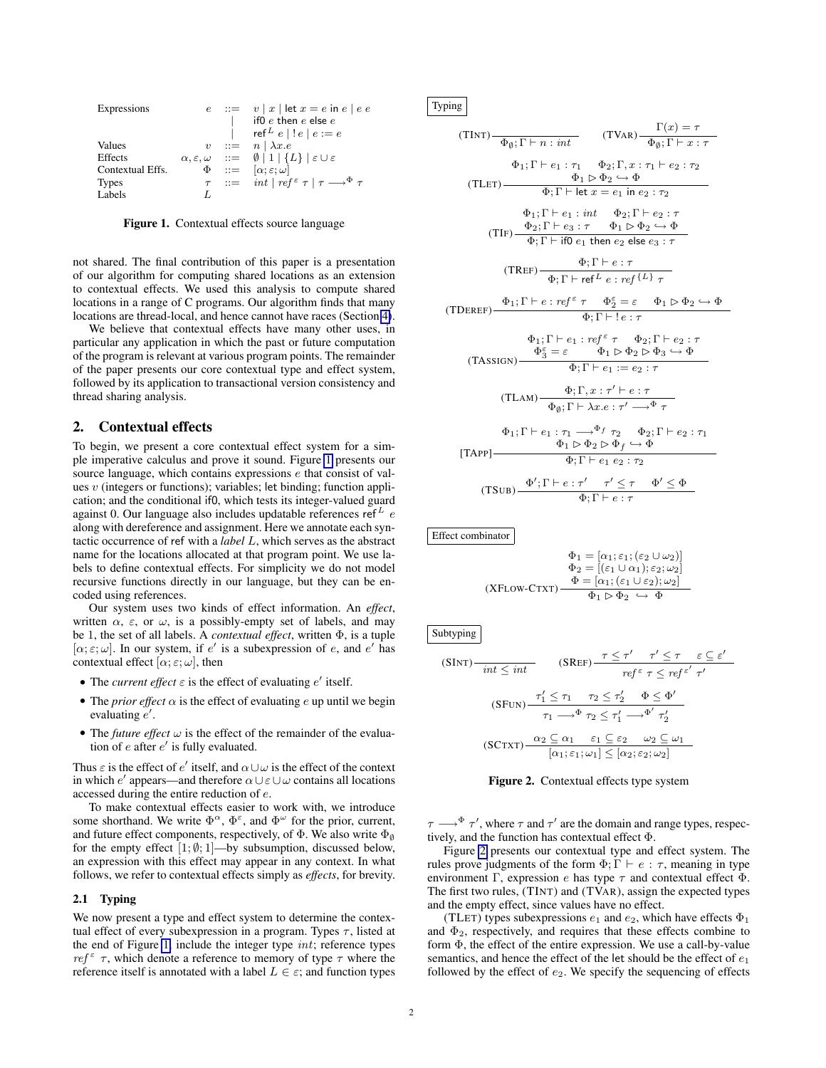| Expressions      |  | $e$ ::= $v  x $ let $x = e$ in $e  e e$                                                                     |
|------------------|--|-------------------------------------------------------------------------------------------------------------|
|                  |  | if $0\ e$ then $e$ else $e$                                                                                 |
|                  |  | ref $e \mid e \mid e = e$                                                                                   |
| Values           |  | $v := n \mid \lambda x.e$                                                                                   |
| Effects          |  | $\alpha, \varepsilon, \omega \quad ::= \quad \emptyset \mid 1 \mid \{L\} \mid \varepsilon \cup \varepsilon$ |
| Contextual Effs. |  | $\Phi$ ::= $[\alpha; \varepsilon; \omega]$                                                                  |
| <b>Types</b>     |  | $\tau$ ::= int   ref $\epsilon$ $\tau$   $\tau \longrightarrow^{\Phi} \tau$                                 |
| Labels           |  |                                                                                                             |

<span id="page-1-1"></span>Figure 1. Contextual effects source language

not shared. The final contribution of this paper is a presentation of our algorithm for computing shared locations as an extension to contextual effects. We used this analysis to compute shared locations in a range of C programs. Our algorithm finds that many locations are thread-local, and hence cannot have races (Section [4\)](#page-9-0).

We believe that contextual effects have many other uses, in particular any application in which the past or future computation of the program is relevant at various program points. The remainder of the paper presents our core contextual type and effect system, followed by its application to transactional version consistency and thread sharing analysis.

# <span id="page-1-0"></span>2. Contextual effects

To begin, we present a core contextual effect system for a simple imperative calculus and prove it sound. Figure [1](#page-1-1) presents our source language, which contains expressions e that consist of values  $v$  (integers or functions); variables; let binding; function application; and the conditional if0, which tests its integer-valued guard against 0. Our language also includes updatable references ref $^L$  e along with dereference and assignment. Here we annotate each syntactic occurrence of ref with a *label* L, which serves as the abstract name for the locations allocated at that program point. We use labels to define contextual effects. For simplicity we do not model recursive functions directly in our language, but they can be encoded using references.

Our system uses two kinds of effect information. An *effect*, written  $\alpha$ ,  $\varepsilon$ , or  $\omega$ , is a possibly-empty set of labels, and may be 1, the set of all labels. A *contextual effect*, written Φ, is a tuple [ $\alpha$ ;  $\varepsilon$ ;  $\omega$ ]. In our system, if e' is a subexpression of e, and e' has contextual effect  $[\alpha; \varepsilon; \omega]$ , then

- The *current effect*  $\varepsilon$  is the effect of evaluating  $e'$  itself.
- The *prior effect*  $\alpha$  is the effect of evaluating e up until we begin evaluating  $e'$ .
- The *future effect*  $\omega$  is the effect of the remainder of the evaluation of  $e$  after  $e'$  is fully evaluated.

Thus  $\varepsilon$  is the effect of e' itself, and  $\alpha \cup \omega$  is the effect of the context in which e' appears—and therefore  $\alpha \cup \epsilon \cup \omega$  contains all locations accessed during the entire reduction of e.

To make contextual effects easier to work with, we introduce some shorthand. We write  $\Phi^{\alpha}$ ,  $\Phi^{\varepsilon}$ , and  $\Phi^{\omega}$  for the prior, current, and future effect components, respectively, of  $\Phi$ . We also write  $\Phi_{\emptyset}$ for the empty effect  $[1; \emptyset; 1]$ —by subsumption, discussed below, an expression with this effect may appear in any context. In what follows, we refer to contextual effects simply as *effects*, for brevity.

#### 2.1 Typing

We now present a type and effect system to determine the contextual effect of every subexpression in a program. Types  $\tau$ , listed at the end of Figure [1,](#page-1-1) include the integer type int; reference types  $ref^{\epsilon}$   $\tau$ , which denote a reference to memory of type  $\tau$  where the reference itself is annotated with a label  $L \in \varepsilon$ ; and function types Typing

(TINT)
$$
\overline{\Phi_{\emptyset}; \Gamma \vdash n : int}
$$
 (TVAR) $\overline{\Phi_{\emptyset}; \Gamma \vdash x : \tau}$   
\n $\Phi_{1}; \Gamma \vdash e_{1} : \tau_{1} \quad \Phi_{2}; \Gamma, x : \tau_{1} \vdash e_{2} : \tau_{2}$   
\n(TLET) $\overline{\Phi_{1} \rhd \Phi_{2} \rhd \Phi}$   
\n $\overline{\Phi_{1} \rhd \Phi_{2} \rhd \Phi}$   
\n $\overline{\Phi_{1}}; \Gamma \vdash e_{1} : int \quad \Phi_{2}; \Gamma \vdash e_{2} : \tau$   
\n $\Phi_{2}; \Gamma \vdash e_{3} : \tau \quad \Phi_{1} \rhd \Phi_{2} \rhd \Phi$   
\n(TIF) $\overline{\Phi_{2}}; \Gamma \vdash e_{3} : \tau \quad \Phi_{1} \rhd \Phi_{2} \rhd \Phi$   
\n $\overline{\Phi_{1}}; \Gamma \vdash \text{tif } e_{1} \text{ then } e_{2} \text{ else } e_{3} : \tau$   
\n(TREF) $\overline{\Phi_{1}}; \Gamma \vdash \text{tif } e : \text{ref}^{\{L\}} \tau$   
\n(TDEF) $\overline{\Phi_{2}}; \Gamma \vdash e_{2} : \text{ref}^{\{L\}} \tau$   
\n(TDEF) $\overline{\Phi_{1}}; \Gamma \vdash e_{1} : \text{ref}^{\epsilon} \tau \quad \Phi_{2} : \Gamma \vdash e_{2} : \tau$   
\n $\Phi_{1}; \Gamma \vdash e_{1} : \text{ref}^{\epsilon} \tau \quad \Phi_{2}; \Gamma \vdash e_{2} : \tau$   
\n(TASSIGN) $\overline{\Phi_{3}^{s}} = \varepsilon \quad \Phi_{1} \rhd \Phi_{2} \rhd \Phi_{3} \rhd \Phi$   
\n(TLSIGN) $\overline{\Phi_{3}}; \Gamma \vdash e_{1} : e_{2} : \tau$   
\n(TLAM) $\overline{\Phi_{\emptyset}; \Gamma \vdash \lambda x . e : \tau' \rightarrow^{\Phi} \tau}$   
\n $\Phi_{1}; \Gamma \vdash e_{1} : \tau_{1} \rightarrow^{\Phi} f \tau_{2} \quad \Phi_{2}; \Gamma \vdash e_{2} : \tau_{1}$   
\n[

$$
\Phi_1 = [\alpha_1; \varepsilon_1; (\varepsilon_2 \cup \omega_2)]
$$
  
\n
$$
\Phi_2 = [(\varepsilon_1 \cup \alpha_1); \varepsilon_2; \omega_2]
$$
  
\n(XFLOW-CTXT)  
\n
$$
\Phi_1 \triangleright \Phi_2 \hookrightarrow \Phi
$$

Subtyping

$$
(SINT) \frac{int \le int}{int \le int} \qquad (SREF) \frac{\tau \le \tau' \quad \tau' \le \tau \quad \varepsilon \subseteq \varepsilon'}{ref^{\varepsilon} \tau \le ref^{\varepsilon'} \tau'}
$$

$$
(SFIUN) \frac{\tau'_1 \le \tau_1 \quad \tau_2 \le \tau'_2 \quad \Phi \le \Phi'}{\tau_1 \longrightarrow^\Phi \tau_2 \le \tau'_1 \longrightarrow^{\Phi'} \tau'_2}
$$

$$
(SCTXT) \frac{\alpha_2 \subseteq \alpha_1 \quad \varepsilon_1 \subseteq \varepsilon_2 \quad \omega_2 \subseteq \omega_1}{[\alpha_1; \varepsilon_1; \omega_1] \le [\alpha_2; \varepsilon_2; \omega_2]}
$$

<span id="page-1-2"></span>Figure 2. Contextual effects type system

 $\tau \longrightarrow^{\Phi} \tau'$ , where  $\tau$  and  $\tau'$  are the domain and range types, respectively, and the function has contextual effect Φ.

Figure [2](#page-1-2) presents our contextual type and effect system. The rules prove judgments of the form  $\Phi$ ;  $\Gamma \vdash e : \tau$ , meaning in type environment Γ, expression e has type  $\tau$  and contextual effect  $\Phi$ . The first two rules, (TINT) and (TVAR), assign the expected types and the empty effect, since values have no effect.

(TLET) types subexpressions  $e_1$  and  $e_2$ , which have effects  $\Phi_1$ and  $\Phi_2$ , respectively, and requires that these effects combine to form  $\Phi$ , the effect of the entire expression. We use a call-by-value semantics, and hence the effect of the let should be the effect of  $e_1$ followed by the effect of  $e_2$ . We specify the sequencing of effects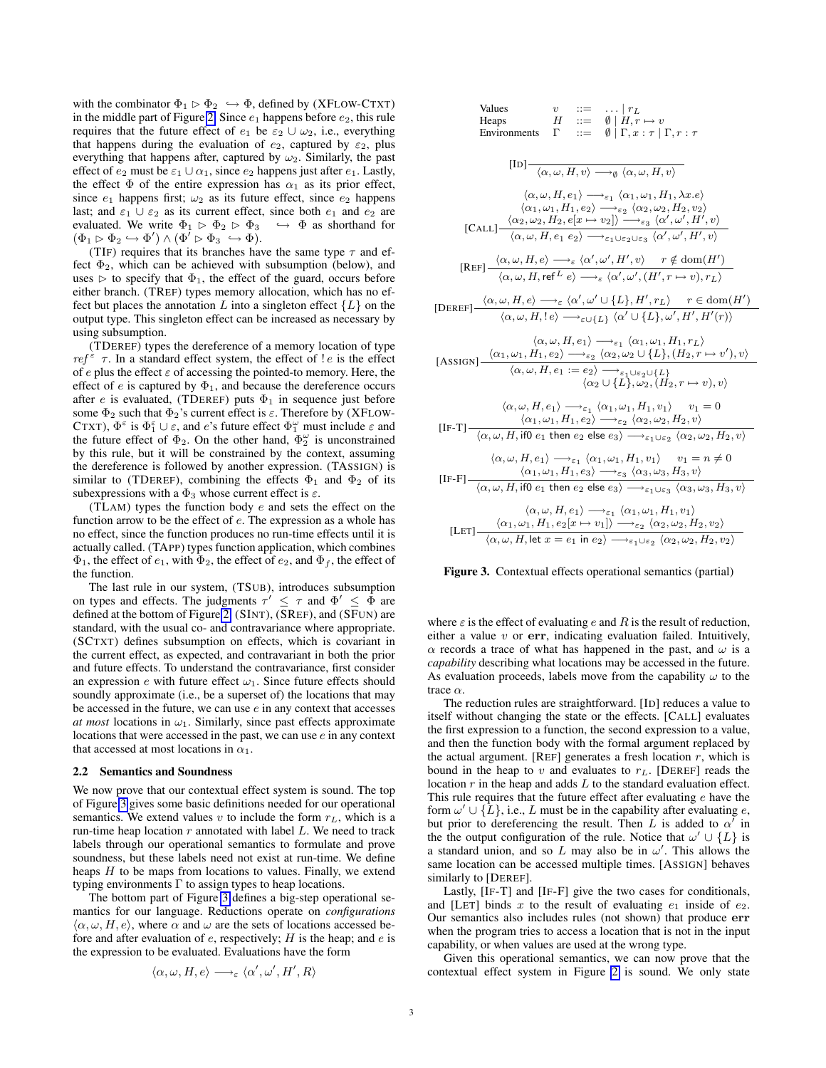with the combinator  $\Phi_1 \rhd \Phi_2 \leftrightarrow \Phi$ , defined by (XFLOW-CTXT) in the middle part of Figure [2.](#page-1-2) Since  $e_1$  happens before  $e_2$ , this rule requires that the future effect of  $e_1$  be  $\varepsilon_2 \cup \omega_2$ , i.e., everything that happens during the evaluation of  $e_2$ , captured by  $\varepsilon_2$ , plus everything that happens after, captured by  $\omega_2$ . Similarly, the past effect of  $e_2$  must be  $\varepsilon_1 \cup \alpha_1$ , since  $e_2$  happens just after  $e_1$ . Lastly, the effect  $\Phi$  of the entire expression has  $\alpha_1$  as its prior effect, since  $e_1$  happens first;  $\omega_2$  as its future effect, since  $e_2$  happens last; and  $\varepsilon_1 \cup \varepsilon_2$  as its current effect, since both  $e_1$  and  $e_2$  are evaluated. We write  $\Phi_1 \triangleright \Phi_2 \triangleright \Phi_3 \hookrightarrow \Phi$  as shorthand for  $(\Phi_1 \triangleright \Phi_2 \hookrightarrow \Phi') \wedge (\Phi' \triangleright \Phi_3 \hookrightarrow \Phi).$ 

(TIF) requires that its branches have the same type  $\tau$  and effect  $\Phi_2$ , which can be achieved with subsumption (below), and uses  $\triangleright$  to specify that  $\Phi_1$ , the effect of the guard, occurs before either branch. (TREF) types memory allocation, which has no effect but places the annotation L into a singleton effect  $\{L\}$  on the output type. This singleton effect can be increased as necessary by using subsumption.

(TDEREF) types the dereference of a memory location of type  $ref^{\epsilon}$   $\tau$ . In a standard effect system, the effect of ! e is the effect of e plus the effect  $\varepsilon$  of accessing the pointed-to memory. Here, the effect of  $e$  is captured by  $\Phi_1$ , and because the dereference occurs after e is evaluated, (TDEREF) puts  $\Phi_1$  in sequence just before some  $\Phi_2$  such that  $\Phi_2$ 's current effect is  $\varepsilon$ . Therefore by (XFLOW-CTXT),  $\Phi^{\varepsilon}$  is  $\Phi_1^{\varepsilon} \cup \varepsilon$ , and e's future effect  $\Phi_1^{\omega}$  must include  $\varepsilon$  and the future effect of  $\Phi_2$ . On the other hand,  $\Phi_2^{\omega}$  is unconstrained by this rule, but it will be constrained by the context, assuming the dereference is followed by another expression. (TASSIGN) is similar to (TDEREF), combining the effects  $\Phi_1$  and  $\Phi_2$  of its subexpressions with a  $\Phi_3$  whose current effect is  $\varepsilon$ .

(TLAM) types the function body e and sets the effect on the function arrow to be the effect of e. The expression as a whole has no effect, since the function produces no run-time effects until it is actually called. (TAPP) types function application, which combines  $\Phi_1$ , the effect of  $e_1$ , with  $\Phi_2$ , the effect of  $e_2$ , and  $\Phi_f$ , the effect of the function.

The last rule in our system, (TSUB), introduces subsumption on types and effects. The judgments  $\tau' \leq \tau$  and  $\Phi' \leq \Phi$  are defined at the bottom of Figure [2.](#page-1-2) (SINT), (SREF), and (SFUN) are standard, with the usual co- and contravariance where appropriate. (SCTXT) defines subsumption on effects, which is covariant in the current effect, as expected, and contravariant in both the prior and future effects. To understand the contravariance, first consider an expression e with future effect  $\omega_1$ . Since future effects should soundly approximate (i.e., be a superset of) the locations that may be accessed in the future, we can use  $e$  in any context that accesses *at most* locations in  $\omega_1$ . Similarly, since past effects approximate locations that were accessed in the past, we can use e in any context that accessed at most locations in  $\alpha_1$ .

#### 2.2 Semantics and Soundness

We now prove that our contextual effect system is sound. The top of Figure [3](#page-2-0) gives some basic definitions needed for our operational semantics. We extend values v to include the form  $r<sub>L</sub>$ , which is a run-time heap location  $r$  annotated with label  $L$ . We need to track labels through our operational semantics to formulate and prove soundness, but these labels need not exist at run-time. We define heaps  $H$  to be maps from locations to values. Finally, we extend typing environments  $\Gamma$  to assign types to heap locations.

The bottom part of Figure [3](#page-2-0) defines a big-step operational semantics for our language. Reductions operate on *configurations*  $\langle \alpha, \omega, H, e \rangle$ , where  $\alpha$  and  $\omega$  are the sets of locations accessed before and after evaluation of  $e$ , respectively;  $H$  is the heap; and  $e$  is the expression to be evaluated. Evaluations have the form

$$
\langle \alpha, \omega, H, e \rangle \longrightarrow_{\varepsilon} \langle \alpha', \omega', H', R \rangle
$$

Values 
$$
v ::= ... | r_L
$$
  
\nHeaps 
$$
H ::= \emptyset | H, r \mapsto v
$$
  
\nEnviroments 
$$
\Gamma ::= \emptyset | \Gamma, x : \tau | \Gamma, r : \tau
$$
  
\n
$$
[ID] \frac{\langle \alpha, \omega, H, e_1 \rangle \longrightarrow_{\epsilon_1} \langle \alpha_1, \omega_1, H_1, \lambda x. e \rangle}{\langle \alpha, \omega, H, e_1 \rangle \longrightarrow_{\epsilon_2} \langle \alpha_2, \omega_2, H_2, v_2 \rangle}
$$
  
\n
$$
[CALL] \frac{\langle \alpha_2, \omega_2, H_2, e[x \mapsto v_2] \rangle \longrightarrow_{\epsilon_2} \langle \alpha_2, \omega_2, H_2, v_2 \rangle}{\langle \alpha, \omega, H, e_1 e_2 \rangle \longrightarrow_{\epsilon_1 \cup \epsilon_2 \cup \epsilon_3} \langle \alpha', \omega', H', v \rangle}
$$
  
\n
$$
[REF] \frac{\langle \alpha, \omega, H, e \rangle \longrightarrow_{\epsilon} \langle \alpha', \omega', H', v \rangle \qquad r \notin dom(H')}{\langle \alpha, \omega, H, ref^L e \rangle \longrightarrow_{\epsilon} \langle \alpha', \omega', (H', r \mapsto v), r_L \rangle}
$$
  
\n
$$
[DEF] \frac{\langle \alpha, \omega, H, e \rangle \longrightarrow_{\epsilon} \langle \alpha', \omega' \cup \{L\}, H', r_L \rangle \qquad r \in dom(H')}{\langle \alpha, \omega, H, e \rangle \longrightarrow_{\epsilon_1} \langle \alpha, \omega' \cup \{L\}, H', r_L \rangle \qquad r \in dom(H')
$$
  
\n
$$
[ \alpha, \omega, H, e_1 \rangle \longrightarrow_{\epsilon_1} \langle \alpha_1, \omega_1, H_1, r_L \rangle
$$
  
\n[ASSIGN] 
$$
[ \frac{\langle \alpha_1, \omega_1, H_1, e_2 \rangle \longrightarrow_{\epsilon_2} \langle \alpha_2, \omega_2 \cup \{L\}, (H_2, r \mapsto v'), v \rangle}{\langle \alpha, \omega, H, e_1 : = e_2 \rangle \longrightarrow_{\epsilon_1} \langle \alpha_1, \omega_1, H_1, v_1 \rangle \qquad v_1 = 0}
$$
  
\n
$$
[IF-T] \frac{\langle \alpha_1, \omega_1, H_1, e_2 \rangle \longrightarrow
$$

#### <span id="page-2-0"></span>Figure 3. Contextual effects operational semantics (partial)

where  $\varepsilon$  is the effect of evaluating e and R is the result of reduction, either a value  $v$  or  $err$ , indicating evaluation failed. Intuitively,  $\alpha$  records a trace of what has happened in the past, and  $\omega$  is a *capability* describing what locations may be accessed in the future. As evaluation proceeds, labels move from the capability  $\omega$  to the trace  $\alpha$ .

The reduction rules are straightforward. [ID] reduces a value to itself without changing the state or the effects. [CALL] evaluates the first expression to a function, the second expression to a value, and then the function body with the formal argument replaced by the actual argument. [REF] generates a fresh location  $r$ , which is bound in the heap to  $v$  and evaluates to  $r<sub>L</sub>$ . [DEREF] reads the location  $r$  in the heap and adds  $L$  to the standard evaluation effect. This rule requires that the future effect after evaluating  $e$  have the form  $\omega' \cup {\hat{L}}$ , i.e., L must be in the capability after evaluating e, but prior to dereferencing the result. Then  $\vec{L}$  is added to  $\alpha^{\prime}$  in the the output configuration of the rule. Notice that  $\omega' \cup \{L\}$  is a standard union, and so L may also be in  $\omega'$ . This allows the same location can be accessed multiple times. [ASSIGN] behaves similarly to [DEREF].

Lastly, [IF-T] and [IF-F] give the two cases for conditionals, and [LET] binds x to the result of evaluating  $e_1$  inside of  $e_2$ . Our semantics also includes rules (not shown) that produce err when the program tries to access a location that is not in the input capability, or when values are used at the wrong type.

Given this operational semantics, we can now prove that the contextual effect system in Figure [2](#page-1-2) is sound. We only state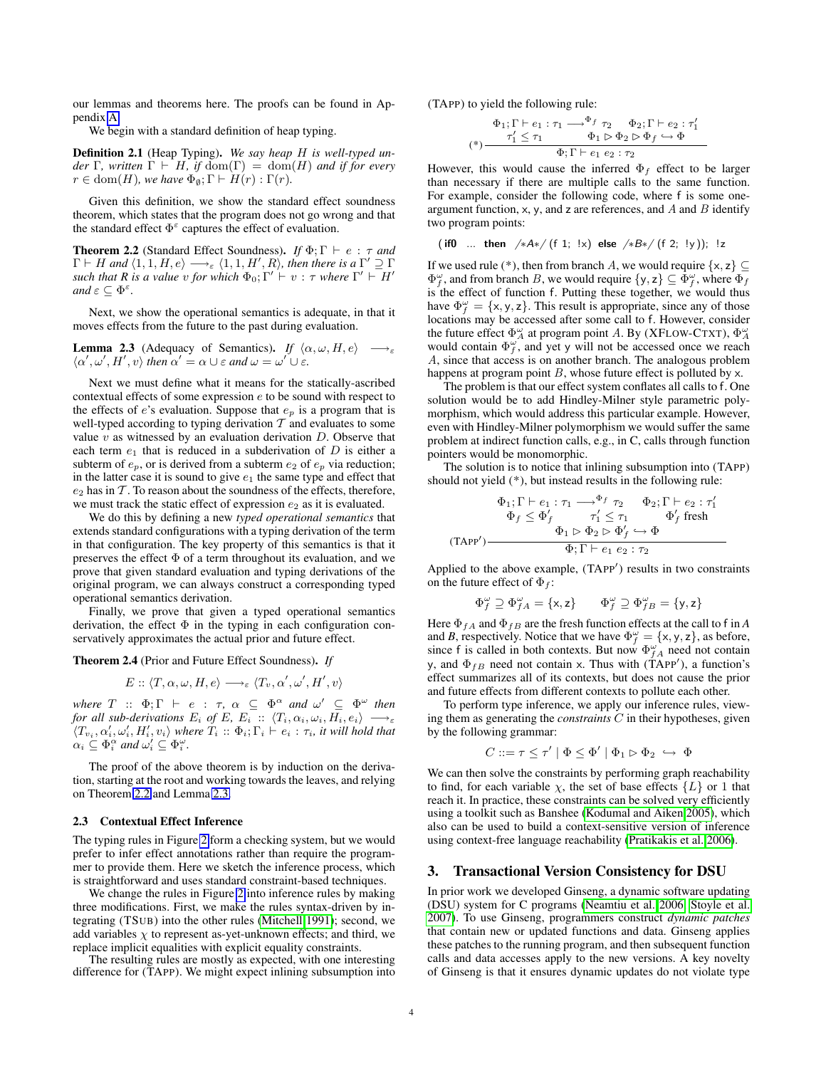our lemmas and theorems here. The proofs can be found in Appendix [A.](#page-13-0)

We begin with a standard definition of heap typing.

<span id="page-3-3"></span>Definition 2.1 (Heap Typing). *We say heap* H *is well-typed under*  $\Gamma$ *, written*  $\Gamma \vdash H$ *, if*  $dom(\Gamma) = dom(H)$  *and if for every*  $r \in \text{dom}(H)$ *, we have*  $\Phi_{\emptyset}$ ;  $\Gamma \vdash H(r) : \Gamma(r)$ *.* 

Given this definition, we show the standard effect soundness theorem, which states that the program does not go wrong and that the standard effect  $\Phi^{\varepsilon}$  captures the effect of evaluation.

<span id="page-3-1"></span>**Theorem 2.2** (Standard Effect Soundness). *If*  $\Phi$ ;  $\Gamma \vdash e : \tau$  *and*  $\Gamma \vdash H$  and  $\langle 1,1, H, e \rangle \longrightarrow_{\varepsilon} \langle 1,1, H', R \rangle$ , then there is a  $\Gamma' \supseteq \Gamma$ *such that R is a value*  $v$  *for which*  $\Phi_0$ ;  $\Gamma' \vdash v : \tau$  *where*  $\Gamma' \vdash H'$ *and*  $\varepsilon \subseteq \Phi^{\varepsilon}$ .

Next, we show the operational semantics is adequate, in that it moves effects from the future to the past during evaluation.

<span id="page-3-2"></span>**Lemma 2.3** (Adequacy of Semantics). *If*  $\langle \alpha, \omega, H, e \rangle \longrightarrow_{\varepsilon}$  $\langle \alpha', \omega', H', v \rangle$  then  $\alpha' = \alpha \cup \varepsilon$  and  $\omega = \omega' \cup \varepsilon$ .

Next we must define what it means for the statically-ascribed contextual effects of some expression e to be sound with respect to the effects of  $e$ 's evaluation. Suppose that  $e_p$  is a program that is well-typed according to typing derivation  $\tilde{T}$  and evaluates to some value  $v$  as witnessed by an evaluation derivation  $D$ . Observe that each term  $e_1$  that is reduced in a subderivation of  $D$  is either a subterm of  $e_p$ , or is derived from a subterm  $e_2$  of  $e_p$  via reduction; in the latter case it is sound to give  $e_1$  the same type and effect that  $e_2$  has in  $\mathcal T$ . To reason about the soundness of the effects, therefore, we must track the static effect of expression  $e_2$  as it is evaluated.

We do this by defining a new *typed operational semantics* that extends standard configurations with a typing derivation of the term in that configuration. The key property of this semantics is that it preserves the effect  $\Phi$  of a term throughout its evaluation, and we prove that given standard evaluation and typing derivations of the original program, we can always construct a corresponding typed operational semantics derivation.

Finally, we prove that given a typed operational semantics derivation, the effect  $\Phi$  in the typing in each configuration conservatively approximates the actual prior and future effect.

Theorem 2.4 (Prior and Future Effect Soundness). *If*

$$
E::\langle T,\alpha,\omega,H,e\rangle\longrightarrow_{\varepsilon}\langle T_{v},\alpha',\omega',H',v\rangle
$$

where  $T$  ::  $\Phi$ ;  $\Gamma$   $\vdash$   $e$  :  $\tau$ ,  $\alpha$   $\subseteq$   $\Phi^{\alpha}$  and  $\omega'$   $\subseteq$   $\Phi^{\omega}$  then *for all sub-derivations*  $E_i$  *of*  $E$ *,*  $E_i$  ::  $\langle T_i, \alpha_i, \omega_i, H_i, e_i \rangle$   $\longrightarrow_{\varepsilon}$  $\langle T_{v_i}, \alpha'_i, \omega'_i, H'_i, v_i \rangle$  where  $T_i :: \Phi_i; \Gamma_i \vdash e_i : \tau_i$ , it will hold that  $\alpha_i \subseteq \Phi_i^{\alpha}$  and  $\omega_i' \subseteq \Phi_i^{\omega}$ .

The proof of the above theorem is by induction on the derivation, starting at the root and working towards the leaves, and relying on Theorem [2.2](#page-3-1) and Lemma [2.3.](#page-3-2)

#### <span id="page-3-4"></span>2.3 Contextual Effect Inference

The typing rules in Figure [2](#page-1-2) form a checking system, but we would prefer to infer effect annotations rather than require the programmer to provide them. Here we sketch the inference process, which is straightforward and uses standard constraint-based techniques.

We change the rules in Figure [2](#page-1-2) into inference rules by making three modifications. First, we make the rules syntax-driven by integrating (TSUB) into the other rules [\(Mitchell 1991\)](#page-12-9); second, we add variables  $\chi$  to represent as-yet-unknown effects; and third, we replace implicit equalities with explicit equality constraints.

The resulting rules are mostly as expected, with one interesting difference for (TAPP). We might expect inlining subsumption into (TAPP) to yield the following rule:

$$
\Phi_1; \Gamma \vdash e_1 : \tau_1 \longrightarrow^{\Phi_f} \tau_2 \qquad \Phi_2; \Gamma \vdash e_2 : \tau'_1
$$
  
\n
$$
(\ast) \frac{\tau'_1 \leq \tau_1 \qquad \Phi_1 \triangleright \Phi_2 \triangleright \Phi_f \hookrightarrow \Phi}{\Phi; \Gamma \vdash e_1 \ e_2 : \tau_2}
$$

However, this would cause the inferred  $\Phi_f$  effect to be larger than necessary if there are multiple calls to the same function. For example, consider the following code, where f is some oneargument function, x, y, and z are references, and A and B identify two program points:

(if0 ... then 
$$
/*A*/(f 1; !x)
$$
 else  $/*B*/(f 2; !y)$ ); !z

If we used rule (\*), then from branch A, we would require  $\{x, z\} \subseteq$  $\Phi_f^{\omega}$ , and from branch B, we would require  $\{y, z\} \subseteq \Phi_f^{\omega}$ , where  $\Phi_f$ is the effect of function f. Putting these together, we would thus have  $\Phi_f^{\omega} = \{x, y, z\}$ . This result is appropriate, since any of those locations may be accessed after some call to f. However, consider the future effect  $\Phi_{A}^{\omega}$  at program point A. By (XFLOW-CTXT),  $\Phi_{A}^{\omega}$  would contain  $\Phi_{f}^{\omega}$ , and yet y will not be accessed once we reach A, since that access is on another branch. The analogous problem happens at program point  $B$ , whose future effect is polluted by  $x$ .

The problem is that our effect system conflates all calls to f. One solution would be to add Hindley-Milner style parametric polymorphism, which would address this particular example. However, even with Hindley-Milner polymorphism we would suffer the same problem at indirect function calls, e.g., in C, calls through function pointers would be monomorphic.

The solution is to notice that inlining subsumption into (TAPP) should not yield (\*), but instead results in the following rule:

$$
\Phi_1; \Gamma \vdash e_1 : \tau_1 \longrightarrow^{\Phi_f} \tau_2 \qquad \Phi_2; \Gamma \vdash e_2 : \tau_1' \n\Phi_f \le \Phi'_f \qquad \tau_1' \le \tau_1 \qquad \Phi'_f \text{ fresh} \n\Phi_1 \rhd \Phi_2 \rhd \Phi'_f \hookrightarrow \Phi \n\Phi; \Gamma \vdash e_1 e_2 : \tau_2
$$

Applied to the above example, (TAPP') results in two constraints on the future effect of  $\Phi_f$ :

$$
\Phi_f^{\omega} \supseteq \Phi_{fA}^{\omega} = \{x, z\} \qquad \Phi_f^{\omega} \supseteq \Phi_{fB}^{\omega} = \{y, z\}
$$

Here  $\Phi_{fA}$  and  $\Phi_{fB}$  are the fresh function effects at the call to f in *A* and *B*, respectively. Notice that we have  $\Phi_f^{\omega} = {\mathbf{x}, \mathbf{y}, \mathbf{z}}$ , as before, since f is called in both contexts. But now  $\Phi_{fA}^{\omega}$  need not contain y, and  $\Phi_{fB}$  need not contain x. Thus with (TAPP'), a function's effect summarizes all of its contexts, but does not cause the prior and future effects from different contexts to pollute each other.

To perform type inference, we apply our inference rules, viewing them as generating the *constraints* C in their hypotheses, given by the following grammar:

$$
C ::= \tau \leq \tau' | \Phi \leq \Phi' | \Phi_1 \triangleright \Phi_2 \hookrightarrow \Phi
$$

We can then solve the constraints by performing graph reachability to find, for each variable  $\chi$ , the set of base effects  $\{L\}$  or 1 that reach it. In practice, these constraints can be solved very efficiently using a toolkit such as Banshee [\(Kodumal and Aiken 2005\)](#page-12-10), which also can be used to build a context-sensitive version of inference using context-free language reachability [\(Pratikakis et al. 2006\)](#page-12-8).

#### <span id="page-3-0"></span>3. Transactional Version Consistency for DSU

In prior work we developed Ginseng, a dynamic software updating (DSU) system for C programs [\(Neamtiu et al. 2006;](#page-12-5) [Stoyle et al.](#page-12-6) [2007\)](#page-12-6). To use Ginseng, programmers construct *dynamic patches* that contain new or updated functions and data. Ginseng applies these patches to the running program, and then subsequent function calls and data accesses apply to the new versions. A key novelty of Ginseng is that it ensures dynamic updates do not violate type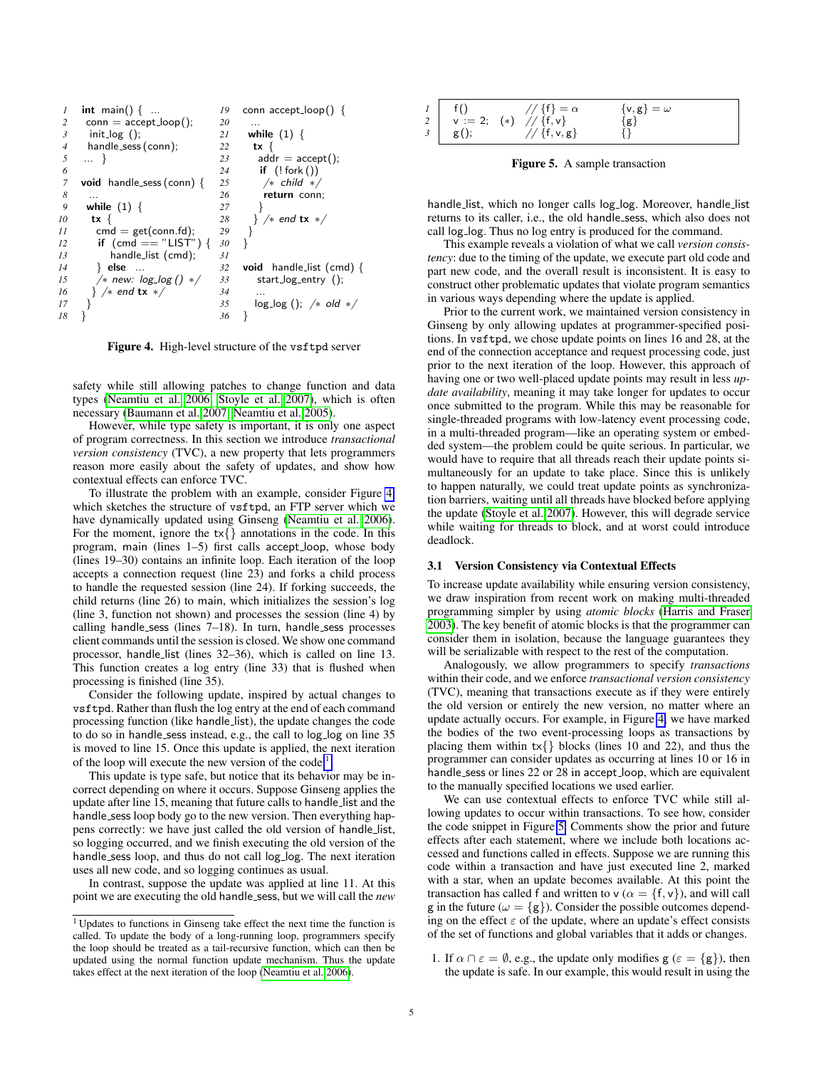

<span id="page-4-0"></span>Figure 4. High-level structure of the vsftpd server

safety while still allowing patches to change function and data types [\(Neamtiu et al. 2006;](#page-12-5) [Stoyle et al. 2007\)](#page-12-6), which is often necessary [\(Baumann et al. 2007;](#page-11-1) [Neamtiu et al. 2005\)](#page-12-11).

However, while type safety is important, it is only one aspect of program correctness. In this section we introduce *transactional version consistency* (TVC), a new property that lets programmers reason more easily about the safety of updates, and show how contextual effects can enforce TVC.

To illustrate the problem with an example, consider Figure [4,](#page-4-0) which sketches the structure of vsftpd, an FTP server which we have dynamically updated using Ginseng [\(Neamtiu et al. 2006\)](#page-12-5). For the moment, ignore the  $tx\{\}$  annotations in the code. In this program, main (lines 1–5) first calls accept loop, whose body (lines 19–30) contains an infinite loop. Each iteration of the loop accepts a connection request (line 23) and forks a child process to handle the requested session (line 24). If forking succeeds, the child returns (line 26) to main, which initializes the session's log (line 3, function not shown) and processes the session (line 4) by calling handle\_sess (lines 7-18). In turn, handle\_sess processes client commands until the session is closed. We show one command processor, handle list (lines 32–36), which is called on line 13. This function creates a log entry (line 33) that is flushed when processing is finished (line 35).

Consider the following update, inspired by actual changes to vsftpd. Rather than flush the log entry at the end of each command processing function (like handle list), the update changes the code to do so in handle\_sess instead, e.g., the call to log\_log on line 35 is moved to line 15. Once this update is applied, the next iteration of the loop will execute the new version of the code.<sup>[1](#page-4-1)</sup>

This update is type safe, but notice that its behavior may be incorrect depending on where it occurs. Suppose Ginseng applies the update after line 15, meaning that future calls to handle list and the handle sess loop body go to the new version. Then everything happens correctly: we have just called the old version of handle list, so logging occurred, and we finish executing the old version of the handle sess loop, and thus do not call log log. The next iteration uses all new code, and so logging continues as usual.

In contrast, suppose the update was applied at line 11. At this point we are executing the old handle sess, but we will call the *new*

| $\begin{array}{c} I \\ 2 \\ 3 \\ 4 \end{array}$ $\begin{array}{c} f() \\ v := 2; \\ g() \end{array}$ $\begin{array}{c} // \{f\} = c \\ f(v) \end{array}$ $\begin{array}{c} f \\ f(v) \end{array}$ | $//$ {f} = $\alpha$ | $\{v, g\} = \omega$ |  |
|---------------------------------------------------------------------------------------------------------------------------------------------------------------------------------------------------|---------------------|---------------------|--|
|                                                                                                                                                                                                   |                     | $\{g\}$             |  |
|                                                                                                                                                                                                   | $// {f,v,g}$        |                     |  |

<span id="page-4-2"></span>Figure 5. A sample transaction

handle\_list, which no longer calls log\_log. Moreover, handle\_list returns to its caller, i.e., the old handle sess, which also does not call log\_log. Thus no log entry is produced for the command.

This example reveals a violation of what we call *version consistency*: due to the timing of the update, we execute part old code and part new code, and the overall result is inconsistent. It is easy to construct other problematic updates that violate program semantics in various ways depending where the update is applied.

Prior to the current work, we maintained version consistency in Ginseng by only allowing updates at programmer-specified positions. In vsftpd, we chose update points on lines 16 and 28, at the end of the connection acceptance and request processing code, just prior to the next iteration of the loop. However, this approach of having one or two well-placed update points may result in less *update availability*, meaning it may take longer for updates to occur once submitted to the program. While this may be reasonable for single-threaded programs with low-latency event processing code, in a multi-threaded program—like an operating system or embedded system—the problem could be quite serious. In particular, we would have to require that all threads reach their update points simultaneously for an update to take place. Since this is unlikely to happen naturally, we could treat update points as synchronization barriers, waiting until all threads have blocked before applying the update [\(Stoyle et al. 2007\)](#page-12-6). However, this will degrade service while waiting for threads to block, and at worst could introduce deadlock.

#### <span id="page-4-3"></span>3.1 Version Consistency via Contextual Effects

To increase update availability while ensuring version consistency, we draw inspiration from recent work on making multi-threaded programming simpler by using *atomic blocks* [\(Harris and Fraser](#page-12-12) [2003\)](#page-12-12). The key benefit of atomic blocks is that the programmer can consider them in isolation, because the language guarantees they will be serializable with respect to the rest of the computation.

Analogously, we allow programmers to specify *transactions* within their code, and we enforce *transactional version consistency* (TVC), meaning that transactions execute as if they were entirely the old version or entirely the new version, no matter where an update actually occurs. For example, in Figure [4,](#page-4-0) we have marked the bodies of the two event-processing loops as transactions by placing them within  $tx\$  blocks (lines 10 and 22), and thus the programmer can consider updates as occurring at lines 10 or 16 in handle sess or lines 22 or 28 in accept loop, which are equivalent to the manually specified locations we used earlier.

We can use contextual effects to enforce TVC while still allowing updates to occur within transactions. To see how, consider the code snippet in Figure [5.](#page-4-2) Comments show the prior and future effects after each statement, where we include both locations accessed and functions called in effects. Suppose we are running this code within a transaction and have just executed line 2, marked with a star, when an update becomes available. At this point the transaction has called f and written to  $v (\alpha = \{f, v\})$ , and will call g in the future ( $\omega = \{g\}$ ). Consider the possible outcomes depending on the effect  $\varepsilon$  of the update, where an update's effect consists of the set of functions and global variables that it adds or changes.

1. If  $\alpha \cap \epsilon = \emptyset$ , e.g., the update only modifies  $g(\epsilon = \{g\})$ , then the update is safe. In our example, this would result in using the

<span id="page-4-1"></span><sup>1</sup> Updates to functions in Ginseng take effect the next time the function is called. To update the body of a long-running loop, programmers specify the loop should be treated as a tail-recursive function, which can then be updated using the normal function update mechanism. Thus the update takes effect at the next iteration of the loop [\(Neamtiu et al. 2006\)](#page-12-5).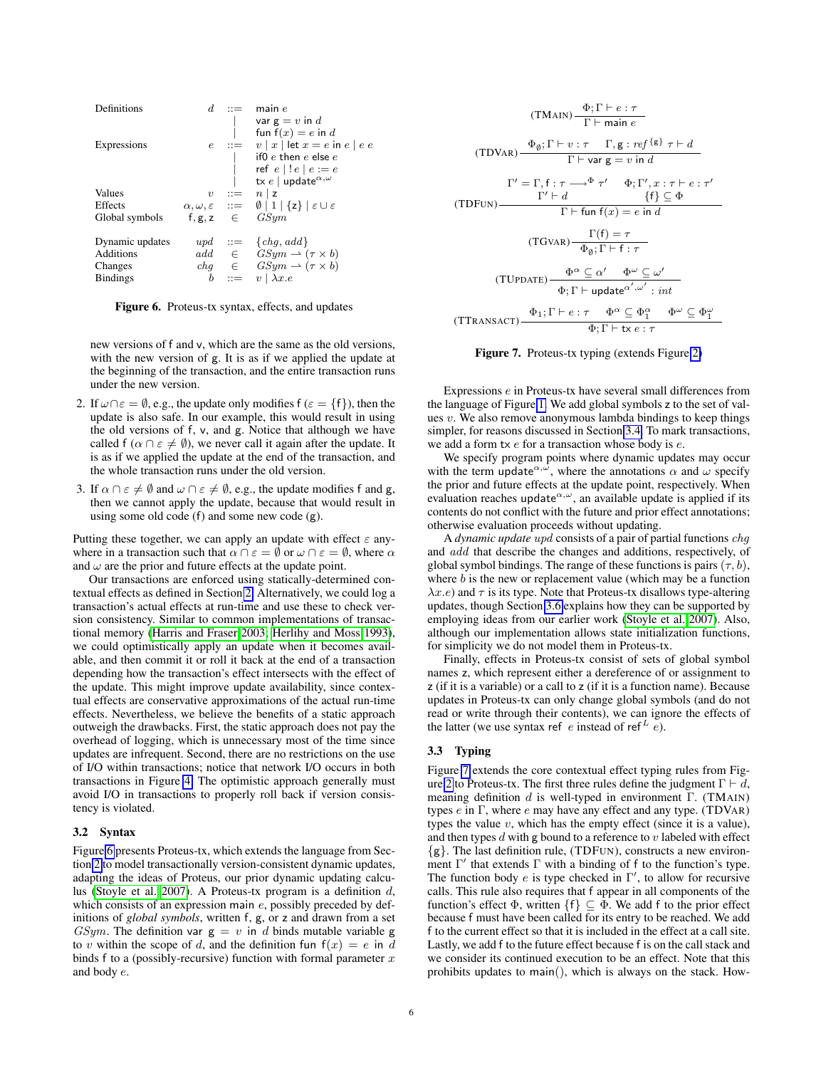| Definitions     |                  | $d \mathbf{u}$            | main $e$<br>var $g = v$ in d<br>fun $f(x) = e$ in d                                                                                     |
|-----------------|------------------|---------------------------|-----------------------------------------------------------------------------------------------------------------------------------------|
| Expressions     |                  |                           | $e$ ::= $v  x $ let $x = e$ in $e  e e$<br>if0 $e$ then $e$ else $e$<br>ref $e \mid !e \mid e := e$<br>tx e   update $^{\alpha,\omega}$ |
| Values          | $\boldsymbol{v}$ | $\mathbf{H} = \mathbf{H}$ | $n \mid z$                                                                                                                              |
| Effects         |                  |                           | $\alpha, \omega, \varepsilon \quad ::= \quad \emptyset \mid 1 \mid \{z\} \mid \varepsilon \cup \varepsilon$                             |
| Global symbols  |                  |                           | $f, g, z \in GSum$                                                                                                                      |
| Dynamic updates |                  |                           | $upd ::= \{chq, add\}$                                                                                                                  |
| Additions       |                  |                           | $add \in GSym \rightarrow (\tau \times b)$                                                                                              |
| Changes         |                  |                           | $chg \in GSym \rightarrow (\tau \times b)$                                                                                              |
| <b>Bindings</b> | b                |                           | $v \mid \lambda x.e$                                                                                                                    |

<span id="page-5-0"></span>Figure 6. Proteus-tx syntax, effects, and updates

new versions of f and v, which are the same as the old versions, with the new version of g. It is as if we applied the update at the beginning of the transaction, and the entire transaction runs under the new version.

- 2. If  $\omega \cap \epsilon = \emptyset$ , e.g., the update only modifies  $f(\epsilon) = \{f\}$ , then the update is also safe. In our example, this would result in using the old versions of f, v, and g. Notice that although we have called f ( $\alpha \cap \epsilon \neq \emptyset$ ), we never call it again after the update. It is as if we applied the update at the end of the transaction, and the whole transaction runs under the old version.
- 3. If  $\alpha \cap \varepsilon \neq \emptyset$  and  $\omega \cap \varepsilon \neq \emptyset$ , e.g., the update modifies f and g, then we cannot apply the update, because that would result in using some old code  $(f)$  and some new code  $(g)$ .

Putting these together, we can apply an update with effect  $\varepsilon$  anywhere in a transaction such that  $\alpha \cap \varepsilon = \emptyset$  or  $\omega \cap \varepsilon = \emptyset$ , where  $\alpha$ and  $\omega$  are the prior and future effects at the update point.

Our transactions are enforced using statically-determined contextual effects as defined in Section [2.](#page-1-0) Alternatively, we could log a transaction's actual effects at run-time and use these to check version consistency. Similar to common implementations of transactional memory [\(Harris and Fraser 2003;](#page-12-12) [Herlihy and Moss 1993\)](#page-12-13), we could optimistically apply an update when it becomes available, and then commit it or roll it back at the end of a transaction depending how the transaction's effect intersects with the effect of the update. This might improve update availability, since contextual effects are conservative approximations of the actual run-time effects. Nevertheless, we believe the benefits of a static approach outweigh the drawbacks. First, the static approach does not pay the overhead of logging, which is unnecessary most of the time since updates are infrequent. Second, there are no restrictions on the use of I/O within transactions; notice that network I/O occurs in both transactions in Figure [4.](#page-4-0) The optimistic approach generally must avoid I/O in transactions to properly roll back if version consistency is violated.

#### 3.2 Syntax

Figure [6](#page-5-0) presents Proteus-tx, which extends the language from Section [2](#page-1-0) to model transactionally version-consistent dynamic updates, adapting the ideas of Proteus, our prior dynamic updating calculus [\(Stoyle et al. 2007\)](#page-12-6). A Proteus-tx program is a definition d, which consists of an expression main e, possibly preceded by definitions of *global symbols*, written f, g, or z and drawn from a set GSym. The definition var  $g = v$  in d binds mutable variable g to v within the scope of d, and the definition fun  $f(x) = e$  in d binds f to a (possibly-recursive) function with formal parameter  $x$ and body e.

(TDVAR) 
$$
\frac{\Phi_{\beta} \Gamma \vdash e : \tau}{\Gamma \vdash \text{main } e}
$$
  
\n(TDVAR) 
$$
\frac{\Phi_{\emptyset}; \Gamma \vdash v : \tau \quad \Gamma, \mathbf{g} : \text{ref}^{\{g\}} \tau \vdash d}{\Gamma \vdash \text{var } \mathbf{g} = v \text{ in } d}
$$
  
\n
$$
\Gamma' = \Gamma, \mathbf{f} : \tau \longrightarrow^{\Phi} \tau' \quad \Phi; \Gamma', x : \tau \vdash e : \tau'
$$
  
\n(TDFUN) 
$$
\frac{\Gamma' \vdash d}{\Gamma \vdash \text{fun } \mathbf{f}(x) = e \text{ in } d}
$$
  
\n(TGVAR) 
$$
\frac{\Gamma(\mathbf{f}) = \tau}{\Phi_{\emptyset}; \Gamma \vdash \mathbf{f} : \tau}
$$
  
\n(TUPDATE) 
$$
\frac{\Phi^{\alpha} \subseteq \alpha' \quad \Phi^{\omega} \subseteq \omega'}{\Phi; \Gamma \vdash \text{update}^{\alpha', \omega'} : \text{int}}
$$
  
\n(TTRANSACT) 
$$
\frac{\Phi_1; \Gamma \vdash e : \tau \quad \Phi^{\alpha} \subseteq \Phi_1^{\alpha} \quad \Phi^{\omega} \subseteq \Phi_1^{\omega}}{\Phi; \Gamma \vdash \text{tx } e : \tau}
$$

<span id="page-5-1"></span>Figure 7. Proteus-tx typing (extends Figure [2\)](#page-1-2)

Expressions e in Proteus-tx have several small differences from the language of Figure [1.](#page-1-1) We add global symbols z to the set of values  $v$ . We also remove anonymous lambda bindings to keep things simpler, for reasons discussed in Section [3.4.](#page-6-0) To mark transactions, we add a form tx e for a transaction whose body is e.

We specify program points where dynamic updates may occur with the term update<sup> $\alpha, \tilde{\omega}$ </sup>, where the annotations  $\alpha$  and  $\omega$  specify the prior and future effects at the update point, respectively. When evaluation reaches update $\alpha, \omega$ , an available update is applied if its contents do not conflict with the future and prior effect annotations; otherwise evaluation proceeds without updating.

A *dynamic update* upd consists of a pair of partial functions chg and add that describe the changes and additions, respectively, of global symbol bindings. The range of these functions is pairs  $(\tau, b)$ , where  $b$  is the new or replacement value (which may be a function  $(\lambda x.e)$  and  $\tau$  is its type. Note that Proteus-tx disallows type-altering updates, though Section [3.6](#page-8-0) explains how they can be supported by employing ideas from our earlier work [\(Stoyle et al. 2007\)](#page-12-6). Also, although our implementation allows state initialization functions, for simplicity we do not model them in Proteus-tx.

Finally, effects in Proteus-tx consist of sets of global symbol names z, which represent either a dereference of or assignment to z (if it is a variable) or a call to z (if it is a function name). Because updates in Proteus-tx can only change global symbols (and do not read or write through their contents), we can ignore the effects of the latter (we use syntax ref e instead of ref<sup>L</sup> e).

# 3.3 Typing

Figure [7](#page-5-1) extends the core contextual effect typing rules from Fig-ure [2](#page-1-2) to Proteus-tx. The first three rules define the judgment  $\Gamma \vdash d$ , meaning definition d is well-typed in environment  $\Gamma$ . (TMAIN) types  $e$  in  $\Gamma$ , where  $e$  may have any effect and any type. (TDVAR) types the value  $v$ , which has the empty effect (since it is a value), and then types  $d$  with  $g$  bound to a reference to  $v$  labeled with effect  $\{g\}$ . The last definition rule, (TDFUN), constructs a new environment  $\Gamma'$  that extends  $\Gamma$  with a binding of f to the function's type. The function body  $e$  is type checked in  $\Gamma'$ , to allow for recursive calls. This rule also requires that f appear in all components of the function's effect  $\Phi$ , written  $\{f\} \subseteq \Phi$ . We add f to the prior effect because f must have been called for its entry to be reached. We add f to the current effect so that it is included in the effect at a call site. Lastly, we add f to the future effect because f is on the call stack and we consider its continued execution to be an effect. Note that this prohibits updates to main(), which is always on the stack. How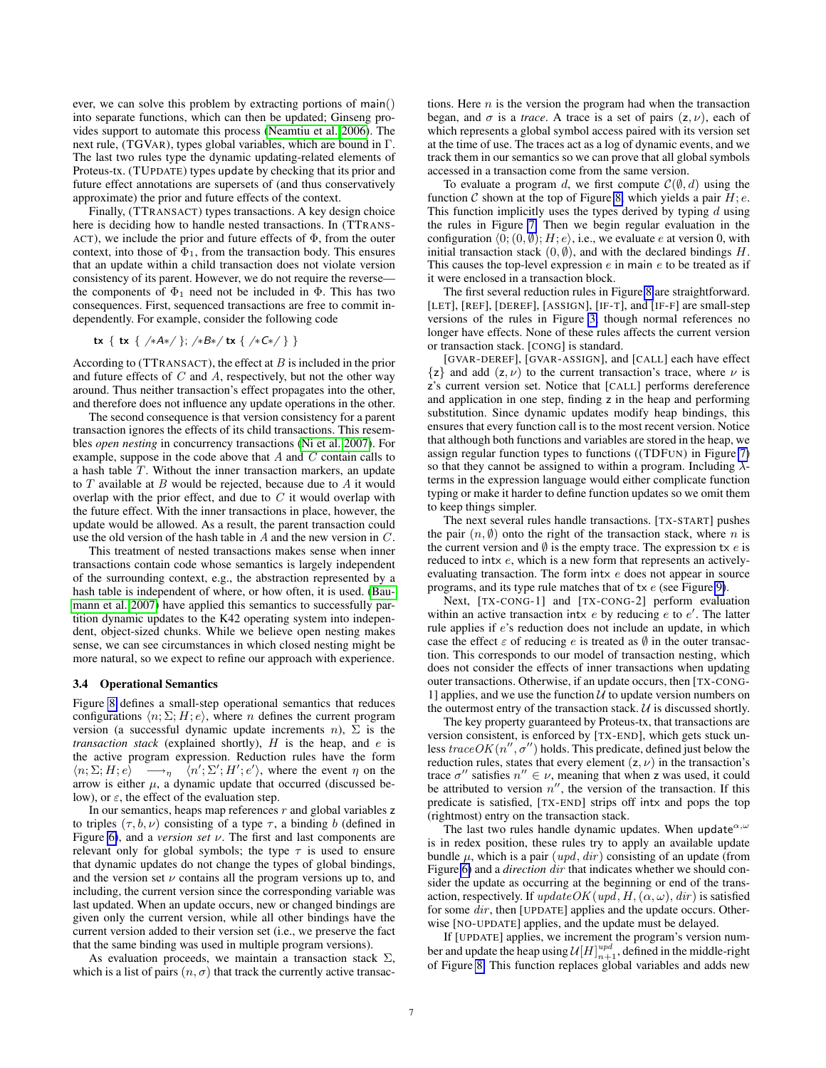ever, we can solve this problem by extracting portions of main() into separate functions, which can then be updated; Ginseng provides support to automate this process [\(Neamtiu et al. 2006\)](#page-12-5). The next rule, (TGVAR), types global variables, which are bound in Γ. The last two rules type the dynamic updating-related elements of Proteus-tx. (TUPDATE) types update by checking that its prior and future effect annotations are supersets of (and thus conservatively approximate) the prior and future effects of the context.

Finally, (TTRANSACT) types transactions. A key design choice here is deciding how to handle nested transactions. In (TTRANS-ACT), we include the prior and future effects of  $\Phi$ , from the outer context, into those of  $\Phi_1$ , from the transaction body. This ensures that an update within a child transaction does not violate version consistency of its parent. However, we do not require the reverse the components of  $\Phi_1$  need not be included in  $\Phi$ . This has two consequences. First, sequenced transactions are free to commit independently. For example, consider the following code

$$
tx {tx { / *A* / }}; /*B*/tx { / *C* / } }
$$

According to (TTRANSACT), the effect at  $B$  is included in the prior and future effects of  $C$  and  $A$ , respectively, but not the other way around. Thus neither transaction's effect propagates into the other, and therefore does not influence any update operations in the other.

The second consequence is that version consistency for a parent transaction ignores the effects of its child transactions. This resembles *open nesting* in concurrency transactions [\(Ni et al. 2007\)](#page-12-14). For example, suppose in the code above that  $A$  and  $C$  contain calls to a hash table T. Without the inner transaction markers, an update to  $T$  available at  $B$  would be rejected, because due to  $A$  it would overlap with the prior effect, and due to  $C$  it would overlap with the future effect. With the inner transactions in place, however, the update would be allowed. As a result, the parent transaction could use the old version of the hash table in A and the new version in C.

This treatment of nested transactions makes sense when inner transactions contain code whose semantics is largely independent of the surrounding context, e.g., the abstraction represented by a hash table is independent of where, or how often, it is used. [\(Bau](#page-11-1)[mann et al. 2007\)](#page-11-1) have applied this semantics to successfully partition dynamic updates to the K42 operating system into independent, object-sized chunks. While we believe open nesting makes sense, we can see circumstances in which closed nesting might be more natural, so we expect to refine our approach with experience.

#### <span id="page-6-0"></span>3.4 Operational Semantics

Figure [8](#page-7-0) defines a small-step operational semantics that reduces configurations  $\langle n; \Sigma; H; e \rangle$ , where n defines the current program version (a successful dynamic update increments n),  $\Sigma$  is the *transaction stack* (explained shortly),  $H$  is the heap, and  $e$  is the active program expression. Reduction rules have the form  $\langle n; \Sigma; H; e \rangle \longrightarrow_{\eta} \langle n'; \Sigma'; H'; e' \rangle$ , where the event  $\eta$  on the arrow is either  $\mu$ , a dynamic update that occurred (discussed below), or  $\varepsilon$ , the effect of the evaluation step.

In our semantics, heaps map references  $r$  and global variables  $z$ to triples  $(\tau, b, \nu)$  consisting of a type  $\tau$ , a binding b (defined in Figure [6\)](#page-5-0), and a *version set* ν. The first and last components are relevant only for global symbols; the type  $\tau$  is used to ensure that dynamic updates do not change the types of global bindings, and the version set  $\nu$  contains all the program versions up to, and including, the current version since the corresponding variable was last updated. When an update occurs, new or changed bindings are given only the current version, while all other bindings have the current version added to their version set (i.e., we preserve the fact that the same binding was used in multiple program versions).

As evaluation proceeds, we maintain a transaction stack  $\Sigma$ , which is a list of pairs  $(n, \sigma)$  that track the currently active transactions. Here  $n$  is the version the program had when the transaction began, and  $\sigma$  is a *trace*. A trace is a set of pairs  $(z, \nu)$ , each of which represents a global symbol access paired with its version set at the time of use. The traces act as a log of dynamic events, and we track them in our semantics so we can prove that all global symbols accessed in a transaction come from the same version.

To evaluate a program d, we first compute  $C(\emptyset, d)$  using the function C shown at the top of Figure [8,](#page-7-0) which yields a pair  $H$ ; e. This function implicitly uses the types derived by typing  $d$  using the rules in Figure [7.](#page-5-1) Then we begin regular evaluation in the configuration  $(0; (0, \emptyset); H; e)$ , i.e., we evaluate e at version 0, with initial transaction stack  $(0, \emptyset)$ , and with the declared bindings H. This causes the top-level expression  $e$  in main  $e$  to be treated as if it were enclosed in a transaction block.

The first several reduction rules in Figure [8](#page-7-0) are straightforward. [LET], [REF], [DEREF], [ASSIGN], [IF-T], and [IF-F] are small-step versions of the rules in Figure [3,](#page-2-0) though normal references no longer have effects. None of these rules affects the current version or transaction stack. [CONG] is standard.

[GVAR-DEREF], [GVAR-ASSIGN], and [CALL] each have effect  $\{z\}$  and add  $(z, \nu)$  to the current transaction's trace, where  $\nu$  is z's current version set. Notice that [CALL] performs dereference and application in one step, finding z in the heap and performing substitution. Since dynamic updates modify heap bindings, this ensures that every function call is to the most recent version. Notice that although both functions and variables are stored in the heap, we assign regular function types to functions ((TDFUN) in Figure [7\)](#page-5-1) so that they cannot be assigned to within a program. Including  $\lambda$ terms in the expression language would either complicate function typing or make it harder to define function updates so we omit them to keep things simpler.

The next several rules handle transactions. [TX-START] pushes the pair  $(n, \emptyset)$  onto the right of the transaction stack, where n is the current version and  $\emptyset$  is the empty trace. The expression tx e is reduced to intx e, which is a new form that represents an activelyevaluating transaction. The form intx e does not appear in source programs, and its type rule matches that of tx e (see Figure [9\)](#page-8-1).

Next, [TX-CONG-1] and [TX-CONG-2] perform evaluation within an active transaction intx  $e$  by reducing  $e$  to  $e'$ . The latter rule applies if e's reduction does not include an update, in which case the effect  $\varepsilon$  of reducing e is treated as  $\emptyset$  in the outer transaction. This corresponds to our model of transaction nesting, which does not consider the effects of inner transactions when updating outer transactions. Otherwise, if an update occurs, then [TX-CONG-1] applies, and we use the function  $U$  to update version numbers on the outermost entry of the transaction stack.  $U$  is discussed shortly.

The key property guaranteed by Proteus-tx, that transactions are version consistent, is enforced by [TX-END], which gets stuck unless trace  $OK(n'', \sigma'')$  holds. This predicate, defined just below the reduction rules, states that every element  $(z, \nu)$  in the transaction's trace  $\sigma''$  satisfies  $n'' \in \nu$ , meaning that when z was used, it could be attributed to version  $n''$ , the version of the transaction. If this predicate is satisfied, [TX-END] strips off intx and pops the top (rightmost) entry on the transaction stack.

The last two rules handle dynamic updates. When update  $\alpha, \omega$ is in redex position, these rules try to apply an available update bundle  $\mu$ , which is a pair (*upd*, *dir*) consisting of an update (from Figure [6\)](#page-5-0) and a *direction* dir that indicates whether we should consider the update as occurring at the beginning or end of the transaction, respectively. If  $updateOK(upd, H, (\alpha, \omega), dir)$  is satisfied for some dir, then [UPDATE] applies and the update occurs. Otherwise [NO-UPDATE] applies, and the update must be delayed.

If [UPDATE] applies, we increment the program's version number and update the heap using  $\mathcal{U}[H]^{upd}_{n+1}$ , defined in the middle-right of Figure [8.](#page-7-0) This function replaces global variables and adds new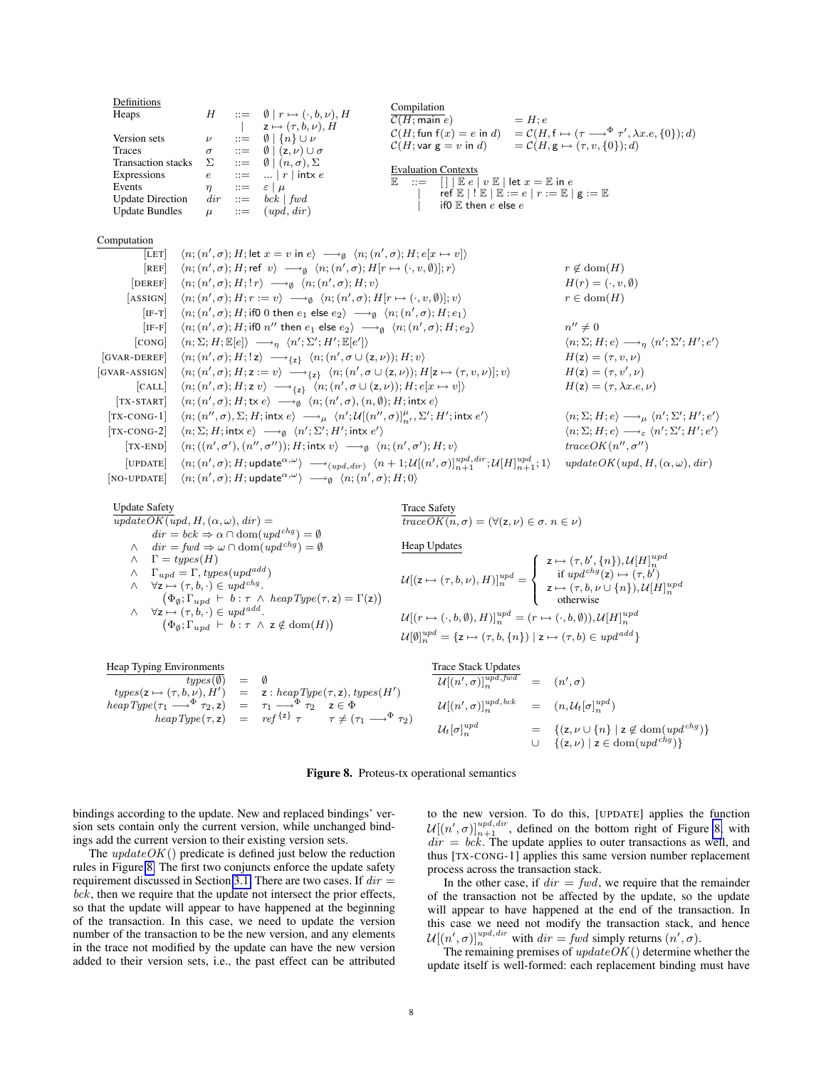Definitions Heaps  $H$  ::=  $\emptyset$  |  $r \mapsto (\cdot, b, \nu), H$  $|\qquad z \mapsto (\tau, \dot{b}, \nu), H$ Version sets  $\nu$  ::=  $\emptyset$  | {n} ∪ *ν*<br>Traces  $\sigma$  ::=  $\emptyset$  | (z, *v*) ∪  $\sigma$  ::=  $\emptyset$  | (z,  $\nu$ ) ∪  $\sigma$ <br>  $\Sigma$  ::=  $\emptyset$  | (n,  $\sigma$ ),  $\Sigma$ Transaction stacks  $\Sigma$  ::= Expressions  $e$  ::= ... | r | intx e Events  $\eta$  ::=  $\varepsilon | \mu$ <br>Update Direction dir ::= bck | fwd Update Direction  $dir ::=$ Update Bundles  $\mu$  ::=  $(upd, dir)$ Compilation  $\overline{\mathcal{C}(H; \text{main } e)}$  = H; e  $\mathcal{C}(H; \mathsf{fun}\; \mathsf{f}(x) = e \; \mathsf{in} \; d) \quad = \mathcal{C}(H, \mathsf{f} \mapsto (\tau \longrightarrow^\Phi \tau', \lambda x. e, \{0\}); d)$  $\mathcal{C}(H; \text{var } g = v \text{ in } d) = \mathcal{C}(H, g \mapsto (\tau, v, \{0\}); d)$ Evaluation Contexts  $\mathbb{E}$  ::=  $\boxed{[] | \mathbb{E} e}$   $v \mathbb{E} | \text{let } x = \mathbb{E} \text{ in } e$  $ref \mathbb{E} | ! \mathbb{E} | \mathbb{E} := e | r := \mathbb{E} | g := \mathbb{E}$ if0  $E$  then  $e$  else  $e$ Computation  $[\overline{\mathsf{LET}}] \quad \langle n; (n', \sigma); H; \mathsf{let}\ x = v \ \mathsf{in}\ e \rangle \ \longrightarrow_{\emptyset} \ \langle n; (n', \sigma); H; e[x \mapsto v] \rangle$  $[\texttt{REF}] \quad \ \langle n; (n',\sigma); H; \textsf{ref} \;\; v \rangle \; \longrightarrow_{\emptyset} \;\; \langle n; (n',\sigma); H[r \mapsto (\cdot, v, \emptyset)]; r \rangle \qquad \qquad r \not\in \mathrm{dom}(H)$  $[DEREF]$  $\langle \sigma, \sigma \rangle; H; !\, r \rangle \longrightarrow_{\emptyset} \langle n; (n^{\prime}) \rangle$  $H(r) = (\cdot, v, \emptyset)$  $[ASSIGN]$  $\langle \sigma, \sigma \rangle; H; r := v \rangle \longrightarrow_{\emptyset} \langle n; (n', \sigma); H[r \mapsto (\cdot, v, \emptyset)]; v \rangle$   $r \in \text{dom}(H)$  $\text{[IF-T]} \quad \langle n; (n', \sigma); H; \text{if0 0 then } e_1 \text{ else } e_2 \rangle \; \longrightarrow_{\emptyset} \; \langle n; (n', \sigma); H; e_1 \rangle$  $\left[\text{IF-F}\right] \quad \langle n; (n',\sigma); H; \text{if0} \; n'' \; \text{then} \; e_1 \; \text{else} \; e_2 \rangle \; \longrightarrow_{\emptyset} \; \langle n; (n',\sigma); H; e_2 \rangle \; \quad n$  $n'' \neq 0$ [CONG]  $\langle n; \Sigma; H; \mathbb{E}[e] \rangle \longrightarrow_{\eta} \langle n'; \Sigma'; H'; \mathbb{E}[e']$  $\langle n; \Sigma; H; e \rangle \longrightarrow_{\eta} \langle n'; \Sigma'; H'; e' \rangle$  $[GVAR-DEREF]$  $\langle \sigma, \sigma \rangle; H; \langle z \rangle \longrightarrow_{\{z\}} \langle n; (n', \sigma \cup (z, \nu)); H; v \rangle$   $H(z) = (\tau, v, \nu)$  $[GVAR-ASSIGN]$  $\langle \sigma, \sigma \rangle; H; z := v \rangle \longrightarrow_{\{z\}} \langle n; (n', \sigma \cup (z, \nu)); H[z \mapsto (\tau, v, \nu)]; v \rangle$   $H(z) = (\tau, v')$  $H(z) = (\tau, v', \nu)$ [CALL]  $\langle n; (n', \sigma); H; z v \rangle \longrightarrow_{\{z\}} \langle n; (n', \sigma \cup (z, \nu)); H; e[x \mapsto v] \rangle$ <br>
START]  $\langle n; (n', \sigma); H; tx e \rangle \longrightarrow_{\emptyset} \langle n; (n', \sigma), (n, \emptyset); H; intx e \rangle$  $[TX-STATET]$  $[TX-CONG-1]$  $\langle \sigma', \sigma \rangle$ ,  $\Sigma$ ;  $H$ ; intx  $e \rangle \longrightarrow_{\mu} \langle n' ; \mathcal{U}[(n'', \sigma)]^{\mu}_{n'}, \Sigma'; H'; \text{intx } e'$  $\langle n; \Sigma; H; e \rangle \longrightarrow_{\mu} \langle n'; \Sigma'; H'; e' \rangle \nonumber \ \langle n; \Sigma; H; e \rangle \longrightarrow_{\varepsilon} \langle n'; \Sigma'; H'; e' \rangle$  $[\text{TX-CONG-2}]$   $\langle n; \Sigma; H; \text{intx } e \rangle \longrightarrow_{\emptyset} \langle n'; \Sigma'; H'; \text{intx } e' \rangle$   $\langle n; \Sigma; H; e \rangle \longrightarrow_{\varepsilon} \langle n; \Sigma; H; H; H \rangle$  $[TX-END]$  $\langle \sigma, \sigma', \sigma', \sigma'' \rangle$ ); H; intx  $v \rangle \longrightarrow_{\emptyset} \langle n; (n', \sigma') \rangle$  $\rangle; H; v\rangle$  trace  $OK(n'', \sigma'')$  $[UPDATE]$  $\langle \sigma, \sigma \rangle; H; \mathsf{update}^{\alpha, \omega} \rangle \ \longrightarrow_{(upd, dir)} \ \langle n+1; \mathcal{U}[(n', \sigma)]^{upd, dir}_{n+1}; \mathcal{U}[H]^{upd}_{n+1};$  $updateOK (upd, H, (\alpha, \omega), dir)$  $[NO-UPDATE]$  $\langle \sigma,\sigma\rangle;H;$  update ${}^{\alpha,\omega}\rangle \hspace{0.1 cm} \longrightarrow_{\emptyset} \hspace{0.1 cm} \langle n;(n',\sigma);H;0\rangle$ 

Update Safety

 $updateOK (upd, H, (\alpha, \omega), dir) =$  $dir = bck \Rightarrow \alpha \cap \text{dom}(upd^{chg}) = \emptyset$  $dir = fwd \Rightarrow \omega \cap \text{dom}(upd^{chg}) = \emptyset$  $\wedge \quad \Gamma = types(H)$  $∧$  Γ<sub>upd</sub> = Γ, types(upd<sup>add</sup>)  $\wedge \quad \forall z \mapsto (\tau, b, \cdot) \in upd^{chg}.$  $(\Phi_{\emptyset}; \Gamma_{upd} \vdash b : \tau \wedge \text{heapType}(\tau, z) = \Gamma(z))$  $\wedge \quad \forall z \mapsto (\tau, b, \cdot) \in upd^{add}.$ .  $(\Phi_{\emptyset}; \Gamma_{upd} \vdash b : \tau \wedge z \notin \text{dom}(H))$ 

Trace Safety  $\overline{traceOK(n, \sigma)} = (\forall (z, \nu) \in \sigma \ldotp n \in \nu)$ 

Heap Updates  $\mathcal{U}[(\mathsf{z}\mapsto(\tau,b,\nu),H)]^{upd}_n=$  $\int$  $\mathcal{L}$  $z \mapsto (\tau, b', \{n\}), U[H]_n^{upd}$ <br>if  $upd^{chg}(z) \mapsto (\tau, b')$  $z \mapsto (\tau, b, \nu \cup \{n\}), U[H]_n^{upd}$ <br>otherwise  $\mathcal{U}[(r \mapsto (\cdot, b, \emptyset), H)]^{upd}_n = (r \mapsto (\cdot, b, \emptyset)), \mathcal{U}[H]^{upd}_n$  $\mathcal{U}[\emptyset]^{upd}_n = \{\mathsf{z} \mapsto (\tau,b,\{n\}) \mid \mathsf{z} \mapsto (\tau,b) \in \mathit{upd}^{\mathit{add}}\}$ 

| Heap Typing Environments                                                                                    |                                                                                               | <b>Trace Stack Updates</b>                                                                  |                                                                                       |
|-------------------------------------------------------------------------------------------------------------|-----------------------------------------------------------------------------------------------|---------------------------------------------------------------------------------------------|---------------------------------------------------------------------------------------|
| $types(\emptyset) = \emptyset$                                                                              |                                                                                               | $\mathcal{U}[(n', \sigma)]^{u\overline{pd}, f\overline{wd}}_{n} \quad = \quad (n', \sigma)$ |                                                                                       |
|                                                                                                             | $types(z \mapsto (\tau, b, \nu), H') = z : heapType(\tau, z), types(H')$                      |                                                                                             |                                                                                       |
| $heapType(\tau_1 \longrightarrow^{\Phi} \tau_2, z) = \tau_1 \longrightarrow^{\Phi} \tau_2 \quad z \in \Phi$ |                                                                                               | $\mathcal{U}[(n', \sigma)]_n^{upd, bck} = (n, \mathcal{U}_t[\sigma]_n^{upd})$               |                                                                                       |
|                                                                                                             | $heapType(\tau, z) = ref^{\{z\}} \tau \quad \tau \neq (\tau_1 \longrightarrow^{\Phi} \tau_2)$ |                                                                                             |                                                                                       |
|                                                                                                             |                                                                                               | $\mathcal{U}_t[\sigma]_n^{upd}$                                                             | $= \{(z, \nu \cup \{n\} \mid z \notin \text{dom}(\text{upd}^{chg})\}\$                |
|                                                                                                             |                                                                                               |                                                                                             | $\cup \{(\mathsf{z}, \nu) \mid \mathsf{z} \in \text{dom}(\text{upd}^{\text{chg}})\}\$ |

<span id="page-7-0"></span>

bindings according to the update. New and replaced bindings' version sets contain only the current version, while unchanged bindings add the current version to their existing version sets.

The  $updateOK()$  predicate is defined just below the reduction rules in Figure [8.](#page-7-0) The first two conjuncts enforce the update safety requirement discussed in Section [3.1.](#page-4-3) There are two cases. If  $dir =$  $bck$ , then we require that the update not intersect the prior effects, so that the update will appear to have happened at the beginning of the transaction. In this case, we need to update the version number of the transaction to be the new version, and any elements in the trace not modified by the update can have the new version added to their version sets, i.e., the past effect can be attributed to the new version. To do this, [UPDATE] applies the function  $\mathcal{U}[(n', \sigma)]_{n+1}^{upd, dir}$ , defined on the bottom right of Figure [8,](#page-7-0) with  $dir = bck$ . The update applies to outer transactions as well, and thus [TX-CONG-1] applies this same version number replacement process across the transaction stack.

In the other case, if  $dir = fwd$ , we require that the remainder of the transaction not be affected by the update, so the update will appear to have happened at the end of the transaction. In this case we need not modify the transaction stack, and hence  $\mathcal{U}[(n', \sigma)]_n^{upd, dir}$  with  $dir = fwd$  simply returns  $(n', \sigma)$ .

The remaining premises of  $updateOK()$  determine whether the update itself is well-formed: each replacement binding must have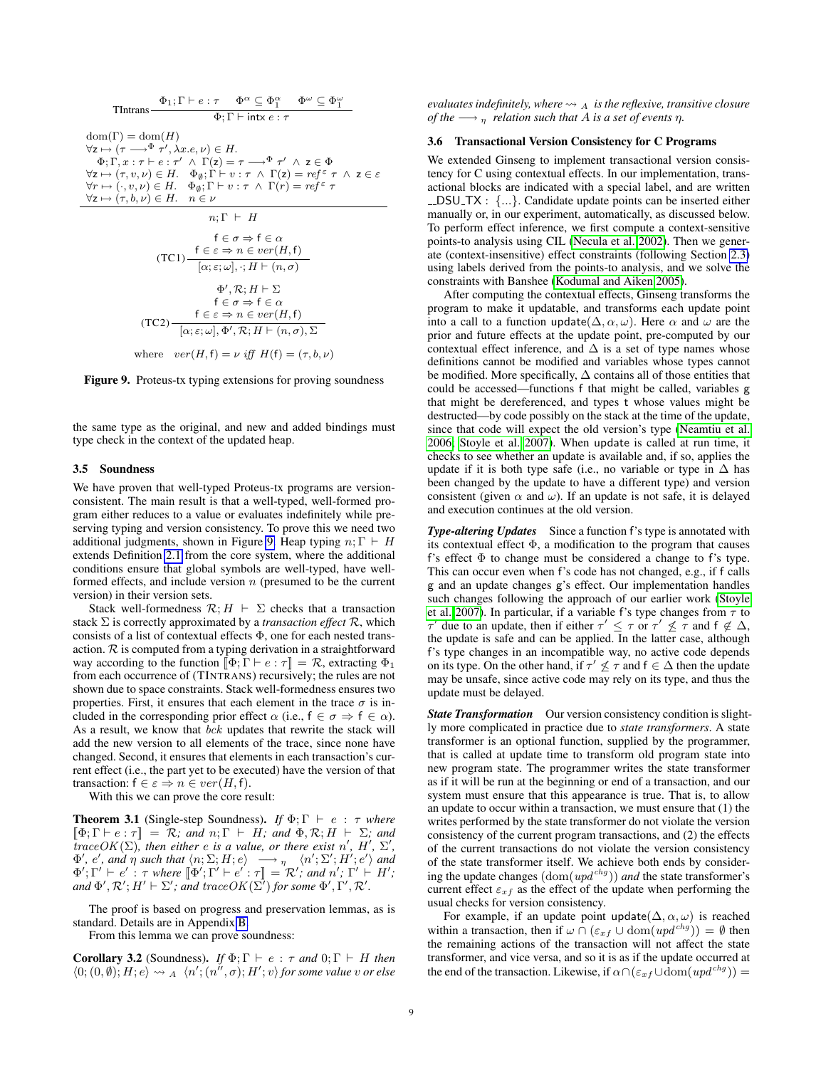Thtrans

\n
$$
\frac{\Phi_1; \Gamma \vdash e : \tau \quad \Phi^\alpha \subseteq \Phi_1^\alpha \quad \Phi^\omega \subseteq \Phi_1^\omega}{\Phi; \Gamma \vdash \text{intx } e : \tau}
$$
\n
$$
\text{dom}(\Gamma) = \text{dom}(H)
$$
\n
$$
\forall z \mapsto (\tau \rightarrow^{\Phi} \tau', \lambda x.e, \nu) \in H.
$$
\n
$$
\Phi; \Gamma, x : \tau \vdash e : \tau' \land \Gamma(z) = \tau \rightarrow^{\Phi} \tau' \land z \in \Phi
$$
\n
$$
\forall z \mapsto (\tau, v, \nu) \in H. \quad \Phi_0; \Gamma \vdash v : \tau \land \Gamma(z) = \text{ref}^{\varepsilon} \tau \land z \in \varepsilon
$$
\n
$$
\forall r \mapsto (\cdot, v, \nu) \in H. \quad \Phi_0; \Gamma \vdash v : \tau \land \Gamma(r) = \text{ref}^{\varepsilon} \tau
$$
\n
$$
\forall z \mapsto (\tau, b, \nu) \in H. \quad n \in \nu
$$
\n
$$
n; \Gamma \vdash H
$$
\n
$$
\mathbf{f} \in \sigma \Rightarrow \mathbf{f} \in \alpha
$$
\n
$$
(\text{TC1}) - \frac{\mathbf{f} \in \varepsilon \Rightarrow n \in \text{ver}(H, \mathbf{f})}{[\alpha; \varepsilon; \omega], \cdot; H \vdash (n, \sigma)}
$$
\n
$$
\Phi', \mathcal{R}; H \vdash \Sigma
$$
\n
$$
\mathbf{f} \in \sigma \Rightarrow \mathbf{f} \in \alpha
$$
\n
$$
(\text{TC2}) - \frac{\mathbf{f} \in \varepsilon \Rightarrow n \in \text{ver}(H, \mathbf{f})}{[\alpha; \varepsilon; \omega], \Phi', \mathcal{R}; H \vdash (n, \sigma), \Sigma}
$$
\n
$$
\text{where } \text{ver}(H, \mathbf{f}) = \nu \text{ iff } H(\mathbf{f}) = (\tau, b, \nu)
$$

<span id="page-8-1"></span>Figure 9. Proteus-tx typing extensions for proving soundness

the same type as the original, and new and added bindings must type check in the context of the updated heap.

#### 3.5 Soundness

We have proven that well-typed Proteus-tx programs are versionconsistent. The main result is that a well-typed, well-formed program either reduces to a value or evaluates indefinitely while preserving typing and version consistency. To prove this we need two additional judgments, shown in Figure [9.](#page-8-1) Heap typing  $n; \Gamma \vdash H$ extends Definition [2.1](#page-3-3) from the core system, where the additional conditions ensure that global symbols are well-typed, have wellformed effects, and include version  $n$  (presumed to be the current version) in their version sets.

Stack well-formedness  $\mathcal{R}: H \vdash \Sigma$  checks that a transaction stack Σ is correctly approximated by a *transaction effect* R, which consists of a list of contextual effects Φ, one for each nested transaction.  $R$  is computed from a typing derivation in a straightforward way according to the function  $\llbracket \Phi \rangle$ ;  $\Gamma \vdash e : \tau \rrbracket = \mathcal{R}$ , extracting  $\Phi_1$ from each occurrence of (TINTRANS) recursively; the rules are not shown due to space constraints. Stack well-formedness ensures two properties. First, it ensures that each element in the trace  $\sigma$  is included in the corresponding prior effect  $\alpha$  (i.e.,  $f \in \sigma \Rightarrow f \in \alpha$ ). As a result, we know that bck updates that rewrite the stack will add the new version to all elements of the trace, since none have changed. Second, it ensures that elements in each transaction's current effect (i.e., the part yet to be executed) have the version of that transaction:  $f \in \varepsilon \Rightarrow n \in ver(H, f)$ .

With this we can prove the core result:

**Theorem 3.1** (Single-step Soundness). *If*  $\Phi$ ;  $\Gamma \vdash e : \tau$  *where*  $\llbracket \Phi \colon \Gamma \vdash e : \tau \rrbracket = \mathcal{R}$ *; and*  $n: \Gamma \vdash H$ *; and*  $\Phi$ *, R; H*  $\vdash \Sigma$ *; and*  $traceOK(\Sigma)$ , then either e is a value, or there exist n', H',  $\Sigma'$ ,  $\Phi'$ , *e'*, and  $\eta$  such that  $\langle n; \Sigma; H; e \rangle \longrightarrow_{\eta} \langle n'; \Sigma'; H'; e' \rangle$  and  $\Phi'; \Gamma' \vdash e' : \tau$  where  $[\Phi'; \Gamma' \vdash e' : \tau] = \mathcal{R}'$ ; and  $n'$ ;  $\Gamma' \vdash H'$ ;<br>and  $\Phi' \mathcal{R}' \vdash H' \vdash \Sigma'$ ; and trace  $OK(\Sigma')$  for some  $\Phi' \Gamma' \mathcal{R}'$  $and \Phi', \mathcal{R'}; H' \vdash \Sigma'$ ; and trace $OK(\Sigma')$  for some  $\Phi', \Gamma', \mathcal{R}'.$ 

The proof is based on progress and preservation lemmas, as is standard. Details are in Appendix [B.](#page-35-0)

From this lemma we can prove soundness:

**Corollary 3.2** (Soundness). *If*  $\Phi$ ;  $\Gamma \vdash e : \tau$  *and*  $0$ ;  $\Gamma \vdash H$  *then*  $\langle 0; (0, \emptyset); H; e \rangle \rightsquigarrow_A \langle n'; (n'', \sigma); H'; v \rangle$  for some value v or else

*evaluates indefinitely, where*  $\rightsquigarrow$   $\cancel{A}$  *is the reflexive, transitive closure of the*  $\longrightarrow$  *n relation such that A is a set of events η.* 

#### <span id="page-8-0"></span>3.6 Transactional Version Consistency for C Programs

We extended Ginseng to implement transactional version consistency for C using contextual effects. In our implementation, transactional blocks are indicated with a special label, and are written DSU TX : {...}. Candidate update points can be inserted either manually or, in our experiment, automatically, as discussed below. To perform effect inference, we first compute a context-sensitive points-to analysis using CIL [\(Necula et al. 2002\)](#page-12-15). Then we generate (context-insensitive) effect constraints (following Section [2.3\)](#page-3-4) using labels derived from the points-to analysis, and we solve the constraints with Banshee [\(Kodumal and Aiken 2005\)](#page-12-10).

After computing the contextual effects, Ginseng transforms the program to make it updatable, and transforms each update point into a call to a function update( $\Delta, \alpha, \omega$ ). Here  $\alpha$  and  $\omega$  are the prior and future effects at the update point, pre-computed by our contextual effect inference, and  $\Delta$  is a set of type names whose definitions cannot be modified and variables whose types cannot be modified. More specifically,  $\Delta$  contains all of those entities that could be accessed—functions f that might be called, variables g that might be dereferenced, and types t whose values might be destructed—by code possibly on the stack at the time of the update, since that code will expect the old version's type [\(Neamtiu et al.](#page-12-5) [2006;](#page-12-5) [Stoyle et al. 2007\)](#page-12-6). When update is called at run time, it checks to see whether an update is available and, if so, applies the update if it is both type safe (i.e., no variable or type in  $\Delta$  has been changed by the update to have a different type) and version consistent (given  $\alpha$  and  $\omega$ ). If an update is not safe, it is delayed and execution continues at the old version.

*Type-altering Updates* Since a function f's type is annotated with its contextual effect  $\Phi$ , a modification to the program that causes f's effect  $\Phi$  to change must be considered a change to f's type. This can occur even when f's code has not changed, e.g., if f calls g and an update changes g's effect. Our implementation handles such changes following the approach of our earlier work [\(Stoyle](#page-12-6) [et al. 2007\)](#page-12-6). In particular, if a variable f's type changes from  $\tau$  to  $\tau'$  due to an update, then if either  $\tau' \leq \tau$  or  $\tau' \nleq \tau$  and  $f \notin \Delta$ , the update is safe and can be applied. In the latter case, although f's type changes in an incompatible way, no active code depends on its type. On the other hand, if  $\tau' \nleq \tau$  and  $f \in \Delta$  then the update may be unsafe, since active code may rely on its type, and thus the update must be delayed.

*State Transformation* Our version consistency condition is slightly more complicated in practice due to *state transformers*. A state transformer is an optional function, supplied by the programmer, that is called at update time to transform old program state into new program state. The programmer writes the state transformer as if it will be run at the beginning or end of a transaction, and our system must ensure that this appearance is true. That is, to allow an update to occur within a transaction, we must ensure that (1) the writes performed by the state transformer do not violate the version consistency of the current program transactions, and (2) the effects of the current transactions do not violate the version consistency of the state transformer itself. We achieve both ends by considering the update changes  $(\text{dom}(upd^{chg}))$  *and* the state transformer's current effect  $\varepsilon_{xf}$  as the effect of the update when performing the usual checks for version consistency.

For example, if an update point update( $\Delta, \alpha, \omega$ ) is reached within a transaction, then if  $\omega \cap (\varepsilon_{xf} \cup \text{dom}(upd^{chg})) = \emptyset$  then the remaining actions of the transaction will not affect the state transformer, and vice versa, and so it is as if the update occurred at the end of the transaction. Likewise, if  $\alpha \cap (\varepsilon_{xf} \cup \text{dom}(upd^{chg})) =$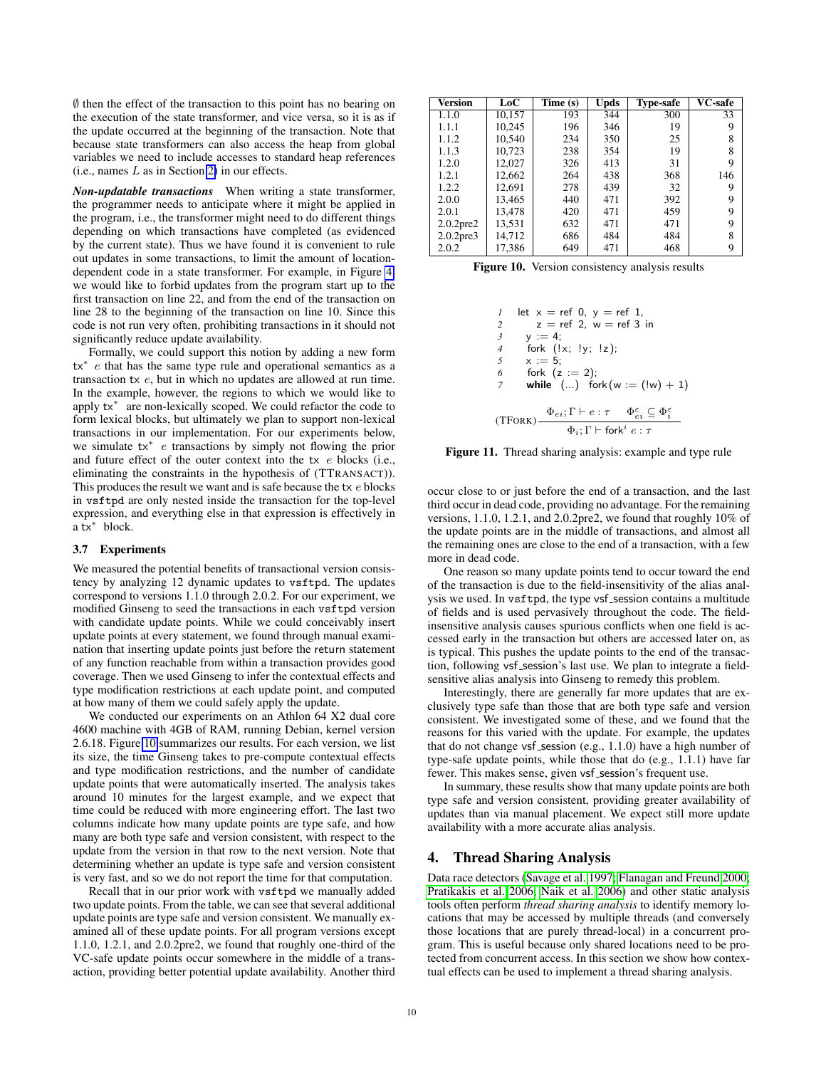$\emptyset$  then the effect of the transaction to this point has no bearing on the execution of the state transformer, and vice versa, so it is as if the update occurred at the beginning of the transaction. Note that because state transformers can also access the heap from global variables we need to include accesses to standard heap references  $(i.e., names L as in Section 2) in our effects.$  $(i.e., names L as in Section 2) in our effects.$  $(i.e., names L as in Section 2) in our effects.$ 

*Non-updatable transactions* When writing a state transformer, the programmer needs to anticipate where it might be applied in the program, i.e., the transformer might need to do different things depending on which transactions have completed (as evidenced by the current state). Thus we have found it is convenient to rule out updates in some transactions, to limit the amount of locationdependent code in a state transformer. For example, in Figure [4,](#page-4-0) we would like to forbid updates from the program start up to the first transaction on line 22, and from the end of the transaction on line 28 to the beginning of the transaction on line 10. Since this code is not run very often, prohibiting transactions in it should not significantly reduce update availability.

Formally, we could support this notion by adding a new form tx<sup>∗</sup> e that has the same type rule and operational semantics as a transaction tx e, but in which no updates are allowed at run time. In the example, however, the regions to which we would like to apply tx<sup>∗</sup> are non-lexically scoped. We could refactor the code to form lexical blocks, but ultimately we plan to support non-lexical transactions in our implementation. For our experiments below, we simulate tx<sup>∗</sup> e transactions by simply not flowing the prior and future effect of the outer context into the tx e blocks (i.e., eliminating the constraints in the hypothesis of (TTRANSACT)). This produces the result we want and is safe because the  $tx e$  blocks in vsftpd are only nested inside the transaction for the top-level expression, and everything else in that expression is effectively in a tx<sup>∗</sup> block.

#### 3.7 Experiments

We measured the potential benefits of transactional version consistency by analyzing 12 dynamic updates to vsftpd. The updates correspond to versions 1.1.0 through 2.0.2. For our experiment, we modified Ginseng to seed the transactions in each vsftpd version with candidate update points. While we could conceivably insert update points at every statement, we found through manual examination that inserting update points just before the return statement of any function reachable from within a transaction provides good coverage. Then we used Ginseng to infer the contextual effects and type modification restrictions at each update point, and computed at how many of them we could safely apply the update.

We conducted our experiments on an Athlon 64 X2 dual core 4600 machine with 4GB of RAM, running Debian, kernel version 2.6.18. Figure [10](#page-9-1) summarizes our results. For each version, we list its size, the time Ginseng takes to pre-compute contextual effects and type modification restrictions, and the number of candidate update points that were automatically inserted. The analysis takes around 10 minutes for the largest example, and we expect that time could be reduced with more engineering effort. The last two columns indicate how many update points are type safe, and how many are both type safe and version consistent, with respect to the update from the version in that row to the next version. Note that determining whether an update is type safe and version consistent is very fast, and so we do not report the time for that computation.

Recall that in our prior work with vsftpd we manually added two update points. From the table, we can see that several additional update points are type safe and version consistent. We manually examined all of these update points. For all program versions except 1.1.0, 1.2.1, and 2.0.2pre2, we found that roughly one-third of the VC-safe update points occur somewhere in the middle of a transaction, providing better potential update availability. Another third

| Version         | LoC    | Time (s) | <b>Upds</b> | <b>Type-safe</b> | VC-safe |
|-----------------|--------|----------|-------------|------------------|---------|
| 1.1.0           | 10,157 | 193      | 344         | 300              | 33      |
| 1.1.1           | 10,245 | 196      | 346         | 19               | 9       |
| 1.1.2           | 10,540 | 234      | 350         | 25               | 8       |
| 1.1.3           | 10,723 | 238      | 354         | 19               | 8       |
| 1.2.0           | 12,027 | 326      | 413         | 31               | 9       |
| 1.2.1           | 12,662 | 264      | 438         | 368              | 146     |
| 1.2.2           | 12,691 | 278      | 439         | 32               | 9       |
| 2.0.0           | 13,465 | 440      | 471         | 392              | 9       |
| 2.0.1           | 13,478 | 420      | 471         | 459              | 9       |
| $2.0.2$ pre $2$ | 13,531 | 632      | 471         | 471              | 9       |
| $2.0.2$ pre $3$ | 14,712 | 686      | 484         | 484              | 8       |
| 2.0.2           | 17,386 | 649      | 471         | 468              | 9       |

<span id="page-9-1"></span>Figure 10. Version consistency analysis results

| 1                                              | let $x = \text{ref } 0, y = \text{ref } 1,$                                                  |
|------------------------------------------------|----------------------------------------------------------------------------------------------|
| 2                                              | $z = \text{ref } 2, w = \text{ref } 3 \text{ in}$                                            |
| 3                                              | $y := 4;$                                                                                    |
| 4                                              | fork $(1x; 1y; 1z);$                                                                         |
| 5                                              | $x := 5;$                                                                                    |
| 6                                              | fork $(z := 2);$                                                                             |
| 7                                              | while $(...)$ fork $(w := (1w) + 1)$                                                         |
| (TFORK)                                        | $\Phi_{ei}; \Gamma \vdash e : \tau$ $\Phi_{ei}^{\varepsilon} \subseteq \Phi_i^{\varepsilon}$ |
| $\Phi_i; \Gamma \vdash \text{fork}^i e : \tau$ |                                                                                              |

<span id="page-9-2"></span>Figure 11. Thread sharing analysis: example and type rule

occur close to or just before the end of a transaction, and the last third occur in dead code, providing no advantage. For the remaining versions, 1.1.0, 1.2.1, and 2.0.2pre2, we found that roughly 10% of the update points are in the middle of transactions, and almost all the remaining ones are close to the end of a transaction, with a few more in dead code.

One reason so many update points tend to occur toward the end of the transaction is due to the field-insensitivity of the alias analysis we used. In vsf tpd, the type vsf session contains a multitude of fields and is used pervasively throughout the code. The fieldinsensitive analysis causes spurious conflicts when one field is accessed early in the transaction but others are accessed later on, as is typical. This pushes the update points to the end of the transaction, following vsf session's last use. We plan to integrate a fieldsensitive alias analysis into Ginseng to remedy this problem.

Interestingly, there are generally far more updates that are exclusively type safe than those that are both type safe and version consistent. We investigated some of these, and we found that the reasons for this varied with the update. For example, the updates that do not change vsf session (e.g.,  $1.1.0$ ) have a high number of type-safe update points, while those that do (e.g., 1.1.1) have far fewer. This makes sense, given vsf\_session's frequent use.

In summary, these results show that many update points are both type safe and version consistent, providing greater availability of updates than via manual placement. We expect still more update availability with a more accurate alias analysis.

### <span id="page-9-0"></span>4. Thread Sharing Analysis

Data race detectors [\(Savage et al. 1997;](#page-12-16) [Flanagan and Freund 2000;](#page-12-17) [Pratikakis et al. 2006;](#page-12-8) [Naik et al. 2006\)](#page-12-18) and other static analysis tools often perform *thread sharing analysis* to identify memory locations that may be accessed by multiple threads (and conversely those locations that are purely thread-local) in a concurrent program. This is useful because only shared locations need to be protected from concurrent access. In this section we show how contextual effects can be used to implement a thread sharing analysis.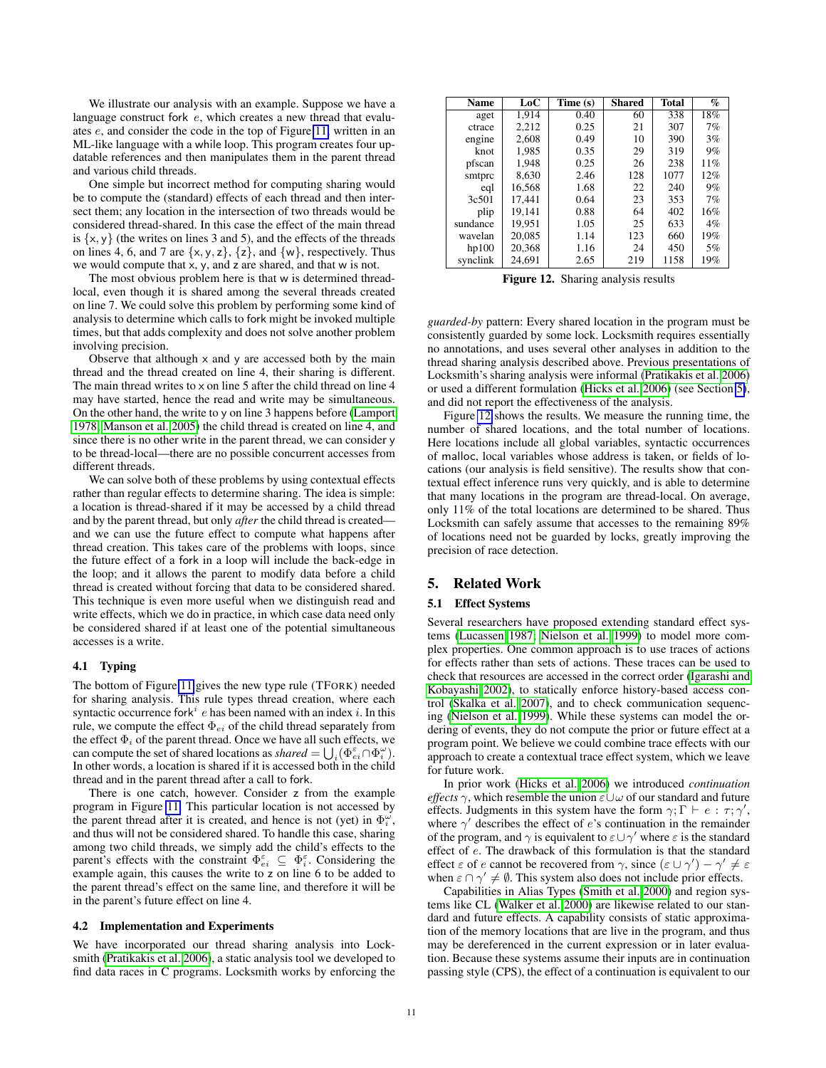We illustrate our analysis with an example. Suppose we have a language construct fork  $e$ , which creates a new thread that evaluates e, and consider the code in the top of Figure [11,](#page-9-2) written in an ML-like language with a while loop. This program creates four updatable references and then manipulates them in the parent thread and various child threads.

One simple but incorrect method for computing sharing would be to compute the (standard) effects of each thread and then intersect them; any location in the intersection of two threads would be considered thread-shared. In this case the effect of the main thread is  $\{x, y\}$  (the writes on lines 3 and 5), and the effects of the threads on lines 4, 6, and 7 are  $\{x, y, z\}$ ,  $\{z\}$ , and  $\{w\}$ , respectively. Thus we would compute that x, y, and z are shared, and that w is not.

The most obvious problem here is that w is determined threadlocal, even though it is shared among the several threads created on line 7. We could solve this problem by performing some kind of analysis to determine which calls to fork might be invoked multiple times, but that adds complexity and does not solve another problem involving precision.

Observe that although  $\times$  and  $\times$  are accessed both by the main thread and the thread created on line 4, their sharing is different. The main thread writes to  $\times$  on line 5 after the child thread on line 4 may have started, hence the read and write may be simultaneous. On the other hand, the write to y on line 3 happens before [\(Lamport](#page-12-19) [1978;](#page-12-19) [Manson et al. 2005\)](#page-12-20) the child thread is created on line 4, and since there is no other write in the parent thread, we can consider y to be thread-local—there are no possible concurrent accesses from different threads.

We can solve both of these problems by using contextual effects rather than regular effects to determine sharing. The idea is simple: a location is thread-shared if it may be accessed by a child thread and by the parent thread, but only *after* the child thread is created and we can use the future effect to compute what happens after thread creation. This takes care of the problems with loops, since the future effect of a fork in a loop will include the back-edge in the loop; and it allows the parent to modify data before a child thread is created without forcing that data to be considered shared. This technique is even more useful when we distinguish read and write effects, which we do in practice, in which case data need only be considered shared if at least one of the potential simultaneous accesses is a write.

# 4.1 Typing

The bottom of Figure [11](#page-9-2) gives the new type rule (TFORK) needed for sharing analysis. This rule types thread creation, where each syntactic occurrence fork<sup>i</sup> e has been named with an index i. In this rule, we compute the effect  $\Phi_{ei}$  of the child thread separately from the effect  $\Phi_i$  of the parent thread. Once we have all such effects, we can compute the set of shared locations as *shared* =  $\bigcup_i (\Phi_{ei}^{\varepsilon} \cap \Phi_i^{\omega})$ . In other words, a location is shared if it is accessed both in the child thread and in the parent thread after a call to fork.

There is one catch, however. Consider z from the example program in Figure [11.](#page-9-2) This particular location is not accessed by the parent thread after it is created, and hence is not (yet) in  $\Phi_i^{\omega}$ , and thus will not be considered shared. To handle this case, sharing among two child threads, we simply add the child's effects to the parent's effects with the constraint  $\Phi_{ei}^{\varepsilon} \subseteq \Phi_i^{\varepsilon}$ . Considering the example again, this causes the write to z on line 6 to be added to the parent thread's effect on the same line, and therefore it will be in the parent's future effect on line 4.

#### 4.2 Implementation and Experiments

We have incorporated our thread sharing analysis into Locksmith [\(Pratikakis et al. 2006\)](#page-12-8), a static analysis tool we developed to find data races in C programs. Locksmith works by enforcing the

| <b>Name</b> | LoC    | Time (s) | <b>Shared</b> | <b>Total</b> | $\%$  |
|-------------|--------|----------|---------------|--------------|-------|
| aget        | 1,914  | 0.40     | 60            | 338          | 18%   |
| ctrace      | 2,212  | 0.25     | 21            | 307          | 7%    |
| engine      | 2,608  | 0.49     | 10            | 390          | 3%    |
| knot        | 1.985  | 0.35     | 29            | 319          | 9%    |
| pfscan      | 1,948  | 0.25     | 26            | 238          | 11%   |
| smtprc      | 8,630  | 2.46     | 128           | 1077         | 12%   |
| eql         | 16.568 | 1.68     | 22            | 240          | 9%    |
| 3c501       | 17,441 | 0.64     | 23            | 353          | 7%    |
| plip        | 19.141 | 0.88     | 64            | 402          | 16%   |
| sundance    | 19,951 | 1.05     | 25            | 633          | $4\%$ |
| wavelan     | 20,085 | 1.14     | 123           | 660          | 19%   |
| hp100       | 20,368 | 1.16     | 24            | 450          | 5%    |
| synclink    | 24,691 | 2.65     | 219           | 1158         | 19%   |

<span id="page-10-1"></span>Figure 12. Sharing analysis results

*guarded-by* pattern: Every shared location in the program must be consistently guarded by some lock. Locksmith requires essentially no annotations, and uses several other analyses in addition to the thread sharing analysis described above. Previous presentations of Locksmith's sharing analysis were informal [\(Pratikakis et al. 2006\)](#page-12-8) or used a different formulation [\(Hicks et al. 2006\)](#page-12-7) (see Section [5\)](#page-10-0), and did not report the effectiveness of the analysis.

Figure [12](#page-10-1) shows the results. We measure the running time, the number of shared locations, and the total number of locations. Here locations include all global variables, syntactic occurrences of malloc, local variables whose address is taken, or fields of locations (our analysis is field sensitive). The results show that contextual effect inference runs very quickly, and is able to determine that many locations in the program are thread-local. On average, only 11% of the total locations are determined to be shared. Thus Locksmith can safely assume that accesses to the remaining 89% of locations need not be guarded by locks, greatly improving the precision of race detection.

# <span id="page-10-0"></span>5. Related Work

#### 5.1 Effect Systems

Several researchers have proposed extending standard effect systems [\(Lucassen 1987;](#page-12-0) [Nielson et al. 1999\)](#page-12-1) to model more complex properties. One common approach is to use traces of actions for effects rather than sets of actions. These traces can be used to check that resources are accessed in the correct order [\(Igarashi and](#page-12-21) [Kobayashi 2002\)](#page-12-21), to statically enforce history-based access control [\(Skalka et al. 2007\)](#page-12-2), and to check communication sequencing [\(Nielson et al. 1999\)](#page-12-1). While these systems can model the ordering of events, they do not compute the prior or future effect at a program point. We believe we could combine trace effects with our approach to create a contextual trace effect system, which we leave for future work.

In prior work [\(Hicks et al. 2006\)](#page-12-7) we introduced *continuation effects*  $\gamma$ , which resemble the union  $\varepsilon \cup \omega$  of our standard and future effects. Judgments in this system have the form  $\gamma$ ;  $\Gamma \vdash e : \tau$ ;  $\gamma'$ , where  $\gamma'$  describes the effect of e's continuation in the remainder of the program, and  $\gamma$  is equivalent to  $\varepsilon \cup \gamma'$  where  $\varepsilon$  is the standard effect of e. The drawback of this formulation is that the standard effect  $\varepsilon$  of e cannot be recovered from  $\gamma$ , since  $(\varepsilon \cup \gamma') - \gamma' \neq \varepsilon$ when  $\varepsilon \cap \gamma' \neq \emptyset$ . This system also does not include prior effects.

Capabilities in Alias Types [\(Smith et al. 2000\)](#page-12-22) and region systems like CL [\(Walker et al. 2000\)](#page-12-23) are likewise related to our standard and future effects. A capability consists of static approximation of the memory locations that are live in the program, and thus may be dereferenced in the current expression or in later evaluation. Because these systems assume their inputs are in continuation passing style (CPS), the effect of a continuation is equivalent to our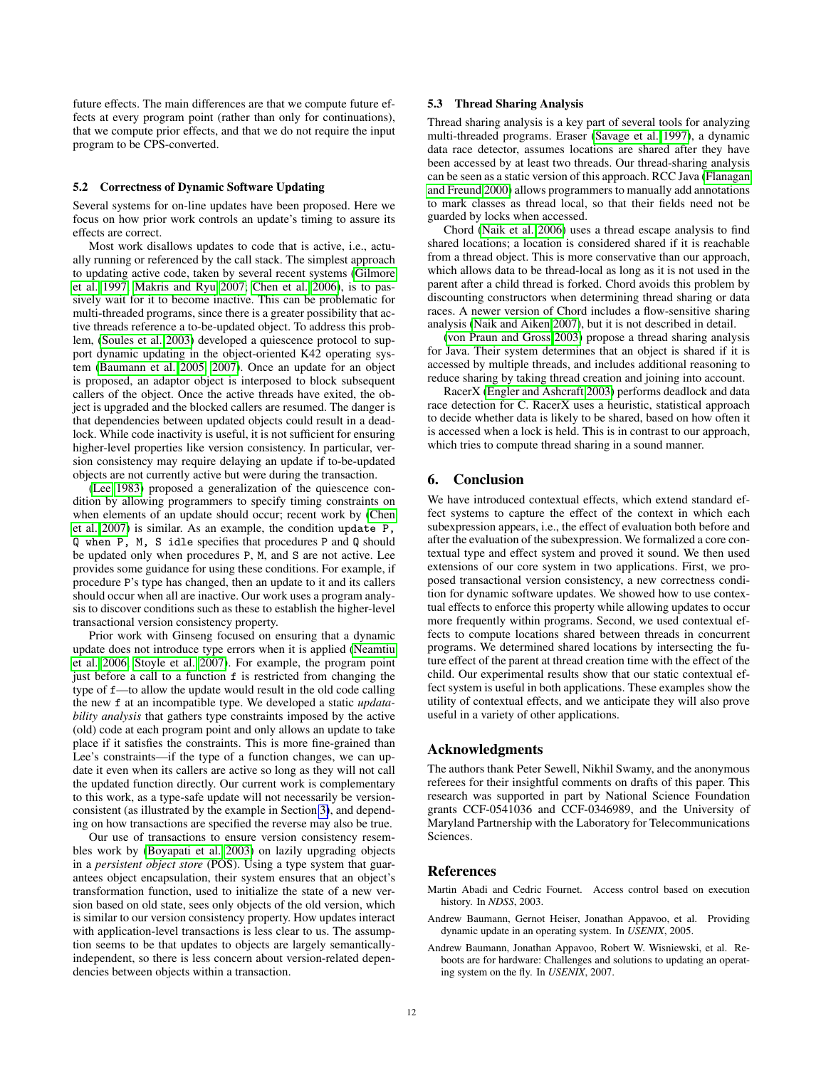future effects. The main differences are that we compute future effects at every program point (rather than only for continuations), that we compute prior effects, and that we do not require the input program to be CPS-converted.

#### 5.2 Correctness of Dynamic Software Updating

Several systems for on-line updates have been proposed. Here we focus on how prior work controls an update's timing to assure its effects are correct.

Most work disallows updates to code that is active, i.e., actually running or referenced by the call stack. The simplest approach to updating active code, taken by several recent systems [\(Gilmore](#page-12-24) [et al. 1997;](#page-12-24) [Makris and Ryu 2007;](#page-12-25) [Chen et al. 2006\)](#page-12-26), is to passively wait for it to become inactive. This can be problematic for multi-threaded programs, since there is a greater possibility that active threads reference a to-be-updated object. To address this problem, [\(Soules et al. 2003\)](#page-12-27) developed a quiescence protocol to support dynamic updating in the object-oriented K42 operating system [\(Baumann et al. 2005,](#page-11-2) [2007\)](#page-11-1). Once an update for an object is proposed, an adaptor object is interposed to block subsequent callers of the object. Once the active threads have exited, the object is upgraded and the blocked callers are resumed. The danger is that dependencies between updated objects could result in a deadlock. While code inactivity is useful, it is not sufficient for ensuring higher-level properties like version consistency. In particular, version consistency may require delaying an update if to-be-updated objects are not currently active but were during the transaction.

[\(Lee 1983\)](#page-12-28) proposed a generalization of the quiescence condition by allowing programmers to specify timing constraints on when elements of an update should occur; recent work by [\(Chen](#page-12-29) [et al. 2007\)](#page-12-29) is similar. As an example, the condition update P, Q when P, M, S idle specifies that procedures P and Q should be updated only when procedures P, M, and S are not active. Lee provides some guidance for using these conditions. For example, if procedure P's type has changed, then an update to it and its callers should occur when all are inactive. Our work uses a program analysis to discover conditions such as these to establish the higher-level transactional version consistency property.

Prior work with Ginseng focused on ensuring that a dynamic update does not introduce type errors when it is applied [\(Neamtiu](#page-12-5) [et al. 2006;](#page-12-5) [Stoyle et al. 2007\)](#page-12-6). For example, the program point just before a call to a function f is restricted from changing the type of f—to allow the update would result in the old code calling the new f at an incompatible type. We developed a static *updatability analysis* that gathers type constraints imposed by the active (old) code at each program point and only allows an update to take place if it satisfies the constraints. This is more fine-grained than Lee's constraints—if the type of a function changes, we can update it even when its callers are active so long as they will not call the updated function directly. Our current work is complementary to this work, as a type-safe update will not necessarily be versionconsistent (as illustrated by the example in Section [3\)](#page-3-0), and depending on how transactions are specified the reverse may also be true.

Our use of transactions to ensure version consistency resembles work by [\(Boyapati et al. 2003\)](#page-12-30) on lazily upgrading objects in a *persistent object store* (POS). Using a type system that guarantees object encapsulation, their system ensures that an object's transformation function, used to initialize the state of a new version based on old state, sees only objects of the old version, which is similar to our version consistency property. How updates interact with application-level transactions is less clear to us. The assumption seems to be that updates to objects are largely semanticallyindependent, so there is less concern about version-related dependencies between objects within a transaction.

### 5.3 Thread Sharing Analysis

Thread sharing analysis is a key part of several tools for analyzing multi-threaded programs. Eraser [\(Savage et al. 1997\)](#page-12-16), a dynamic data race detector, assumes locations are shared after they have been accessed by at least two threads. Our thread-sharing analysis can be seen as a static version of this approach. RCC Java [\(Flanagan](#page-12-17) [and Freund 2000\)](#page-12-17) allows programmers to manually add annotations to mark classes as thread local, so that their fields need not be guarded by locks when accessed.

Chord [\(Naik et al. 2006\)](#page-12-18) uses a thread escape analysis to find shared locations; a location is considered shared if it is reachable from a thread object. This is more conservative than our approach, which allows data to be thread-local as long as it is not used in the parent after a child thread is forked. Chord avoids this problem by discounting constructors when determining thread sharing or data races. A newer version of Chord includes a flow-sensitive sharing analysis [\(Naik and Aiken 2007\)](#page-12-31), but it is not described in detail.

[\(von Praun and Gross 2003\)](#page-12-32) propose a thread sharing analysis for Java. Their system determines that an object is shared if it is accessed by multiple threads, and includes additional reasoning to reduce sharing by taking thread creation and joining into account.

RacerX [\(Engler and Ashcraft 2003\)](#page-12-33) performs deadlock and data race detection for C. RacerX uses a heuristic, statistical approach to decide whether data is likely to be shared, based on how often it is accessed when a lock is held. This is in contrast to our approach, which tries to compute thread sharing in a sound manner.

# 6. Conclusion

We have introduced contextual effects, which extend standard effect systems to capture the effect of the context in which each subexpression appears, i.e., the effect of evaluation both before and after the evaluation of the subexpression. We formalized a core contextual type and effect system and proved it sound. We then used extensions of our core system in two applications. First, we proposed transactional version consistency, a new correctness condition for dynamic software updates. We showed how to use contextual effects to enforce this property while allowing updates to occur more frequently within programs. Second, we used contextual effects to compute locations shared between threads in concurrent programs. We determined shared locations by intersecting the future effect of the parent at thread creation time with the effect of the child. Our experimental results show that our static contextual effect system is useful in both applications. These examples show the utility of contextual effects, and we anticipate they will also prove useful in a variety of other applications.

# Acknowledgments

The authors thank Peter Sewell, Nikhil Swamy, and the anonymous referees for their insightful comments on drafts of this paper. This research was supported in part by National Science Foundation grants CCF-0541036 and CCF-0346989, and the University of Maryland Partnership with the Laboratory for Telecommunications Sciences.

#### References

- <span id="page-11-0"></span>Martin Abadi and Cedric Fournet. Access control based on execution history. In *NDSS*, 2003.
- <span id="page-11-2"></span>Andrew Baumann, Gernot Heiser, Jonathan Appavoo, et al. Providing dynamic update in an operating system. In *USENIX*, 2005.
- <span id="page-11-1"></span>Andrew Baumann, Jonathan Appavoo, Robert W. Wisniewski, et al. Reboots are for hardware: Challenges and solutions to updating an operating system on the fly. In *USENIX*, 2007.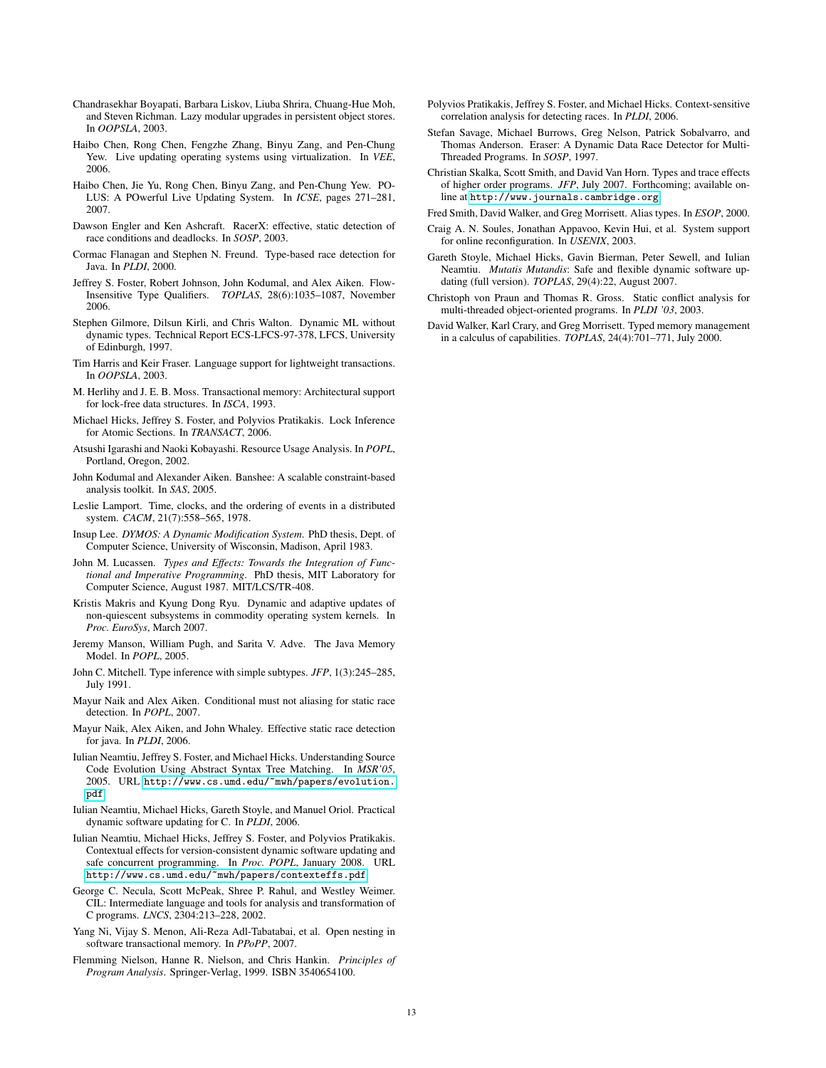- <span id="page-12-30"></span>Chandrasekhar Boyapati, Barbara Liskov, Liuba Shrira, Chuang-Hue Moh, and Steven Richman. Lazy modular upgrades in persistent object stores. In *OOPSLA*, 2003.
- <span id="page-12-26"></span>Haibo Chen, Rong Chen, Fengzhe Zhang, Binyu Zang, and Pen-Chung Yew. Live updating operating systems using virtualization. In *VEE*, 2006.
- <span id="page-12-29"></span>Haibo Chen, Jie Yu, Rong Chen, Binyu Zang, and Pen-Chung Yew. PO-LUS: A POwerful Live Updating System. In *ICSE*, pages 271–281, 2007.
- <span id="page-12-33"></span>Dawson Engler and Ken Ashcraft. RacerX: effective, static detection of race conditions and deadlocks. In *SOSP*, 2003.
- <span id="page-12-17"></span>Cormac Flanagan and Stephen N. Freund. Type-based race detection for Java. In *PLDI*, 2000.
- <span id="page-12-3"></span>Jeffrey S. Foster, Robert Johnson, John Kodumal, and Alex Aiken. Flow-Insensitive Type Qualifiers. *TOPLAS*, 28(6):1035–1087, November 2006.
- <span id="page-12-24"></span>Stephen Gilmore, Dilsun Kirli, and Chris Walton. Dynamic ML without dynamic types. Technical Report ECS-LFCS-97-378, LFCS, University of Edinburgh, 1997.
- <span id="page-12-12"></span>Tim Harris and Keir Fraser. Language support for lightweight transactions. In *OOPSLA*, 2003.
- <span id="page-12-13"></span>M. Herlihy and J. E. B. Moss. Transactional memory: Architectural support for lock-free data structures. In *ISCA*, 1993.
- <span id="page-12-7"></span>Michael Hicks, Jeffrey S. Foster, and Polyvios Pratikakis. Lock Inference for Atomic Sections. In *TRANSACT*, 2006.
- <span id="page-12-21"></span>Atsushi Igarashi and Naoki Kobayashi. Resource Usage Analysis. In *POPL*, Portland, Oregon, 2002.
- <span id="page-12-10"></span>John Kodumal and Alexander Aiken. Banshee: A scalable constraint-based analysis toolkit. In *SAS*, 2005.
- <span id="page-12-19"></span>Leslie Lamport. Time, clocks, and the ordering of events in a distributed system. *CACM*, 21(7):558–565, 1978.
- <span id="page-12-28"></span>Insup Lee. *DYMOS: A Dynamic Modification System*. PhD thesis, Dept. of Computer Science, University of Wisconsin, Madison, April 1983.
- <span id="page-12-0"></span>John M. Lucassen. *Types and Effects: Towards the Integration of Functional and Imperative Programming*. PhD thesis, MIT Laboratory for Computer Science, August 1987. MIT/LCS/TR-408.
- <span id="page-12-25"></span>Kristis Makris and Kyung Dong Ryu. Dynamic and adaptive updates of non-quiescent subsystems in commodity operating system kernels. In *Proc. EuroSys*, March 2007.
- <span id="page-12-20"></span>Jeremy Manson, William Pugh, and Sarita V. Adve. The Java Memory Model. In *POPL*, 2005.
- <span id="page-12-9"></span>John C. Mitchell. Type inference with simple subtypes. *JFP*, 1(3):245–285, July 1991.
- <span id="page-12-31"></span>Mayur Naik and Alex Aiken. Conditional must not aliasing for static race detection. In *POPL*, 2007.
- <span id="page-12-18"></span>Mayur Naik, Alex Aiken, and John Whaley. Effective static race detection for java. In *PLDI*, 2006.
- <span id="page-12-11"></span>Iulian Neamtiu, Jeffrey S. Foster, and Michael Hicks. Understanding Source Code Evolution Using Abstract Syntax Tree Matching. In *MSR'05*, 2005. URL [http://www.cs.umd.edu/~mwh/papers/evolution.](http://www.cs.umd.edu/~mwh/papers/evolution.pdf) [pdf](http://www.cs.umd.edu/~mwh/papers/evolution.pdf).
- <span id="page-12-5"></span>Iulian Neamtiu, Michael Hicks, Gareth Stoyle, and Manuel Oriol. Practical dynamic software updating for C. In *PLDI*, 2006.
- <span id="page-12-4"></span>Iulian Neamtiu, Michael Hicks, Jeffrey S. Foster, and Polyvios Pratikakis. Contextual effects for version-consistent dynamic software updating and safe concurrent programming. In *Proc. POPL*, January 2008. URL <http://www.cs.umd.edu/~mwh/papers/contexteffs.pdf>.
- <span id="page-12-15"></span>George C. Necula, Scott McPeak, Shree P. Rahul, and Westley Weimer. CIL: Intermediate language and tools for analysis and transformation of C programs. *LNCS*, 2304:213–228, 2002.
- <span id="page-12-14"></span>Yang Ni, Vijay S. Menon, Ali-Reza Adl-Tabatabai, et al. Open nesting in software transactional memory. In *PPoPP*, 2007.
- <span id="page-12-1"></span>Flemming Nielson, Hanne R. Nielson, and Chris Hankin. *Principles of Program Analysis*. Springer-Verlag, 1999. ISBN 3540654100.
- <span id="page-12-8"></span>Polyvios Pratikakis, Jeffrey S. Foster, and Michael Hicks. Context-sensitive correlation analysis for detecting races. In *PLDI*, 2006.
- <span id="page-12-16"></span>Stefan Savage, Michael Burrows, Greg Nelson, Patrick Sobalvarro, and Thomas Anderson. Eraser: A Dynamic Data Race Detector for Multi-Threaded Programs. In *SOSP*, 1997.
- <span id="page-12-2"></span>Christian Skalka, Scott Smith, and David Van Horn. Types and trace effects of higher order programs. *JFP*, July 2007. Forthcoming; available online at <http://www.journals.cambridge.org>.
- <span id="page-12-22"></span>Fred Smith, David Walker, and Greg Morrisett. Alias types. In *ESOP*, 2000.
- <span id="page-12-27"></span>Craig A. N. Soules, Jonathan Appavoo, Kevin Hui, et al. System support for online reconfiguration. In *USENIX*, 2003.
- <span id="page-12-6"></span>Gareth Stoyle, Michael Hicks, Gavin Bierman, Peter Sewell, and Iulian Neamtiu. *Mutatis Mutandis*: Safe and flexible dynamic software updating (full version). *TOPLAS*, 29(4):22, August 2007.
- <span id="page-12-32"></span>Christoph von Praun and Thomas R. Gross. Static conflict analysis for multi-threaded object-oriented programs. In *PLDI '03*, 2003.
- <span id="page-12-23"></span>David Walker, Karl Crary, and Greg Morrisett. Typed memory management in a calculus of capabilities. *TOPLAS*, 24(4):701–771, July 2000.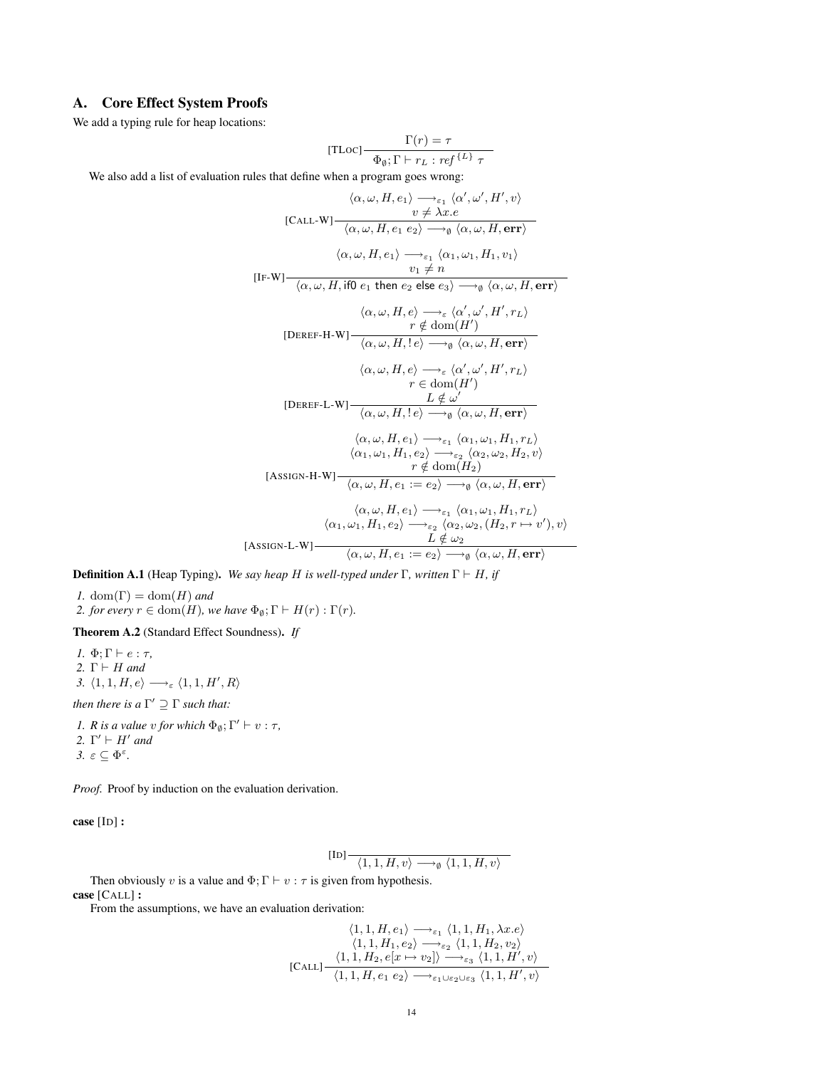# <span id="page-13-0"></span>A. Core Effect System Proofs

We add a typing rule for heap locations:

[TLoc] 
$$
\frac{\Gamma(r) = \tau}{\Phi_{\emptyset}; \Gamma \vdash r_L : ref^{\{L\}} \tau}
$$

We also add a list of evaluation rules that define when a program goes wrong:

$$
\langle \alpha, \omega, H, e_1 \rangle \longrightarrow_{\varepsilon_1} \langle \alpha', \omega', H', v \rangle
$$
  
\n[CALL-W]  $\frac{v \neq \lambda x.e}{\langle \alpha, \omega, H, e_1 e_2 \rangle \longrightarrow_{\emptyset} \langle \alpha, \omega, H, err \rangle}$   
\n
$$
\langle \alpha, \omega, H, e_1 \rangle \longrightarrow_{\varepsilon_1} \langle \alpha_1, \omega_1, H_1, v_1 \rangle
$$
  
\n[IF-W]  $\frac{v_1 \neq n}{\langle \alpha, \omega, H, i\text{f0 } e_1 \text{ then } e_2 \text{ else } e_3 \rangle \longrightarrow_{\emptyset} \langle \alpha, \omega, H, err \rangle}$   
\n
$$
\frac{\langle \alpha, \omega, H, e \rangle \longrightarrow_{\varepsilon} \langle \alpha', \omega', H', r_L \rangle}{r \notin dom(H')}
$$
  
\n[DEREF-H-W]  $\frac{r \notin dom(H')}{\langle \alpha, \omega, H, e \rangle \longrightarrow_{\emptyset} \langle \alpha, \omega, H, err \rangle}$   
\n
$$
\frac{\langle \alpha, \omega, H, e \rangle \longrightarrow_{\varepsilon} \langle \alpha', \omega', H', r_L \rangle}{r \in dom(H')}
$$
  
\n[DEREF-L-W]  $\frac{L \notin \omega'}{\langle \alpha, \omega, H, e_1 \rangle \longrightarrow_{\varepsilon_1} \langle \alpha_1, \omega_1, H_1, r_L \rangle}$   
\n
$$
\frac{\langle \alpha, \omega, H, e_1 \rangle \longrightarrow_{\varepsilon_1} \langle \alpha_1, \omega_1, H_1, r_L \rangle}{r \notin dom(H_2)}
$$
  
\n[ASSIGN-H-W]  $\frac{r \notin dom(H_2)}{\langle \alpha, \omega, H, e_1 \rangle \longrightarrow_{\varepsilon_1} \langle \alpha_1, \omega_1, H_1, r_L \rangle}$   
\n
$$
\frac{\langle \alpha, \omega, H, e_1 \rangle \longrightarrow_{\varepsilon_1} \langle \alpha_1, \omega_1, H_1, r_L \rangle}{r \notin dom(H_2)}
$$
  
\n[ASSIGN-L-W]  $\frac{L \notin \omega_2}{\langle \alpha, \omega, H, e_1 \rangle \longrightarrow_{\varepsilon_2} \langle \alpha_2, \omega_2, H_2, r \mapsto v', \rangle, v \rangle}$   
\n[ASS

**Definition A.1** (Heap Typing). We say heap H is well-typed under  $\Gamma$ , written  $\Gamma \vdash H$ , if

*1.* dom $(\Gamma)$  = dom $(H)$  *and 2. for every*  $r \in \text{dom}(H)$ *, we have*  $\Phi_{\emptyset}$ ;  $\Gamma \vdash H(r) : \Gamma(r)$ *.* 

<span id="page-13-1"></span>Theorem A.2 (Standard Effect Soundness). *If*

*1.*  $\Phi$ ;  $\Gamma \vdash e : \tau$ , 2.  $\Gamma \vdash H$  *and 3.*  $\langle 1, 1, H, e \rangle \longrightarrow_{\varepsilon} \langle 1, 1, H', R \rangle$ 

*then there is a*  $\Gamma' \supseteq \Gamma$  *such that:* 

*1. R is a value v for which*  $\Phi_{\emptyset}$ ;  $\Gamma' \vdash v : \tau$ *,* 2.  $\Gamma' \vdash H'$  and *3.*  $ε ⊆ Φ<sup>ε</sup>$ .

*Proof.* Proof by induction on the evaluation derivation.

case [ID] :

[ID] h1, 1, H, vi −→<sup>∅</sup> h1, 1, H, vi

Then obviously v is a value and  $\Phi$ ;  $\Gamma \vdash v : \tau$  is given from hypothesis. case [CALL] :

From the assumptions, we have an evaluation derivation:

$$
\langle 1, 1, H, e_1 \rangle \longrightarrow_{\varepsilon_1} \langle 1, 1, H_1, \lambda x. e \rangle
$$
  

$$
\langle 1, 1, H_1, e_2 \rangle \longrightarrow_{\varepsilon_2} \langle 1, 1, H_2, v_2 \rangle
$$
  
[CALL] 
$$
\frac{\langle 1, 1, H_2, e[x \mapsto v_2] \rangle \longrightarrow_{\varepsilon_3} \langle 1, 1, H', v \rangle}{\langle 1, 1, H, e_1 e_2 \rangle \longrightarrow_{\varepsilon_1 \cup \varepsilon_2 \cup \varepsilon_3} \langle 1, 1, H', v \rangle}
$$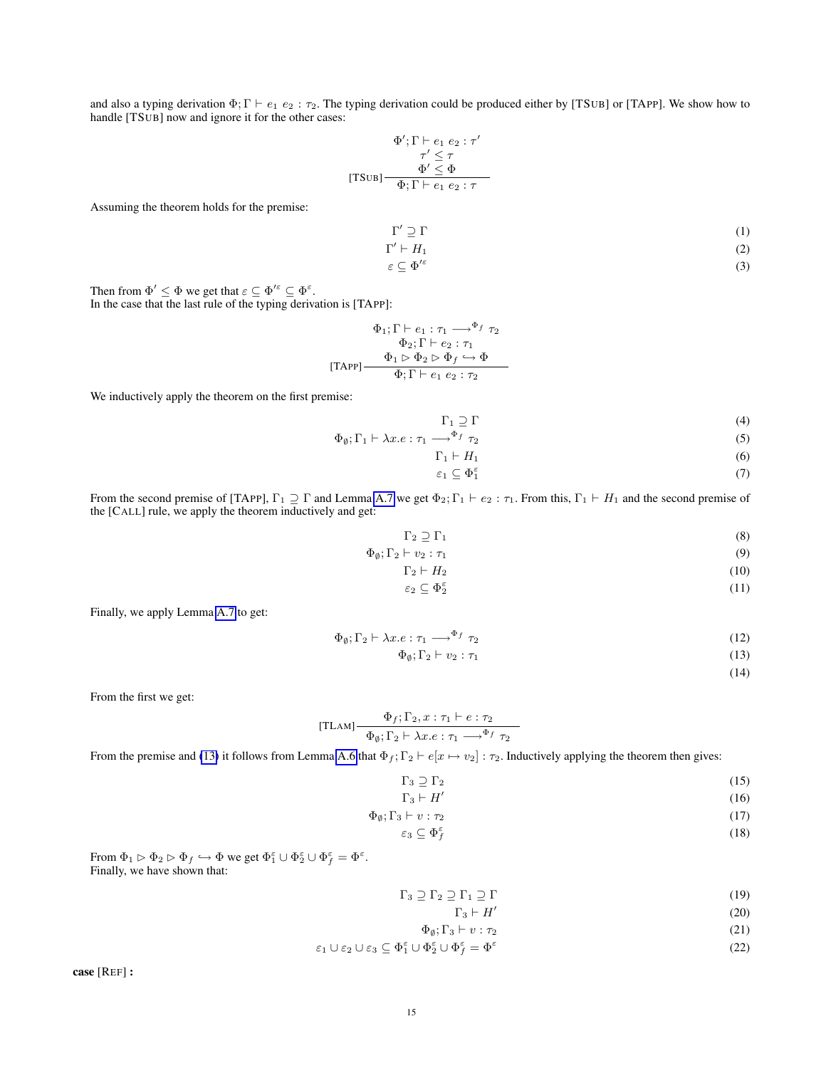and also a typing derivation  $\Phi$ ;  $\Gamma \vdash e_1 \; e_2 : \tau_2$ . The typing derivation could be produced either by [TSUB] or [TAPP]. We show how to handle [TSUB] now and ignore it for the other cases:

$$
\Phi'; \Gamma \vdash e_1 \ e_2 : \tau'
$$
  

$$
\tau' \leq \tau
$$
  
[TSUB] 
$$
\frac{\Phi' \leq \Phi}{\Phi; \Gamma \vdash e_1 \ e_2 : \tau}
$$

Assuming the theorem holds for the premise:

$$
\Gamma' \supseteq \Gamma
$$
\n
$$
\Gamma' \vdash H_1
$$
\n(1)

 $\vdash H_1$  (2)

$$
\varepsilon \subseteq \Phi'^{\varepsilon} \tag{3}
$$

Then from  $\Phi' \leq \Phi$  we get that  $\varepsilon \subseteq \Phi'^{\varepsilon} \subseteq \Phi^{\varepsilon}$ .

In the case that the last rule of the typing derivation is [TAPP]:

$$
\Phi_1; \Gamma \vdash e_1 : \tau_1 \longrightarrow^{\Phi_f} \tau_2
$$

$$
\Phi_2; \Gamma \vdash e_2 : \tau_1
$$

$$
\Phi_1 \rhd \Phi_2 \rhd \Phi_f \hookrightarrow \Phi
$$
[TAPP]

We inductively apply the theorem on the first premise:

 $\Gamma_1 \supseteq \Gamma$  (4)

$$
\Phi_{\emptyset}; \Gamma_1 \vdash \lambda x.e: \tau_1 \longrightarrow^{\Phi_f} \tau_2 \tag{5}
$$

$$
\Gamma_1 \vdash H_1 \tag{6}
$$

$$
\varepsilon_1 \subseteq \Phi_1^{\varepsilon} \tag{7}
$$

From the second premise of [TAPP],  $\Gamma_1 \supseteq \Gamma$  and Lemma [A.7](#page-22-0) we get  $\Phi_2$ ;  $\Gamma_1 \vdash e_2 : \tau_1$ . From this,  $\Gamma_1 \vdash H_1$  and the second premise of the [CALL] rule, we apply the theorem inductively and get:

$$
\Gamma_2 \supseteq \Gamma_1 \tag{8}
$$

$$
\Phi_{\emptyset}; \Gamma_2 \vdash v_2 : \tau_1 \tag{9}
$$

$$
\Gamma_2 \vdash H_2 \tag{10}
$$

$$
\varepsilon_2 \subseteq \Phi_2^{\varepsilon} \tag{11}
$$

Finally, we apply Lemma [A.7](#page-22-0) to get:

<span id="page-14-0"></span>
$$
\Phi_{\emptyset}; \Gamma_2 \vdash \lambda x.e: \tau_1 \longrightarrow^{\Phi_f} \tau_2 \tag{12}
$$

$$
\Phi_{\emptyset}; \Gamma_2 \vdash v_2 : \tau_1 \tag{13}
$$

(14)

From the first we get:

[TLAM] 
$$
\frac{\Phi_f; \Gamma_2, x : \tau_1 \vdash e : \tau_2}{\Phi_{\emptyset}; \Gamma_2 \vdash \lambda x.e : \tau_1 \longrightarrow^{\Phi_f} \tau_2}
$$

From the premise and [\(13\)](#page-14-0) it follows from Lemma [A.6](#page-22-1) that  $\Phi_f$ ;  $\Gamma_2 \vdash e[x \mapsto v_2] : \tau_2$ . Inductively applying the theorem then gives:

$$
\Gamma_3 \supseteq \Gamma_2 \tag{15}
$$

$$
\Gamma_3 \vdash H' \tag{16}
$$

$$
\Phi_a: \Gamma_3 \vdash v : \tau_2 \tag{17}
$$

$$
\varepsilon_3 \subseteq \Phi_f^{\varepsilon} \tag{17}
$$

$$
\varepsilon_3 \subseteq \Phi_f^{\varepsilon} \tag{18}
$$

From  $\Phi_1 \rhd \Phi_2 \rhd \Phi_f \hookrightarrow \Phi$  we get  $\Phi_1^{\varepsilon} \cup \Phi_2^{\varepsilon} \cup \Phi_f^{\varepsilon} = \Phi^{\varepsilon}$ . Finally, we have shown that:

$$
\Gamma_3 \supseteq \Gamma_2 \supseteq \Gamma_1 \supseteq \Gamma \tag{19}
$$

$$
\Gamma_3 \vdash H' \tag{20}
$$

$$
\Phi_{\emptyset}; \Gamma_3 \vdash v : \tau_2 \tag{21}
$$

$$
\varepsilon_1 \cup \varepsilon_2 \cup \varepsilon_3 \subseteq \Phi_1^{\varepsilon} \cup \Phi_2^{\varepsilon} \cup \Phi_f^{\varepsilon} = \Phi^{\varepsilon}
$$
\n(22)

case [REF] :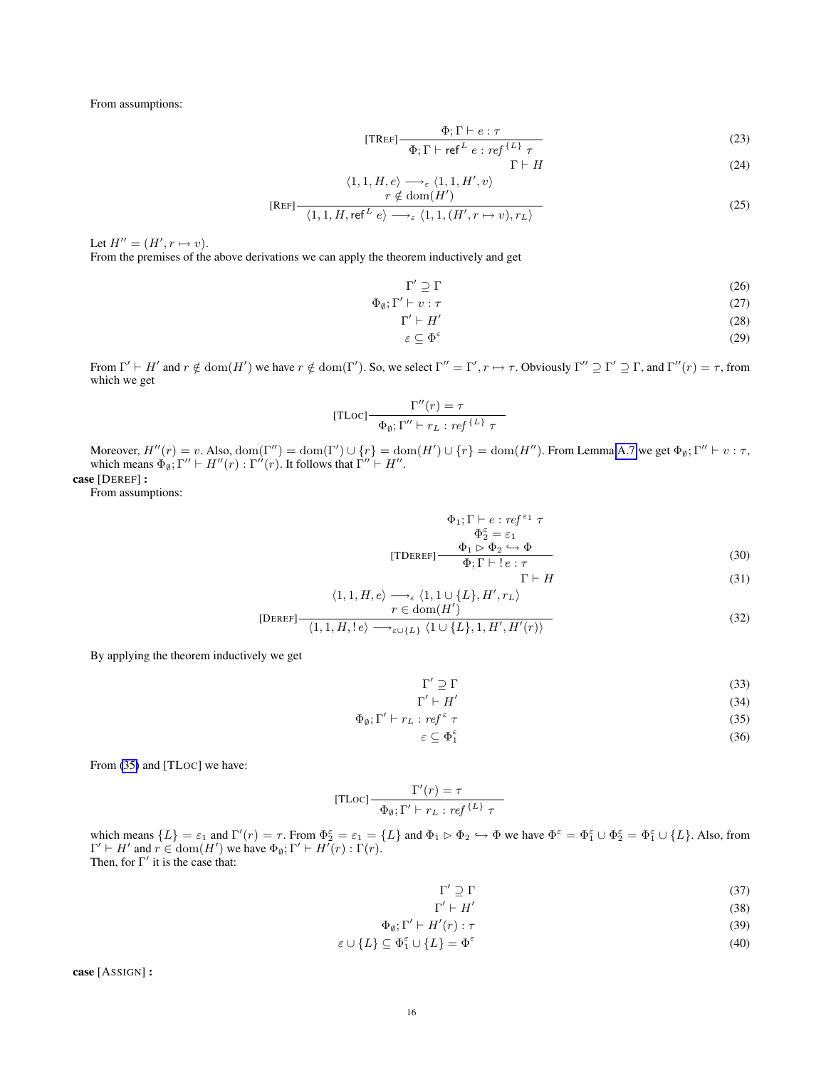From assumptions:

$$
[\text{TREF}] \frac{\Phi; \Gamma \vdash e : \tau}{\sum_{\mathbf{r} \in \mathcal{F}} \mathcal{F} \mathcal{F} \mathcal{F} \mathcal{F} \mathcal{F} \mathcal{F} \mathcal{F} \mathcal{F} \mathcal{F}} \tag{23}
$$

$$
\Phi; \Gamma \vdash \mathsf{ref}^L \ e : \mathsf{ref}^{\{L\}} \ \tau
$$
\n
$$
\Gamma \vdash H \tag{24}
$$

$$
\langle 1, 1, H, e \rangle \longrightarrow_{\varepsilon} \langle 1, 1, H', v \rangle
$$
  

$$
r \notin \text{dom}(H')
$$
 (25)

$$
[REF] \frac{r \notin \text{dom}(H)}{\langle 1,1,H,\text{ref}^L e \rangle \longrightarrow_{\varepsilon} \langle 1,1,(H',r \mapsto v),r_L \rangle}
$$
(25)

Let  $H'' = (H', r \mapsto v)$ .

From the premises of the above derivations we can apply the theorem inductively and get

$$
\Gamma' \supseteq \Gamma \tag{26}
$$

$$
\Phi_{\emptyset};\Gamma' \vdash v:\tau
$$
\n<sup>(27)</sup>

$$
\Gamma' \vdash H' \tag{28}
$$

$$
\varepsilon \subseteq \Phi^{\varepsilon} \tag{29}
$$

From  $\Gamma' \vdash H'$  and  $r \notin \text{dom}(H')$  we have  $r \notin \text{dom}(\Gamma')$ . So, we select  $\Gamma'' = \Gamma', r \mapsto \tau$ . Obviously  $\Gamma'' \supseteq \Gamma' \supseteq \Gamma$ , and  $\Gamma''(r) = \tau$ , from which we get

[TLoc] 
$$
\frac{\Gamma''(r) = \tau}{\Phi_{\emptyset}; \Gamma'' \vdash r_L : ref^{\{L\}} \tau}
$$

Moreover,  $H''(r) = v$ . Also,  $\text{dom}(\Gamma'') = \text{dom}(\Gamma') \cup \{r\} = \text{dom}(H') \cup \{r\} = \text{dom}(H'')$ . From Lemma [A.7](#page-22-0) we get  $\Phi_{\emptyset}; \Gamma'' \vdash v : \tau$ , which means  $\Phi_{\emptyset}$ ;  $\Gamma'' \vdash H''(r) : \Gamma''(r)$ . It follows that  $\Gamma'' \vdash H''$ . case [DEREF] :

From assumptions:

$$
\Phi_1; \Gamma \vdash e : ref^{\varepsilon_1} \tau
$$
\n
$$
\Phi_2^{\varepsilon} = \varepsilon_1
$$
\n
$$
[TDEREF] \xrightarrow{\Phi_1 \rhd \Phi_2 \rhd \Phi} \Phi
$$
\n
$$
\Phi; \Gamma \vdash ! e : \tau
$$
\n(30)

$$
\Gamma \vdash H \tag{31}
$$

$$
\langle 1, 1, H, e \rangle \longrightarrow_{\varepsilon} \langle 1, 1 \cup \{L\}, H', r_L \rangle
$$
  

$$
r \in \text{dom}(H')
$$
 (32)

$$
\text{[DEREF]} \frac{\text{[OEMEF]}}{\langle 1, 1, H, !e \rangle \longrightarrow_{\varepsilon \cup \{L\}} \langle 1 \cup \{L\}, 1, H', H'(r) \rangle} \tag{32}
$$

By applying the theorem inductively we get

<span id="page-15-0"></span>
$$
\Gamma' \supseteq \Gamma \tag{33}
$$
\n
$$
\Gamma' \vdash H' \tag{34}
$$

$$
\Gamma' \vdash H' \tag{34}
$$

$$
\Phi_{\emptyset}; \Gamma' \vdash r_L : ref^{\varepsilon} \tau \tag{35}
$$

$$
\varepsilon \subseteq \Phi_1^{\varepsilon} \tag{36}
$$

From [\(35\)](#page-15-0) and [TLoc] we have:

[TLoc] 
$$
\frac{\Gamma'(r) = \tau}{\Phi_{\emptyset}; \Gamma' \vdash r_L : ref^{\{L\}} \tau}
$$

which means  $\{L\} = \varepsilon_1$  and  $\Gamma'(r) = \tau$ . From  $\Phi_2^{\varepsilon} = \varepsilon_1 = \{L\}$  and  $\Phi_1 \rhd \Phi_2 \hookrightarrow \Phi$  we have  $\Phi^{\varepsilon} = \Phi_1^{\varepsilon} \cup \Phi_2^{\varepsilon} = \Phi_1^{\varepsilon} \cup \{L\}$ . Also, from  $\Gamma' \vdash H'$  and  $r \in \text{dom}(H')$  we have  $\Phi_{\emptyset}$ ;  $\Gamma' \vdash H^{r}(r)$ :  $\Gamma(r)$ . Then, for  $\Gamma'$  it is the case that:

$$
\Gamma' \supseteq \Gamma \tag{37}
$$
\n
$$
\Gamma' \vdash H' \tag{38}
$$

$$
\Gamma' \vdash H' \tag{38}
$$

$$
\Phi_{\emptyset};\Gamma' \vdash H'(r):\tau
$$
\n(39)

$$
\varepsilon \cup \{L\} \subseteq \Phi_1^{\varepsilon} \cup \{L\} = \Phi^{\varepsilon} \tag{40}
$$

case [ASSIGN] :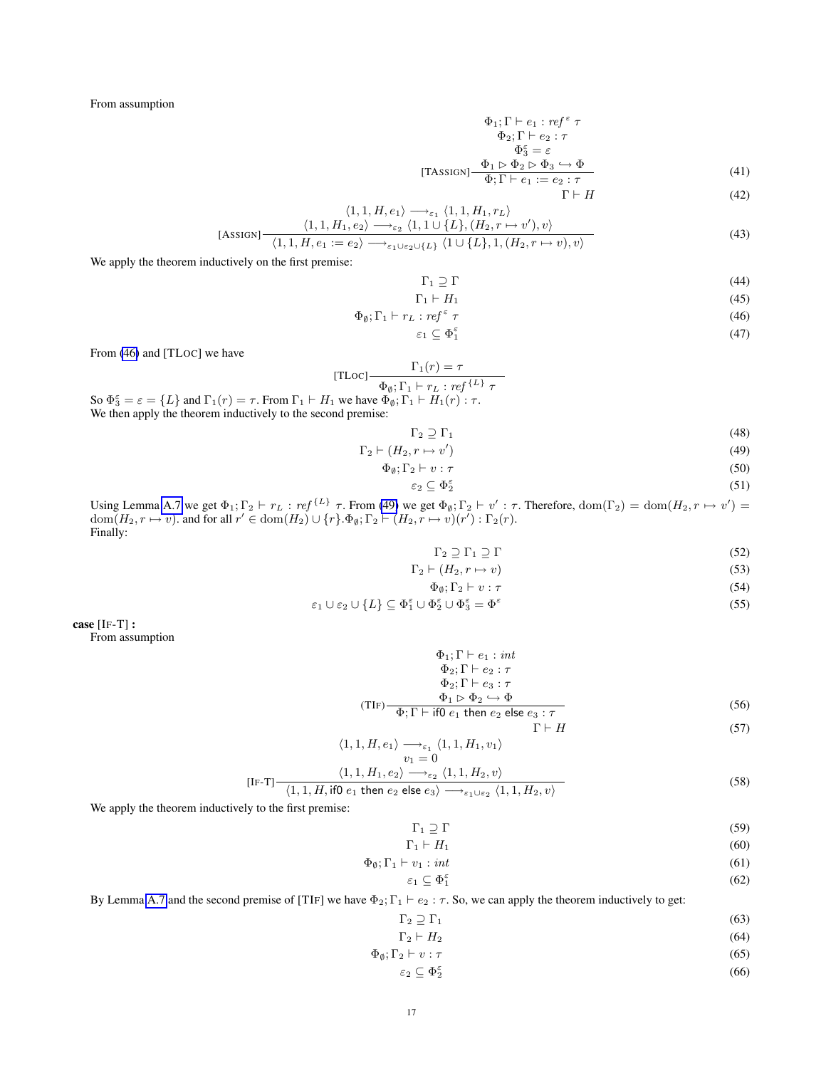From assumption

$$
\Phi_1; \Gamma \vdash e_1 : ref^{\varepsilon} \tau
$$
  
\n
$$
\Phi_2; \Gamma \vdash e_2 : \tau
$$
  
\n
$$
\Phi_3^{\varepsilon} = \varepsilon
$$
  
\n[TASSIGN]  $\frac{\Phi_1 \rhd \Phi_2 \rhd \Phi_3 \hookrightarrow \Phi}{\Phi_1 \rhd \Phi_2 \rhd \Phi_3 \rhd \Phi}$  (41)

 $\Phi$ ;  $\Gamma \vdash e_1 := e_2 : \tau$  $\Gamma \vdash H$  (42)

$$
\langle 1, 1, H, e_1 \rangle \longrightarrow_{\varepsilon_1} \langle 1, 1, H_1, r_L \rangle
$$
  
ssion) 
$$
\langle 1, 1, H_1, e_2 \rangle \longrightarrow_{\varepsilon_2} \langle 1, 1 \cup \{L\}, (H_2, r \mapsto v'), v \rangle
$$
 (43)

[ASSIGN] 
$$
\frac{\langle 1, 1, H, e_1 \rangle = e_2}{\langle 1, 1, H, e_1 \rangle} \xrightarrow{e_2} \xrightarrow{e_1 \cup e_2 \cup \{L\}} \langle 1 \cup \{L\}, 1, (H_2, r \mapsto v), v \rangle
$$
 (43)

We apply the theorem inductively on the first premise:

<span id="page-16-0"></span>
$$
\Gamma_1 \supseteq \Gamma \tag{44}
$$

$$
\Gamma_1 \vdash H_1 \tag{45}
$$

$$
\Phi_{\emptyset}; \Gamma_1 \vdash r_L : ref^{\varepsilon} \tau \tag{46}
$$

$$
\varepsilon_1 \subseteq \Phi_1^{\varepsilon} \tag{47}
$$

From [\(46\)](#page-16-0) and [TLOC] we have

[
$$
[\text{TLoc}] \frac{\Gamma_1(r) = \tau}{\Phi_{\emptyset}; \Gamma_1 \vdash r_L : ref^{\{L\}} \tau}
$$
  

$$
I_1 \text{ we have } \Phi_{\emptyset}; \Gamma_1 \vdash H_1(r) : \tau.
$$

So  $\Phi_3^{\varepsilon} = \varepsilon = \{L\}$  and  $\Gamma_1(r) = \tau$ . From  $\Gamma_1 \vdash H_1$  we have  $\Phi_0$ ;  $\Gamma_1 \vdash H_1(r)$ :  $\tau$ . We then apply the theorem inductively to the second premise:

<span id="page-16-1"></span>
$$
\Gamma_2 \supseteq \Gamma_1 \tag{48}
$$

$$
\Gamma_2 \vdash (H_2, r \mapsto v') \tag{49}
$$

$$
\Phi_{\emptyset}; \Gamma_2 \vdash v : \tau \tag{50}
$$

$$
\varepsilon_2 \subseteq \Phi_2^{\varepsilon} \tag{51}
$$

Using Lemma [A.7](#page-22-0) we get  $\Phi_1; \Gamma_2 \vdash r_L : ref^{\{L\}} \tau$ . From [\(49\)](#page-16-1) we get  $\Phi_\emptyset; \Gamma_2 \vdash v' : \tau$ . Therefore,  $\text{dom}(\Gamma_2) = \text{dom}(H_2, r \mapsto v') =$  $\text{dom}(H_2, r \mapsto v)$ . and for all  $r' \in \text{dom}(H_2) \cup \{r\}$ .  $\Phi_{\emptyset}$ ;  $\Gamma_2 \vdash (H_2, r \mapsto v)(r') : \Gamma_2(r)$ . Finally:

$$
\Gamma_2 \supseteq \Gamma_1 \supseteq \Gamma \tag{52}
$$

$$
\Gamma_2 \vdash (H_2, r \mapsto v) \tag{53}
$$

$$
\Phi_{\emptyset}, \Gamma_2 \vdash v : \tau \tag{54}
$$

$$
\varepsilon_1 \cup \varepsilon_2 \cup \{L\} \subseteq \Phi_1^{\varepsilon} \cup \Phi_2^{\varepsilon} \cup \Phi_3^{\varepsilon} = \Phi^{\varepsilon}
$$
\n
$$
(55)
$$

case [IF-T] : From assumption

$$
\Phi_1; \Gamma \vdash e_1 : int \n\Phi_2; \Gamma \vdash e_2 : \tau \n\Phi_2; \Gamma \vdash e_3 : \tau \n\Phi_1 \rhd \Phi_2 \hookrightarrow \Phi \n(TIF) \neg \overline{\Phi_1 \rhd \Gamma \vdash \text{if0 } e_1 \text{ then } e_2 \text{ else } e_3 : \tau}
$$
\n(56)

$$
\Gamma \vdash H \tag{57}
$$

$$
\langle 1,1,H,e_1\rangle \xrightarrow[v_1=0]{\scriptstyle{\rightarrow}e_1}\langle 1,1,H_1,v_1\rangle
$$

$$
[\text{IF-T}] \frac{\langle 1, 1, H_1, e_2 \rangle \longrightarrow_{\varepsilon_2} \langle 1, 1, H_2, v \rangle}{\langle 1, 1, H, \text{ if } 0 \text{ } e_1 \text{ then } e_2 \text{ else } e_3 \rangle \longrightarrow_{\varepsilon_1 \cup \varepsilon_2} \langle 1, 1, H_2, v \rangle}
$$
(58)

We apply the theorem inductively to the first premise:

$$
\Gamma_1 \supseteq \Gamma \tag{59}
$$

$$
\Gamma_1 \vdash H_1 \tag{60}
$$

$$
\Phi_{\emptyset}; \Gamma_1 \vdash v_1 : int \tag{61}
$$

$$
\varepsilon_1 \subseteq \Phi_1^{\varepsilon} \tag{62}
$$

By Lemma [A.7](#page-22-0) and the second premise of [TIF] we have  $\Phi_2$ ;  $\Gamma_1 \vdash e_2 : \tau$ . So, we can apply the theorem inductively to get:

$$
\Gamma_2 \supseteq \Gamma_1 \tag{63}
$$

$$
\Gamma_2 \vdash H_2 \tag{64}
$$

$$
\Phi_{\emptyset}; \Gamma_2 \vdash v : \tau \tag{65}
$$

$$
\varepsilon_2 \subseteq \Phi_2^{\varepsilon} \tag{66}
$$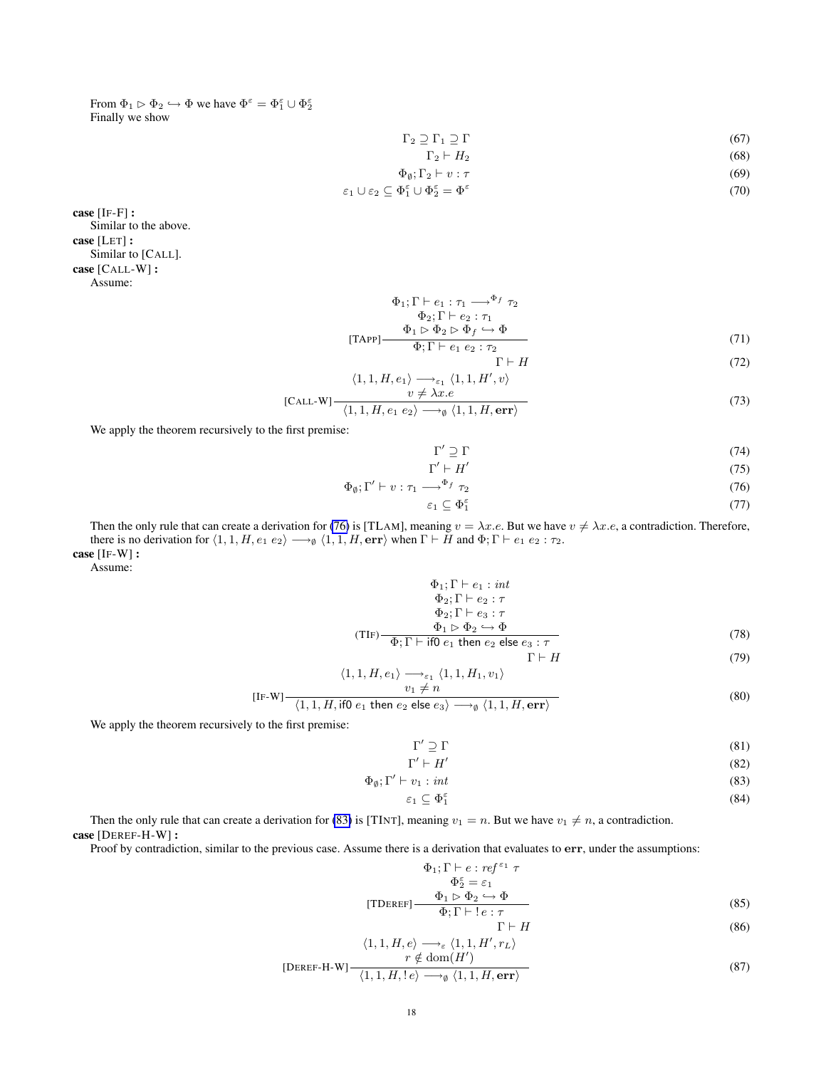From  $\Phi_1 \rhd \Phi_2 \hookrightarrow \Phi$  we have  $\Phi^{\varepsilon} = \Phi_1^{\varepsilon} \cup \Phi_2^{\varepsilon}$ Finally we show

$$
\Gamma_2 \supseteq \Gamma_1 \supseteq \Gamma \tag{67}
$$

$$
\Gamma_2 \vdash H_2 \tag{68}
$$

$$
\Phi_a; \Gamma_2 \vdash v; \tau \tag{69}
$$

$$
\varepsilon_1 \cup \varepsilon_2 \subseteq \Phi_1^{\varepsilon} \cup \Phi_2^{\varepsilon} = \Phi^{\varepsilon} \tag{70}
$$

case [IF-F] : Similar to the above. case [LET] : Similar to [CALL]. case [CALL-W] : Assume:

> [TAPP]  $\Phi_1; \Gamma \vdash e_1 : \tau_1 \longrightarrow^{\Phi_f} \tau_2$  $\Phi_2; \Gamma \vdash e_2 : \tau_1$  $\Phi_1 \rhd \overline{\Phi}_2 \rhd \Phi_f \hookrightarrow \overline{\Phi}$  $\Phi$ ;  $\Gamma \vdash e_1 e_2 : \tau_2$ (71)

$$
\Gamma \vdash H \tag{72}
$$

$$
\langle 1, 1, H, e_1 \rangle \longrightarrow_{\varepsilon_1} \langle 1, 1, H', v \rangle
$$
  
LL-W] $\xrightarrow{v \neq \lambda x.e}$  (73)

$$
[CALL-W] \frac{\langle 1, 1, H, e_1 \ e_2 \rangle \longrightarrow_{\emptyset} \langle 1, 1, H, err \rangle}{\langle 1, 1, H, err \rangle}
$$
(73)

We apply the theorem recursively to the first premise:

<span id="page-17-0"></span>
$$
\Gamma' \supseteq \Gamma \tag{74}
$$

$$
\Gamma' \vdash H' \tag{75}
$$

$$
\Phi_{\emptyset};\Gamma' \vdash v : \tau_1 \longrightarrow^{\Phi_f} \tau_2 \tag{76}
$$

$$
\varepsilon_1 \subseteq \Phi_1^{\varepsilon} \tag{77}
$$

Then the only rule that can create a derivation for [\(76\)](#page-17-0) is [TLAM], meaning  $v = \lambda x.e$ . But we have  $v \neq \lambda x.e$ , a contradiction. Therefore, there is no derivation for  $\langle 1, 1, H, e_1 \ e_2 \rangle \longrightarrow_{\emptyset} \langle 1, 1, H, \text{err} \rangle$  when  $\Gamma \vdash H$  and  $\Phi; \Gamma \vdash e_1 \ e_2 : \tau_2$ . case [IF-W] :

Assume:

$$
\Phi_1; \Gamma \vdash e_1 : int \n\Phi_2; \Gamma \vdash e_2 : \tau \n\Phi_2; \Gamma \vdash e_3 : \tau \n\Phi_1 \rhd \Phi_2 \hookrightarrow \Phi \n(\text{TF}) - \frac{\Phi_1 \rhd \Phi_2 \hookrightarrow \Phi}{\Phi_1 \rhd \text{then } e_2 \rhd \text{else } e_3 : \tau}
$$
\n(78)

$$
\Gamma \vdash H \tag{79}
$$
  

$$
\langle 1, 1, H, e_1 \rangle \longrightarrow_{\varepsilon_1} \langle 1, 1, H_1, v_1 \rangle
$$

$$
[IF-W] \frac{v_1 \neq n}{\langle 1, 1, H, \text{ if } 0 \ e_1 \text{ then } e_2 \text{ else } e_3 \rangle \longrightarrow_{\emptyset} \langle 1, 1, H, \text{err} \rangle}
$$
(80)

We apply the theorem recursively to the first premise:

<span id="page-17-1"></span>
$$
\Gamma' \supseteq \Gamma \tag{81}
$$

$$
\Gamma' \vdash H' \tag{82}
$$

$$
\Phi_{\emptyset};\Gamma' \vdash v_1: \text{int} \tag{83}
$$

$$
\varepsilon_1 \subseteq \Phi_1^{\varepsilon} \tag{84}
$$

Then the only rule that can create a derivation for [\(83\)](#page-17-1) is [TINT], meaning  $v_1 = n$ . But we have  $v_1 \neq n$ , a contradiction. case [DEREF-H-W] :

Proof by contradiction, similar to the previous case. Assume there is a derivation that evaluates to err, under the assumptions:

$$
\Phi_1; \Gamma \vdash e : ref^{\varepsilon_1} \tau
$$
\n
$$
\Phi_2^{\varepsilon} = \varepsilon_1
$$
\n
$$
[TDEREF] \frac{\Phi_1 \rhd \Phi_2 \hookrightarrow \Phi}{\Phi_1 \rhd P : e : \tau}
$$
\n(85)

$$
\Gamma \vdash H \tag{86}
$$

$$
\langle 1, 1, H, e \rangle \longrightarrow_{\varepsilon} \langle 1, 1, H', r_L \rangle
$$
  

$$
r \notin \text{dom}(H')
$$

$$
[DEREF-H-W] \frac{\mu \text{ and } \mu}{\langle 1,1,H,1e \rangle \longrightarrow_{\emptyset} \langle 1,1,H,\text{err} \rangle}
$$
\n(87)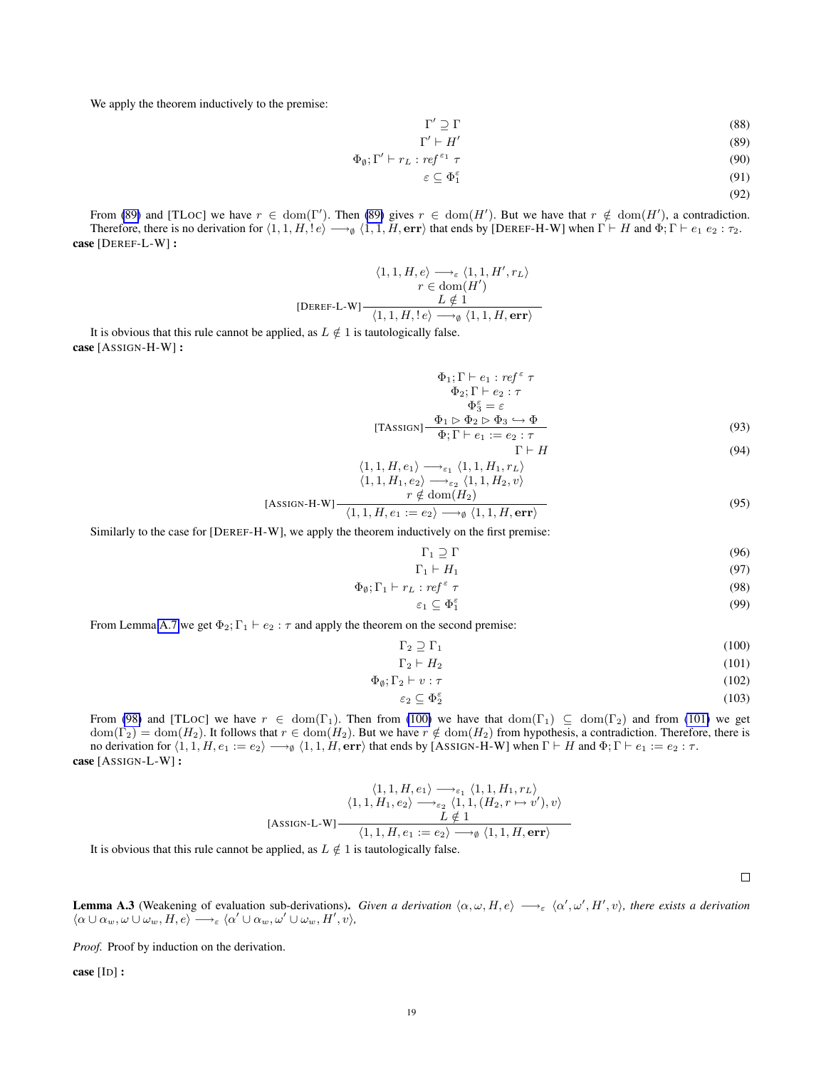We apply the theorem inductively to the premise:

$$
\Gamma' \supseteq \Gamma \tag{88}
$$

<span id="page-18-0"></span>
$$
\Gamma' \vdash H' \tag{89}
$$

$$
\Phi_{\emptyset};\Gamma' \vdash r_L: ref^{\varepsilon_1} \tau \tag{90}
$$

$$
\varepsilon \subseteq \Phi_1^{\varepsilon} \tag{91}
$$

$$
(92)
$$

From [\(89\)](#page-18-0) and [TLOC] we have  $r \in \text{dom}(\Gamma')$ . Then (89) gives  $r \in \text{dom}(H')$ . But we have that  $r \notin \text{dom}(H')$ , a contradiction. Therefore, there is no derivation for  $\langle 1, 1, H, !e \rangle \longrightarrow_{\emptyset} \langle 1, 1, H, err \rangle$  that ends by [DEREF-H-W] when  $\Gamma \vdash H$  and  $\Phi$ ;  $\Gamma \vdash e_1 e_2 : \tau_2$ . case [DEREF-L-W] :

$$
\begin{array}{c} \langle 1,1,H,e\rangle \longrightarrow_{\varepsilon} \langle 1,1,H',r_L\rangle\\ r\in {\rm dom}(H')\\ \text{[DEREF-L-W]} \frac{L\notin 1}{\langle 1,1,H,!e\rangle \longrightarrow_0 \langle 1,1,H,\text{err}\rangle} \end{array}
$$

It is obvious that this rule cannot be applied, as  $L \notin 1$  is tautologically false. case [ASSIGN-H-W] :

$$
\Phi_1; \Gamma \vdash e_1 : ref^{\varepsilon} \tau
$$
  
\n
$$
\Phi_2; \Gamma \vdash e_2 : \tau
$$
  
\n
$$
\Phi_3^{\varepsilon} = \varepsilon
$$
  
\n[TASSIGN]  
\n
$$
\frac{\Phi_1 \rhd \Phi_2 \rhd \Phi_3 \rhd \Phi}{\Phi_1 \rhd \varepsilon_2 : \tau}
$$
  
\n(93)

$$
\Gamma \vdash H \tag{94}
$$

$$
\langle 1, 1, H, e_1 \rangle \longrightarrow_{\varepsilon_1} \langle 1, 1, H_1, r_L \rangle
$$
  
\n
$$
\langle 1, 1, H_1, e_2 \rangle \longrightarrow_{\varepsilon_2} \langle 1, 1, H_2, v \rangle
$$
  
\n
$$
r \notin \text{dom}(H_2)
$$
  
\n(95)

$$
\langle 1, 1, H, e_1 := e_2 \rangle \longrightarrow_{\emptyset} \langle 1, 1, H, \text{err} \rangle
$$

Similarly to the case for [DEREF-H-W], we apply the theorem inductively on the first premise:

<span id="page-18-1"></span>
$$
\Gamma_1 \supseteq \Gamma \tag{96}
$$

$$
\Gamma_1 \vdash H_1 \tag{97}
$$
\n
$$
\Phi_{\emptyset}; \Gamma_1 \vdash r_L : ref^{\varepsilon} \tau \tag{98}
$$

$$
\varepsilon_1 \subseteq \Phi_1^{\varepsilon} \tag{99}
$$

From Lemma [A.7](#page-22-0) we get  $\Phi_2$ ;  $\Gamma_1 \vdash e_2 : \tau$  and apply the theorem on the second premise:

$$
\Gamma_2 \supseteq \Gamma_1 \tag{100}
$$

<span id="page-18-2"></span>
$$
\Gamma_2 \vdash H_2 \tag{101}
$$

$$
\Phi_{\emptyset}; \Gamma_2 \vdash v : \tau \tag{102}
$$

$$
\varepsilon_2 \subseteq \Phi_2^{\varepsilon} \tag{103}
$$

From [\(98\)](#page-18-1) and [TLOC] we have  $r \in \text{dom}(\Gamma_1)$ . Then from [\(100\)](#page-18-2) we have that  $\text{dom}(\Gamma_1) \subseteq \text{dom}(\Gamma_2)$  and from [\(101\)](#page-18-2) we get  $dom(\Gamma_2) = dom(H_2)$ . It follows that  $r \in dom(H_2)$ . But we have  $r \notin dom(H_2)$  from hypothesis, a contradiction. Therefore, there is no derivation for  $\langle 1, 1, H, e_1 := e_2 \rangle \longrightarrow_{\emptyset} \langle 1, 1, H, err \rangle$  that ends by [ASSIGN-H-W] when  $\Gamma \vdash H$  and  $\Phi; \Gamma \vdash e_1 := e_2 : \tau$ . case [ASSIGN-L-W] :

$$
\langle 1,1,H,e_1\rangle \longrightarrow_{\varepsilon_1} \langle 1,1,H_1,r_L\rangle
$$

$$
\langle 1,1,H_1,e_2\rangle \longrightarrow_{\varepsilon_2} \langle 1,1,(H_2,r\mapsto v'),v\rangle
$$
  
[ASSIGN-L-W] 
$$
\frac{L \notin 1}{\langle 1,1,H,e_1:=e_2\rangle \longrightarrow_{\emptyset} \langle 1,1,H,\text{err}\rangle}
$$

It is obvious that this rule cannot be applied, as  $L \notin 1$  is tautologically false.

 $\Box$ 

<span id="page-18-3"></span>**Lemma A.3** (Weakening of evaluation sub-derivations). *Given a derivation*  $\langle \alpha, \omega, H, e \rangle \longrightarrow_{\varepsilon} \langle \alpha', \omega', H', v \rangle$ , there exists a derivation  $\langle \alpha \cup \alpha_w, \omega \cup \omega_w, H, e \rangle \longrightarrow_{\varepsilon} \langle \alpha' \cup \alpha_w, \omega' \cup \omega_w, H', v \rangle$ 

*Proof.* Proof by induction on the derivation.

case [ID] :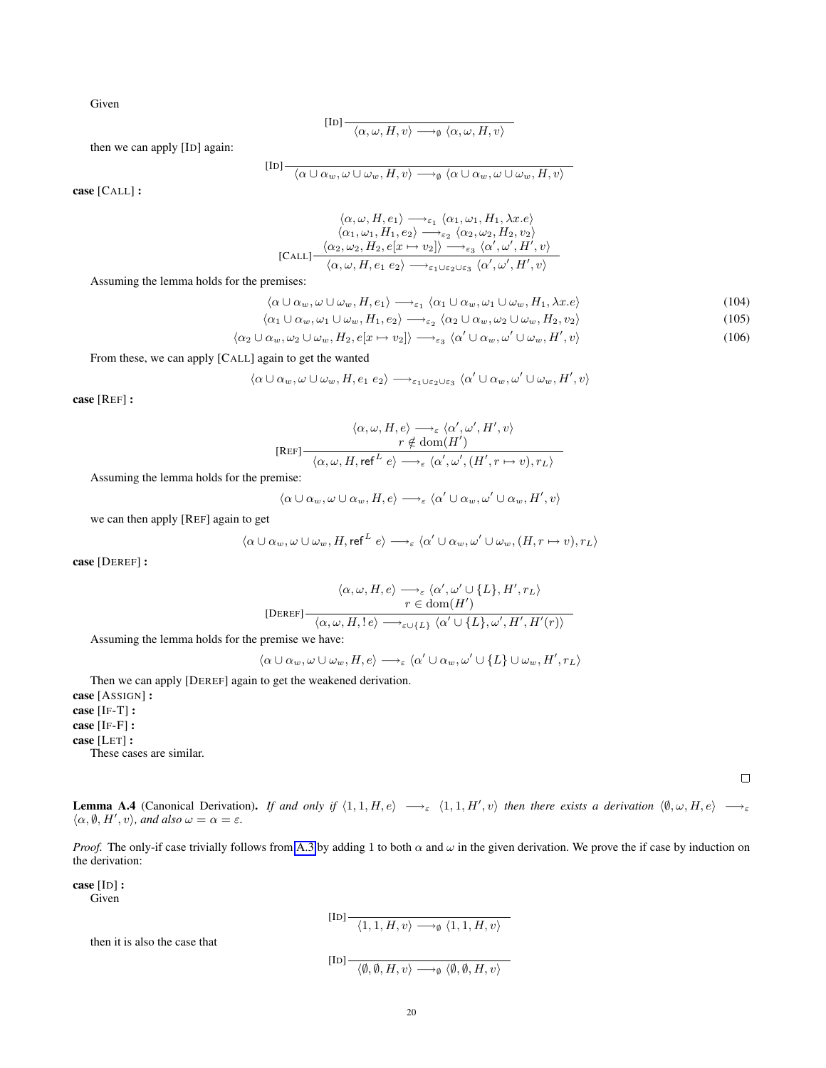Given

$$
\text{[ID]}\dfrac{\cdot}{\langle \alpha, \omega, H, v \rangle \longrightarrow_{\emptyset} \langle \alpha, \omega, H, v \rangle}
$$

then we can apply [ID] again:

$$
\overline{\alpha \cup \alpha_w, \omega \cup \omega_w, H, v} \longrightarrow_{\emptyset} \langle \alpha \cup \alpha_w, \omega \cup \omega_w, H, v \rangle
$$

case [CALL] :

$$
\langle \alpha, \omega, H, e_1 \rangle \longrightarrow_{\varepsilon_1} \langle \alpha_1, \omega_1, H_1, \lambda x. e \rangle
$$
  
\n
$$
\langle \alpha_1, \omega_1, H_1, e_2 \rangle \longrightarrow_{\varepsilon_2} \langle \alpha_2, \omega_2, H_2, v_2 \rangle
$$
  
\n[Call] 
$$
\frac{\langle \alpha_2, \omega_2, H_2, e[x \mapsto v_2] \rangle \longrightarrow_{\varepsilon_3} \langle \alpha', \omega', H', v \rangle}{\langle \alpha, \omega, H, e_1 e_2 \rangle \longrightarrow_{\varepsilon_1 \cup \varepsilon_2 \cup \varepsilon_3} \langle \alpha', \omega', H', v \rangle}
$$

Assuming the lemma holds for the premises:

$$
\langle \alpha \cup \alpha_w, \omega \cup \omega_w, H, e_1 \rangle \longrightarrow_{\varepsilon_1} \langle \alpha_1 \cup \alpha_w, \omega_1 \cup \omega_w, H_1, \lambda x. e \rangle \tag{104}
$$

$$
\langle \alpha_1 \cup \alpha_w, \omega_1 \cup \omega_w, H_1, e_2 \rangle \longrightarrow_{\varepsilon_2} \langle \alpha_2 \cup \alpha_w, \omega_2 \cup \omega_w, H_2, v_2 \rangle \tag{105}
$$

$$
\langle \alpha_2 \cup \alpha_w, \omega_2 \cup \omega_w, H_2, e[x \mapsto v_2] \rangle \longrightarrow_{\varepsilon_3} \langle \alpha' \cup \alpha_w, \omega' \cup \omega_w, H', v \rangle \tag{106}
$$

From these, we can apply [CALL] again to get the wanted

 $[II]$ 

 $\langle \alpha \cup \alpha_w, \omega \cup \omega_w, H, e_1 \ e_2 \rangle \longrightarrow_{\varepsilon_1 \cup \varepsilon_2 \cup \varepsilon_3} \langle \alpha' \cup \alpha_w, \omega' \cup \omega_w, H', v \rangle$ 

case [REF] :

$$
\langle \alpha, \omega, H, e \rangle \longrightarrow_{\varepsilon} \langle \alpha', \omega', H', v \rangle
$$
  

$$
r \notin \text{dom}(H')
$$
  

$$
\langle \alpha, \omega, H, \text{ref}^L e \rangle \longrightarrow_{\varepsilon} \langle \alpha', \omega', (H', r \mapsto v), r_L \rangle
$$

Assuming the lemma holds for the premise:

$$
\langle \alpha \cup \alpha_w, \omega \cup \alpha_w, H, e \rangle \longrightarrow_{\varepsilon} \langle \alpha' \cup \alpha_w, \omega' \cup \alpha_w, H', v \rangle
$$

we can then apply [REF] again to get

$$
\langle \alpha \cup \alpha_w, \omega \cup \omega_w, H, \text{ref}^L e \rangle \longrightarrow_{\varepsilon} \langle \alpha' \cup \alpha_w, \omega' \cup \omega_w, (H, r \mapsto v), r_L \rangle
$$

case [DEREF] :

$$
\begin{aligned}\langle\alpha,\omega,H,e\rangle &\longrightarrow_{\varepsilon}\langle\alpha',\omega'\cup\{L\},H',r_L\rangle\\ r &\in\text{dom}(H')\\ \langle\alpha,\omega,H,!e\rangle &\longrightarrow_{\varepsilon\cup\{L\}}\langle\alpha'\cup\{L\},\omega',H',H'(r)\rangle\end{aligned}
$$

Assuming the lemma holds for the premise we have:

$$
\langle \alpha \cup \alpha_w, \omega \cup \omega_w, H, e \rangle \longrightarrow_{\varepsilon} \langle \alpha' \cup \alpha_w, \omega' \cup \{L\} \cup \omega_w, H', r_L \rangle
$$

Then we can apply [DEREF] again to get the weakened derivation. case [ASSIGN] : case [IF-T] : case [IF-F] : case [LET] : These cases are similar.

 $\Box$ 

**Lemma A.4** (Canonical Derivation). If and only if  $\langle 1, 1, H, e \rangle \longrightarrow_{\varepsilon} \langle 1, 1, H', v \rangle$  then there exists a derivation  $\langle \emptyset, \omega, H, e \rangle \longrightarrow_{\varepsilon}$  $\langle \alpha, \emptyset, H', v \rangle$ , and also  $\omega = \alpha = \varepsilon$ .

*Proof.* The only-if case trivially follows from [A.3](#page-18-3) by adding 1 to both  $\alpha$  and  $\omega$  in the given derivation. We prove the if case by induction on the derivation:

case [ID] : Given

 $\text{[ID]} \longrightarrow \langle 1, 1, H, v \rangle \longrightarrow_{\emptyset} \langle 1, 1, H, v \rangle$ 

then it is also the case that

$$
[\operatorname{ID}] \xrightarrow{\quad} \langle \emptyset, \emptyset, H, v \rangle \longrightarrow_{\emptyset} \langle \emptyset, \emptyset, H, v \rangle
$$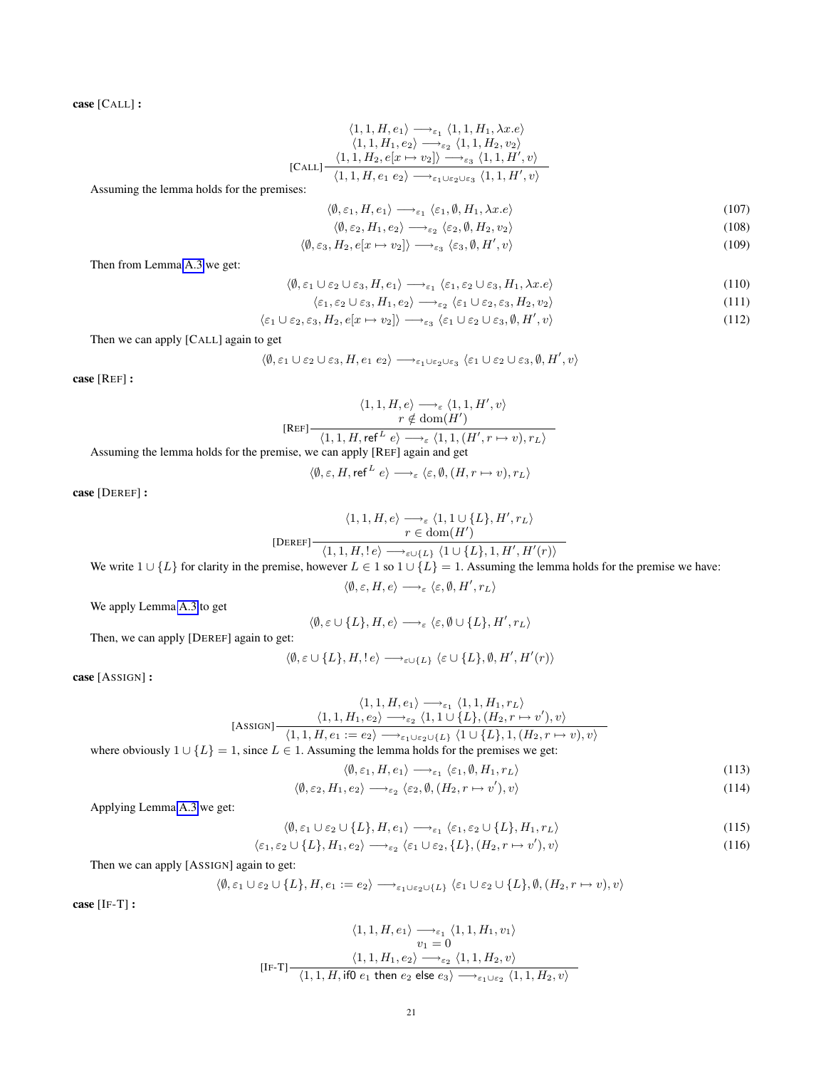case [CALL] :

$$
\langle 1, 1, H, e_1 \rangle \longrightarrow_{\varepsilon_1} \langle 1, 1, H_1, \lambda x. e \rangle
$$
  

$$
\langle 1, 1, H_1, e_2 \rangle \longrightarrow_{\varepsilon_2} \langle 1, 1, H_2, v_2 \rangle
$$
  
[CALL] 
$$
\frac{\langle 1, 1, H_2, e[x \mapsto v_2] \rangle \longrightarrow_{\varepsilon_3} \langle 1, 1, H', v \rangle}{\langle 1, 1, H, e_1 e_2 \rangle \longrightarrow_{\varepsilon_1 \cup \varepsilon_2 \cup \varepsilon_3} \langle 1, 1, H', v \rangle}
$$

Assuming the lemma holds for the premises:

$$
\langle \emptyset, \varepsilon_1, H, e_1 \rangle \longrightarrow_{\varepsilon_1} \langle \varepsilon_1, \emptyset, H_1, \lambda x. e \rangle \tag{107}
$$

$$
\langle \emptyset, \varepsilon_2, H_1, e_2 \rangle \longrightarrow_{\varepsilon_2} \langle \varepsilon_2, \emptyset, H_2, v_2 \rangle \tag{108}
$$

$$
\langle \emptyset, \varepsilon_3, H_2, e[x \mapsto v_2] \rangle \longrightarrow_{\varepsilon_3} \langle \varepsilon_3, \emptyset, H', v \rangle \tag{109}
$$

Then from Lemma [A.3](#page-18-3) we get:

$$
\langle \emptyset, \varepsilon_1 \cup \varepsilon_2 \cup \varepsilon_3, H, e_1 \rangle \longrightarrow_{\varepsilon_1} \langle \varepsilon_1, \varepsilon_2 \cup \varepsilon_3, H_1, \lambda x. e \rangle \tag{110}
$$

$$
\langle \varepsilon_1, \varepsilon_2 \cup \varepsilon_3, H_1, e_2 \rangle \longrightarrow_{\varepsilon_2} \langle \varepsilon_1 \cup \varepsilon_2, \varepsilon_3, H_2, v_2 \rangle \tag{111}
$$

$$
\langle \varepsilon_1 \cup \varepsilon_2, \varepsilon_3, H_2, e[x \mapsto v_2] \rangle \longrightarrow_{\varepsilon_3} \langle \varepsilon_1 \cup \varepsilon_2 \cup \varepsilon_3, \emptyset, H', v \rangle \tag{112}
$$

Then we can apply [CALL] again to get

$$
\langle \emptyset, \varepsilon_1 \cup \varepsilon_2 \cup \varepsilon_3, H, e_1 \ e_2 \rangle \longrightarrow_{\varepsilon_1 \cup \varepsilon_2 \cup \varepsilon_3} \langle \varepsilon_1 \cup \varepsilon_2 \cup \varepsilon_3, \emptyset, H', v \rangle
$$

case [REF] :

$$
\langle 1, 1, H, e \rangle \longrightarrow_{\varepsilon} \langle 1, 1, H', v \rangle
$$
  
\n
$$
r \notin \text{dom}(H')
$$
  
\n
$$
\langle 1, 1, H, \text{ref}^L e \rangle \longrightarrow_{\varepsilon} \langle 1, 1, (H', r \mapsto v), r_L \rangle
$$
  
\n
$$
\text{mise, we can only [BEE] again of set} \langle 1, 1, (H', r \mapsto v), r_L \rangle
$$

Assuming the lemma holds for the premise, we can apply [REF] again and get

$$
\langle \emptyset, \varepsilon, H, \text{ref}^L e \rangle \longrightarrow_{\varepsilon} \langle \varepsilon, \emptyset, (H, r \mapsto v), r_L \rangle
$$

case [DEREF] :

$$
\langle 1,1,H,e\rangle \longrightarrow_{\varepsilon}\langle 1,1\cup\{L\},H',r_L\rangle
$$
  

$$
\Gamma\in \text{dom}(H')
$$
  

$$
\langle 1,1,H,1e\rangle \longrightarrow_{\varepsilon\cup\{L\}}\langle 1\cup\{L\},1,H',H'(r)\rangle
$$

We write  $1 \cup \{L\}$  for clarity in the premise, however  $L \in 1$  so  $1 \cup \{L\} = 1$ . Assuming the lemma holds for the premise we have:

$$
\langle \emptyset, \varepsilon, H, e \rangle \longrightarrow_{\varepsilon} \langle \varepsilon, \emptyset, H', r_L \rangle
$$

We apply Lemma [A.3](#page-18-3) to get

$$
\langle \emptyset, \varepsilon \cup \{L\}, H, e \rangle \longrightarrow_{\varepsilon} \langle \varepsilon, \emptyset \cup \{L\}, H', r_L \rangle
$$

Then, we can apply [DEREF] again to get:

$$
\langle \emptyset, \varepsilon \cup \{L\}, H, !\, e \rangle \longrightarrow_{\varepsilon \cup \{L\}} \langle \varepsilon \cup \{L\}, \emptyset, H', H'(r) \rangle
$$

case [ASSIGN] :

$$
\langle 1, 1, H, e_1 \rangle \longrightarrow_{\varepsilon_1} \langle 1, 1, H_1, r_L \rangle
$$
  
[ASSIGN]  $\frac{\langle 1, 1, H_1, e_2 \rangle \longrightarrow_{\varepsilon_2} \langle 1, 1 \cup \{L\}, (H_2, r \mapsto v'), v \rangle}{\langle 1, 1, H, e_1 := e_2 \rangle \longrightarrow_{\varepsilon_1 \cup \varepsilon_2 \cup \{L\}} \langle 1 \cup \{L\}, 1, (H_2, r \mapsto v), v \rangle}$   
= 1, since  $L \in 1$ . Assuming the lemma holds for the premises we get:

where obviously  $1 \cup \{L\} = 1$ , since  $L \in 1$ . Assuming the lemma holds for the premises we g

$$
\langle \emptyset, \varepsilon_1, H, e_1 \rangle \longrightarrow_{\varepsilon_1} \langle \varepsilon_1, \emptyset, H_1, r_L \rangle \tag{113}
$$

$$
\langle \emptyset, \varepsilon_2, H_1, e_2 \rangle \longrightarrow_{\varepsilon_2} \langle \varepsilon_2, \emptyset, (H_2, r \mapsto v'), v \rangle \tag{114}
$$

Applying Lemma [A.3](#page-18-3) we get:

$$
\langle \emptyset, \varepsilon_1 \cup \varepsilon_2 \cup \{L\}, H, e_1 \rangle \longrightarrow_{\varepsilon_1} \langle \varepsilon_1, \varepsilon_2 \cup \{L\}, H_1, r_L \rangle \tag{115}
$$

$$
\langle \varepsilon_1, \varepsilon_2 \cup \{L\}, H_1, e_2 \rangle \longrightarrow_{\varepsilon_2} \langle \varepsilon_1 \cup \varepsilon_2, \{L\}, (H_2, r \mapsto v'), v \rangle \tag{116}
$$

Then we can apply [ASSIGN] again to get:

$$
\langle \emptyset, \varepsilon_1 \cup \varepsilon_2 \cup \{L\}, H, e_1 := e_2 \rangle \longrightarrow_{\varepsilon_1 \cup \varepsilon_2 \cup \{L\}} \langle \varepsilon_1 \cup \varepsilon_2 \cup \{L\}, \emptyset, (H_2, r \mapsto v), v \rangle
$$

case [IF-T] :

$$
\langle 1,1,H,e_1\rangle \xrightarrow{\quad \ \ \, \cdot } \langle 1,1,H_1,v_1\rangle \\ v_1=0 \\[1em] \dfrac{\langle 1,1,H_1,e_2\rangle \xrightarrow{\quad \ \ \, \cdot } \langle 1,1,H_2,v\rangle}{\langle 1,1,H,i{\rm{f0}}\ e_1\ {\rm{then}}\ e_2\ {\rm{else}}\ e_3\rangle \xrightarrow{\quad \ \ \, \cdot } \langle 1,1,H_2,v\rangle}
$$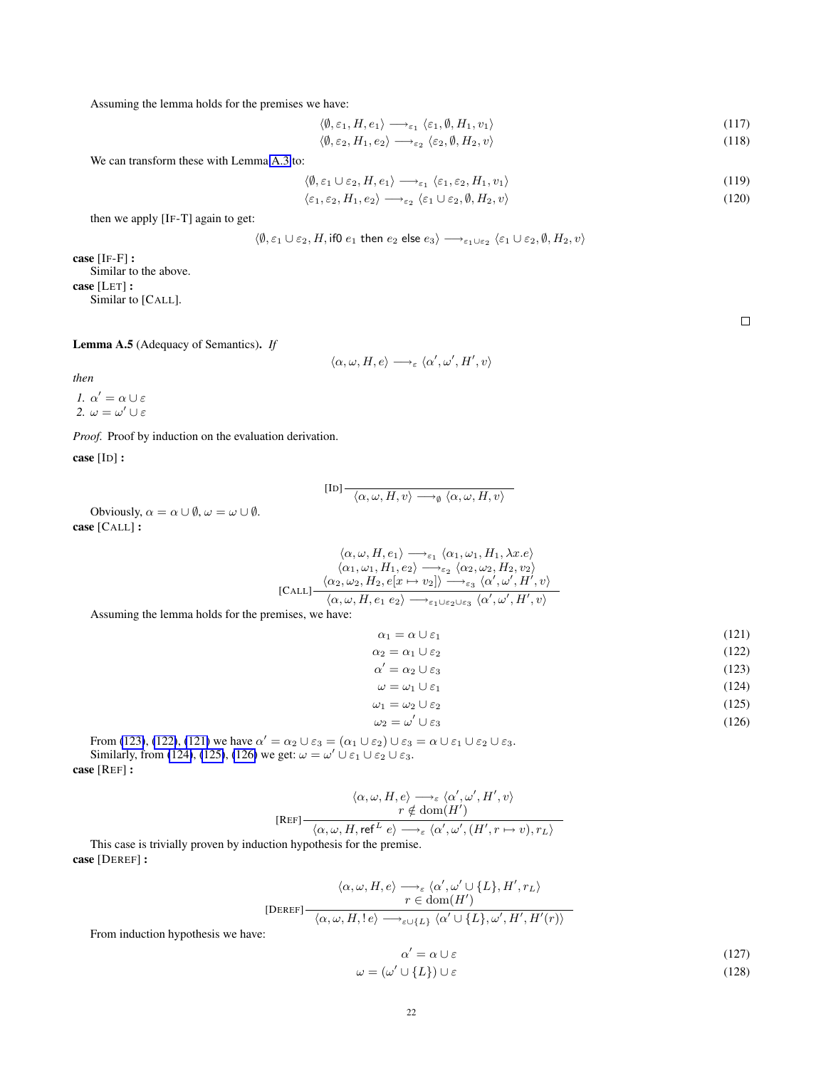Assuming the lemma holds for the premises we have:

$$
\langle \emptyset, \varepsilon_1, H, e_1 \rangle \longrightarrow_{\varepsilon_1} \langle \varepsilon_1, \emptyset, H_1, v_1 \rangle \tag{117}
$$

$$
\langle \emptyset, \varepsilon_2, H_1, e_2 \rangle \longrightarrow_{\varepsilon_2} \langle \varepsilon_2, \emptyset, H_2, v \rangle \tag{118}
$$

We can transform these with Lemma [A.3](#page-18-3) to:

$$
\langle \emptyset, \varepsilon_1 \cup \varepsilon_2, H, e_1 \rangle \longrightarrow_{\varepsilon_1} \langle \varepsilon_1, \varepsilon_2, H_1, v_1 \rangle \tag{119}
$$

$$
\langle \varepsilon_1, \varepsilon_2, H_1, e_2 \rangle \longrightarrow_{\varepsilon_2} \langle \varepsilon_1 \cup \varepsilon_2, \emptyset, H_2, v \rangle \tag{120}
$$

then we apply [IF-T] again to get:

$$
\langle \emptyset, \varepsilon_1 \cup \varepsilon_2, H, \text{if} 0 \ e_1 \text{ then } e_2 \text{ else } e_3 \rangle \longrightarrow_{\varepsilon_1 \cup \varepsilon_2} \langle \varepsilon_1 \cup \varepsilon_2, \emptyset, H_2, v \rangle
$$

case [IF-F] : Similar to the above. case [LET] : Similar to [CALL].

<span id="page-21-1"></span>Lemma A.5 (Adequacy of Semantics). *If*

 $\langle \alpha, \omega, H, e \rangle \longrightarrow_{\varepsilon} \langle \alpha', \omega', H', v \rangle$ 

*then*

*1.*  $\alpha' = \alpha \cup \varepsilon$ *2.*  $\omega = \omega' \cup \varepsilon$ 

*Proof.* Proof by induction on the evaluation derivation.

case [ID] :

$$
[\text{ID}] \xrightarrow{\langle \alpha, \omega, H, v \rangle \longrightarrow_{\emptyset} \langle \alpha, \omega, H, v \rangle}
$$

Obviously,  $\alpha = \alpha \cup \emptyset$ ,  $\omega = \omega \cup \emptyset$ . case [CALL] :

$$
\langle \alpha, \omega, H, e_1 \rangle \longrightarrow_{\varepsilon_1} \langle \alpha_1, \omega_1, H_1, \lambda x. e \rangle
$$

$$
\langle \alpha_1, \omega_1, H_1, e_2 \rangle \longrightarrow_{\varepsilon_2} \langle \alpha_2, \omega_2, H_2, v_2 \rangle
$$

$$
[\text{CALL}] \frac{\langle \alpha_2, \omega_2, H_2, e[x \mapsto v_2] \rangle \longrightarrow_{\varepsilon_3} \langle \alpha', \omega', H', v \rangle}{\langle \alpha, \omega, H, e_1 \ e_2 \rangle \longrightarrow_{\varepsilon_1 \cup \varepsilon_2 \cup \varepsilon_3} \langle \alpha', \omega', H', v \rangle}
$$

Assuming the lemma holds for the premises, we have:

<span id="page-21-0"></span>
$$
\alpha_1 = \alpha \cup \varepsilon_1 \tag{121}
$$

$$
\alpha_2 = \alpha_1 \cup \varepsilon_2 \tag{122}
$$
\n
$$
\alpha' = \alpha_1 \cup \varepsilon_2 \tag{123}
$$

$$
\alpha' = \alpha_2 \cup \varepsilon_3 \tag{123}
$$

$$
\omega = \omega_1 \cup \varepsilon_1 \tag{124}
$$
\n
$$
\omega_1 = \omega_2 \cup \varepsilon_2 \tag{125}
$$

$$
1 - \omega_2 \cup \varepsilon_2 \tag{123}
$$

$$
\omega_2 = \omega' \cup \varepsilon_3 \tag{126}
$$

From [\(123\)](#page-21-0), [\(122\)](#page-21-0), [\(121\)](#page-21-0) we have  $\alpha' = \alpha_2 \cup \varepsilon_3 = (\alpha_1 \cup \varepsilon_2) \cup \varepsilon_3 = \alpha \cup \varepsilon_1 \cup \varepsilon_2 \cup \varepsilon_3$ . Similarly, from [\(124\)](#page-21-0), [\(125\)](#page-21-0), [\(126\)](#page-21-0) we get:  $\omega = \omega' \cup \varepsilon_1 \cup \varepsilon_2 \cup \varepsilon_3$ . case [REF] :

$$
\langle \alpha, \omega, H, e \rangle \longrightarrow_{\varepsilon} \langle \alpha', \omega', H', v \rangle
$$
  
\n
$$
r \notin \text{dom}(H')
$$
  
\n
$$
\langle \alpha, \omega, H, \text{ref}^L e \rangle \longrightarrow_{\varepsilon} \langle \alpha', \omega', (H', r \mapsto v), r_L \rangle
$$

This case is trivially proven by induction hypothesis for the premise. case [DEREF] :

$$
\langle \alpha, \omega, H, e \rangle \longrightarrow_{\varepsilon} \langle \alpha', \omega' \cup \{L\}, H', r_L \rangle
$$
  
[DEREF] 
$$
\frac{r \in \text{dom}(H')}{\langle \alpha, \omega, H, !e \rangle \longrightarrow_{\varepsilon \cup \{L\}} \langle \alpha' \cup \{L\}, \omega', H', H'(r) \rangle}
$$
  
:

From induction hypothesis we have:

$$
\alpha' = \alpha \cup \varepsilon \tag{127}
$$
\n
$$
\omega = (\omega' \cup \{L\}) \cup \varepsilon \tag{128}
$$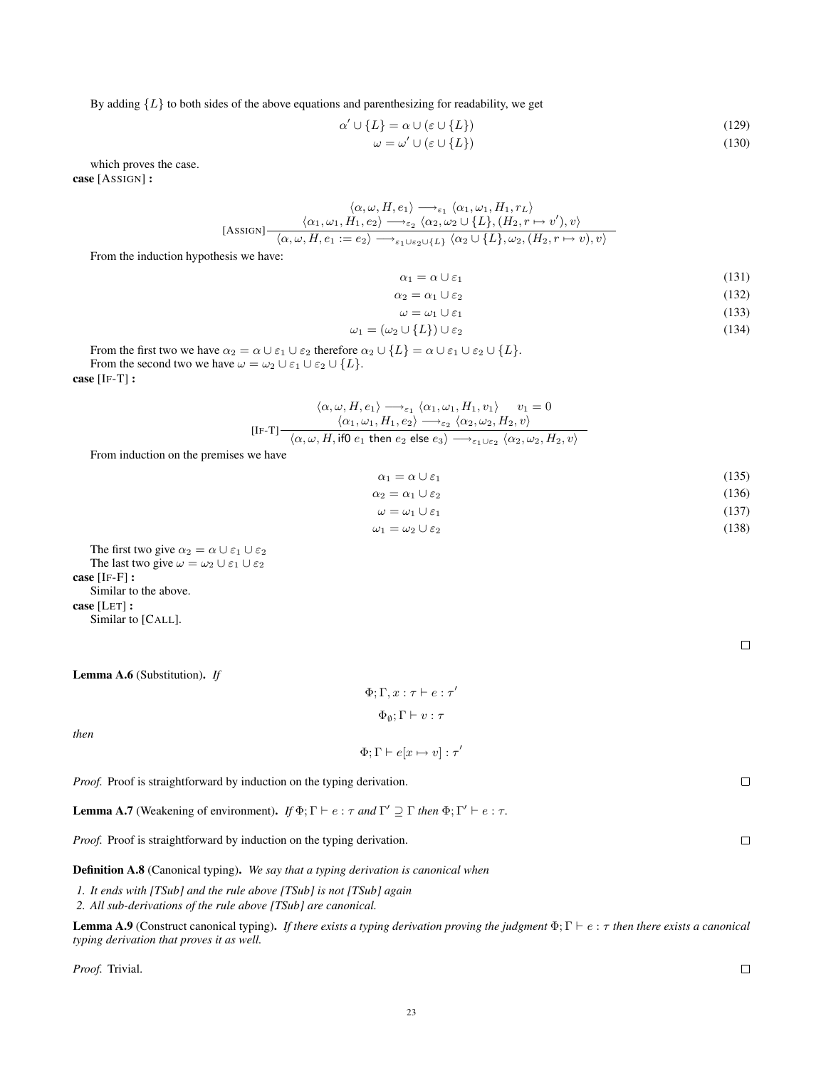By adding  ${L}$  to both sides of the above equations and parenthesizing for readability, we get

$$
\alpha' \cup \{L\} = \alpha \cup (\varepsilon \cup \{L\})\tag{129}
$$

$$
\omega = \omega' \cup (\varepsilon \cup \{L\}) \tag{130}
$$

which proves the case. case [ASSIGN] :

$$
\langle \alpha, \omega, H, e_1 \rangle \longrightarrow_{\varepsilon_1} \langle \alpha_1, \omega_1, H_1, r_L \rangle
$$
  
[ASSIGN] 
$$
\frac{\langle \alpha_1, \omega_1, H_1, e_2 \rangle \longrightarrow_{\varepsilon_2} \langle \alpha_2, \omega_2 \cup \{L\}, (H_2, r \mapsto v'), v \rangle}{\langle \alpha, \omega, H, e_1 := e_2 \rangle \longrightarrow_{\varepsilon_1 \cup \varepsilon_2 \cup \{L\}} \langle \alpha_2 \cup \{L\}, \omega_2, (H_2, r \mapsto v), v \rangle}
$$

From the induction hypothesis we have:

$$
\alpha_1 = \alpha \cup \varepsilon_1 \tag{131}
$$

$$
\alpha_2 = \alpha_1 \cup \varepsilon_2 \tag{132}
$$

$$
\omega = \omega_1 \cup \varepsilon_1 \tag{133}
$$

$$
\omega_1 = (\omega_2 \cup \{L\}) \cup \varepsilon_2 \tag{134}
$$

From the first two we have  $\alpha_2 = \alpha \cup \varepsilon_1 \cup \varepsilon_2$  therefore  $\alpha_2 \cup \{L\} = \alpha \cup \varepsilon_1 \cup \varepsilon_2 \cup \{L\}.$ From the second two we have  $\omega = \omega_2 \cup \varepsilon_1 \cup \varepsilon_2 \cup \{L\}.$ 

case [IF-T] :

#### [IF-T]  $\langle \alpha, \omega, H, e_1 \rangle \longrightarrow_{\varepsilon_1} \langle \alpha_1, \omega_1, H_1, v_1 \rangle \quad v_1 = 0$  $\langle \alpha_1, \omega_1, H_1, e_2 \rangle \longrightarrow_{\varepsilon_2} \langle \alpha_2, \omega_2, H_2, v \rangle$  $\langle \alpha, \omega, H, \mathsf{if0} \; e_1 \; \mathsf{then} \; e_2 \; \mathsf{else} \; e_3 \rangle \longrightarrow_{\varepsilon_1 \cup \varepsilon_2} \langle \alpha_2, \omega_2, H_2, v \rangle$

From induction on the premises we have

$$
\alpha_1 = \alpha \cup \varepsilon_1 \tag{135}
$$

$$
\alpha_2 = \alpha_1 \cup \varepsilon_2 \tag{136}
$$

$$
\omega = \omega_1 \cup \varepsilon_1 \tag{137}
$$

$$
\omega_1 = \omega_2 \cup \varepsilon_2 \tag{138}
$$

The first two give  $\alpha_2 = \alpha \cup \varepsilon_1 \cup \varepsilon_2$ The last two give  $\omega = \omega_2 \cup \varepsilon_1 \cup \varepsilon_2$ case [IF-F] : Similar to the above. case [LET] : Similar to [CALL].

<span id="page-22-1"></span>Lemma A.6 (Substitution). *If*

# $\Phi ; \Gamma , x : \tau \vdash e : \tau'$  $\Phi_\emptyset; \Gamma \vdash v : \tau$

*then*

 $\Phi$ ;  $\Gamma \vdash e[x \mapsto v] : \tau'$ 

*Proof.* Proof is straightforward by induction on the typing derivation.

<span id="page-22-0"></span>**Lemma A.7** (Weakening of environment). *If*  $\Phi$ ;  $\Gamma \vdash e : \tau$  *and*  $\Gamma' \supseteq \Gamma$  *then*  $\Phi$ ;  $\Gamma' \vdash e : \tau$ .

*Proof.* Proof is straightforward by induction on the typing derivation.

Definition A.8 (Canonical typing). *We say that a typing derivation is canonical when*

*1. It ends with [TSub] and the rule above [TSub] is not [TSub] again*

*2. All sub-derivations of the rule above [TSub] are canonical.*

**Lemma A.9** (Construct canonical typing). *If there exists a typing derivation proving the judgment*  $\Phi$ ;  $\Gamma \vdash e : \tau$  *then there exists a canonical typing derivation that proves it as well.*

*Proof.* Trivial.

 $\Box$ 

 $\Box$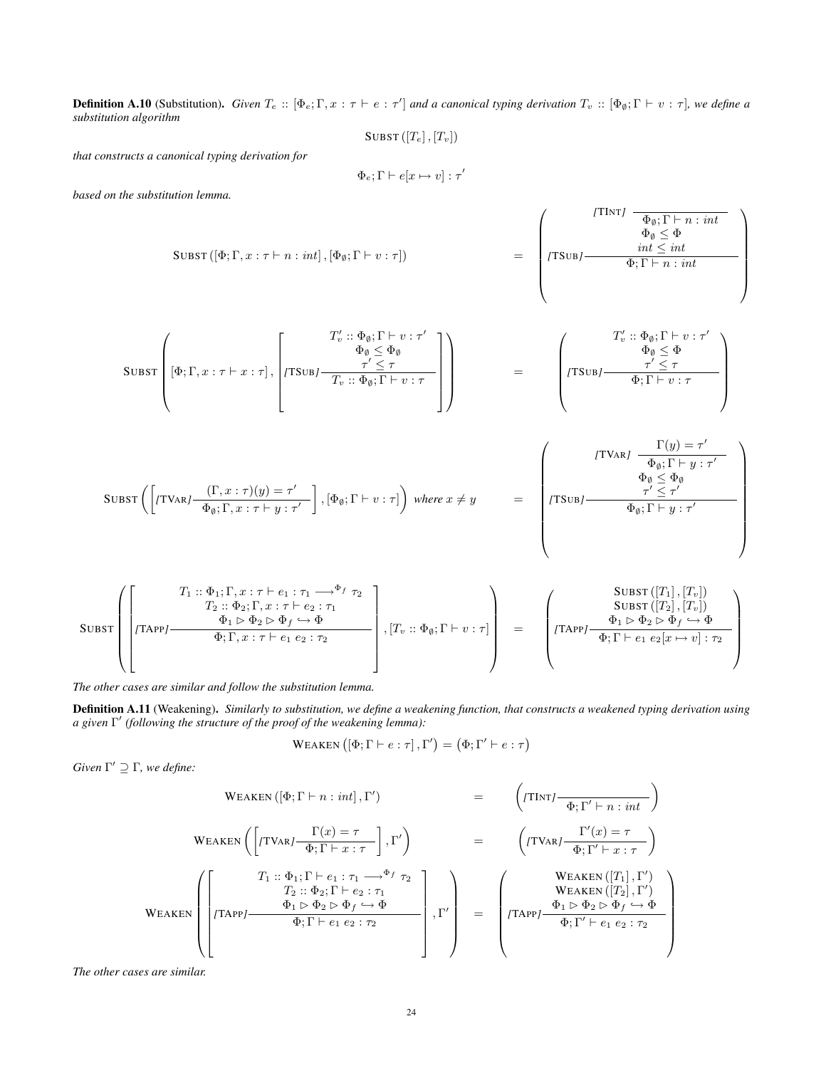**Definition A.10** (Substitution). Given  $T_e$  ::  $[\Phi_e; \Gamma, x : \tau \vdash e : \tau']$  and a canonical typing derivation  $T_v$  ::  $[\Phi_\emptyset; \Gamma \vdash v : \tau]$ , we define a *substitution algorithm*

SUBST  $([T_e], [T_v])$ 

*that constructs a canonical typing derivation for*

$$
\Phi_e; \Gamma \vdash e[x \mapsto v] : \tau'
$$

*based on the substitution lemma.*

$$
\text{SUBST}\left([\Phi;\Gamma,x:\tau\vdash n:int], [\Phi_{\emptyset};\Gamma\vdash v:\tau]\right) = \begin{pmatrix}\n[T\text{INT}]\quad \frac{\Phi_{\emptyset};\Gamma\vdash n:int}{\Phi_{\emptyset}\subseteq \Phi} \\
\text{TSub}\,\frac{int\leq int}{\Phi;\Gamma\vdash n:int}\n\end{pmatrix}
$$

$$
\text{SUBST}\left([\Phi;\Gamma,x:\tau\vdash x:\tau],\begin{bmatrix}T'_v::\Phi_\emptyset;\Gamma\vdash v:\tau'\\ \Phi_\emptyset\leq\Phi_\emptyset\\\tau'\leq\tau\\\hline T_v::\Phi_\emptyset;\Gamma\vdash v:\tau\\\end{bmatrix}\right)\right\} \qquad = \qquad \left(\begin{array}{c}T'_v::\Phi_\emptyset;\Gamma\vdash v:\tau'\\ \Phi_\emptyset\leq\Phi\\\tau'\leq\tau\\\hline \Phi;\Gamma\vdash v:\tau\\\end{array}\right)
$$

$$
\text{SUBST}\left(\left[(\text{TVAR} / \frac{(\Gamma, x : \tau)(y) = \tau'}{\Phi_{\emptyset}; \Gamma, x : \tau \vdash y : \tau'}\right], [\Phi_{\emptyset}; \Gamma \vdash v : \tau]\right) \text{ where } x \neq y \qquad = \qquad \left(\begin{array}{c} [\text{TVAR} / \frac{\Gamma(y) = \tau'}{\Phi_{\emptyset}; \Gamma \vdash y : \tau'} \\ \Phi_{\emptyset} \leq \Phi_{\emptyset} \\ \tau' \leq \tau' \\ \Phi_{\emptyset}; \Gamma \vdash y : \tau' \end{array}\right)
$$

$$
\text{SUBST}\left(\begin{bmatrix} T_1::\Phi_1;\Gamma,x:\tau\vdash e_1:\tau_1\longrightarrow^{\Phi_f}\tau_2\\ T_2::\Phi_2;\Gamma,x:\tau\vdash e_2:\tau_1\\ \hline\Phi_1\vartriangleright\Phi_2\vartriangleright\Phi_f\hookrightarrow\Phi\\ \hline\Phi;\Gamma,x:\tau\vdash e_1\ e_2:\tau_2\end{bmatrix},\begin{bmatrix} T_v::\Phi_\emptyset;\Gamma\vdash v:\tau\end{bmatrix}\right)\right\} = \begin{bmatrix} \text{SUBST}\left(\begin{bmatrix} T_1\end{bmatrix},\begin{bmatrix} T_v\end{bmatrix})\\ \hline \Phi_1\vartriangleright\Phi_2\vartriangleright\Phi_f\hookrightarrow\Phi\\ \hline\Phi;\Gamma\vdash e_1\ e_2[x\mapsto v]:\tau_2\end{bmatrix}
$$

*The other cases are similar and follow the substitution lemma.*

Definition A.11 (Weakening). *Similarly to substitution, we define a weakening function, that constructs a weakened typing derivation using a given* Γ 0 *(following the structure of the proof of the weakening lemma):*

$$
\text{WEAKEN}\left(\left[\Phi;\Gamma \vdash e:\tau\right],\Gamma'\right) = \left(\Phi;\Gamma' \vdash e:\tau\right)
$$

*Given*  $\Gamma' \supseteq \Gamma$ *, we define:* 

$$
\text{WEAKEN}\left(\left[\text{TVAR}\right] - \frac{\Gamma(x) = \tau}{\Phi; \Gamma + n : int}, \Gamma'\right) = \left(\text{TVAR}\right) - \frac{\Gamma'(x) = \tau}{\Phi; \Gamma' + n : int}\right)
$$
\n
$$
\text{WEAKEN}\left(\left[\text{TVAR}\right] - \frac{\Gamma(x) = \tau}{\Phi; \Gamma + x : \tau}\right], \Gamma'\right) = \left(\text{TVAR}\right) - \frac{\Gamma'(x) = \tau}{\Phi; \Gamma' + x : \tau}\right)
$$
\n
$$
\text{WEAKEN}\left(\left[\text{Tr}\left(\frac{\Gamma(x) = \tau}{\Phi; \Gamma + x : \tau}\right), \Gamma'\right] = \left(\text{WEAKEN}\left(\frac{\Gamma(x) = \tau}{\Phi; \Gamma' + x : \tau}\right)\right)
$$
\n
$$
\text{WEAKEN}\left(\frac{\Gamma(x) = \tau}{\Phi; \Gamma' + x : \tau}\right)
$$
\n
$$
\frac{\Phi_1 \triangleright \Phi_2 \triangleright \Phi_f \rightarrow \Phi}{\Phi; \Gamma + e_1 e_2 : \tau_2}\right], \Gamma'\right) = \left(\text{TRPP}\right) - \frac{\Phi_1 \triangleright \Phi_2 \triangleright \Phi_f \rightarrow \Phi}{\Phi; \Gamma' + e_1 e_2 : \tau_2}
$$

*The other cases are similar.*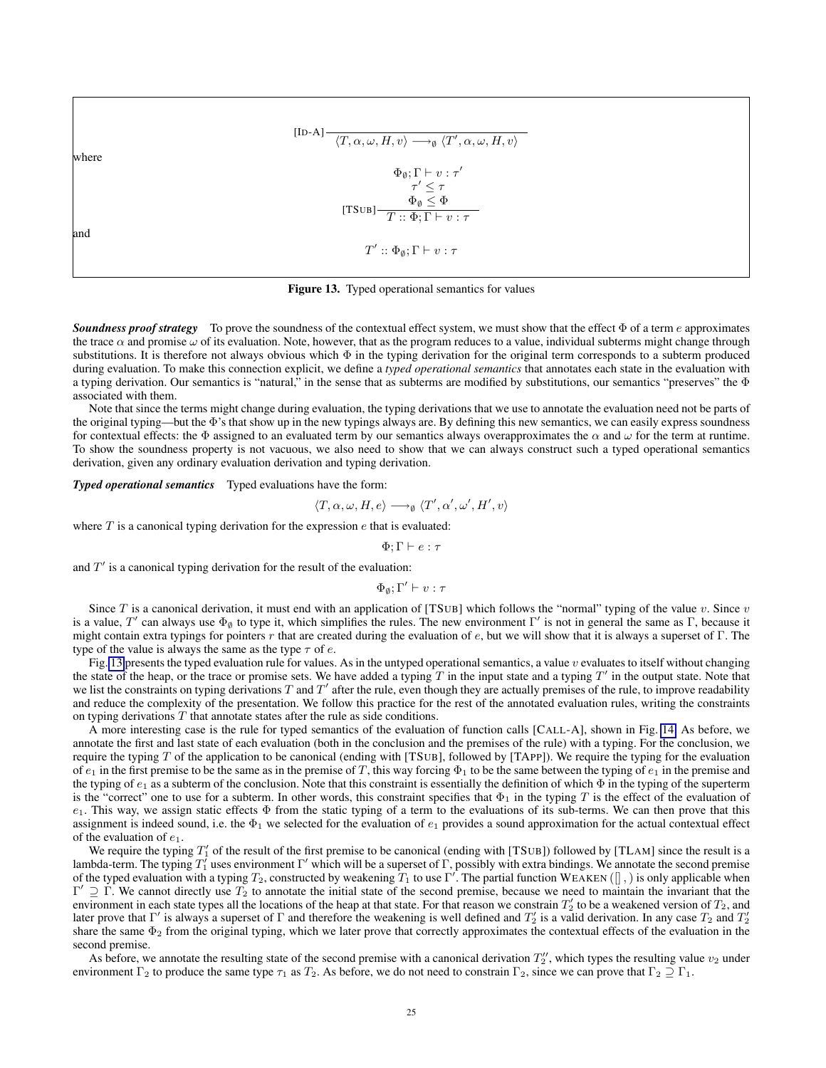$\frac{[\text{ID-A}] \rightarrow \gamma T, \alpha, \omega, H, v}{\langle T, \alpha, \omega, H, v \rangle \rightarrow \gamma} \langle T', \alpha, \omega, H, v \rangle$ where [TSUB]  $\Phi_{\emptyset}; \Gamma \vdash v : \tau'$  $\tau' \leq \tau$  $\Phi_{\emptyset} \leq \Phi$  $T :: Φ; Γ ⊢ v : τ$ and  $T' :: \Phi_{\emptyset}; \Gamma \vdash v : \tau$ 

<span id="page-24-0"></span>Figure 13. Typed operational semantics for values

*Soundness proof strategy* To prove the soundness of the contextual effect system, we must show that the effect Φ of a term e approximates the trace  $\alpha$  and promise  $\omega$  of its evaluation. Note, however, that as the program reduces to a value, individual subterms might change through substitutions. It is therefore not always obvious which Φ in the typing derivation for the original term corresponds to a subterm produced during evaluation. To make this connection explicit, we define a *typed operational semantics* that annotates each state in the evaluation with a typing derivation. Our semantics is "natural," in the sense that as subterms are modified by substitutions, our semantics "preserves" the  $\Phi$ associated with them.

Note that since the terms might change during evaluation, the typing derivations that we use to annotate the evaluation need not be parts of the original typing—but the Φ's that show up in the new typings always are. By defining this new semantics, we can easily express soundness for contextual effects: the  $\Phi$  assigned to an evaluated term by our semantics always overapproximates the  $\alpha$  and  $\omega$  for the term at runtime. To show the soundness property is not vacuous, we also need to show that we can always construct such a typed operational semantics derivation, given any ordinary evaluation derivation and typing derivation.

*Typed operational semantics* Typed evaluations have the form:

$$
\langle T, \alpha, \omega, H, e \rangle \longrightarrow_{\emptyset} \langle T', \alpha', \omega', H', v \rangle
$$

where  $T$  is a canonical typing derivation for the expression  $e$  that is evaluated:

 $\Phi$ : Γ  $\vdash e : \tau$ 

and  $T'$  is a canonical typing derivation for the result of the evaluation:

$$
\Phi_\emptyset; \Gamma' \vdash v : \tau
$$

Since T is a canonical derivation, it must end with an application of [TSUB] which follows the "normal" typing of the value  $v$ . Since  $v$ is a value, T' can always use  $\Phi_{\emptyset}$  to type it, which simplifies the rules. The new environment  $\Gamma'$  is not in general the same as  $\Gamma$ , because it might contain extra typings for pointers r that are created during the evaluation of  $e$ , but we will show that it is always a superset of Γ. The type of the value is always the same as the type  $\tau$  of e.

Fig. [13](#page-24-0) presents the typed evaluation rule for values. As in the untyped operational semantics, a value  $v$  evaluates to itself without changing the state of the heap, or the trace or promise sets. We have added a typing  $T$  in the input state and a typing  $T'$  in the output state. Note that we list the constraints on typing derivations  $T$  and  $T'$  after the rule, even though they are actually premises of the rule, to improve readability and reduce the complexity of the presentation. We follow this practice for the rest of the annotated evaluation rules, writing the constraints on typing derivations  $T$  that annotate states after the rule as side conditions.

A more interesting case is the rule for typed semantics of the evaluation of function calls [CALL-A], shown in Fig. [14.](#page-25-0) As before, we annotate the first and last state of each evaluation (both in the conclusion and the premises of the rule) with a typing. For the conclusion, we require the typing T of the application to be canonical (ending with [TSUB], followed by [TAPP]). We require the typing for the evaluation of  $e_1$  in the first premise to be the same as in the premise of T, this way forcing  $\Phi_1$  to be the same between the typing of  $e_1$  in the premise and the typing of  $e_1$  as a subterm of the conclusion. Note that this constraint is essentially the definition of which  $\Phi$  in the typing of the superterm is the "correct" one to use for a subterm. In other words, this constraint specifies that  $\Phi_1$  in the typing T is the effect of the evaluation of  $e_1$ . This way, we assign static effects  $\Phi$  from the static typing of a term to the evaluations of its sub-terms. We can then prove that this assignment is indeed sound, i.e. the  $\Phi_1$  we selected for the evaluation of  $e_1$  provides a sound approximation for the actual contextual effect of the evaluation of  $e_1$ .

We require the typing  $T'_1$  of the result of the first premise to be canonical (ending with [TSUB]) followed by [TLAM] since the result is a lambda-term. The typing  $T_1$  uses environment  $\Gamma'$  which will be a superset of  $\Gamma$ , possibly with extra bindings. We annotate the second premise of the typed evaluation with a typing  $T_2$ , constructed by weakening  $T_1$  to use  $\Gamma'$ . The partial function WEAKEN ( $\parallel$ ,) is only applicable when  $\Gamma' \supseteq \Gamma$ . We cannot directly use  $T_2$  to annotate the initial state of the second premise, because we need to maintain the invariant that the environment in each state types all the locations of the heap at that state. For that reason we constrain  $T_2$  to be a weakened version of  $T_2$ , and later prove that  $\Gamma'$  is always a superset of  $\Gamma$  and therefore the weakening is well defined and  $T'_2$  is a valid derivation. In any case  $T_2$  and  $T'_2$ share the same  $\Phi_2$  from the original typing, which we later prove that correctly approximates the contextual effects of the evaluation in the second premise.

As before, we annotate the resulting state of the second premise with a canonical derivation  $T_2'$ , which types the resulting value  $v_2$  under environment  $\Gamma_2$  to produce the same type  $\tau_1$  as  $T_2$ . As before, we do not need to constrain  $\Gamma_2$ , since we can prove that  $\Gamma_2 \supseteq \Gamma_1$ .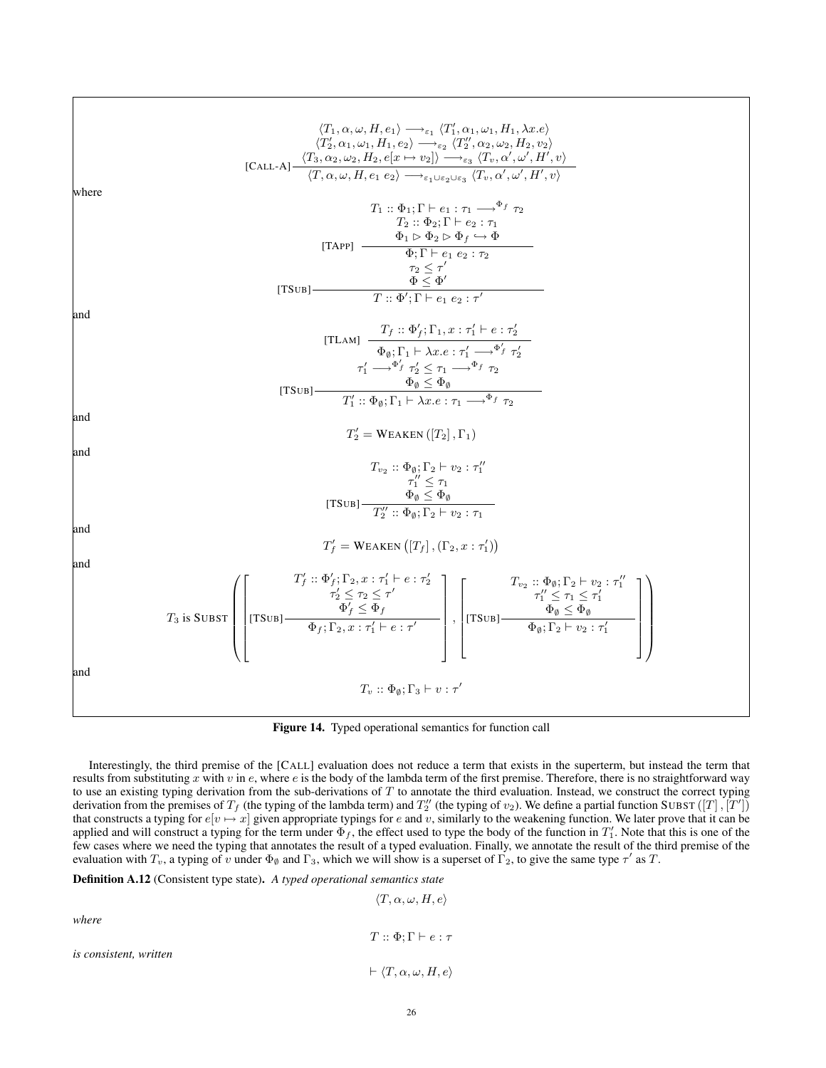$$
(T_1, \alpha, \omega, H, e_1) \rightarrow_{e_1} (T'_1, \alpha_1, \omega_1, H_1, \lambda x, e)
$$
  
\n
$$
(T'_2, \alpha_1, \omega_1, H_1, e_2) \rightarrow_{e_2} (T'_2, \alpha_2, \omega_2, H_2, v_2)
$$
  
\n
$$
[CAL, A] \xrightarrow{(T_3, \alpha_2, \omega_2, H_2, e[x \to v_2]) \rightarrow_{e_3} (T_v, \alpha', \omega', H', v)}
$$
  
\nwhere  
\n
$$
T_1 \dots \Phi_1; \Gamma \vdash e_1; \tau_1 \rightarrow_{e_1} \tau_2
$$
  
\n
$$
T_2 \dots \Phi_2; \Gamma \vdash e_2; \tau_2
$$
  
\n
$$
[T\Lambda\text{PP}] \xrightarrow{\Phi} \Phi_1 \vdash \Phi_2 \vdash \Phi_2 \vdash \Phi_2
$$
  
\n
$$
\frac{\tau_2 \le \tau'}{T_1 \cdot \Theta_1; \Gamma \vdash e_1, e_2; \tau'_2}
$$
  
\n
$$
[T\text{SUB}] \xrightarrow{\Phi_1 \vdash \Phi_2 \vdash \Phi_1 \vdash \Phi_2}
$$
  
\n
$$
\frac{\tau_1 \cdot \Phi_1' \cdot \Gamma \vdash e_1, e_2; \tau'_1}{\Phi_0; \Gamma \vdash e_1, e_2; \tau'_1}
$$
  
\n
$$
[T\text{SUB}] \xrightarrow{\tau_1 \vdash \Phi_1' \vdash \Phi_2' \vdash \Phi_1' \vdash e_1' \tau'_2}
$$
  
\n
$$
[T\text{SUB}] \xrightarrow{\tau_1 \vdash \Phi_1' \vdash \Phi_2' \vdash \Phi_1' \vdash e_1' \tau'_2}
$$
  
\n
$$
T'_1 \dots \Psi_1' \Gamma_1 \vdash \lambda x, e; \tau_1 \xrightarrow{\Phi_1' \tau_2}
$$
  
\n
$$
\frac{\tau'_2}{\Phi_0; \Gamma_1 \vdash \lambda x, e; \tau_1 \xrightarrow{\Phi_1' \tau_2}
$$
  
\nand  
\n
$$
T'_2 \dots \Psi_1' \vdash e_2' \vdash \tau'_1
$$
  
\nand  
\n $$ 

<span id="page-25-0"></span>Figure 14. Typed operational semantics for function call

Interestingly, the third premise of the [CALL] evaluation does not reduce a term that exists in the superterm, but instead the term that results from substituting  $x$  with  $v$  in  $e$ , where  $e$  is the body of the lambda term of the first premise. Therefore, there is no straightforward way to use an existing typing derivation from the sub-derivations of  $T$  to annotate the third evaluation. Instead, we construct the correct typing derivation from the premises of  $T_f$  (the typing of the lambda term) and  $T''_2$  (the typing of  $v_2$ ). We define a partial function SUBST  $([T], [T'])$ that constructs a typing for  $e[v \mapsto x]$  given appropriate typings for e and v, similarly to the weakening function. We later prove that it can be applied and will construct a typing for the term under  $\Phi_f$ , the effect used to type the body of the function in  $T'_1$ . Note that this is one of the few cases where we need the typing that annotates the result of a typed evaluation. Finally, we annotate the result of the third premise of the evaluation with  $T_v$ , a typing of v under  $\Phi_\emptyset$  and  $\Gamma_3$ , which we will show is a superset of  $\Gamma_2$ , to give the same type  $\tau'$  as T.

Definition A.12 (Consistent type state). *A typed operational semantics state*

$$
\langle T, \alpha, \omega, H, e \rangle
$$
  
where  

$$
T :: \Phi; \Gamma \vdash e : \tau
$$
  
is consistent, written  

$$
\vdash \langle T, \alpha, \omega, H, e \rangle
$$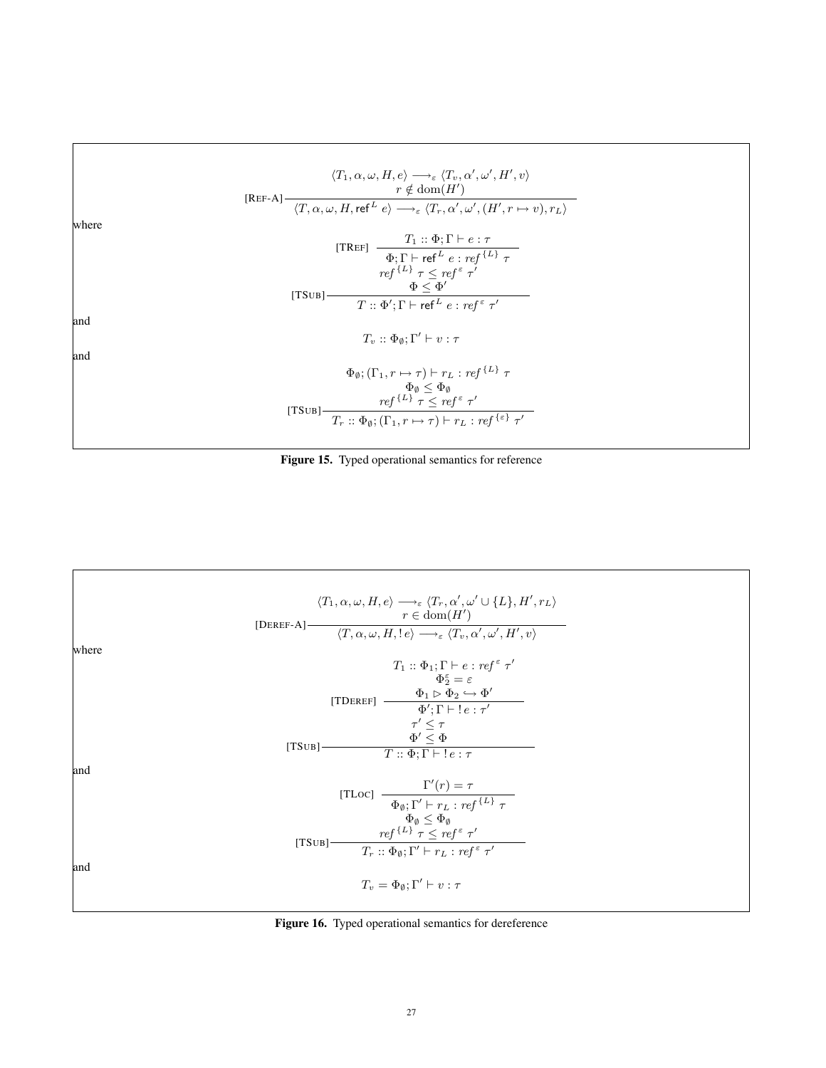

Figure 15. Typed operational semantics for reference



Figure 16. Typed operational semantics for dereference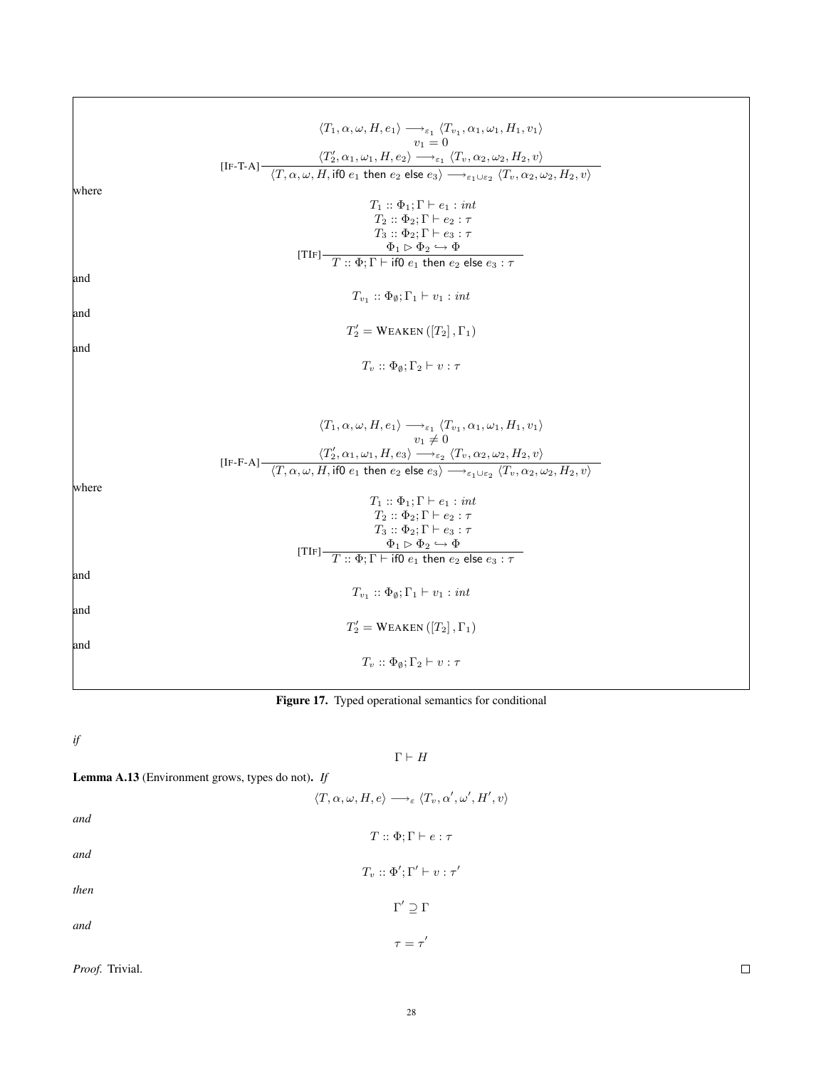[IF-T-A]  $\langle T_1, \alpha, \omega, H, e_1 \rangle \longrightarrow_{\varepsilon_1} \langle T_{v_1}, \alpha_1, \omega_1, H_1, v_1 \rangle$  $v_1 = 0$  $\langle T_2', \alpha_1, \omega_1, H, e_2 \rangle \longrightarrow_{\varepsilon_1} \langle T_v, \alpha_2, \omega_2, H_2, v \rangle$  $\langle T, \alpha, \omega, H, \text{if}0 \ e_1 \text{ then } e_2 \text{ else } e_3 \rangle \longrightarrow_{\varepsilon_1 \cup \varepsilon_2} \langle T_v, \alpha_2, \omega_2, H_2, v \rangle$ where [TIF]  $T_1 :: \Phi_1; \Gamma \vdash e_1 : int$  $T_2 :: \Phi_2; \Gamma \vdash e_2 : \tau$  $T_3 :: \Phi_2; \Gamma \vdash e_3 : \tau$  $\Phi_1 \rhd \overline{\Phi}_2 \hookrightarrow \overline{\Phi}$  $T :: \Phi ; \Gamma \vdash$  if0  $e_1$  then  $e_2$  else  $e_3 : \tau$ and  $T_{v_1}$ ::  $\Phi_{\emptyset}$ ;  $\Gamma_1 \vdash v_1$ : int and  $T_2' = \text{WEAKEN}\left(\left[T_2\right], \Gamma_1\right)$ and  $T_v$  ::  $\Phi_{\emptyset}$ ;  $\Gamma_2 \vdash v : \tau$ [IF-F-A]  $\langle T_1, \alpha, \omega, H, e_1 \rangle \longrightarrow_{\varepsilon_1} \langle T_{v_1}, \alpha_1, \omega_1, H_1, v_1 \rangle$  $v_1 \neq 0$  $\langle T_2', \alpha_1, \omega_1, H, e_3 \rangle \longrightarrow_{\varepsilon_2} \langle T_v, \alpha_2, \omega_2, H_2, v \rangle$  $\langle T, \alpha, \omega, H,$  if0  $e_1$  then  $e_2$  else  $e_3\rangle \longrightarrow_{\varepsilon_1\cup\varepsilon_2} \langle T_v, \alpha_2, \omega_2, H_2, v\rangle$ where [TIF]  $T_1 :: \Phi_1; \Gamma \vdash e_1 : int$  $T_2 :: \Phi_2; \Gamma \vdash e_2 : \tau$  $T_3 :: \Phi_2; \Gamma \vdash e_3 : \tau$  $\Phi_1 \rhd \Phi_2 \hookrightarrow \Phi$  $T :: \Phi ; \Gamma \vdash$  if0  $e_1$  then  $e_2$  else  $e_3 : \tau$ and  $T_{v_1} :: \Phi_{\emptyset}; \Gamma_1 \vdash v_1 : \text{int}$ and  $T_{2}' = \text{WEAKEN}\left(\left[T_{2}\right], \Gamma_{1}\right)$ and  $T_v$  ::  $\Phi_{\emptyset}$ ;  $\Gamma_2 \vdash v : \tau$ Figure 17. Typed operational semantics for conditional

*if*

 $\Gamma \vdash H$ 

 $T :: \Phi; \Gamma \vdash e : \tau$ 

# <span id="page-27-0"></span>Lemma A.13 (Environment grows, types do not). *If*

 $\langle T, \alpha, \omega, H, e \rangle \longrightarrow_{\varepsilon} \langle T_v, \alpha', \omega', H', v \rangle$ 

*and*

*and*

$$
T_v\,::\Phi';\Gamma'\vdash v:\tau'
$$

*then*  $Γ' ⊇ Γ$ 

*and*

*Proof.* Trivial.

 $\Box$ 

 $\tau=\tau'$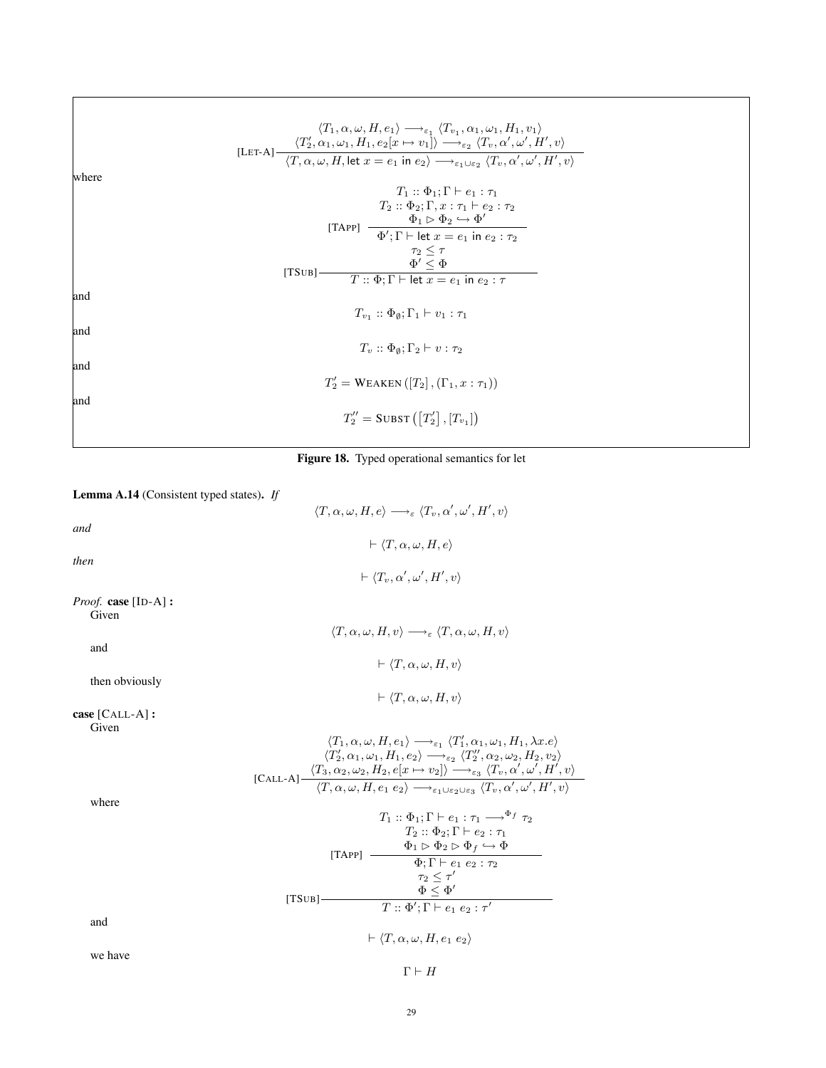wher

and

and

and

and

|    | $\langle T_1, \alpha, \omega, H, e_1 \rangle \longrightarrow_{\varepsilon_1} \langle T_{v_1}, \alpha_1, \omega_1, H_1, v_1 \rangle$<br>[LET-A] $\frac{\langle T_2', \alpha_1, \omega_1, H_1, e_2[x \mapsto v_1] \rangle}{\langle T, \alpha, \omega, H \rangle} \rightarrow_{\epsilon_1} \frac{\langle T_v, \alpha', \omega', H', v \rangle}{\langle T, \alpha, \omega, H \rangle}$ |  |
|----|------------------------------------------------------------------------------------------------------------------------------------------------------------------------------------------------------------------------------------------------------------------------------------------------------------------------------------------------------------------------------------|--|
| re | $T_1 :: \Phi_1 : \Gamma \vdash e_1 : \tau_1$<br>$T_2 :: \Phi_2; \Gamma, x : \tau_1 \vdash e_2 : \tau_2$<br>[TAPP] $\frac{\Phi_1 \triangleright \Phi_2 \hookrightarrow \Phi'}{\Phi'; \Gamma \vdash \text{let } x = e_1 \text{ in } e_2 : \tau_2}$<br>$\tau_2 \leq \tau$<br>[TSUB] $\frac{\Phi' \leq \Phi}{T :: \Phi; \Gamma \vdash \text{let } x = e_1 \text{ in } e_2 : \tau}$     |  |
|    | $T_{v_1}$ : $\Phi_{\emptyset}$ ; $\Gamma_1 \vdash v_1 : \tau_1$                                                                                                                                                                                                                                                                                                                    |  |
|    | $T_v$ : $\Phi_0$ : $\Gamma_2 \vdash v : \tau_2$                                                                                                                                                                                                                                                                                                                                    |  |
|    | $T_2' = \text{WEAKEN}([T_2], (\Gamma_1, x : \tau_1))$                                                                                                                                                                                                                                                                                                                              |  |
|    | $T_2'' =$ SUBST $([T_2'], [T_{v_1}])$                                                                                                                                                                                                                                                                                                                                              |  |

Figure 18. Typed operational semantics for let

Lemma A.14 (Consistent typed states). *If*

 $\langle T, \alpha, \omega, H, e \rangle \longrightarrow_{\varepsilon} \langle T_v, \alpha', \omega', H', v \rangle$ *and*  $\vdash \langle T, \alpha, \omega, H, e \rangle$ *then*  $\vdash \langle T_v, \alpha', \omega', H', v \rangle$ *Proof.* case [ID-A] : Given  $\langle T, \alpha, \omega, H, v \rangle \longrightarrow_{\varepsilon} \langle T, \alpha, \omega, H, v \rangle$ and  $\vdash \langle T, \alpha, \omega, H, v \rangle$ then obviously  $\vdash \langle T, \alpha, \omega, H, v \rangle$ case [CALL-A] : Given [CALL-A]  $\langle T_1, \alpha, \omega, H, e_1 \rangle \longrightarrow_{\varepsilon_1} \langle T'_1, \alpha_1, \omega_1, H_1, \lambda x. e \rangle$  $\langle T_2', \alpha_1, \omega_1, H_1, e_2 \rangle \longrightarrow_{\varepsilon_2} \langle T_2'', \alpha_2, \omega_2, H_2, v_2 \rangle$  $\langle T_3, \alpha_2, \omega_2, H_2, e[x \mapsto v_2] \rangle \longrightarrow_{\varepsilon_3} \langle T_v, \alpha', \omega', H', v \rangle$  $\langle T, \alpha, \omega, H, e_1 \ e_2 \rangle \longrightarrow_{\varepsilon_1 \cup \varepsilon_2 \cup \varepsilon_3} \langle T_v, \alpha', \omega', H', v \rangle$ where  $[TSUB]$ -[TAPP]  $\frac{\Phi_1 \triangleright \Phi_2 \triangleright \Phi_f \hookrightarrow \Phi_1}{\Phi_1 \triangleright \Phi_2 \triangleright \Phi_3}$  $T_1 :: \Phi_1; \Gamma \vdash e_1 : \tau_1 \longrightarrow^{\Phi_f} \tau_2$  $T_2 :: \Phi_2; \Gamma \vdash e_2 : \tau_1$  $\Phi$ ;  $\Gamma \vdash e_1 e_2 : \tau_2$  $\tau_2 \leq \tau'$  $\Phi \leq \Phi'$  $T :: \Phi'; \Gamma \vdash e_1\ e_2 : \tau'$ and  $\vdash \langle T, \alpha, \omega, H, e_1 \ e_2 \rangle$ we have  $\Gamma \vdash H$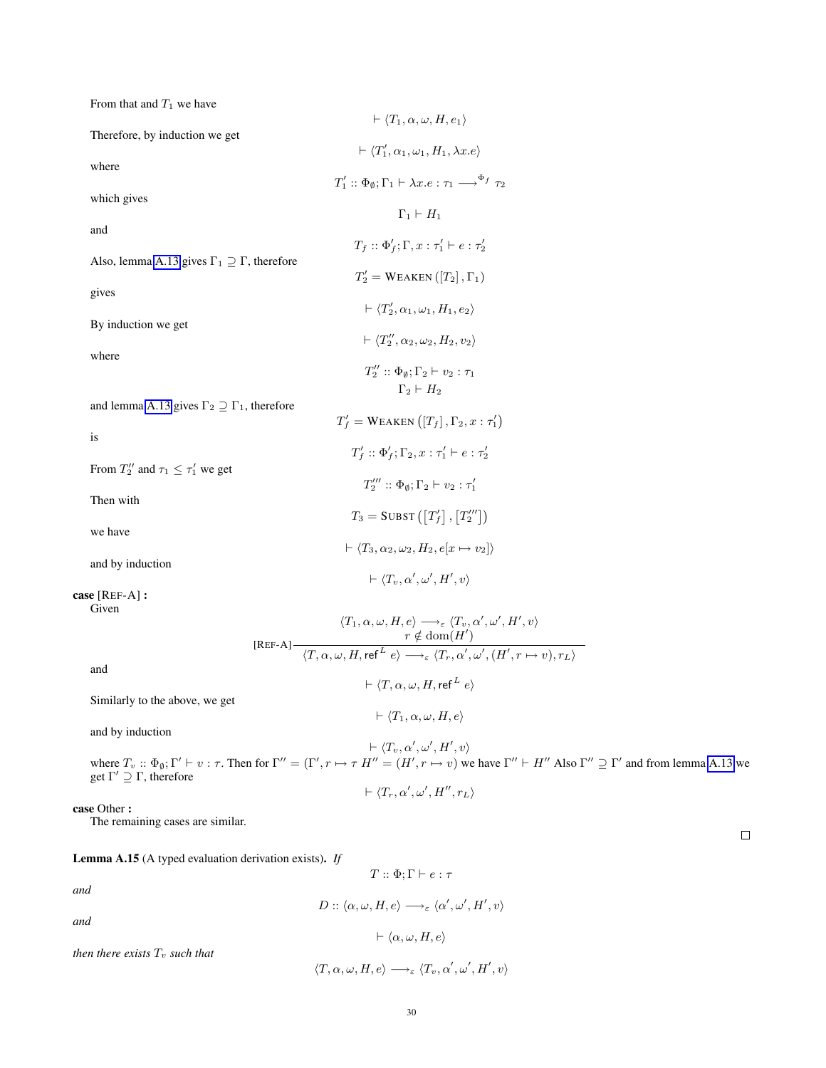| From that and $T_1$ we have                                    |                                                                                                                                                                                                                                                                                                                                                           |  |
|----------------------------------------------------------------|-----------------------------------------------------------------------------------------------------------------------------------------------------------------------------------------------------------------------------------------------------------------------------------------------------------------------------------------------------------|--|
| Therefore, by induction we get                                 | $\vdash \langle T_1, \alpha, \omega, H, e_1 \rangle$                                                                                                                                                                                                                                                                                                      |  |
|                                                                | $\vdash \langle T_1', \alpha_1, \omega_1, H_1, \lambda x. e \rangle$                                                                                                                                                                                                                                                                                      |  |
| where                                                          | $T_1' :: \Phi_{\emptyset}; \Gamma_1 \vdash \lambda x.e : \tau_1 \longrightarrow^{\Phi_f} \tau_2$                                                                                                                                                                                                                                                          |  |
| which gives                                                    | $\Gamma_1 \vdash H_1$                                                                                                                                                                                                                                                                                                                                     |  |
| and                                                            |                                                                                                                                                                                                                                                                                                                                                           |  |
| Also, lemma A.13 gives $\Gamma_1 \supseteq \Gamma$ , therefore | $T_f :: \Phi'_f; \Gamma, x : \tau'_1 \vdash e : \tau'_2$                                                                                                                                                                                                                                                                                                  |  |
|                                                                | $T_2' = \text{WEAKEN}([T_2], \Gamma_1)$                                                                                                                                                                                                                                                                                                                   |  |
| gives                                                          | $\vdash \langle T'_2, \alpha_1, \omega_1, H_1, e_2 \rangle$                                                                                                                                                                                                                                                                                               |  |
| By induction we get                                            | $\vdash \langle T''_2, \alpha_2, \omega_2, H_2, v_2 \rangle$                                                                                                                                                                                                                                                                                              |  |
| where                                                          |                                                                                                                                                                                                                                                                                                                                                           |  |
|                                                                | $T''_2 :: \Phi_{\emptyset}; \Gamma_2 \vdash v_2 : \tau_1$<br>$\Gamma_2 \vdash H_2$                                                                                                                                                                                                                                                                        |  |
| and lemma A.13 gives $\Gamma_2 \supseteq \Gamma_1$ , therefore | $T'_f$ = WEAKEN $([T_f], \Gamma_2, x : \tau'_1)$                                                                                                                                                                                                                                                                                                          |  |
| is                                                             |                                                                                                                                                                                                                                                                                                                                                           |  |
| From $T_2''$ and $\tau_1 \leq \tau_1'$ we get                  | $T'_f :: \Phi'_f; \Gamma_2, x : \tau'_1 \vdash e : \tau'_2$                                                                                                                                                                                                                                                                                               |  |
|                                                                | $T''_2 :: \Phi_{\emptyset}; \Gamma_2 \vdash v_2 : \tau'_1$                                                                                                                                                                                                                                                                                                |  |
| Then with                                                      | $T_3 =$ SUBST $( T_f' ] , [ T_2''' ] )$                                                                                                                                                                                                                                                                                                                   |  |
| we have                                                        | $\vdash \langle T_3, \alpha_2, \omega_2, H_2, e[x \mapsto v_2] \rangle$                                                                                                                                                                                                                                                                                   |  |
| and by induction                                               |                                                                                                                                                                                                                                                                                                                                                           |  |
| case [REF-A] :                                                 | $\vdash \langle T_v, \alpha', \omega', H', v \rangle$                                                                                                                                                                                                                                                                                                     |  |
| Given                                                          |                                                                                                                                                                                                                                                                                                                                                           |  |
|                                                                | $\begin{array}{c} \langle T_1, \alpha, \omega, H, e \rangle \longrightarrow_{\varepsilon} \langle T_v, \alpha', \omega', H', v \rangle \\ r \notin \operatorname{dom}(H') \\ \hline \langle T, \alpha, \omega, H, \operatorname{ref}^L e \rangle \longrightarrow_{\varepsilon} \langle T_r, \alpha', \omega', (H', r \mapsto v), r_L \rangle \end{array}$ |  |
| and                                                            |                                                                                                                                                                                                                                                                                                                                                           |  |
| Similarly to the above, we get                                 | $\vdash \langle T, \alpha, \omega, H, \mathsf{ref}^L e \rangle$                                                                                                                                                                                                                                                                                           |  |
|                                                                | $\vdash \langle T_1, \alpha, \omega, H, e \rangle$                                                                                                                                                                                                                                                                                                        |  |
| and by induction                                               | $\vdash \langle T_v, \alpha', \omega', H', v \rangle$                                                                                                                                                                                                                                                                                                     |  |

where  $T_v$ ::  $\Phi_{\emptyset}$ ;  $\Gamma' \vdash v : \tau$ . Then for  $\Gamma'' = (\Gamma', r \mapsto \tau \ H'' = (H', r \mapsto v)$  we have  $\Gamma'' \vdash H''$  Also  $\Gamma'' \supseteq \Gamma'$  and from lemma [A.13](#page-27-0) we get  $\Gamma' \supseteq \Gamma$ , therefore  $\vdash \langle T_r, \alpha', \omega', H'', r_L \rangle$ 

case Other :

The remaining cases are similar.

<span id="page-29-0"></span>Lemma A.15 (A typed evaluation derivation exists). *If*

 $T :: \Phi : \Gamma \vdash e : \tau$ 

*and*

 $D::\langle \alpha, \omega, H, e \rangle \longrightarrow_{\varepsilon} \langle \alpha', \omega', H', v \rangle$ *and*  $\vdash \langle \alpha, \omega, H, e \rangle$ *then there exists*  $T_v$  *such that*  $\langle T, \alpha, \omega, H, e \rangle \longrightarrow_{\varepsilon} \langle T_v, \alpha', \omega', H', v \rangle$ 

30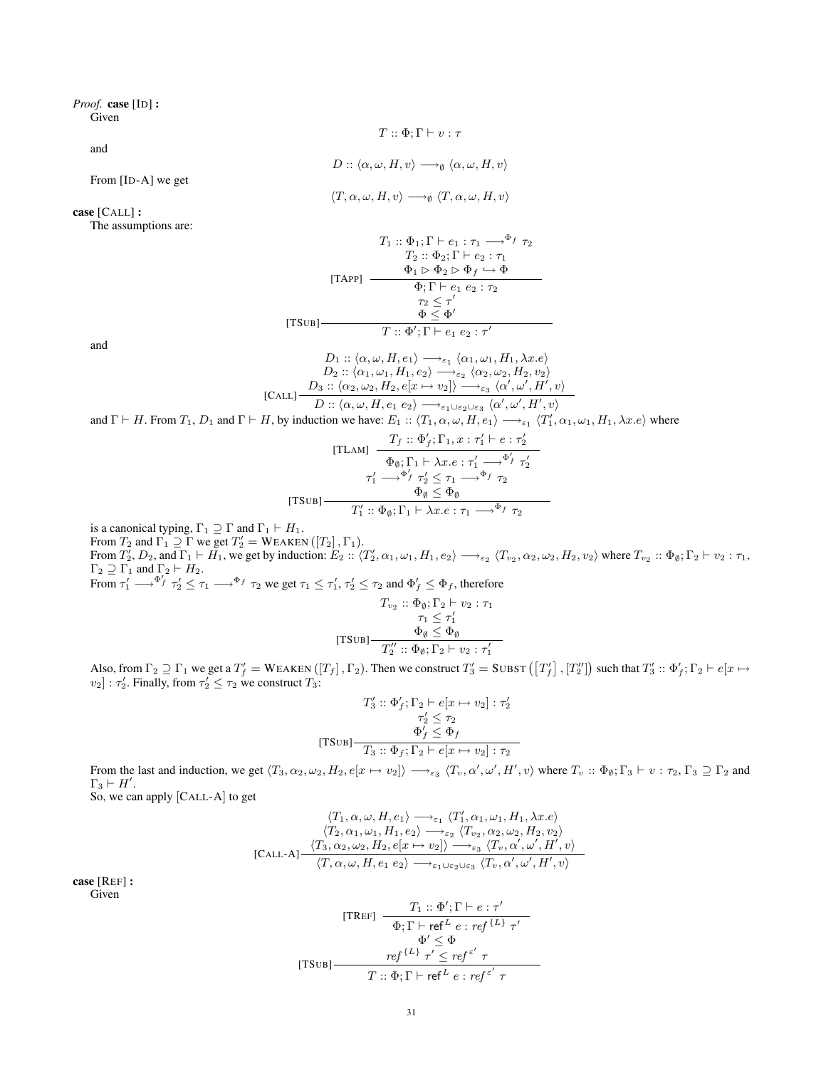# *Proof.* case [ID] :

Given

$$
T::\Phi ;\Gamma \vdash v : \tau
$$

 $D$  ::  $\langle \alpha, \omega, H, v \rangle \longrightarrow_{\emptyset} \langle \alpha, \omega, H, v \rangle$ 

and

From [ID-A] we get

$$
\langle T, \alpha, \omega, H, v \rangle \longrightarrow_{\emptyset} \langle T, \alpha, \omega, H, v \rangle
$$

# case [CALL] :

The assumptions are:

$$
T_1 :: \Phi_1; \Gamma \vdash e_1 : \tau_1 \longrightarrow^{\Phi_f} \tau_2
$$

$$
T_2 :: \Phi_2; \Gamma \vdash e_2 : \tau_1
$$

$$
\Phi_1 \rhd \Phi_2 \rhd \Phi_f \hookrightarrow \Phi
$$

$$
\overline{\Phi_1 \rhd \cdots \rhd \cdots \rhd \cdots \rhd \cdots \rhd \cdots}
$$

$$
T_2 \leq \tau'
$$

$$
\overline{\Phi \leq \Phi'}
$$

$$
T :: \Phi'; \Gamma \vdash e_1 \ e_2 : \tau'
$$

and

$$
D_1 :: \langle \alpha, \omega, H, e_1 \rangle \longrightarrow_{\varepsilon_1} \langle \alpha_1, \omega_1, H_1, \lambda x.e \rangle
$$
  
\n
$$
D_2 :: \langle \alpha_1, \omega_1, H_1, e_2 \rangle \longrightarrow_{\varepsilon_2} \langle \alpha_2, \omega_2, H_2, v_2 \rangle
$$
  
\n
$$
D_3 :: \langle \alpha_2, \omega_2, H_2, e[x \mapsto v_2] \rangle \longrightarrow_{\varepsilon_3} \langle \alpha', \omega', H', v \rangle
$$
  
\nand  $\Gamma \vdash H$ . From  $T_1$ ,  $D_1$  and  $\Gamma \vdash H$ , by induction we have:  $E_1 :: \langle T_1, \alpha, \omega, H, e_1 \rangle \longrightarrow_{\varepsilon_1} \langle T'_1, \alpha_1, \omega_1, H_1, \lambda x.e \rangle$  where

[TLAM] 
$$
\frac{T_f :: \Phi'_f; \Gamma_1, x : \tau'_1 \vdash e : \tau'_2}{\Phi_{\emptyset}; \Gamma_1 \vdash \lambda x. e : \tau'_1 \longrightarrow^{\Phi'_f} \tau'_2}
$$

$$
\tau'_1 \longrightarrow^{\Phi'_f} \tau'_2 \leq \tau_1 \longrightarrow^{\Phi_f} \tau_2
$$

$$
\frac{\Phi_{\emptyset} \leq \Phi_{\emptyset}}{T'_1 :: \Phi_{\emptyset}; \Gamma_1 \vdash \lambda x. e : \tau_1 \longrightarrow^{\Phi_f} \tau_2}
$$

is a canonical typing,  $\Gamma_1 \supseteq \Gamma$  and  $\Gamma_1 \vdash H_1$ . From  $T_2$  and  $\Gamma_1 \supseteq \Gamma$  we get  $T_2' = \text{WEAKEN}([T_2], \Gamma_1)$ . From  $T_2'$ ,  $D_2$ , and  $\Gamma_1 \vdash H_1$ , we get by induction:  $E_2 :: \langle T_2', \alpha_1, \omega_1, H_1, e_2 \rangle \longrightarrow_{\varepsilon_2} \langle T_{v_2}, \alpha_2, \omega_2, H_2, v_2 \rangle$  where  $T_{v_2} :: \Phi_\emptyset; \Gamma_2 \vdash v_2 : \tau_1$ ,  $\Gamma_2 \supseteq \Gamma_1$  and  $\Gamma_2 \vdash H_2$ . From  $\tau_1' \longrightarrow^{\Phi_f'} \tau_2' \leq \tau_1 \longrightarrow^{\Phi_f} \tau_2$  we get  $\tau_1 \leq \tau_1', \tau_2' \leq \tau_2$  and  $\Phi_f' \leq \Phi_f$ , therefore

$$
T_{v_2} :: \Phi_{\emptyset}; \Gamma_2 \vdash v_2 : \tau_1
$$

$$
\tau_1 \leq \tau'_1
$$

$$
\Phi_{\emptyset} \leq \Phi_{\emptyset}
$$

$$
T_2' :: \Phi_{\emptyset}; \Gamma_2 \vdash v_2 : \tau'_1
$$

Also, from  $\Gamma_2 \supseteq \Gamma_1$  we get a  $T'_f = W$ EAKEN  $([T_f], \Gamma_2)$ . Then we construct  $T'_3 = SUBST([T'_f], [T''_2])$  such that  $T'_3 :: \Phi'_f; \Gamma_2 \vdash e[x \mapsto y]$  $[v_2] : \tau'_2$ . Finally, from  $\tau'_2 \leq \tau_2$  we construct  $T_3$ :

$$
T'_3 :: \Phi'_f; \Gamma_2 \vdash e[x \mapsto v_2] : \tau'_2
$$

$$
\tau'_2 \leq \tau_2
$$

$$
\Phi'_f \leq \Phi_f
$$
[TSUB] 
$$
T_3 :: \Phi_f; \Gamma_2 \vdash e[x \mapsto v_2] : \tau_2
$$

From the last and induction, we get  $\langle T_3, \alpha_2, \omega_2, H_2, e[x \mapsto v_2] \rangle \longrightarrow_{\varepsilon_3} \langle T_v, \alpha', \omega', H', v \rangle$  where  $T_v :: \Phi_{\emptyset}; \Gamma_3 \vdash v : \tau_2, \Gamma_3 \supseteq \Gamma_2$  and  $\Gamma_3 \vdash H'.$ 

So, we can apply [CALL-A] to get

$$
\langle T_1, \alpha, \omega, H, e_1 \rangle \longrightarrow_{\varepsilon_1} \langle T'_1, \alpha_1, \omega_1, H_1, \lambda x. e \rangle
$$
  

$$
\langle T_2, \alpha_1, \omega_1, H_1, e_2 \rangle \longrightarrow_{\varepsilon_2} \langle T_{v_2}, \alpha_2, \omega_2, H_2, v_2 \rangle
$$
  
[CALL-A]
$$
\frac{\langle T_3, \alpha_2, \omega_2, H_2, e[x \mapsto v_2] \rangle \longrightarrow_{\varepsilon_3} \langle T_v, \alpha', \omega', H', v \rangle}{\langle T, \alpha, \omega, H, e_1 \ e_2 \rangle \longrightarrow_{\varepsilon_1 \cup \varepsilon_2 \cup \varepsilon_3} \langle T_v, \alpha', \omega', H', v \rangle}
$$

case [REF] :

Given

[TREF] 
$$
\frac{T_1 :: \Phi'; \Gamma \vdash e : \tau'}{\Phi; \Gamma \vdash \mathsf{ref}^L e : \mathsf{ref}^{\{L\}} \tau'}
$$

$$
\Phi' \leq \Phi
$$

$$
\mathsf{[TSUB]} \frac{\mathsf{ref}^{\{L\}} \tau' \leq \mathsf{ref}^{\varepsilon'} \tau}{T :: \Phi; \Gamma \vdash \mathsf{ref}^L e : \mathsf{ref}^{\varepsilon'} \tau}
$$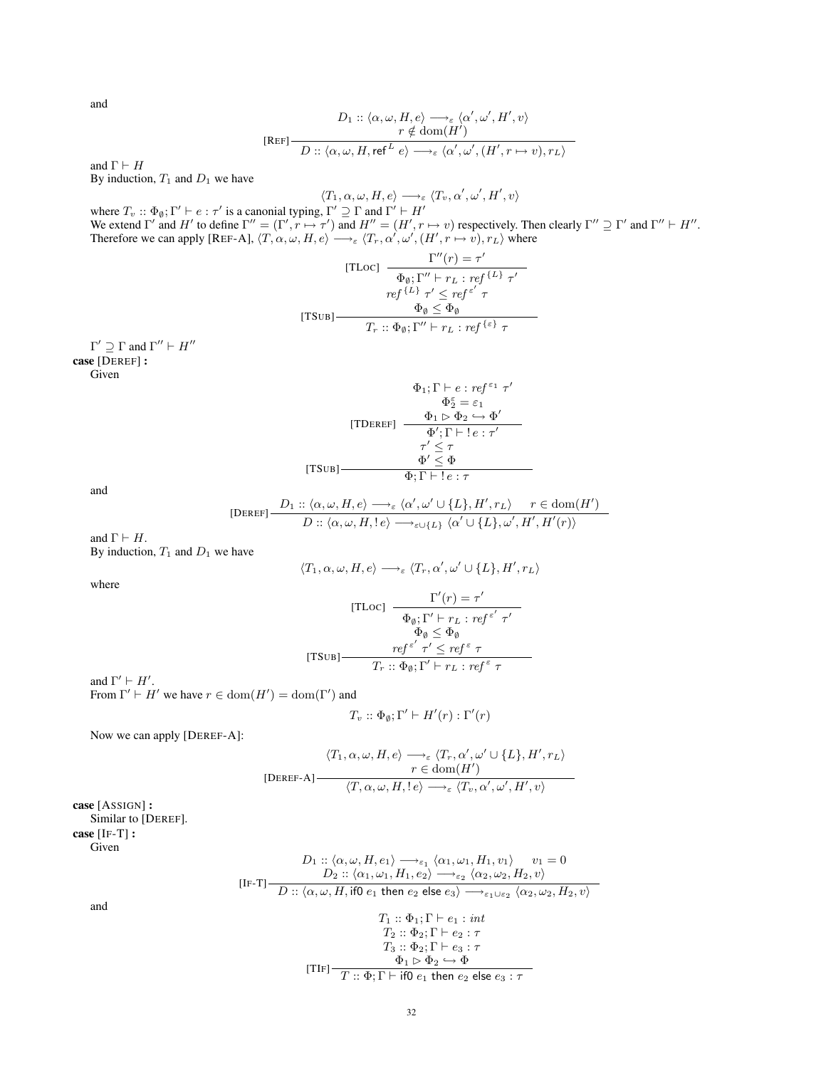and

$$
\begin{array}{c}D_1::\langle \alpha,\omega,H,e\rangle \longrightarrow_{\varepsilon}\langle \alpha',\omega',H',v\rangle\\r\notin\mathrm{dom}(H')\\ \hline D::\langle \alpha,\omega,H,\mathsf{ref}^L\;e\rangle\longrightarrow_{\varepsilon}\langle \alpha',\omega',(H',r\mapsto v),r_L\rangle\end{array}
$$

and  $\Gamma \vdash H$ By induction,  $T_1$  and  $D_1$  we have

$$
\langle T_1, \alpha, \omega, H, e \rangle \longrightarrow_{\varepsilon} \langle T_v, \alpha', \omega', H', v \rangle
$$

where  $T_v$ ::  $\Phi_\emptyset$ ;  $\Gamma' \vdash e : \tau'$  is a canonial typing,  $\Gamma' \supseteq \Gamma$  and  $\Gamma' \vdash H'$ We extend  $\Gamma'$  and  $H'$  to define  $\Gamma'' = (\Gamma', \Gamma \mapsto \tau')$  and  $H'' = (H', \Gamma \mapsto \nu)$  respectively. Then clearly  $\Gamma'' \supseteq \Gamma'$  and  $\Gamma'' \vdash H''$ . Therefore we can apply [REF-A],  $\langle T, \alpha, \omega, H, e \rangle \longrightarrow_{\varepsilon} \langle T_r, \alpha', \omega', (H', r \mapsto v), r_L \rangle$  where

[TLoc] 
$$
\frac{\Gamma''(r) = \tau'}{\Phi_{\emptyset}; \Gamma'' \vdash r_L : ref^{\{L\}} \tau'}
$$

$$
ref^{\{L\}} \tau' \leq ref^{\epsilon'} \tau
$$

$$
\frac{\Phi_{\emptyset} \leq \Phi_{\emptyset}}{T_r :: \Phi_{\emptyset}; \Gamma'' \vdash r_L : ref^{\{\epsilon\}} \tau}
$$

 $\Gamma' \supseteq \Gamma$  and  $\Gamma'' \vdash H''$ case [DEREF] : Given

$$
\Phi_1; \Gamma \vdash e : ref^{\epsilon_1} \tau'
$$

$$
\Phi_2^{\epsilon} = \varepsilon_1
$$

$$
\text{[TDEREF]} \quad \frac{\Phi_1 \rhd \Phi_2 \hookrightarrow \Phi'}{\Phi'; \Gamma \vdash ! e : \tau'}
$$

$$
\tau' \leq \tau
$$

$$
\Phi' \leq \Phi
$$

$$
\Phi; \Gamma \vdash ! e : \tau
$$

and

$$
[{\rm DEREF}] \frac{D_1 :: \langle \alpha, \omega, H, e \rangle \longrightarrow_{\varepsilon} \langle \alpha', \omega' \cup \{L\}, H', r_L \rangle \qquad r \in \text{dom}(H')}{D :: \langle \alpha, \omega, H, !e \rangle \longrightarrow_{\varepsilon \cup \{L\}} \langle \alpha' \cup \{L\}, \omega', H', H'(r) \rangle}
$$

and  $\Gamma \vdash H$ . By induction,  $T_1$  and  $D_1$  we have

$$
\langle T_1,\alpha,\omega,H,e\rangle \longrightarrow_\varepsilon \langle T_r,\alpha',\omega' \cup \{L\},H',r_L\rangle
$$

where

[TLoc] 
$$
\frac{\Gamma'(r) = \tau'}{\Phi_{\emptyset}; \Gamma' \vdash r_L : ref^{\varepsilon'} \tau'}
$$

$$
\Phi_{\emptyset} \leq \Phi_{\emptyset}
$$

$$
[TSUB] \frac{ref^{\varepsilon'} \tau' \leq ref^{\varepsilon} \tau}{T_r :: \Phi_{\emptyset}; \Gamma' \vdash r_L : ref^{\varepsilon} \tau}
$$

and  $\Gamma' \vdash H'$ .

From  $\Gamma' \vdash H'$  we have  $r \in \text{dom}(H') = \text{dom}(\Gamma')$  and

$$
T_v :: \Phi_{\emptyset}; \Gamma' \vdash H'(r) : \Gamma'(r)
$$

Now we can apply [DEREF-A]:

$$
\langle T_1, \alpha, \omega, H, e \rangle \longrightarrow_{\varepsilon} \langle T_r, \alpha', \omega' \cup \{L\}, H', r_L \rangle
$$
  

$$
r \in \text{dom}(H')
$$
  

$$
\langle T, \alpha, \omega, H, !e \rangle \longrightarrow_{\varepsilon} \langle T_v, \alpha', \omega', H', v \rangle
$$

case [ASSIGN] : Similar to [DEREF]. case [IF-T] : Given

$$
D_1 :: \langle \alpha, \omega, H, e_1 \rangle \longrightarrow_{\varepsilon_1} \langle \alpha_1, \omega_1, H_1, v_1 \rangle \qquad v_1 = 0
$$
  
\n
$$
D_2 :: \langle \alpha_1, \omega_1, H_1, e_2 \rangle \longrightarrow_{\varepsilon_2} \langle \alpha_2, \omega_2, H_2, v \rangle
$$
  
\n
$$
D :: \langle \alpha, \omega, H, \text{ if } 0 \text{ } e_1 \text{ then } e_2 \text{ else } e_3 \rangle \longrightarrow_{\varepsilon_1 \cup \varepsilon_2} \langle \alpha_2, \omega_2, H_2, v \rangle
$$
  
\n
$$
T_1 :: \Phi_1, \Gamma \vdash e_1 : \text{ int}
$$
  
\n
$$
T_2 :: \Phi_2; \Gamma \vdash e_2 : \tau
$$
  
\n
$$
T_3 :: \Phi_2; \Gamma \vdash e_3 : \tau
$$
  
\n
$$
[TIF] \longrightarrow T :: \Phi; \Gamma \vdash \text{ if } e_1 \text{ then } e_2 \text{ else } e_3 : \tau
$$

and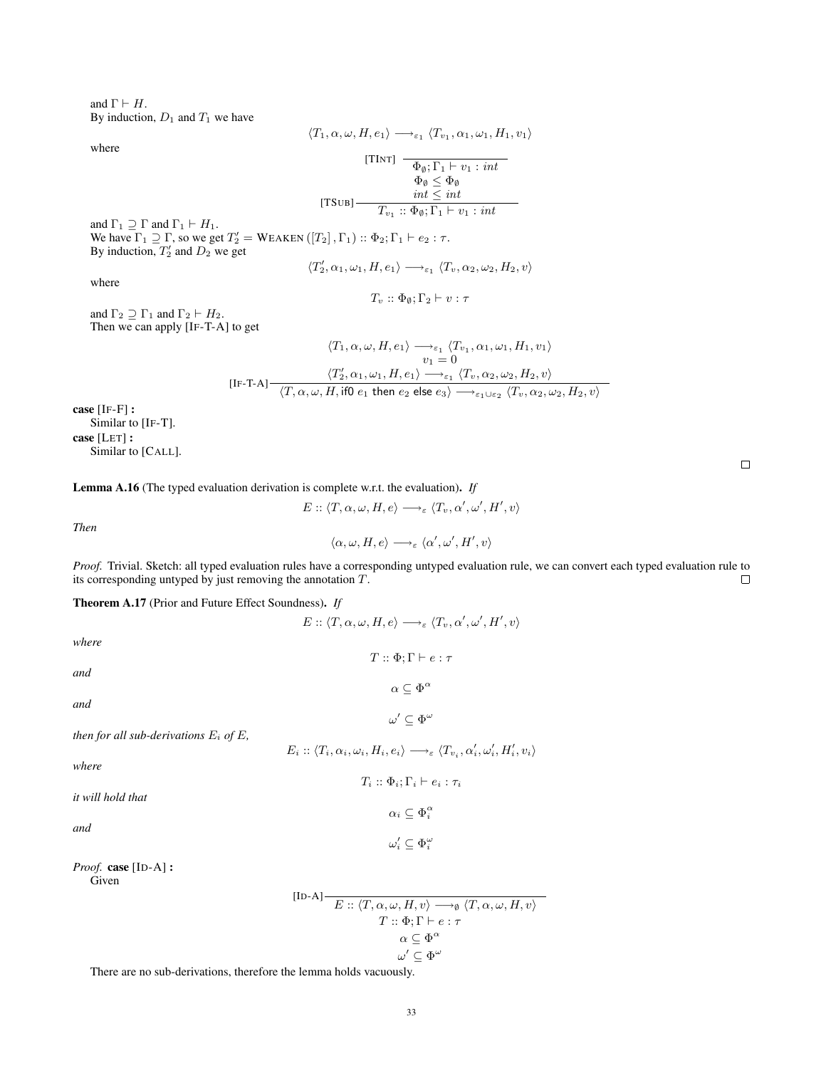and  $\Gamma \vdash H$ . By induction,  $D_1$  and  $T_1$  we have

 $\langle T_1, \alpha, \omega, H, e_1 \rangle \longrightarrow_{\varepsilon_1} \langle T_{v_1}, \alpha_1, \omega_1, H_1, v_1 \rangle$ 

where

[TINT] 
$$
\frac{1}{\Phi_{\emptyset}; \Gamma_1 \vdash v_1 : \text{int}}
$$

$$
\overbrace{v_{\emptyset}}^{\Phi_{\emptyset}} \leq \Phi_{\emptyset}
$$
  
[TSUB] 
$$
\overbrace{r_{v_1} :: \Phi_{\emptyset}; \Gamma_1 \vdash v_1 : int}
$$

and  $\Gamma_1 \supset \Gamma$  and  $\Gamma_1 \vdash H_1$ . We have  $\Gamma_1 \supseteq \Gamma$ , so we get  $T_2' = \text{WEAKEN}([T_2], \Gamma_1) :: \Phi_2; \Gamma_1 \vdash e_2 : \tau$ . By induction,  $T'_2$  and  $D_2$  we get

$$
\langle T_2', \alpha_1, \omega_1, H, e_1 \rangle \longrightarrow_{\varepsilon_1} \langle T_v, \alpha_2, \omega_2, H_2, v \rangle
$$

where

$$
T_v :: \Phi_\emptyset; \Gamma_2 \vdash v : \tau
$$

and  $\Gamma_2 \supseteq \Gamma_1$  and  $\Gamma_2 \vdash H_2$ . Then we can apply [IF-T-A] to get

$$
\langle T_1, \alpha, \omega, H, e_1 \rangle \longrightarrow_{\varepsilon_1} \langle T_{v_1}, \alpha_1, \omega_1, H_1, v_1 \rangle
$$
  
\n
$$
v_1 = 0
$$
  
\n
$$
\langle T_2', \alpha_1, \omega_1, H, e_1 \rangle \longrightarrow_{\varepsilon_1} \langle T_v, \alpha_2, \omega_2, H_2, v \rangle
$$
  
\n
$$
\langle T, \alpha, \omega, H, \text{if} 0 \ e_1 \text{ then } e_2 \text{ else } e_3 \rangle \longrightarrow_{\varepsilon_1 \cup \varepsilon_2} \langle T_v, \alpha_2, \omega_2, H_2, v \rangle
$$

case [IF-F] : Similar to [IF-T]. case [LET] : Similar to [CALL].

<span id="page-32-0"></span>Lemma A.16 (The typed evaluation derivation is complete w.r.t. the evaluation). *If*

$$
E::\langle T,\alpha,\omega,H,e\rangle\longrightarrow_{\varepsilon}\langle T_v,\alpha',\omega',H',v\rangle
$$

*Then*

$$
\langle \alpha, \omega, H, e \rangle \longrightarrow_{\varepsilon} \langle \alpha', \omega', H', v \rangle
$$

*Proof.* Trivial. Sketch: all typed evaluation rules have a corresponding untyped evaluation rule, we can convert each typed evaluation rule to its corresponding untyped by just removing the annotation T.  $\Box$ 

<span id="page-32-1"></span>Theorem A.17 (Prior and Future Effect Soundness). *If*

$$
E::\langle T,\alpha,\omega,H,e\rangle \longrightarrow_{\varepsilon} \langle T_v,\alpha',\omega',H',v\rangle
$$

 $T :: \Phi; \Gamma \vdash e : \tau$ 

 $\alpha \subseteq \Phi^{\alpha}$ 

 $\omega'\subseteq \Phi^\omega$ 

 $T_i :: \Phi_i; \Gamma_i \vdash e_i : \tau_i$ 

 $\alpha_i \subseteq \Phi_i^{\alpha}$ 

 $\omega_i' \subseteq \Phi_i^\omega$ 

*where*

*and*

*and*

then for all sub-derivations 
$$
E_i
$$
 of  $E$ ,

$$
E_i :: \langle T_i, \alpha_i, \omega_i, H_i, e_i \rangle \longrightarrow_{\varepsilon} \langle T_{v_i}, \alpha'_i, \omega'_i, H'_i, v_i \rangle
$$

*where*

*it will hold that*

*and*

*Proof.* case [ID-A] : Given

$$
\begin{aligned} \text{[ID-A]} \quad & \xrightarrow{\qquad} E :: \langle T, \alpha, \omega, H, v \rangle \longrightarrow_{\emptyset} \langle T, \alpha, \omega, H, v \rangle \\ & \qquad \qquad T :: \Phi; \Gamma \vdash e : \tau \\ & \alpha \subseteq \Phi^{\alpha} \\ & \omega' \subseteq \Phi^{\omega} \end{aligned}
$$

There are no sub-derivations, therefore the lemma holds vacuously.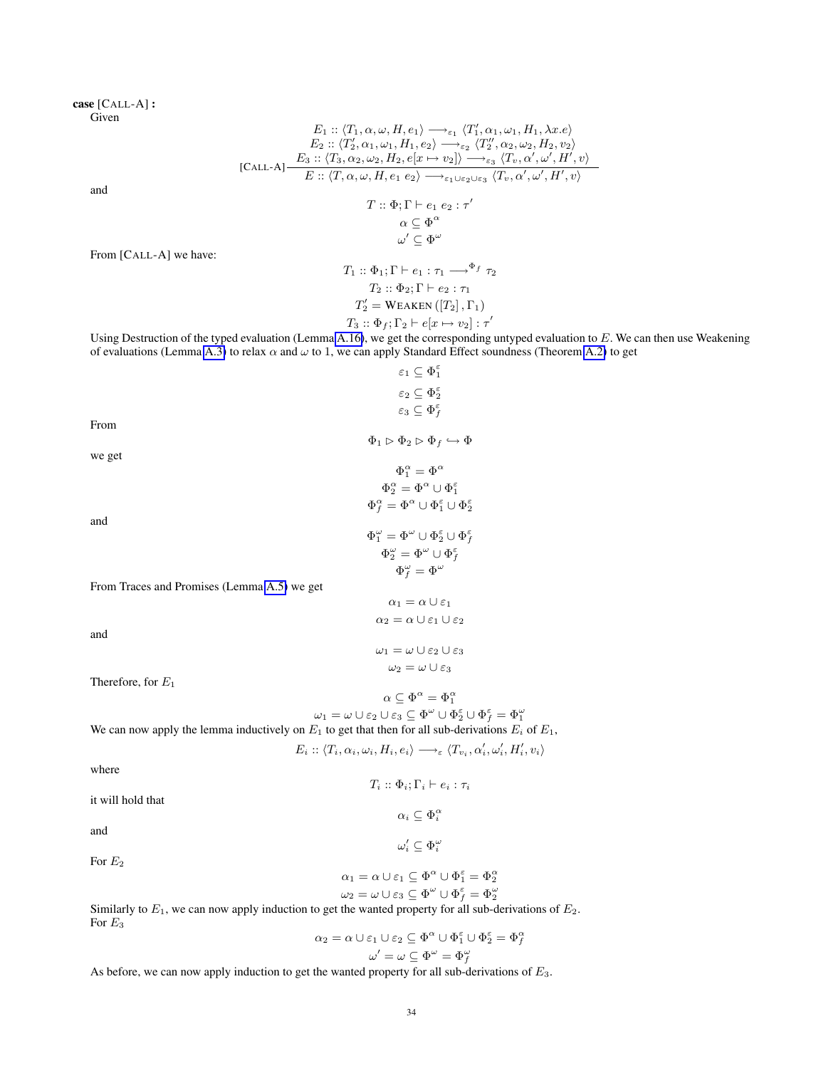case [CALL-A] : Given

$$
E_1 :: \langle T_1, \alpha, \omega, H, e_1 \rangle \longrightarrow_{\varepsilon_1} \langle T_1', \alpha_1, \omega_1, H_1, \lambda x. e \rangle
$$
  
\n
$$
E_2 :: \langle T_2', \alpha_1, \omega_1, H_1, e_2 \rangle \longrightarrow_{\varepsilon_2} \langle T_2'', \alpha_2, \omega_2, H_2, v_2 \rangle
$$
  
\n[Call-A]  
\n
$$
\frac{E_3 :: \langle T_3, \alpha_2, \omega_2, H_2, e[x \mapsto v_2] \rangle \longrightarrow_{\varepsilon_3} \langle T_v, \alpha', \omega', H', v \rangle}{E :: \langle T, \alpha, \omega, H, e_1 \ e_2 \rangle \longrightarrow_{\varepsilon_1 \cup \varepsilon_2 \cup \varepsilon_3} \langle T_v, \alpha', \omega', H', v \rangle}
$$
  
\n
$$
T :: \Phi; \Gamma \vdash e_1 \ e_2 : \tau'
$$
  
\n
$$
\alpha \subseteq \Phi^{\alpha}
$$
  
\n
$$
\omega' \subseteq \Phi^{\omega}
$$
  
\n
$$
T_1 :: \Phi_1; \Gamma \vdash e_1 : \tau_1 \longrightarrow^{\Phi_f} \tau_2
$$
  
\n
$$
T_2 :: \Phi \circ \Gamma \vdash e_2 : \tau
$$

$$
T_2 :: \Phi_2; \Gamma \vdash e_2 : \tau_1
$$

$$
T_2' = \text{WEAKEN} ([T_2], \Gamma_1)
$$

$$
T_3 :: \Phi_f; \Gamma_2 \vdash e[x \mapsto v_2] : \tau'
$$

Using Destruction of the typed evaluation (Lemma [A.16\)](#page-32-0), we get the corresponding untyped evaluation to  $E$ . We can then use Weakening of evaluations (Lemma [A.3\)](#page-18-3) to relax  $\alpha$  and  $\omega$  to 1, we can apply Standard Effect soundness (Theorem [A.2\)](#page-13-1) to get  $\varepsilon_1 \subseteq \Phi_1^{\varepsilon}$ 

|                                             | $\varepsilon_2 \subseteq \Phi_2^\varepsilon$                                                                                                      |
|---------------------------------------------|---------------------------------------------------------------------------------------------------------------------------------------------------|
|                                             | $\varepsilon_3 \subseteq \Phi_f^{\varepsilon}$                                                                                                    |
| From                                        |                                                                                                                                                   |
|                                             | $\Phi_1 \triangleright \Phi_2 \triangleright \Phi_f \hookrightarrow \Phi$                                                                         |
| we get                                      |                                                                                                                                                   |
|                                             | $\Phi_1^{\alpha} = \Phi^{\alpha}$                                                                                                                 |
|                                             | $\Phi^{\alpha}_{2} = \Phi^{\alpha} \cup \Phi^{\varepsilon}_{1}$                                                                                   |
|                                             | $\Phi_{f}^{\alpha} = \Phi^{\alpha} \cup \Phi_{1}^{\varepsilon} \cup \Phi_{2}^{\varepsilon}$                                                       |
| and                                         |                                                                                                                                                   |
|                                             | $\Phi_1^\omega = \Phi^\omega \cup \Phi_2^\varepsilon \cup \Phi_f^\varepsilon$                                                                     |
|                                             | $\Phi_2^{\omega} = \Phi^{\omega} \cup \Phi_f^{\varepsilon}$                                                                                       |
|                                             | $\Phi^{\omega}_{f}=\Phi^{\omega}$                                                                                                                 |
| From Traces and Promises (Lemma A.5) we get |                                                                                                                                                   |
|                                             | $\alpha_1 = \alpha \cup \varepsilon_1$                                                                                                            |
|                                             | $\alpha_2 = \alpha \cup \varepsilon_1 \cup \varepsilon_2$                                                                                         |
| and                                         |                                                                                                                                                   |
|                                             | $\omega_1 = \omega \cup \varepsilon_2 \cup \varepsilon_3$                                                                                         |
|                                             | $\omega_2 = \omega \cup \varepsilon_3$                                                                                                            |
| Therefore, for $E_1$                        |                                                                                                                                                   |
|                                             | $\alpha \subseteq \Phi^{\alpha} = \Phi_1^{\alpha}$                                                                                                |
|                                             | $\omega_1 = \omega \cup \varepsilon_2 \cup \varepsilon_3 \subseteq \Phi^\omega \cup \Phi_2^\varepsilon \cup \Phi_f^\varepsilon = \Phi_1^\omega$   |
|                                             | We can now apply the lemma inductively on $E_1$ to get that then for all sub-derivations $E_i$ of $E_1$ ,                                         |
|                                             | $E_i :: \langle T_i, \alpha_i, \omega_i, H_i, e_i \rangle \longrightarrow_{\varepsilon} \langle T_{v_i}, \alpha'_i, \omega'_i, H'_i, v_i \rangle$ |
| where                                       |                                                                                                                                                   |
|                                             | $T_i :: \Phi_i ; \Gamma_i \vdash e_i : \tau_i$                                                                                                    |
| it will hold that                           |                                                                                                                                                   |
|                                             | $\alpha_i \subseteq \Phi_i^{\alpha}$                                                                                                              |
| and                                         |                                                                                                                                                   |
|                                             | $\omega'_i \subset \Phi_i^{\omega}$                                                                                                               |
| For $E_2$                                   |                                                                                                                                                   |
|                                             | $\alpha_1 = \alpha \cup \varepsilon_1 \subseteq \Phi^\alpha \cup \Phi_1^\varepsilon = \Phi_2^\alpha$                                              |

 $\omega_2 = \omega \cup \varepsilon_3 \subseteq \Phi^\omega \cup \Phi_f^\varepsilon = \Phi_2^\omega$ 

Similarly to  $E_1$ , we can now apply induction to get the wanted property for all sub-derivations of  $E_2$ . For  $\mathcal{E}_3$  $\Phi_{f}^{\alpha}$ 

$$
\begin{aligned} \alpha_2 = \alpha \cup \varepsilon_1 \cup \varepsilon_2 &\subseteq \Phi^\alpha \cup \Phi_1^\varepsilon \cup \Phi_2^\varepsilon = \Phi_f^\alpha \\ \omega' = \omega \subseteq \Phi^\omega = \Phi_f^\omega \end{aligned}
$$

As before, we can now apply induction to get the wanted property for all sub-derivations of  $E_3$ .

and

From [CALL-A] we have: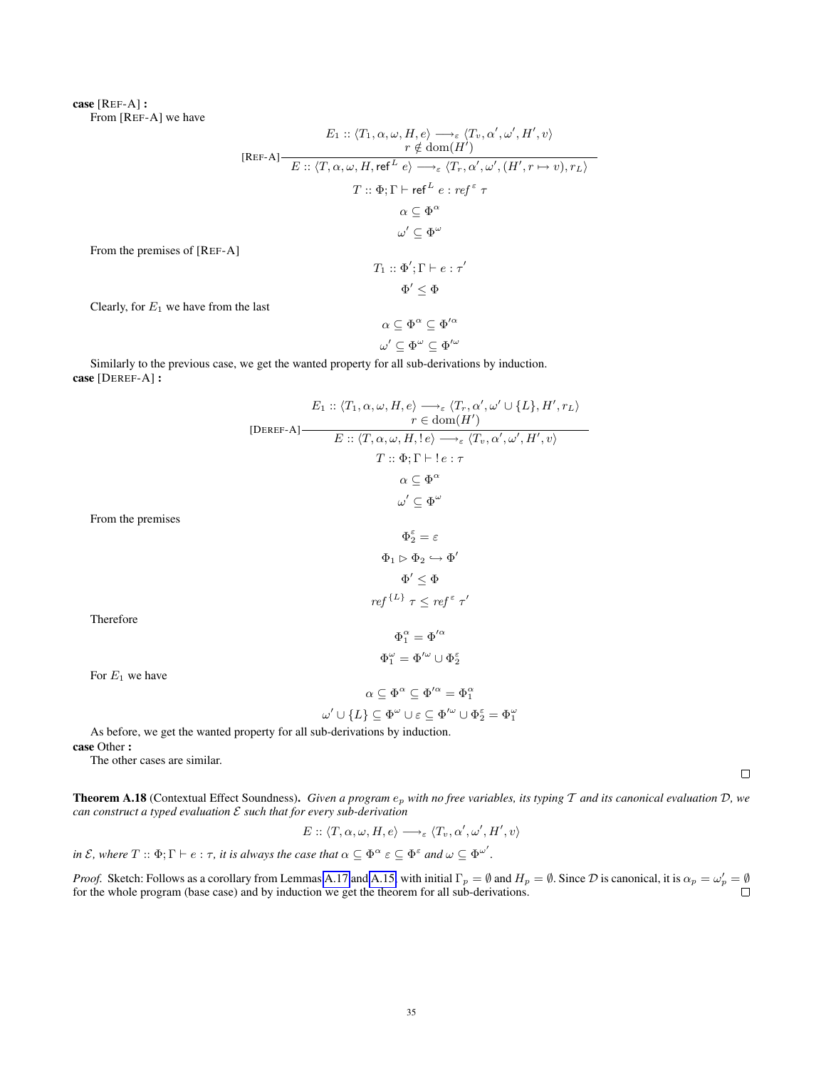case [REF-A] : From [REF-A] we have

$$
E_1 :: \langle T_1, \alpha, \omega, H, e \rangle \longrightarrow_{\varepsilon} \langle T_v, \alpha', \omega', H', v \rangle
$$
  
\n
$$
[REF-A]
$$
  
\n
$$
E :: \langle T, \alpha, \omega, H, ref^L e \rangle \longrightarrow_{\varepsilon} \langle T_r, \alpha', \omega', (H', r \mapsto v), r_L \rangle
$$
  
\n
$$
T :: \Phi; \Gamma \vdash ref^L e : ref^{\varepsilon} \tau
$$
  
\n
$$
\alpha \subseteq \Phi^{\alpha}
$$
  
\n
$$
\omega' \subseteq \Phi^{\omega}
$$
  
\nFrom the premises of [REF-A]  
\n
$$
T_1 :: \Phi'; \Gamma \vdash e : \tau'
$$
  
\n
$$
\Phi' \leq \Phi
$$
  
\nClearly, for  $E_1$  we have from the last  
\n
$$
\alpha \subset \Phi^{\alpha} \subset \Phi'^{\alpha}
$$

Clearly, for  $E_1$  we have from

$$
\alpha \subseteq \Phi^{\alpha} \subseteq \Phi'^{\alpha}
$$

$$
\omega' \subseteq \Phi^{\omega} \subseteq \Phi'^{\omega}
$$

Similarly to the previous case, we get the wanted property for all sub-derivations by induction. case [DEREF-A] :

$$
E_1 :: \langle T_1, \alpha, \omega, H, e \rangle \longrightarrow_{\varepsilon} \langle T_r, \alpha', \omega' \cup \{L\}, H', r_L \rangle
$$
  
\n[DEREF-A]  
\n
$$
E :: \langle T, \alpha, \omega, H, l e \rangle \longrightarrow_{\varepsilon} \langle T_v, \alpha', \omega', H', v \rangle
$$
  
\n
$$
T :: \Phi; \Gamma \vdash l e : \tau
$$
  
\n
$$
\alpha \subseteq \Phi^{\alpha}
$$
  
\n
$$
\omega' \subseteq \Phi^{\omega}
$$
  
\nFrom the premises  
\n
$$
\Phi_2^{\varepsilon} = \varepsilon
$$
  
\n
$$
\Phi_1 \rhd \Phi_2 \hookrightarrow \Phi'
$$
  
\n
$$
\Phi_1^{\varepsilon} \leq \Phi
$$
  
\n
$$
ref^{\{L\}} \tau \leq ref^{\varepsilon} \tau'
$$
  
\nTherefore  
\n
$$
\Phi_1^{\alpha} = \Phi'^{\alpha}
$$
  
\n
$$
\Phi_1^{\alpha} = \Phi'^{\alpha}
$$
  
\n
$$
\Phi_1^{\alpha} = \Phi'^{\alpha}
$$
  
\nFor  $E_1$  we have  
\n
$$
\alpha \subseteq \Phi^{\alpha} \subseteq \Phi'^{\alpha} = \Phi_1^{\alpha}
$$
  
\n
$$
\omega' \cup \{L\} \subseteq \Phi^{\omega} \cup \varepsilon \subseteq \Phi'^{\omega} \cup \Phi_2^{\varepsilon} = \Phi_1^{\omega}
$$

As before, we get the wanted property for all sub-derivations by induction.

case Other :

Therefore

For  $E_1$  we have

The other cases are similar.

**Theorem A.18** (Contextual Effect Soundness). *Given a program*  $e_p$  *with no free variables, its typing*  $T$  *and its canonical evaluation*  $D$ *, we can construct a typed evaluation* E *such that for every sub-derivation*

$$
E::\langle T,\alpha,\omega,H,e\rangle \longrightarrow_{\varepsilon} \langle T_v,\alpha',\omega',H',v\rangle
$$

*in*  $\mathcal{E}$ , where  $T :: \Phi$ ;  $\Gamma \vdash e : \tau$ , *it is always the case that*  $\alpha \subseteq \Phi^{\alpha} \varepsilon \subseteq \Phi^{\varepsilon}$  and  $\omega \subseteq \Phi^{\omega'}$ .

*Proof.* Sketch: Follows as a corollary from Lemmas [A.17](#page-32-1) and [A.15,](#page-29-0) with initial  $\Gamma_p = \emptyset$  and  $H_p = \emptyset$ . Since  $\mathcal D$  is canonical, it is  $\alpha_p = \omega'_p = \emptyset$ for the whole program (base case) and by induction we get the theorem for all sub-derivations.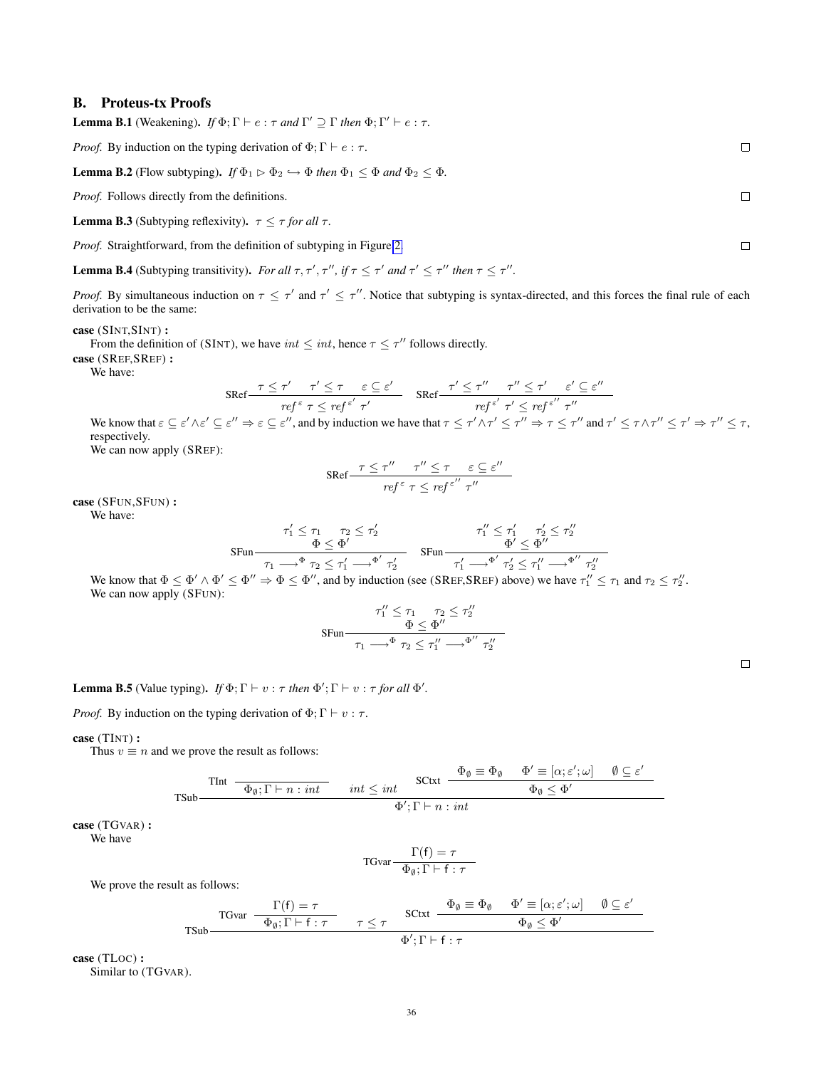# <span id="page-35-0"></span>B. Proteus-tx Proofs

<span id="page-35-3"></span>**Lemma B.1** (Weakening). *If*  $\Phi$ ;  $\Gamma \vdash e : \tau$  *and*  $\Gamma' \supseteq \Gamma$  *then*  $\Phi$ ;  $\Gamma' \vdash e : \tau$ .

*Proof.* By induction on the typing derivation of  $\Phi$ ;  $\Gamma \vdash e : \tau$ .

<span id="page-35-5"></span>**Lemma B.2** (Flow subtyping). *If*  $\Phi_1 \triangleright \Phi_2 \hookrightarrow \Phi$  *then*  $\Phi_1 \leq \Phi$  *and*  $\Phi_2 \leq \Phi$ *.* 

*Proof.* Follows directly from the definitions.

<span id="page-35-2"></span>**Lemma B.3** (Subtyping reflexivity).  $\tau \leq \tau$  for all  $\tau$ .

*Proof.* Straightforward, from the definition of subtyping in Figure [2.](#page-1-2)

<span id="page-35-1"></span>**Lemma B.4** (Subtyping transitivity). For all  $\tau$ ,  $\tau'$ ,  $\tau''$ , if  $\tau \leq \tau'$  and  $\tau' \leq \tau''$  then  $\tau \leq \tau''$ .

*Proof.* By simultaneous induction on  $\tau \leq \tau'$  and  $\tau' \leq \tau''$ . Notice that subtyping is syntax-directed, and this forces the final rule of each derivation to be the same:

case (SINT,SINT) :

From the definition of (SINT), we have  $int \leq int$ , hence  $\tau \leq \tau''$  follows directly.

case (SREF,SREF) :

We have:

$$
\text{SRef} \frac{\tau \le \tau' \quad \tau' \le \tau \quad \varepsilon \subseteq \varepsilon'}{ref^{\varepsilon} \tau \le ref^{\varepsilon'} \tau'} \quad \text{SRef} \frac{\tau' \le \tau'' \quad \tau'' \le \tau' \quad \varepsilon' \subseteq \varepsilon''}{ref^{\varepsilon'} \tau' \le ref^{\varepsilon''} \tau''}
$$

We know that  $\varepsilon \subseteq \varepsilon' \land \varepsilon' \subseteq \varepsilon'' \Rightarrow \varepsilon \subseteq \varepsilon''$ , and by induction we have that  $\tau \leq \tau' \land \tau' \leq \tau'' \Rightarrow \tau \leq \tau''$  and  $\tau' \leq \tau \land \tau'' \leq \tau' \Rightarrow \tau'' \leq \tau$ , respectively.

We can now apply (SREF):

$$
\text{SRef} \frac{\tau \le \tau'' \quad \tau'' \le \tau \quad \varepsilon \subseteq \varepsilon''}{\text{ref}^{\varepsilon} \tau \le \text{ref}^{\varepsilon''} \tau''}
$$

case (SFUN,SFUN) :

We have:

$$
\mathsf{S}\text{-}\mathrm{Fun}\begin{array}{c} \tau_1' \leq \tau_1 \qquad \tau_2 \leq \tau_2' \\ \Phi \leq \Phi' \end{array} \qquad \mathsf{S}\text{-}\mathrm{Fun}\begin{array}{c} \tau_1'' \leq \tau_1' \qquad \tau_2' \leq \tau_2'' \\ \Phi' \leq \Phi'' \end{array}
$$

We know that  $\Phi \leq \Phi' \wedge \Phi' \leq \Phi'' \Rightarrow \Phi \leq \Phi''$ , and by induction (see (SREF, SREF) above) we have  $\tau_1'' \leq \tau_1$  and  $\tau_2 \leq \tau_2''$ . We can now apply (SFUN):  $\overline{u}$ 

$$
\pi_1'' \le \tau_1 \quad \tau_2 \le \tau_2''
$$
  
 
$$
\Phi \le \Phi''
$$
  
 
$$
\tau_1 \longrightarrow^{\Phi} \tau_2 \le \tau_1'' \longrightarrow^{\Phi''} \tau_2''
$$

<span id="page-35-4"></span>**Lemma B.5** (Value typing). *If*  $\Phi$ ;  $\Gamma \vdash v : \tau$  *then*  $\Phi'$ ;  $\Gamma \vdash v : \tau$  *for all*  $\Phi'$ .

*Proof.* By induction on the typing derivation of  $\Phi$ ;  $\Gamma \vdash v : \tau$ .

case (TINT) :

Thus  $v \equiv n$  and we prove the result as follows:

$$
\text{TInt } \frac{\text{Tr}\left(\mathbf{u} - \mathbf{v}_0\right) \cdot \mathbf{v}_0 + \mathbf{v}_0 \cdot \mathbf{v}_0}{\Phi_0 \cdot \mathbf{v}_0 \cdot \mathbf{v}_0} \quad \text{and} \quad \mathbf{v}_0 \leq \mathbf{v}_0 \quad \text{for } \mathbf{v}_0 \leq \mathbf{v}_0 \leq \mathbf{v}_0 \leq \mathbf{v}_0 \leq \mathbf{v}_0 \leq \mathbf{v}_0 \leq \mathbf{v}_0 \leq \mathbf{v}_0 \leq \mathbf{v}_0 \leq \mathbf{v}_0 \leq \mathbf{v}_0 \leq \mathbf{v}_0 \leq \mathbf{v}_0 \leq \mathbf{v}_0 \leq \mathbf{v}_0 \leq \mathbf{v}_0 \leq \mathbf{v}_0 \leq \mathbf{v}_0 \leq \mathbf{v}_0 \leq \mathbf{v}_0 \leq \mathbf{v}_0 \leq \mathbf{v}_0 \leq \mathbf{v}_0 \leq \mathbf{v}_0 \leq \mathbf{v}_0 \leq \mathbf{v}_0 \leq \mathbf{v}_0 \leq \mathbf{v}_0 \leq \mathbf{v}_0 \leq \mathbf{v}_0 \leq \mathbf{v}_0 \leq \mathbf{v}_0 \leq \mathbf{v}_0 \leq \mathbf{v}_0 \leq \mathbf{v}_0 \leq \mathbf{v}_0 \leq \mathbf{v}_0 \leq \mathbf{v}_0 \leq \mathbf{v}_0 \leq \mathbf{v}_0 \leq \mathbf{v}_0 \leq \mathbf{v}_0 \leq \mathbf{v}_0 \leq \mathbf{v}_0 \leq \mathbf{v}_0 \leq \mathbf{v}_0 \leq \mathbf{v}_0 \leq \mathbf{v}_0 \leq \mathbf{v}_0 \leq \mathbf{v}_0 \leq \mathbf{v}_0 \leq \mathbf{v}_0 \leq \mathbf{v}_0 \leq \mathbf{v}_0 \leq \mathbf{v}_0 \leq \mathbf{v}_0 \leq \mathbf{v}_0 \leq \mathbf{v}_0 \leq \mathbf{v}_0 \leq \mathbf{v}_0 \leq \mathbf{v}_0 \leq \mathbf{v}_0 \leq \mathbf{v}_0 \leq \mathbf{v}_0 \leq \mathbf{v}_
$$

case (TGVAR) : We have

$$
\text{TGvar}\frac{\Gamma(\mathbf{f}) = \tau}{\Phi_{\emptyset}; \Gamma \vdash \mathbf{f} : \tau}
$$

We prove the result as follows:

$$
\text{TSub}\frac{\Gamma(f) = \tau}{\Phi_{\emptyset}; \Gamma \vdash f : \tau} \qquad \tau \leq \tau \qquad \text{SCtxt} \quad \frac{\Phi_{\emptyset} \equiv \Phi_{\emptyset} \qquad \Phi' \equiv [\alpha; \varepsilon'; \omega] \qquad \emptyset \subseteq \varepsilon'}{\Phi_{\emptyset} \leq \Phi'} \\ \text{TSub}\frac{\Gamma(f) = \tau}{\Phi'(f) \Gamma \vdash f : \tau}
$$

case (TLOC) :

Similar to (TGVAR).

 $\Box$ 

 $\Box$  $\Box$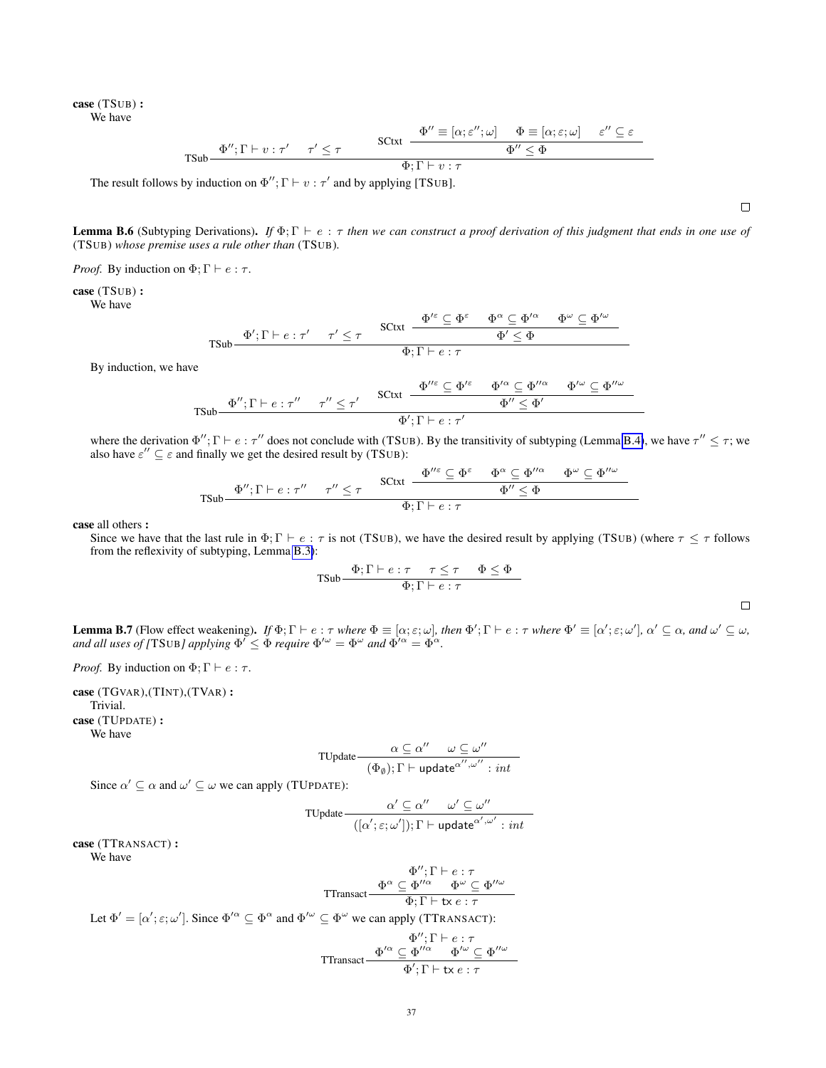case (TSUB) : We have

$$
\text{TSub} \frac{\Phi''; \Gamma \vdash v : \tau' \quad \tau' \leq \tau}{\Phi'' \equiv [\alpha; \varepsilon''; \omega] \quad \Phi \equiv [\alpha; \varepsilon; \omega] \quad \varepsilon'' \subseteq \varepsilon}{\Phi'' \leq \Phi} \frac{\text{SCtxt}}{\Phi; \Gamma \vdash v : \tau}
$$

The result follows by induction on  $\Phi''$ ;  $\Gamma \vdash v : \tau'$  and by applying [TSUB].

<span id="page-36-0"></span>**Lemma B.6** (Subtyping Derivations). *If*  $\Phi$ ;  $\Gamma \vdash e : \tau$  *then we can construct a proof derivation of this judgment that ends in one use of* (TSUB) *whose premise uses a rule other than* (TSUB)*.*

*Proof.* By induction on  $\Phi$ ;  $\Gamma \vdash e : \tau$ .

case (TSUB) :

We have

$$
\text{TSub} \frac{\Phi'; \Gamma \vdash e : \tau' \quad \tau' \leq \tau \quad \text{SCtxt } \frac{\Phi'^{\varepsilon} \subseteq \Phi^{\varepsilon} \quad \Phi^{\alpha} \subseteq \Phi'^{\alpha} \quad \Phi^{\omega} \subseteq \Phi'^{\omega}}{\Phi' \leq \Phi}
$$
\n
$$
\text{TSub} \frac{\Phi'; \Gamma \vdash e : \tau}{\Phi \vdash \Gamma \vdash e : \tau}
$$

By induction, we have

$$
\text{TSub} \frac{\Phi''; \Gamma \vdash e : \tau'' \quad \tau'' \le \tau'}{\Phi'; \Gamma \vdash e : \tau'' \quad \Phi'' \le \tau'} \frac{\text{SCtxt } \frac{\Phi''^{\varepsilon} \subseteq \Phi'^{\varepsilon} \quad \Phi'^{\alpha} \subseteq \Phi''^{\alpha} \quad \Phi'^{\omega} \subseteq \Phi''^{\omega}}{\Phi' \le \Phi'}}{\Phi'; \Gamma \vdash e : \tau'}
$$

where the derivation  $\Phi''$ ;  $\Gamma \vdash e : \tau''$  does not conclude with (TSUB). By the transitivity of subtyping (Lemma [B.4\)](#page-35-1), we have  $\tau'' \leq \tau$ ; we also have  $\varepsilon'' \subseteq \varepsilon$  and finally we get the desired result by (TSUB):

$$
\mathsf{TSub}\frac{\Phi'';\Gamma\vdash e:\tau''\qquad \tau''\leq \tau}{\Phi';\Gamma\vdash e:\tau''}\frac{\mathsf{SCtxt}\frac{\Phi''^\varepsilon\subseteq \Phi^\varepsilon\qquad \Phi^\alpha\subseteq \Phi''^\alpha\qquad \Phi^\omega\subseteq \Phi''^\omega}{\Phi''\leq \Phi}}{\Phi;\Gamma\vdash e:\tau}
$$

case all others :

Since we have that the last rule in  $\Phi$ ;  $\Gamma \vdash e : \tau$  is not (TSUB), we have the desired result by applying (TSUB) (where  $\tau \leq \tau$  follows from the reflexivity of subtyping, Lemma [B.3\)](#page-35-2):

$$
\text{TSub} \frac{\Phi; \Gamma \vdash e : \tau \quad \tau \leq \tau \quad \Phi \leq \Phi}{\Phi; \Gamma \vdash e : \tau}
$$

<span id="page-36-1"></span>Lemma B.7 (Flow effect weakening). *If*  $\Phi$ ;  $\Gamma \vdash e : \tau$  *where*  $\Phi \equiv [\alpha; \varepsilon; \omega]$ *, then*  $\Phi'$ ;  $\Gamma \vdash e : \tau$  *where*  $\Phi' \equiv [\alpha'; \varepsilon; \omega']$ *,*  $\alpha' \subseteq \alpha$ *, and*  $\omega' \subseteq \omega$ *, and all uses of [TSUB] applying*  $\Phi' \leq \Phi$  *require*  $\Phi'^{\omega} = \Phi^{\omega}$  *and*  $\Phi'^{\alpha} = \Phi^{\alpha}$ *.* 

*Proof.* By induction on  $\Phi$ ;  $\Gamma \vdash e : \tau$ .

case (TGVAR),(TINT),(TVAR) : Trivial. case (TUPDATE) : We have

$$
\text{TVpdate}\frac{\alpha\subseteq\alpha''\quad \omega\subseteq\omega''}{(\Phi_\emptyset);\Gamma\vdash \text{update}^{\alpha'',\omega''}: \mathit{int}}
$$

Since  $\alpha' \subseteq \alpha$  and  $\omega' \subseteq \omega$  we can apply (TUPDATE):

$$
\text{TVpdate} \frac{\alpha' \subseteq \alpha'' \quad \omega' \subseteq \omega''}{([ \alpha'; \varepsilon; \omega']) ; \Gamma \vdash \text{update}^{\alpha', \omega'} : \text{int} }
$$

case (TTRANSACT) : We have

$$
\Phi^{\prime\prime}; \Gamma \vdash e : \tau
$$
\n
$$
\Phi^{\alpha} \subseteq \Phi^{\prime\prime\alpha} \qquad \Phi^{\omega} \subseteq \Phi^{\prime\prime\omega}
$$
\n
$$
\Phi: \Gamma \vdash \mathbf{tx} \, e : \tau
$$

Let  $\Phi' = [\alpha'; \varepsilon; \omega']$ . Since  $\Phi'^{\alpha} \subseteq \Phi^{\alpha}$  and  $\Phi'^{\omega} \subseteq \Phi^{\omega}$  we can apply (TTRANSACT):

TTransact Φ <sup>00</sup>; Γ ` e : τ Φ <sup>0</sup><sup>α</sup> ⊆ Φ <sup>00</sup><sup>α</sup> Φ <sup>0</sup><sup>ω</sup> ⊆ Φ 00ω Φ 0 ; Γ ` tx e : τ

 $\Box$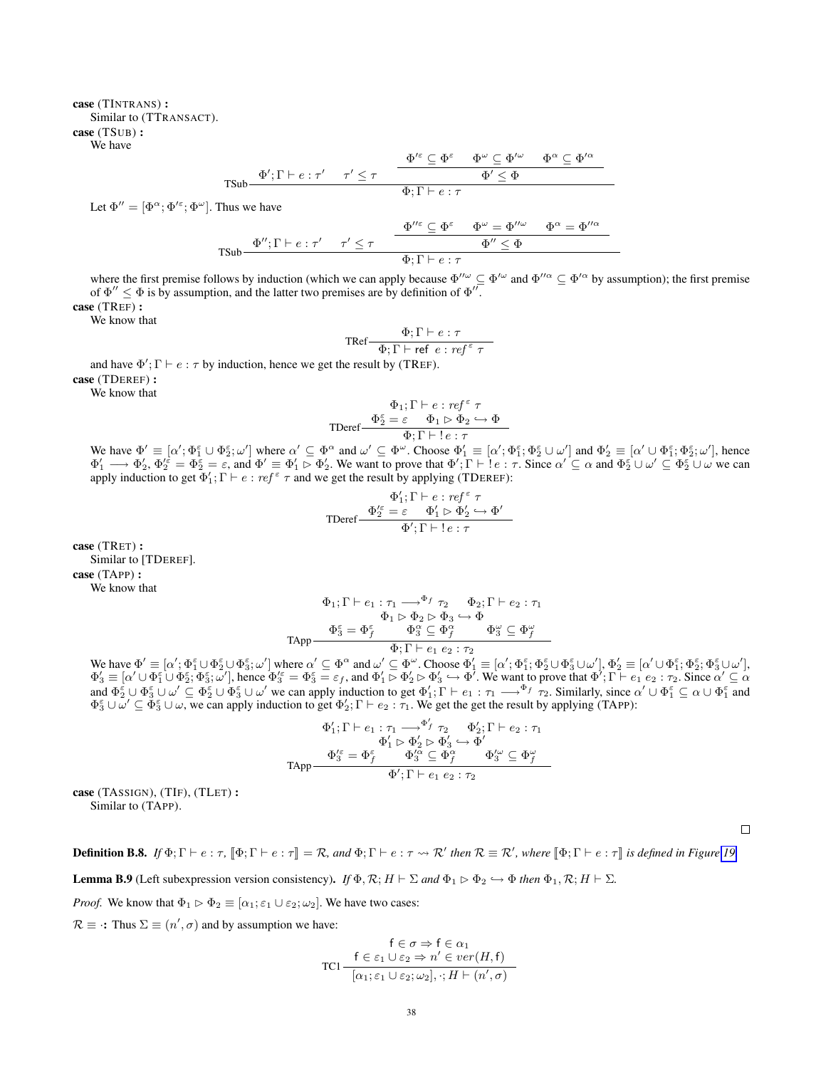### case (TINTRANS) : Similar to (TTRANSACT). case (TSUB) : We have

$$
\mathsf{TSub}\frac{\Phi';\Gamma\vdash e:\tau'\quad \ \, \tau'\leq \tau\quad \, \frac{\Phi'^{\varepsilon}\subseteq \Phi^{\varepsilon}\quad \ \, \Phi^{\omega}\subseteq \Phi'^{\omega}\quad \ \, \Phi^{\alpha}\subseteq \Phi'^{\alpha}}{\Phi;\Gamma\vdash e:\tau}
$$

Let  $\Phi'' = [\Phi^{\alpha}; \Phi'^{\varepsilon}; \Phi^{\omega}]$ . Thus we have

$$
\text{TSub}\frac{\Phi''; \Gamma \vdash e : \tau' \quad \tau' \leq \tau}{\Phi'; \Gamma \vdash e : \tau} \frac{\Phi''^{\varepsilon} \subseteq \Phi^{\varepsilon} \quad \Phi^{\omega} = \Phi''^{\omega}}{\Phi; \Gamma \vdash e : \tau} \frac{\Phi'' \leq \Phi}{\Phi}
$$

where the first premise follows by induction (which we can apply because  $\Phi''^{\omega} \subseteq \Phi'^{\omega}$  and  $\Phi''^{\alpha} \subseteq \Phi'^{\alpha}$  by assumption); the first premise of  $\Phi'' \leq \Phi$  is by assumption, and the latter two premises are by definition of  $\Phi''$ .

case (TREF) :

We know that

$$
\text{TRef} \frac{\Phi; \Gamma \vdash e : \tau}{\Phi; \Gamma \vdash \text{ref}\ e : \text{ref}^{\varepsilon}\ \tau}
$$

and have  $\Phi'$ ;  $\Gamma \vdash e : \tau$  by induction, hence we get the result by (TREF). case (TDEREF) :

We know that

$$
\Phi_1; \Gamma \vdash e : \mathit{ref}^{\varepsilon} \ \tau
$$
\n
$$
\text{TDeref} \xrightarrow{\Phi_2^{\varepsilon}} \varepsilon \qquad \Phi_1 \rhd \Phi_2 \hookrightarrow \Phi
$$
\n
$$
\Phi; \Gamma \vdash ! \ e : \tau
$$

We have  $\Phi' \equiv [\alpha'; \Phi_1^{\varepsilon}; \omega']$  where  $\alpha' \subseteq \Phi^{\alpha}$  and  $\omega' \subseteq \Phi^{\omega}$ . Choose  $\Phi_1' \equiv [\alpha'; \Phi_1^{\varepsilon}; \Phi_2^{\varepsilon} \cup \omega']$  and  $\Phi_2' \equiv [\alpha' \cup \Phi_1^{\varepsilon}; \Phi_2^{\varepsilon}; \omega']$ , hence  $\Phi'_1 \longrightarrow \Phi'_2$ ,  $\Phi'^{\varepsilon}_2 = \Phi^{\varepsilon}_2 = \varepsilon$ , and  $\Phi' \equiv \Phi'_1 \rhd \Phi'_2$ . We want to prove that  $\Phi'; \Gamma \vdash \varepsilon : \tau$ . Since  $\alpha' \subseteq \alpha$  and  $\Phi^{\varepsilon}_2 \cup \omega' \subseteq \Phi^{\varepsilon}_2 \cup \omega$  we can apply induction to get  $\Phi'_1$ ;  $\Gamma \vdash e : ref^{\epsilon} \tau$  and we get the result by applying (TDEREF):

$$
\Phi_1';\Gamma \vdash e : \mathit{ref}^{\varepsilon} \ \tau
$$
\n
$$
\text{TDeref} \frac{\Phi_2'^{\varepsilon} = \varepsilon \quad \Phi_1' \rhd \Phi_2' \hookrightarrow \Phi'}{\Phi';\Gamma \vdash !\, e : \tau}
$$

case (TRET) : Similar to [TDEREF]. case (TAPP) : We know that

$$
\begin{array}{c} \Phi_1;\Gamma\vdash e_1:\tau_1\longrightarrow^{\Phi_f}\tau_2\quad \Phi_2;\Gamma\vdash e_2:\tau_1\\ \Phi_1\vartriangleright\Phi_2\vartriangleright\Phi_3\hookrightarrow\Phi\\ \Phi_3^{\varepsilon}=\Phi_f^{\varepsilon}\quad \Phi_3^{\alpha}\subseteq\Phi_f^{\alpha}\quad \Phi_3^{\omega}\subseteq\Phi_f^{\omega}\\ \Phi;\Gamma\vdash e_1\;e_2:\tau_2 \end{array}
$$

We have  $\Phi' \equiv [\alpha'; \Phi_1^{\varepsilon} \cup \Phi_2^{\varepsilon} \cup \Phi_3^{\varepsilon}; \omega']$  where  $\alpha' \subseteq \Phi^{\alpha}$  and  $\omega' \subseteq \Phi^{\omega}$ . Choose  $\Phi_1' \equiv [\alpha'; \Phi_1^{\varepsilon}; \Phi_2^{\varepsilon} \cup \Phi_3^{\varepsilon} \cup \omega'], \Phi_2' \equiv [\alpha' \cup \Phi_1^{\varepsilon}; \Phi_2^{\varepsilon}; \Phi_3^{\varepsilon} \cup \omega'],$  $\Phi'_3 \equiv [\alpha' \cup \Phi_1^{\varepsilon} \cup \Phi_2^{\varepsilon}; \Phi_3^{\varepsilon}; \omega'],$  hence  $\Phi'_3 = \Phi_3^{\varepsilon} = \varepsilon_f$ , and  $\Phi'_1 \rhd \Phi'_2 \rhd \Phi'_3 \hookrightarrow \Phi'$ . We want to prove that  $\Phi'; \Gamma \vdash e_1 e_2 : \tau_2$ . Since  $\alpha' \subseteq \alpha$ and  $\Phi_2^{\varepsilon} \cup \Phi_3^{\varepsilon} \cup \omega' \subseteq \Phi_2^{\varepsilon} \cup \Phi_3^{\varepsilon} \cup \omega'$  we can apply induction to get  $\Phi'_1$ ;  $\Gamma \vdash e_1 : \tau_1 \longrightarrow^{\Phi_f} \tau_2$ . Similarly, since  $\alpha' \cup \Phi_1^{\varepsilon} \subseteq \alpha \cup \Phi_1^{\varepsilon}$  and  $\Phi_3^{\varepsilon} \cup \omega' \subseteq \Phi_3^{\varepsilon} \cup \omega$ , we can apply induction to get  $\Phi_2'$ ;  $\Gamma \vdash e_2 : \tau_1$ . We get the get the result by applying (TAPP):

$$
\Phi_1'; \Gamma \vdash e_1 : \tau_1 \longrightarrow^{\Phi_f'} \tau_2 \qquad \Phi_2'; \Gamma \vdash e_2 : \tau_1
$$
  
\n
$$
\Phi_1' \rhd \Phi_2' \rhd \Phi_3' \hookrightarrow \Phi'
$$
  
\n
$$
\Phi_3^{\ell \varepsilon} = \Phi_f^{\varepsilon} \qquad \Phi_3^{\ell \alpha} \subseteq \Phi_f^{\alpha} \qquad \Phi_3^{\ell \omega} \subseteq \Phi_f^{\omega}
$$
  
\n
$$
\Phi'; \Gamma \vdash e_1 \ e_2 : \tau_2
$$

case (TASSIGN), (TIF), (TLET) : Similar to (TAPP).

**Definition B.8.** *If*  $\Phi$ ;  $\Gamma \vdash e : \tau$ ,  $[\![\Phi$ ;  $\Gamma \vdash e : \tau \rrbracket = \mathcal{R}$ , and  $\Phi$ ;  $\Gamma \vdash e : \tau \leadsto \mathcal{R}'$  then  $\mathcal{R} \equiv \mathcal{R}'$ , where  $[\![\Phi; \Gamma \vdash e : \tau \rrbracket]$  is defined in Figure [19.](#page-38-0)

<span id="page-37-0"></span>**Lemma B.9** (Left subexpression version consistency). *If*  $\Phi$ ,  $\mathcal{R}$ ;  $H \vdash \Sigma$  and  $\Phi$ <sub>1</sub>  $\triangleright \Phi$ <sub>2</sub>  $\hookrightarrow \Phi$  *then*  $\Phi$ <sub>1</sub>,  $\mathcal{R}$ ;  $H \vdash \Sigma$ .

*Proof.* We know that  $\Phi_1 \triangleright \Phi_2 \equiv [\alpha_1; \epsilon_1 \cup \epsilon_2; \omega_2]$ . We have two cases:

 $\mathcal{R} \equiv \cdot$ : Thus  $\Sigma \equiv (n', \sigma)$  and by assumption we have:

$$
\mathsf{FC}\ \sigma \Rightarrow \mathsf{f}\ \in \alpha_1
$$
\n
$$
\mathsf{TC1}\frac{\mathsf{f}\in \varepsilon_1 \cup \varepsilon_2 \Rightarrow n' \in ver(H, \mathsf{f})}{[\alpha_1; \varepsilon_1 \cup \varepsilon_2; \omega_2], \cdot; H \vdash (n', \sigma)}
$$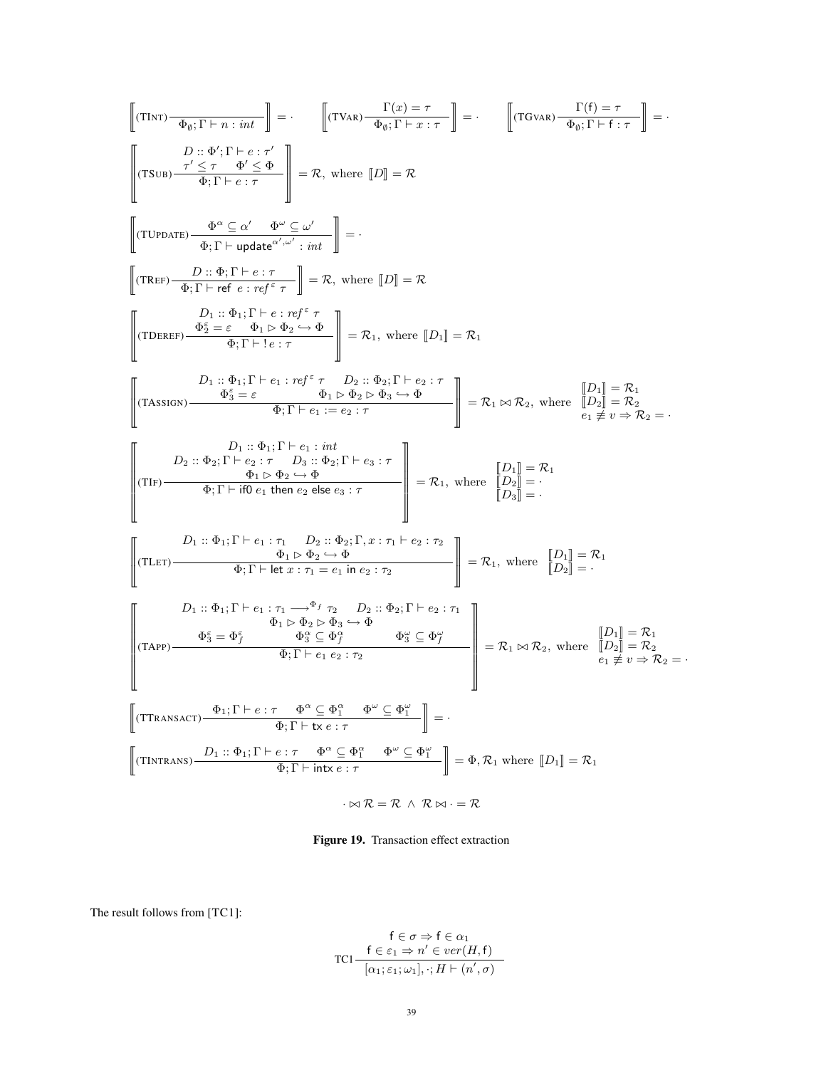$$
\begin{bmatrix}\n(T\text{INT})\overrightarrow{\Phi_{\emptyset}};\Gamma+n:int \\
\hline\nD_{\emptyset};\Phi'|\Gamma+e:i\tau\n\end{bmatrix} = \cdot\n\begin{bmatrix}\nT\text{Var}\overrightarrow{\Phi_{\emptyset}};\Gamma+n:int \\
\hline\n\frac{\partial}{\partial y}:\Phi'|\Gamma+e:i\tau\n\end{bmatrix} = \cdot\n\begin{bmatrix}\nT\text{Var}\overrightarrow{\Phi_{\emptyset}};\Gamma+n:int \\
\hline\n\frac{\partial}{\partial y}:\Phi'|\Gamma+e:i\tau\n\end{bmatrix} = R,\text{ where } [D] = \mathcal{R}
$$
\n
$$
\begin{bmatrix}\n(T\text{UPDATE})\overrightarrow{\Phi_{\emptyset}};\Gamma+n:int\overrightarrow{\Phi_{\emptyset}};\Gamma+n:int \\
\hline\n\frac{\partial}{\partial y}:\Phi_{\emptyset}|\Gamma+e:i\tau\n\end{bmatrix} = R,\text{ where } [D] = \mathcal{R}
$$
\n
$$
\begin{bmatrix}\nT\text{HEP}\overrightarrow{\Phi_{\emptyset}};\Gamma+n:int \\
\hline\n\frac{\partial}{\partial y}:\Phi_{\emptyset}|\Gamma+n:int \\
\hline\n\frac{\partial}{\partial z}:\Phi_{\emptyset}|\Gamma+n:int \\
\hline\n\frac{\partial}{\partial z}:\Phi_{\emptyset}|\Gamma+n:int \\
\hline\n\frac{\partial}{\partial z}:\Phi_{\emptyset}|\Gamma+n:int \\
\hline\n\frac{\partial}{\partial z}:\Phi_{\emptyset}|\Gamma+n:int \\
\hline\n\frac{\partial}{\partial z}:\Phi_{\emptyset}|\Gamma+n:int \\
\hline\n\frac{\partial}{\partial z}:\Phi_{\emptyset}|\Gamma+n:int \\
\hline\n\frac{\partial}{\partial z}:\Phi_{\emptyset}|\Gamma+n:int \\
\hline\n\frac{\partial}{\partial z}:\Phi_{\emptyset}|\Gamma+n:int \\
\hline\n\frac{\partial}{\partial z}:\Phi_{\emptyset}|\Gamma+n:int \\
\hline\n\frac{\partial}{\partial z}:\Phi_{\emptyset}|\Gamma+n:int \\
\hline\n\frac{\partial}{\partial z}:\Phi_{\emptyset}|\Gamma+n:int \\
\hline\n\frac{\partial}{\partial z}:\Phi_{\emptyset}|\Gamma+n:int \\
\hline\n\frac{\partial}{\partial z}:\Phi_{\emptyset}|\Gamma+n:int \\
\hline\n\frac{\partial}{\partial z}:\Phi_{\emptyset}|\Gamma+n:int \\
\hline\n\frac{\partial}{\partial z}:\Phi_{\emptyset}|\Gamma+n:int \\
\hline\n\
$$

<span id="page-38-0"></span> $\cdot \Join \mathcal{R} = \mathcal{R} \ \wedge \ \mathcal{R} \Join \cdot = \mathcal{R}$ 

Figure 19. Transaction effect extraction

The result follows from [TC1]:

$$
f \in \sigma \Rightarrow f \in \alpha_1
$$
  
TC1
$$
\frac{f \in \varepsilon_1 \Rightarrow n' \in ver(H, f)}{[\alpha_1; \varepsilon_1; \omega_1], \cdot; H \vdash (n', \sigma)}
$$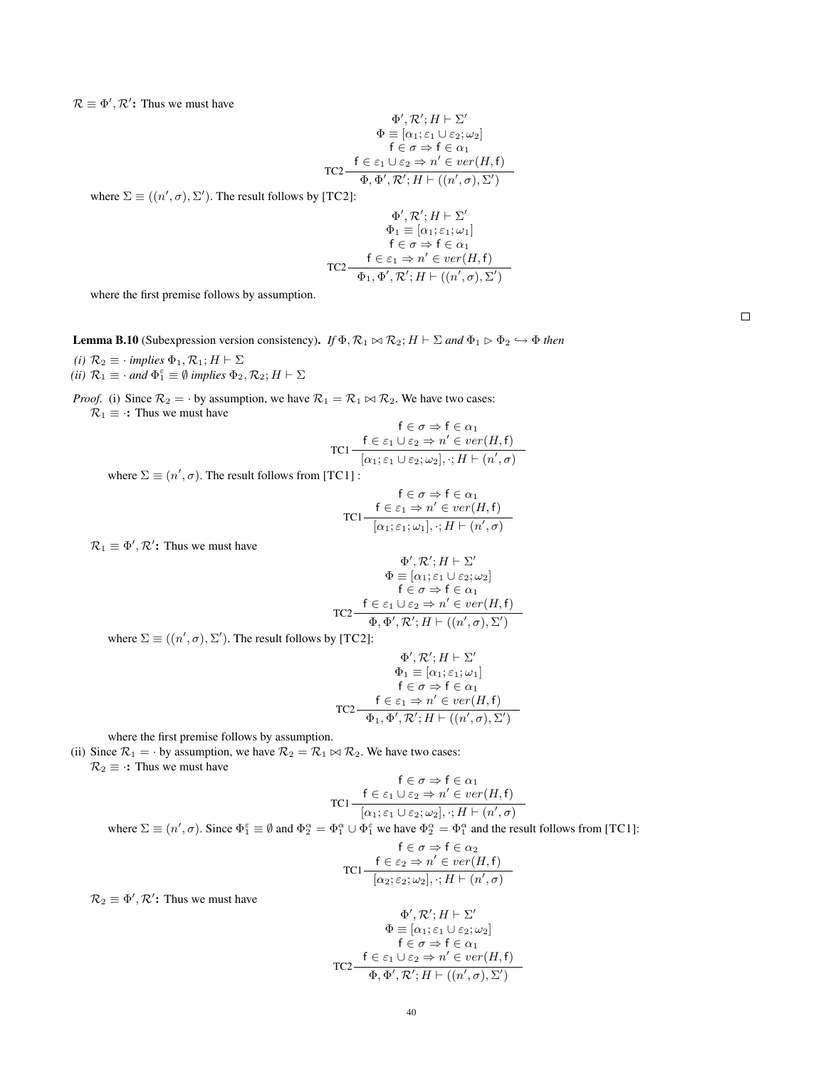$\mathcal{R} \equiv \Phi', \mathcal{R}'$ : Thus we must have

$$
\Phi', \mathcal{R'}; H \vdash \Sigma'
$$
\n
$$
\Phi \equiv [\alpha_1; \varepsilon_1 \cup \varepsilon_2; \omega_2]
$$
\n
$$
\mathsf{f} \in \sigma \Rightarrow \mathsf{f} \in \alpha_1
$$
\n
$$
\mathsf{T} \mathsf{C} 2 \xrightarrow{\mathsf{f} \in \varepsilon_1 \cup \varepsilon_2 \Rightarrow n' \in \mathit{ver}(H, \mathsf{f})}
$$
\n
$$
\Phi, \Phi', \mathcal{R'}; H \vdash ((n', \sigma), \Sigma')
$$

where  $\Sigma \equiv ((n', \sigma), \Sigma')$ . The result follows by [TC2]:

$$
\Phi', \mathcal{R}'; H \vdash \Sigma'
$$
\n
$$
\Phi_1 \equiv [\alpha_1; \varepsilon_1; \omega_1]
$$
\n
$$
\mathsf{f} \in \sigma \Rightarrow \mathsf{f} \in \alpha_1
$$
\n
$$
\mathsf{T} \mathsf{C2} - \frac{\mathsf{f} \in \varepsilon_1 \Rightarrow n' \in ver(H, \mathsf{f})}{\Phi_1, \Phi', \mathcal{R}'; H \vdash ((n', \sigma), \Sigma')}
$$

where the first premise follows by assumption.

<span id="page-39-0"></span>**Lemma B.10** (Subexpression version consistency). *If*  $\Phi$ ,  $\mathcal{R}_1 \bowtie \mathcal{R}_2$ ;  $H \vdash \Sigma$  *and*  $\Phi_1 \triangleright \Phi_2 \hookrightarrow \Phi$  *then (i)*  $\mathcal{R}_2 \equiv \cdot$  *implies*  $\Phi_1, \mathcal{R}_1$ ;  $H \vdash \Sigma$ 

(*ii*)  $\mathcal{R}_1 \equiv \cdot$  *and*  $\Phi_1^{\varepsilon} \equiv \emptyset$  *implies*  $\Phi_2, \mathcal{R}_2$ ;  $H \vdash \Sigma$ 

*Proof.* (i) Since  $\mathcal{R}_2 = \cdot$  by assumption, we have  $\mathcal{R}_1 = \mathcal{R}_1 \bowtie \mathcal{R}_2$ . We have two cases:  $\mathcal{R}_1 \equiv \cdot$ : Thus we must have

$$
\mathsf{FC} \sigma \Rightarrow \mathsf{f} \in \alpha_1
$$
  
TC1
$$
\frac{\mathsf{f} \in \varepsilon_1 \cup \varepsilon_2 \Rightarrow n' \in ver(H, \mathsf{f})}{[\alpha_1; \varepsilon_1 \cup \varepsilon_2; \omega_2], \cdot; H \vdash (n', \sigma)}
$$

where  $\Sigma \equiv (n', \sigma)$ . The result follows from [TC1] :

$$
\mathsf{FC} \sigma \Rightarrow \mathsf{f} \in \alpha_1
$$

$$
\mathsf{TC1} - \frac{\mathsf{f} \in \varepsilon_1 \Rightarrow n' \in ver(H, \mathsf{f})}{[\alpha_1; \varepsilon_1; \omega_1], \cdot; H \vdash (n', \sigma)}
$$

 $\mathcal{R}_1 \equiv \Phi', \mathcal{R}'$ : Thus we must have

$$
\Phi', \mathcal{R'}; H \vdash \Sigma'
$$
\n
$$
\Phi \equiv [\alpha_1; \varepsilon_1 \cup \varepsilon_2; \omega_2]
$$
\n
$$
\mathsf{f} \in \sigma \Rightarrow \mathsf{f} \in \alpha_1
$$
\n
$$
\text{TC2} \frac{\mathsf{f} \in \varepsilon_1 \cup \varepsilon_2 \Rightarrow n' \in ver(H, \mathsf{f})}{\Phi, \Phi', \mathcal{R'}; H \vdash ((n', \sigma), \Sigma')}
$$

where  $\Sigma \equiv ((n', \sigma), \Sigma')$ . The result follows by [TC2]:

$$
\Phi', \mathcal{R}'; H \vdash \Sigma'
$$
\n
$$
\Phi_1 \equiv [\alpha_1; \varepsilon_1; \omega_1]
$$
\n
$$
\mathsf{f} \in \sigma \Rightarrow \mathsf{f} \in \alpha_1
$$
\n
$$
\mathsf{T} \mathsf{C}2 \qquad \frac{\mathsf{f} \in \varepsilon_1 \Rightarrow n' \in ver(H, \mathsf{f})}{\Phi_1, \Phi', \mathcal{R}'; H \vdash ((n', \sigma), \Sigma')}
$$

where the first premise follows by assumption.

(ii) Since  $\mathcal{R}_1 = \cdot$  by assumption, we have  $\mathcal{R}_2 = \mathcal{R}_1 \bowtie \mathcal{R}_2$ . We have two cases:  $\mathcal{R}_2 \equiv \cdot$ : Thus we must have

$$
\mathsf{FC}\ \sigma \Rightarrow \mathsf{f}\ \in \alpha_1
$$
\n
$$
\mathsf{TC1}\begin{array}{c}\n\mathsf{f}\in \mathsf{c}_1 \cup \mathsf{c}_2 \Rightarrow n' \in \mathit{ver}(H,\mathsf{f}) \\
\hline\n[\alpha_1; \varepsilon_1 \cup \varepsilon_2; \omega_2], \cdot; H \vdash (n', \sigma)\n\end{array}
$$

where  $\Sigma \equiv (n', \sigma)$ . Since  $\Phi_1^{\varepsilon} \equiv \emptyset$  and  $\Phi_2^{\alpha} = \Phi_1^{\alpha} \cup \Phi_1^{\varepsilon}$  we have  $\Phi_2^{\alpha} = \Phi_1^{\alpha}$  and the result follows from [TC1]:

$$
\mathsf{FC} \sigma \Rightarrow \mathsf{f} \in \alpha_2
$$
\n
$$
\mathsf{TC1} \frac{\mathsf{f} \in \varepsilon_2 \Rightarrow n' \in ver(H, \mathsf{f})}{[\alpha_2; \varepsilon_2; \omega_2], \cdot; H \vdash (n', \sigma)}
$$

 $\mathcal{R}_2 \equiv \Phi', \mathcal{R}'$ : Thus we must have

$$
\Phi', \mathcal{R'}; H \vdash \Sigma'
$$
\n
$$
\Phi \equiv [\alpha_1; \varepsilon_1 \cup \varepsilon_2; \omega_2]
$$
\n
$$
\mathsf{f} \in \sigma \Rightarrow \mathsf{f} \in \alpha_1
$$
\n
$$
\mathsf{T} \mathsf{C} 2 \xrightarrow{\mathsf{f} \in \varepsilon_1 \cup \varepsilon_2 \Rightarrow n' \in \mathit{ver}(H, \mathsf{f})}
$$
\n
$$
\Phi, \Phi', \mathcal{R'}; H \vdash ((n', \sigma), \Sigma')
$$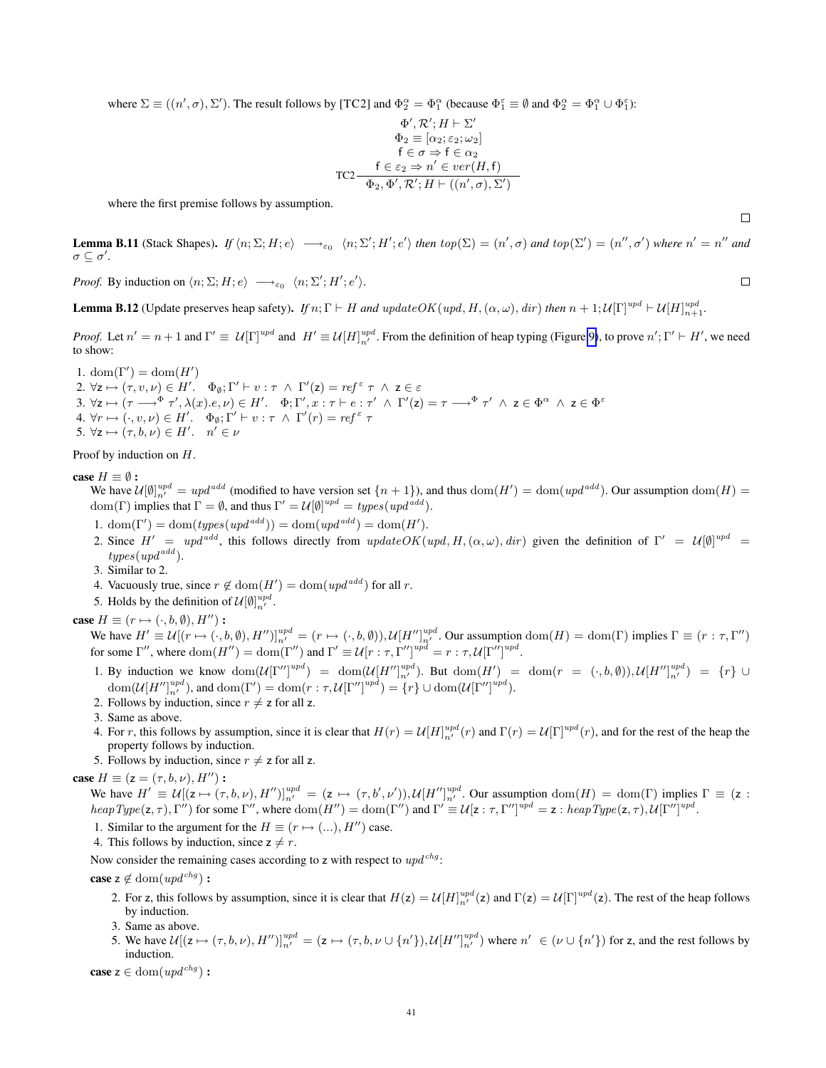where  $\Sigma \equiv ((n', \sigma), \Sigma')$ . The result follows by [TC2] and  $\Phi_2^{\alpha} = \Phi_1^{\alpha}$  (because  $\Phi_1^{\epsilon} \equiv \emptyset$  and  $\Phi_2^{\alpha} = \Phi_1^{\alpha} \cup \Phi_1^{\epsilon}$ ):

$$
\Phi', \mathcal{R'}; H \vdash \Sigma'
$$
\n
$$
\Phi_2 \equiv [\alpha_2; \varepsilon_2; \omega_2]
$$
\n
$$
\mathsf{f} \in \sigma \Rightarrow \mathsf{f} \in \alpha_2
$$
\n
$$
\mathsf{T} \in \varepsilon_2 \Rightarrow n' \in \mathit{ver}(H, \mathsf{f})
$$
\n
$$
\Phi_2, \Phi', \mathcal{R'}; H \vdash ((n', \sigma), \Sigma')
$$

where the first premise follows by assumption.

<span id="page-40-1"></span>**Lemma B.11** (Stack Shapes). If  $\langle n; \Sigma; H; e \rangle \longrightarrow_{\varepsilon_0} \langle n; \Sigma'; H'; e' \rangle$  then  $top(\Sigma) = (n', \sigma)$  and  $top(\Sigma') = (n'', \sigma')$  where  $n' = n''$  and  $\sigma \subseteq \sigma'.$ 

*Proof.* By induction on  $\langle n; \Sigma; H; e \rangle \longrightarrow_{\varepsilon_0} \langle n; \Sigma'; H'; e' \rangle$ .

<span id="page-40-0"></span>**Lemma B.12** (Update preserves heap safety). *If*  $n; \Gamma \vdash H$  *and*  $updateOK(wpd, H, (\alpha, \omega), dir)$  *then*  $n + 1; U[\Gamma]^{upd} \vdash U[H]^{upd}_{n+1}$ .

*Proof.* Let  $n' = n + 1$  and  $\Gamma' \equiv U[\Gamma]^{upd}$  and  $H' \equiv U[H]^{upd}_{n'}$ . From the definition of heap typing (Figure [9\)](#page-8-1), to prove  $n'; \Gamma' \vdash H'$ , we need to show:

1. dom( $\Gamma'$ ) = dom( $H'$ ) 2.  $\forall z \mapsto (\tau, v, \nu) \in H'. \quad \Phi_{\emptyset}; \Gamma' \vdash v : \tau \ \wedge \ \Gamma'(z) = \mathit{ref}^{\varepsilon} \ \tau \ \wedge \ z \in \varepsilon$ 3.  $\forall z \mapsto (\tau \longrightarrow^{\Phi} \tau', \lambda(x).e, \nu) \in H'. \quad \Phi; \Gamma', x: \tau \vdash e: \tau' \ \wedge \ \Gamma'(z) = \tau \longrightarrow^{\Phi} \tau' \ \wedge \ z \in \Phi^{\alpha} \ \wedge \ z \in \Phi^{\varepsilon}$ 4.  $\forall r \mapsto (\cdot, v, \nu) \in H'$ .  $\Phi_{\emptyset}$ ;  $\Gamma' \vdash v : \tau \wedge \Gamma'(r) = ref^{\varepsilon} \tau$ 5.  $\forall z \mapsto (\tau, b, \nu) \in H'. \quad n' \in \nu$ 

Proof by induction on H.

case  $H \equiv \emptyset$ :

We have  $\mathcal{U}[\emptyset]_{n'}^{upd} = upd^{add}$  (modified to have version set  $\{n+1\}$ ), and thus  $dom(H') = dom(upd^{add})$ . Our assumption  $dom(H) =$ dom(Γ) implies that  $\Gamma = \emptyset$ , and thus  $\Gamma' = \mathcal{U}[\emptyset]^{upd} = types(upd^{add})$ .

- 1. dom( $\Gamma'$ ) = dom(types(upd<sup>add</sup>)) = dom(upd<sup>add</sup>) = dom(H').
- 2. Since  $H' = upd^{add}$ , this follows directly from  $updateOK(upd, H, (\alpha, \omega), dir)$  given the definition of  $\Gamma' = U[0]^{upd} =$  $types(upd<sup>add</sup>).$
- 3. Similar to 2.
- 4. Vacuously true, since  $r \notin \text{dom}(H') = \text{dom}(upd^{add})$  for all r.
- 5. Holds by the definition of  $\mathcal{U}[\emptyset]_{n'}^{upd}$ .

case  $H \equiv (r \mapsto (\cdot, b, \emptyset), H'')$  :

We have  $H' \equiv \mathcal{U}[(r \mapsto (\cdot, b, \emptyset), H'')]_{n'}^{upd} = (r \mapsto (\cdot, b, \emptyset)), \mathcal{U}[H'']_{n'}^{upd}$ . Our assumption  $dom(H) = dom(\Gamma)$  implies  $\Gamma \equiv (r : \tau, \Gamma'')$ for some  $\Gamma''$ , where  $\text{dom}(H'') = \text{dom}(\Gamma'')$  and  $\Gamma' \equiv \mathcal{U}[r : \tau, \Gamma'']^{upd} = r : \tau, \mathcal{U}[\Gamma'']^{upd}$ .

1. By induction we know  $\text{dom}(\mathcal{U}[\Gamma'']^{upd}) = \text{dom}(\mathcal{U}[H'']^{upd}_{n'})$ . But  $\text{dom}(H') = \text{dom}(r = (\cdot, b, \emptyset)), \mathcal{U}[H'']^{upd}_{n'}) = \{r\} \cup$  $\text{dom}(\mathcal{U}[H'']^{upd}_{n'}, \text{and } \text{dom}(\Gamma') = \text{dom}(r : \tau, \mathcal{U}[\Gamma'']^{upd}) = \{r\} \cup \text{dom}(\mathcal{U}[\Gamma'']^{upd}).$ 

- 2. Follows by induction, since  $r \neq z$  for all z.
- 3. Same as above.
- 4. For r, this follows by assumption, since it is clear that  $H(r) = U[H]_{n'}^{upd}(r)$  and  $\Gamma(r) = U[\Gamma]^{upd}(r)$ , and for the rest of the heap the property follows by induction.
- 5. Follows by induction, since  $r \neq z$  for all z.

case  $H \equiv (z = (\tau, b, \nu), H'')$ :

We have  $H' \equiv \mathcal{U}[(\mathsf{z} \mapsto (\tau, b, \nu), H'']\big]_{n'}^{upd} = (\mathsf{z} \mapsto (\tau, b', \nu')), \mathcal{U}[H'']_{n'}^{upd}$ . Our assumption  $\text{dom}(H) = \text{dom}(\Gamma)$  implies  $\Gamma \equiv (\mathsf{z} \in \mathsf{z} \setminus \mathsf{z})$  $heapType(\mathsf{z}, \tau), \Gamma'')$  for some  $\Gamma''$ , where  $dom(H'') = dom(\Gamma'')$  and  $\Gamma' \equiv \mathcal{U}[\mathsf{z} : \tau, \Gamma'']^{upd} = \mathsf{z} : heapType(\mathsf{z}, \tau), \mathcal{U}[\Gamma'']^{upd}$ .

- 1. Similar to the argument for the  $H \equiv (r \mapsto (...) , H'')$  case.
- 4. This follows by induction, since  $z \neq r$ .

Now consider the remaining cases according to z with respect to  $upd<sup>chg</sup>$ :

**case**  $z \notin \text{dom}(upd^{chg})$ :

- 2. For z, this follows by assumption, since it is clear that  $H(z) = U[H]_{n'}^{upd}(z)$  and  $\Gamma(z) = U[\Gamma]^{upd}(z)$ . The rest of the heap follows by induction.
- 3. Same as above.
- 5. We have  $\mathcal{U}[(\mathsf{z} \mapsto (\tau, b, \nu), H'')]_{n'}^{upd} = (\mathsf{z} \mapsto (\tau, b, \nu \cup \{n'\}), \mathcal{U}[H'']_{n'}^{upd})$  where  $n' \in (\nu \cup \{n'\})$  for z, and the rest follows by induction.

**case**  $z \in \text{dom}(upd^{chg})$  :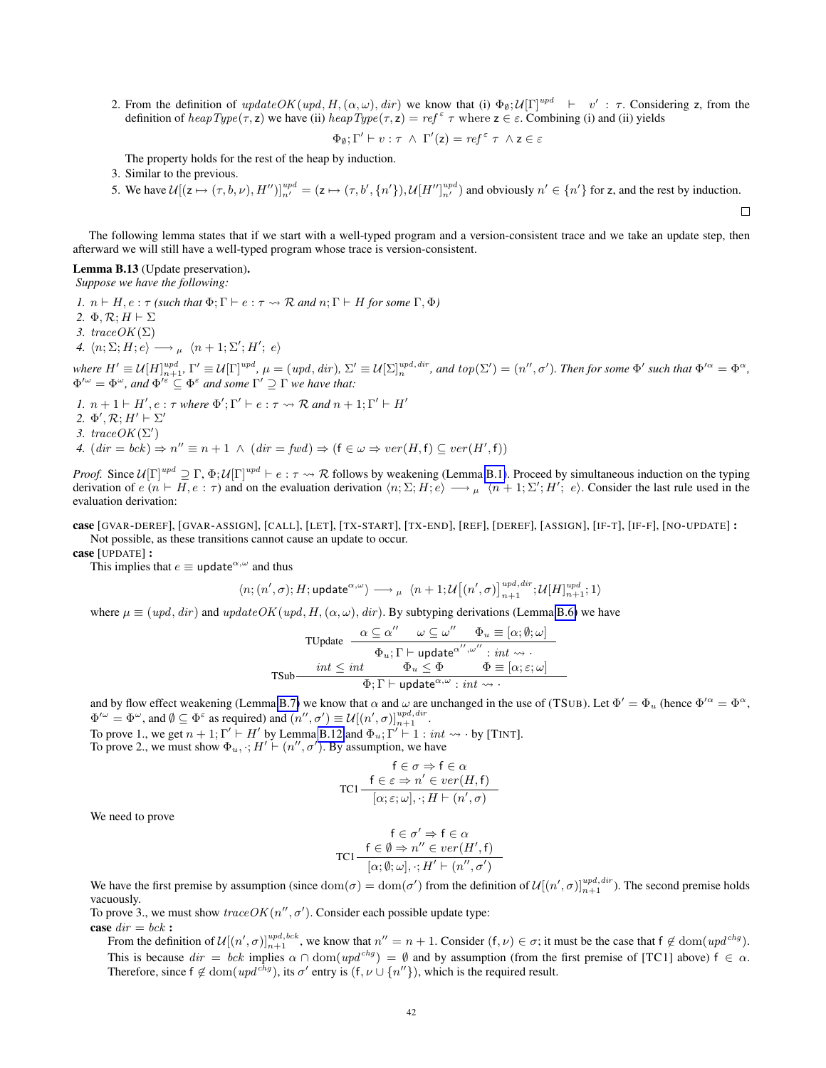2. From the definition of  $updateOK(wpd, H, (\alpha, \omega), dir)$  we know that (i)  $\Phi_{\emptyset}; U[\Gamma]^{upd} \ \vdash \ v' : \tau$ . Considering z, from the definition of  $heapType(\tau, z)$  we have (ii)  $heapType(\tau, z) = ref^{\epsilon} \tau$  where  $z \in \epsilon$ . Combining (i) and (ii) yields

$$
\Phi_{\emptyset};\Gamma'\vdash v:\tau\ \wedge\ \Gamma'(\mathsf{z})=ref^{\varepsilon}\ \tau\ \wedge\mathsf{z}\in\varepsilon
$$

 $\Box$ 

The property holds for the rest of the heap by induction.

3. Similar to the previous.

5. We have  $\mathcal{U}[(z \mapsto (\tau, b, \nu), H'')]_{n'}^{upd} = (z \mapsto (\tau, b', \{n'\}), \mathcal{U}[H'']_{n'}^{upd}$  and obviously  $n' \in \{n'\}$  for z, and the rest by induction.

The following lemma states that if we start with a well-typed program and a version-consistent trace and we take an update step, then afterward we will still have a well-typed program whose trace is version-consistent.

#### <span id="page-41-0"></span>Lemma B.13 (Update preservation). *Suppose we have the following:*

*1.*  $n \vdash H$ ,  $e : \tau$  *(such that*  $\Phi: \Gamma \vdash e : \tau \leadsto \mathcal{R}$  *and*  $n: \Gamma \vdash H$  *for some*  $\Gamma, \Phi$ *)* 2.  $\Phi$ ,  $\mathcal{R}$ :  $H \vdash \Sigma$ *3.*  $traceOK(\Sigma)$ 4.  $\langle n; \Sigma; H; e \rangle \longrightarrow_{\mu} \langle n+1; \Sigma'; H'; e \rangle$ *where*  $H' \equiv U[H]_{n+1}^{upd}$ ,  $\Gamma' \equiv U[\Gamma]^{upd}$ ,  $\mu = (upd, dir)$ ,  $\Sigma' \equiv U[\Sigma]_n^{upd, dir}$ , and  $top(\Sigma') = (n'', \sigma')$ . Then for some  $\Phi'$  such that  $\Phi'^{\alpha} = \Phi^{\alpha}$ ,  $\Phi^{\prime\omega} = \Phi^{\omega}$ , and  $\Phi^{\prime \varepsilon} \subseteq \Phi^{\varepsilon}$  and some  $\Gamma^{\prime} \supseteq \Gamma$  we have that:

- *1.*  $n + 1 \vdash H', e : \tau$  *where*  $\Phi'; \Gamma' \vdash e : \tau \leadsto \mathcal{R}$  *and*  $n + 1; \Gamma' \vdash H'$ 2.  $\Phi', \mathcal{R}; H' \vdash \Sigma'$ 3. trace  $OK(\Sigma')$
- *4.*  $(dr = bck) \Rightarrow n'' \equiv n + 1 \land (dir = fwd) \Rightarrow (f \in \omega \Rightarrow ver(H, f) \subseteq ver(H', f))$

*Proof.* Since  $U[\Gamma]^{upd} \supseteq \Gamma$ ,  $\Phi$ ;  $U[\Gamma]^{upd} \vdash e : \tau \leadsto \mathcal{R}$  follows by weakening (Lemma [B.1\)](#page-35-3). Proceed by simultaneous induction on the typing derivation of  $e(n \vdash H, e : \tau)$  and on the evaluation derivation  $\langle n; \Sigma, H, e \rangle \longrightarrow_{\mu} \langle n+1; \Sigma', H', e \rangle$ . Consider the last rule used in the evaluation derivation:

### case [GVAR-DEREF], [GVAR-ASSIGN], [CALL], [LET], [TX-START], [TX-END], [REF], [DEREF], [ASSIGN], [IF-T], [IF-F], [NO-UPDATE] : Not possible, as these transitions cannot cause an update to occur.

case [UPDATE] :

This implies that  $e \equiv$  update<sup> $\alpha, \omega$ </sup> and thus

$$
\langle n;(n',\sigma); H; \mathsf{update}^{\alpha,\omega} \rangle \longrightarrow {}_{\mu} \langle n+1; \mathcal{U}\big[(n',\sigma)\big]_{n+1}^{upd,dir}; \mathcal{U}[H]_{n+1}^{upd}; 1 \rangle
$$

where  $\mu \equiv (upd, dir)$  and  $updateOK(upd, H, (\alpha, \omega), dir)$ . By subtyping derivations (Lemma [B.6\)](#page-36-0) we have

$$
\text{TVpdate } \cfrac{\alpha \subseteq \alpha'' \quad \omega \subseteq \omega'' \quad \Phi_u \equiv [\alpha; \emptyset; \omega]}{\Phi_u; \Gamma \vdash \text{update}^{\alpha'', \omega''} : \text{int} \leadsto \cdot} \; \text{TSub} \cfrac{\text{int } \leq \text{int} \quad \Phi_u \leq \Phi \quad \Phi \equiv [\alpha; \varepsilon; \omega]}{\Phi; \Gamma \vdash \text{update}^{\alpha, \omega} : \text{int} \leadsto \cdot} \; \text{top}
$$

and by flow effect weakening (Lemma [B.7\)](#page-36-1) we know that  $\alpha$  and  $\omega$  are unchanged in the use of (TSUB). Let  $\Phi' = \Phi_u$  (hence  $\Phi'^{\alpha} = \Phi^{\alpha}$ ,  $\Phi'^\omega = \Phi^\omega$ , and  $\emptyset \subseteq \Phi^\varepsilon$  as required) and  $(n'', \sigma') \equiv \mathcal{U}[(n', \sigma)]_{n+1}^{upd, dir}.$ 

To prove 1., we get  $n + 1$ ;  $\Gamma' \vdash H'$  by Lemma [B.12](#page-40-0) and  $\Phi_u$ ;  $\Gamma' \vdash 1 : int \leadsto \cdot$  by [TINT]. To prove 2., we must show  $\Phi_u$ ,  $\cdot$ ;  $H' \vdash (n'', \sigma')$ . By assumption, we have

$$
\mathsf{FC} \rightarrow \mathsf{FC} \Leftrightarrow \mathsf{FC} \Leftrightarrow \mathsf{TC1} \frac{\mathsf{FC} \in \mathsf{C} \Rightarrow n' \in \mathit{ver}(H, \mathsf{F})}{[\alpha; \varepsilon; \omega], \cdot; H \vdash (n', \sigma)}
$$

We need to prove

$$
\mathsf{FC} \to \mathsf{FC} \alpha
$$
\n
$$
\mathsf{TC1} \xrightarrow{\mathsf{f} \in \emptyset \Rightarrow n'' \in \mathit{ver}(H', \mathsf{f})}
$$
\n
$$
[\alpha; \emptyset; \omega], \cdot; H' \vdash (n'', \sigma')
$$

We have the first premise by assumption (since  $dom(\sigma) = dom(\sigma')$  from the definition of  $\mathcal{U}[(n', \sigma)]_{n+1}^{upd, dir}$ ). The second premise holds vacuously.

To prove 3., we must show  $traceOK(n'', \sigma')$ . Consider each possible update type: case  $dir = bck$ :

From the definition of  $\mathcal{U}[(n', \sigma)]_{n+1}^{upd, bck}$ , we know that  $n'' = n + 1$ . Consider  $(f, \nu) \in \sigma$ ; it must be the case that  $f \notin \text{dom}(upd^{chg})$ . This is because  $dir = bck$  implies  $\alpha \cap dom(wpd^{chg}) = \emptyset$  and by assumption (from the first premise of [TC1] above)  $f \in \alpha$ . Therefore, since  $f \notin \text{dom}(upd^{chg})$ , its  $\sigma'$  entry is  $(f, \nu \cup \{n''\})$ , which is the required result.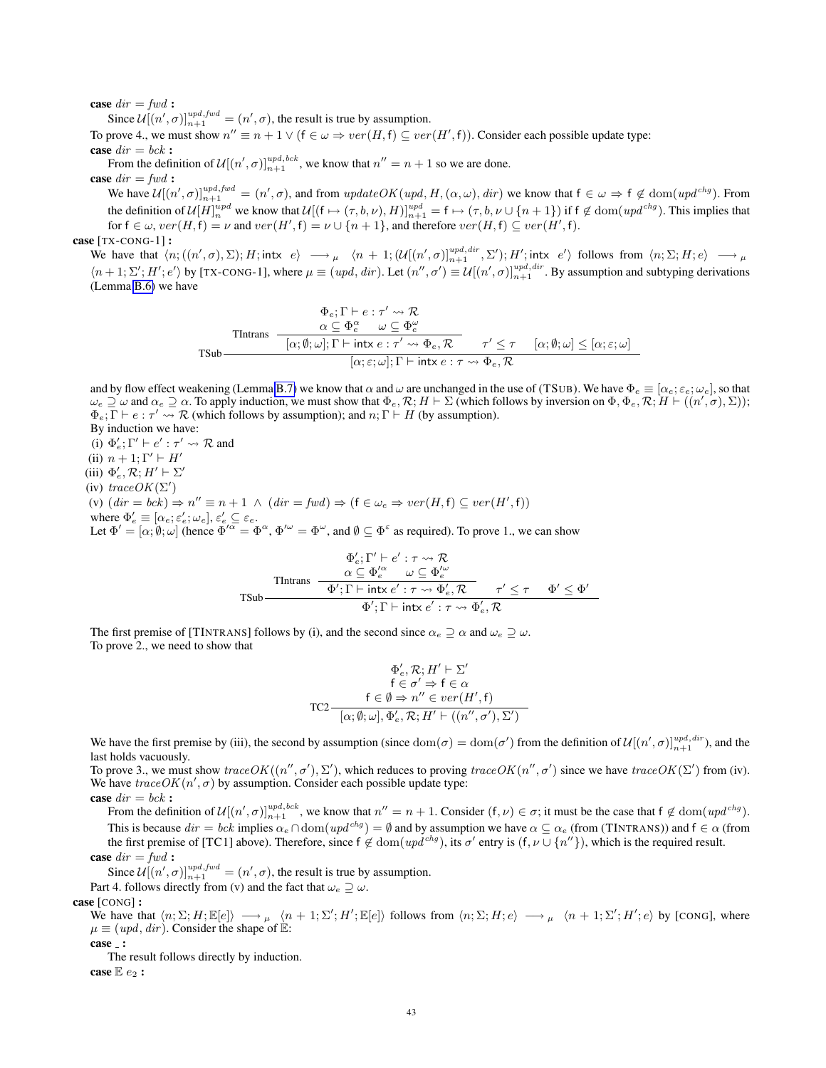### case  $dir = fwd$ :

Since  $\mathcal{U}[(n', \sigma)]_{n+1}^{upd, fwd} = (n', \sigma)$ , the result is true by assumption.

To prove 4., we must show  $n'' \equiv n + 1 \vee (f \in \omega \Rightarrow ver(H, f) \subseteq ver(H', f))$ . Consider each possible update type: case  $dir = bck$ :

From the definition of  $\mathcal{U}[(n', \sigma)]_{n+1}^{\nu p d, bck}$ , we know that  $n'' = n + 1$  so we are done.

case  $dir = fwd$ :

We have  $\mathcal{U}[(n', \sigma)]_{n+1}^{upd, fwd} = (n', \sigma)$ , and from  $updateOK(upd, H, (\alpha, \omega), dir)$  we know that  $f \in \omega \Rightarrow f \notin \text{dom}(upd^{chg})$ . From the definition of  $\mathcal{U}[H]_n^{upd}$  we know that  $\mathcal{U}[(f \mapsto (\tau, b, \nu), H)]_{n+1}^{upd} = f \mapsto (\tau, b, \nu \cup \{n+1\})$  if  $f \notin \text{dom}(upd^{chg})$ . This implies that for  $f \in \omega$ ,  $ver(H, f) = \nu$  and  $ver(H', f) = \nu \cup \{n+1\}$ , and therefore  $ver(H, f) \subseteq ver(H', f)$ .

# case [TX-CONG-1]:

We have that  $\langle n; ((n', \sigma), \Sigma); H; \text{intx} \ e \rangle \longrightarrow_{\mu} \langle n+1; (\mathcal{U}[(n', \sigma)]_{n+1}^{\text{upd}, \text{dir}}, \Sigma'); H'; \text{intx} \ e' \rangle$  follows from  $\langle n; \Sigma; H; e \rangle \longrightarrow_{\mu}$  $\langle n+1;\Sigma'; H'; e' \rangle$  by [TX-CONG-1], where  $\mu \equiv (upd, dir)$ . Let  $(n'', \sigma') \equiv \mathcal{U}[(n', \sigma)]_{n+1}^{upd, dir}$ . By assumption and subtyping derivations (Lemma [B.6\)](#page-36-0) we have

$$
\Phi_{e}; \Gamma \vdash e : \tau' \leadsto \mathcal{R}
$$
\n
$$
\alpha \subseteq \Phi_{e}^{\alpha} \qquad \omega \subseteq \Phi_{e}^{\omega}
$$
\n
$$
\text{That has } \frac{\alpha \subseteq \Phi_{e}^{\alpha} \qquad \omega \subseteq \Phi_{e}^{\omega}}{[\alpha; \emptyset; \omega]; \Gamma \vdash \text{intx } e : \tau' \leadsto \Phi_{e}, \mathcal{R}} \qquad \tau' \leq \tau \qquad [\alpha; \emptyset; \omega] \leq [\alpha; \varepsilon; \omega]
$$
\n
$$
[\alpha; \varepsilon; \omega]; \Gamma \vdash \text{intx } e : \tau \leadsto \Phi_{e}, \mathcal{R}
$$

and by flow effect weakening (Lemma [B.7\)](#page-36-1) we know that  $\alpha$  and  $\omega$  are unchanged in the use of (TSUB). We have  $\Phi_e \equiv [\alpha_e; \varepsilon_e; \omega_e]$ , so that  $\omega_e \supseteq \omega$  and  $\alpha_e \supseteq \alpha$ . To apply induction, we must show that  $\Phi_e, \mathcal{R}; H \vdash \Sigma$  (which follows by inversion on  $\Phi, \Phi_e, \mathcal{R}; H \vdash ((n', \sigma), \Sigma))$ );  $\Phi_e$ ;  $\Gamma \vdash e : \tau' \leadsto \mathcal{R}$  (which follows by assumption); and  $n; \Gamma \vdash H$  (by assumption).

By induction we have:

(i)  $\Phi'_e$ ;  $\Gamma' \vdash e' : \tau' \leadsto \mathcal{R}$  and (ii)  $n + 1$ ;  $\Gamma' \vdash H'$ (iii)  $\Phi'_e$ ,  $\mathcal{R}$ ;  $H' \vdash \Sigma'$ (iv)  $traceOK(\Sigma')$ (v)  $dir = bck$   $\Rightarrow$   $n'' \equiv n + 1 \wedge (dir = fwd) \Rightarrow (f \in \omega_e \Rightarrow ver(H, f) \subseteq ver(H', f))$ where  $\Phi'_e \equiv [\alpha_e; \varepsilon'_e; \omega_e], \varepsilon'_e \subseteq \varepsilon_e$ . Let  $\Phi' = [\alpha, \emptyset, \omega]$  (hence  $\Phi'^{\alpha} = \Phi^{\alpha}$ ,  $\Phi'^{\omega} = \Phi^{\omega}$ , and  $\emptyset \subseteq \Phi^{\varepsilon}$  as required). To prove 1., we can show

$$
\Phi'_e; \Gamma' \vdash e': \tau \leadsto \mathcal{R}
$$
\n
$$
\mathsf{TIntrans} \quad \frac{\alpha \subseteq \Phi_e^{\prime \alpha} \quad \omega \subseteq \Phi_e^{\prime \omega}}{\Phi'; \Gamma \vdash \mathsf{intx} \, e': \tau \leadsto \Phi'_e, \mathcal{R}} \quad \tau' \le \tau \quad \Phi' \le \Phi'
$$
\n
$$
\Phi'; \Gamma \vdash \mathsf{intx} \, e': \tau \leadsto \Phi'_e, \mathcal{R}
$$

The first premise of [TINTRANS] follows by (i), and the second since  $\alpha_e \supset \alpha$  and  $\omega_e \supset \omega$ . To prove 2., we need to show that

$$
\Phi'_{e}, \mathcal{R}; H' \vdash \Sigma'
$$
\n
$$
\mathsf{f} \in \sigma' \Rightarrow \mathsf{f} \in \alpha
$$
\n
$$
\mathsf{T} \mathsf{C}2 - \frac{\mathsf{f} \in \emptyset \Rightarrow n'' \in ver(H', \mathsf{f})}{[\alpha; \emptyset; \omega], \Phi'_{e}, \mathcal{R}; H' \vdash ((n'', \sigma'), \Sigma')}
$$

We have the first premise by (iii), the second by assumption (since  $dom(\sigma) = dom(\sigma')$  from the definition of  $\mathcal{U}[(n', \sigma)]_{n+1}^{upd, dir}$ ), and the last holds vacuously.

To prove 3., we must show  $traceOK((n'', \sigma'), \Sigma'),$  which reduces to proving  $traceOK(n'', \sigma')$  since we have  $traceOK(\Sigma')$  from (iv). We have  $traceOK(n', \sigma)$  by assumption. Consider each possible update type: case  $dir = bck$ :

From the definition of  $\mathcal{U}[(n', \sigma)]_{n+1}^{upd, bck}$ , we know that  $n'' = n + 1$ . Consider  $(f, \nu) \in \sigma$ ; it must be the case that  $f \notin \text{dom}(upd^{chg})$ . This is because  $dir = bck$  implies  $\alpha_e \cap \text{dom}(upd^{chg}) = \emptyset$  and by assumption we have  $\alpha \subseteq \alpha_e$  (from (TINTRANS)) and  $f \in \alpha$  (from the first premise of [TC1] above). Therefore, since  $f \notin dom(wpd^{chg})$ , its  $\sigma'$  entry is  $(f, \nu \cup \{n''\})$ , which is the required result. case  $dir = fwd$ :

Since  $\mathcal{U}[(n', \sigma)]_{n+1}^{upd, fwd} = (n', \sigma)$ , the result is true by assumption.

Part 4. follows directly from (v) and the fact that  $\omega_e \supseteq \omega$ .

# case [CONG] :

We have that  $\langle n; \Sigma; H; \mathbb{E}[e] \rangle \longrightarrow_{\mu} \langle n + 1; \Sigma'; H'; \mathbb{E}[e] \rangle$  follows from  $\langle n; \Sigma; H; e \rangle \longrightarrow_{\mu} \langle n + 1; \Sigma'; H'; e \rangle$  by [CONG], where  $\mu \equiv (upd, dir)$ . Consider the shape of E:

case :

The result follows directly by induction.

case  $\mathbb{E} e_2$ :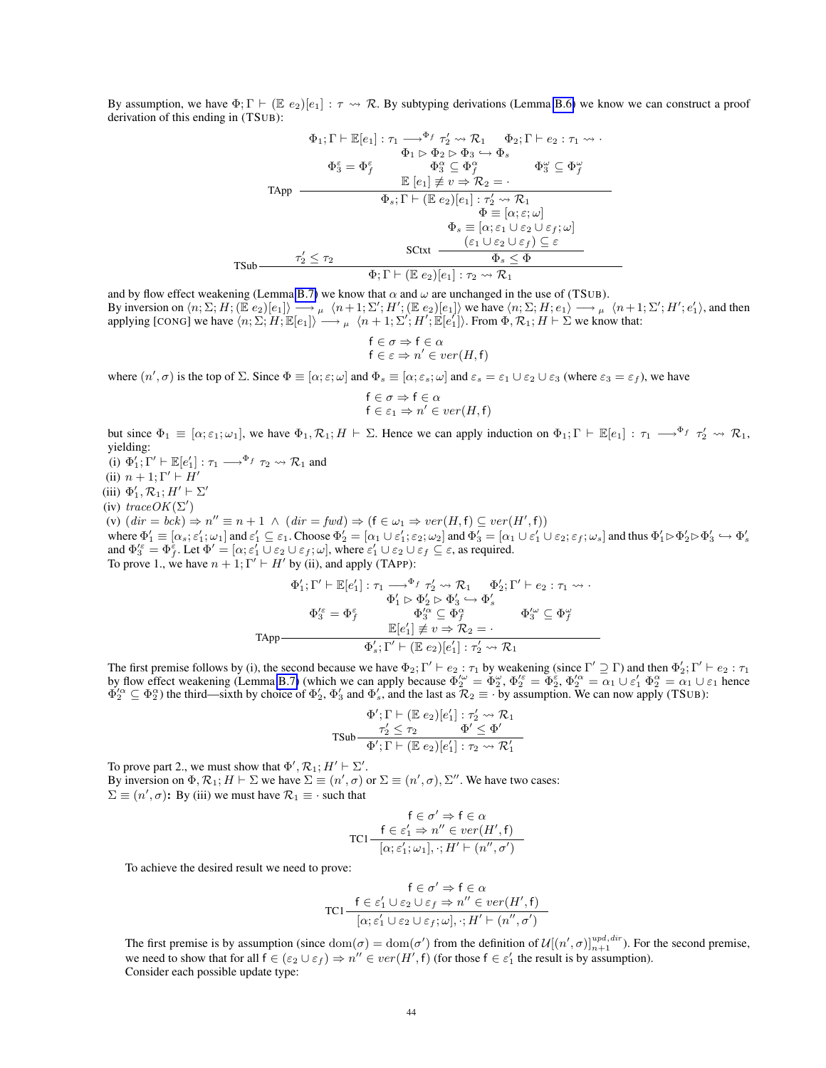By assumption, we have  $\Phi$ ;  $\Gamma \vdash (\mathbb{E} e_2)[e_1] : \tau \rightsquigarrow \mathcal{R}$ . By subtyping derivations (Lemma [B.6\)](#page-36-0) we know we can construct a proof derivation of this ending in (TSUB):

$$
\Phi_1; \Gamma \vdash \mathbb{E}[e_1] : \tau_1 \longrightarrow^{\Phi_f} \tau_2' \leadsto \mathcal{R}_1 \qquad \Phi_2; \Gamma \vdash e_2 : \tau_1 \leadsto \cdot
$$
\n
$$
\Phi_1 \rhd \Phi_2 \rhd \Phi_3 \hookrightarrow \Phi_s
$$
\n
$$
\Phi_3^{\varepsilon} \equiv \Phi_f^{\varepsilon} \qquad \Phi_3^{\alpha} \subseteq \Phi_f^{\alpha} \qquad \Phi_3^{\omega} \subseteq \Phi_f^{\omega}
$$
\n
$$
\text{TApp} \qquad \frac{\mathbb{E}[e_1] \neq v \Rightarrow \mathcal{R}_2 = \cdot}{\Phi_s; \Gamma \vdash (\mathbb{E} e_2)[e_1] : \tau_2' \leadsto \mathcal{R}_1}
$$
\n
$$
\Phi \equiv [\alpha; \varepsilon; \omega]
$$
\n
$$
\Phi_s \equiv [\alpha; \varepsilon_1 \cup \varepsilon_2 \cup \varepsilon_f; \omega]
$$
\n
$$
\text{SCtxt} \qquad \frac{(\varepsilon_1 \cup \varepsilon_2 \cup \varepsilon_f) \subseteq \varepsilon}{\Phi_s \leq \Phi}
$$
\n
$$
\text{FSub} \qquad \frac{\tau_2' \leq \tau_2}{\Phi_f; \Gamma \vdash (\mathbb{E} e_2)[e_1] : \tau_2 \leadsto \mathcal{R}_1}
$$

and by flow effect weakening (Lemma [B.7\)](#page-36-1) we know that  $\alpha$  and  $\omega$  are unchanged in the use of (TSUB). By inversion on  $\langle n; \Sigma; H; (\mathbb{E} \ e_2)[e_1] \rangle \longrightarrow_{\mu} \langle n+1; \Sigma'; H'; (\mathbb{E} \ e_2)[e_1] \rangle$  we have  $\langle n; \Sigma; H; e_1 \rangle \longrightarrow_{\mu} \langle n+1; \Sigma'; H'; e_1' \rangle$ , and then applying [CONG] we have  $\langle n; \Sigma, H; \mathbb{E}[e_1] \rangle \longrightarrow_{\mu} \langle n+1; \Sigma'; H'; \mathbb{E}[e'_1] \rangle$ . From  $\Phi, \mathcal{R}_1; H \vdash \Sigma$  we know that:

$$
\begin{aligned} \mathsf{f} &\in \sigma \Rightarrow \mathsf{f} \in \alpha \\ \mathsf{f} &\in \varepsilon \Rightarrow n' \in \mathit{ver}(H, \mathsf{f}) \end{aligned}
$$

where  $(n', \sigma)$  is the top of  $\Sigma$ . Since  $\Phi \equiv [\alpha; \varepsilon; \omega]$  and  $\Phi_s \equiv [\alpha; \varepsilon_s; \omega]$  and  $\varepsilon_s = \varepsilon_1 \cup \varepsilon_2 \cup \varepsilon_3$  (where  $\varepsilon_3 = \varepsilon_f$ ), we have

$$
\begin{aligned} \mathsf{f} &\in \sigma \Rightarrow \mathsf{f} \in \alpha \\ \mathsf{f} &\in \varepsilon_1 \Rightarrow n' \in ver(H, \mathsf{f}) \end{aligned}
$$

but since  $\Phi_1 \equiv [\alpha; \varepsilon_1; \omega_1]$ , we have  $\Phi_1, \mathcal{R}_1; H \vdash \Sigma$ . Hence we can apply induction on  $\Phi_1; \Gamma \vdash \mathbb{E}[e_1] : \tau_1 \longrightarrow^{\Phi_f} \tau_2' \leadsto \mathcal{R}_1$ , yielding:

(i)  $\Phi'_1$ ;  $\Gamma' \vdash \mathbb{E}[e'_1] : \tau_1 \longrightarrow^{\Phi_f} \tau_2 \leadsto \mathcal{R}_1$  and

(ii)  $n + 1$ ; Γ'  $\vdash H'$ 

(iii)  $\Phi'_1, \mathcal{R}_1; H' \vdash \Sigma'$ 

(iv)  $traceOK(\Sigma')$ 

(v)  $(dr = bck) \Rightarrow n'' \equiv n + 1 \land (dir = fwd) \Rightarrow (f \in \omega_1 \Rightarrow ver(H, f) \subseteq ver(H', f))$ where  $\Phi'_1 \equiv [\alpha_s; \varepsilon'_1; \omega_1]$  and  $\varepsilon'_1 \subseteq \varepsilon_1$ . Choose  $\Phi'_2 = [\alpha_1 \cup \varepsilon'_1; \varepsilon_2; \omega_2]$  and  $\Phi'_3 = [\alpha_1 \cup \varepsilon'_1 \cup \varepsilon_2; \varepsilon_f; \omega_s]$  and thus  $\Phi'_1 \rhd \Phi'_2 \rhd \Phi'_3 \rightarrow \Phi'_s$ <br>and  $\Phi'^\varepsilon'_3 = \Phi^\varepsilon_f$ . Let  $\Phi' = [\alpha; \varepsilon'_1 \cup \varepsilon_$ To prove 1., we have  $n + 1$ ;  $\Gamma' \vdash H'$  by (ii), and apply (TAPP):

$$
\Phi_1';\Gamma'\vdash \mathbb{E}[e_1']:\tau_1 \longrightarrow^{\Phi_f} \tau_2' \leadsto \mathcal{R}_1 \qquad \Phi_2';\Gamma'\vdash e_2:\tau_1 \leadsto \cdot
$$

$$
\Phi_1' \rhd \Phi_2' \rhd \Phi_3' \hookrightarrow \Phi_s' \qquad \Phi_3'' \subseteq \Phi_f'' \qquad \Phi_3'' \subseteq \Phi_f''
$$

$$
\mathbb{E}[e_1'] \not\equiv v \Rightarrow \mathcal{R}_2 = \cdot
$$

$$
\Phi_3';\Gamma'\vdash (\mathbb{E} \ e_2)[e_1']:\tau_2' \leadsto \mathcal{R}_1
$$

The first premise follows by (i), the second because we have  $\Phi_2$ ;  $\Gamma' \vdash e_2 : \tau_1$  by weakening (since  $\Gamma' \supseteq \Gamma$ ) and then  $\Phi'_2$ ;  $\Gamma' \vdash e_2 : \tau_1$ by flow effect weakening (Lemma [B.7\)](#page-36-1) (which we can apply because  $\Phi_2^{\prime\omega} = \Phi_2^{\omega}$ ,  $\Phi_2^{\prime\epsilon} = \Phi_2^{\epsilon}$ ,  $\Phi_2^{\prime\alpha} = \alpha_1 \cup \varepsilon_1^{\prime} \Phi_2^{\alpha} = \alpha_1 \cup \varepsilon_1$  hence  $\Phi_2^{\prime\alpha} \subseteq \Phi_2^{\alpha}$ ) the third—sixth by choice of  $\Phi_2^{\prime}$ ,  $\Phi_3^{\prime}$  and  $\Phi_s^{\prime}$ , and the last as  $\mathcal{R}_2 \equiv \Phi_2^{\prime\prime}$  by assumption. We can now apply (TSUB):

$$
\Phi'; \Gamma \vdash (\mathbb{E} e_2)[e'_1] : \tau'_2 \leadsto \mathcal{R}_1
$$
  
\n
$$
\tau'_2 \leq \tau_2 \qquad \Phi' \leq \Phi'
$$
  
\n
$$
\Phi'; \Gamma \vdash (\mathbb{E} e_2)[e'_1] : \tau_2 \leadsto \mathcal{R}'_1
$$

To prove part 2., we must show that  $\Phi', \mathcal{R}_1; H' \vdash \Sigma'.$ By inversion on  $\Phi$ ,  $\mathcal{R}_1$ ;  $H \vdash \Sigma$  we have  $\Sigma \equiv (n', \sigma)$  or  $\Sigma \equiv (n', \sigma)$ ,  $\Sigma''$ . We have two cases:  $\Sigma \equiv (n', \sigma)$ : By (iii) we must have  $\mathcal{R}_1 \equiv \cdot$  such that

$$
\mathsf{FC} \sigma' \Rightarrow \mathsf{f} \in \alpha
$$
  
TC1
$$
\frac{\mathsf{f} \in \varepsilon_1' \Rightarrow n'' \in ver(H', \mathsf{f})}{[\alpha; \varepsilon_1'; \omega_1], \cdot; H' \vdash (n'', \sigma')}
$$

To achieve the desired result we need to prove:

$$
\mathsf{FC} \sigma' \Rightarrow \mathsf{f} \in \alpha
$$
  
TC1 
$$
\frac{\mathsf{f} \in \varepsilon_1' \cup \varepsilon_2 \cup \varepsilon_f \Rightarrow n'' \in ver(H', \mathsf{f})}{[\alpha; \varepsilon_1' \cup \varepsilon_2 \cup \varepsilon_f; \omega], \cdot; H' \vdash (n'', \sigma')}
$$

The first premise is by assumption (since  $dom(\sigma) = dom(\sigma')$  from the definition of  $\mathcal{U}[(n', \sigma)]_{n+1}^{upd, dir}$ ). For the second premise, we need to show that for all  $f \in (\varepsilon_2 \cup \varepsilon_f) \Rightarrow n'' \in ver(H', f)$  (for those  $f \in \varepsilon'_1$  the result is by assumption). Consider each possible update type: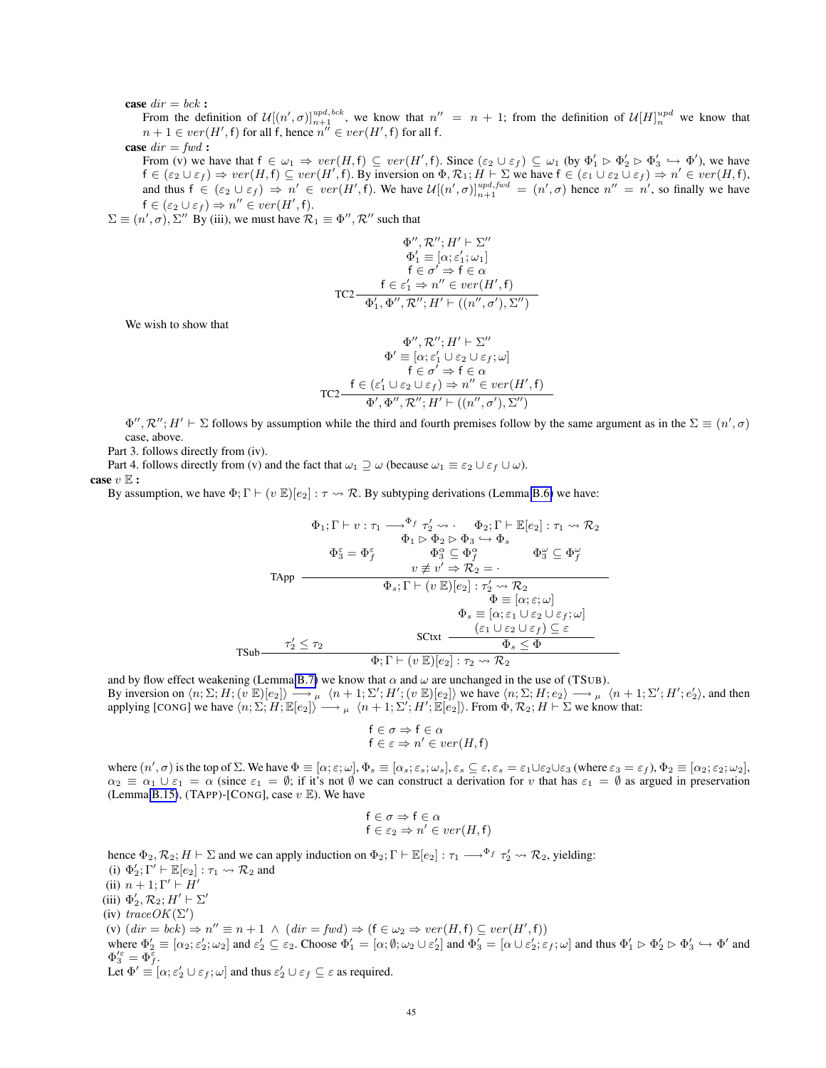# case  $dir = bck$ :

From the definition of  $\mathcal{U}[(n', \sigma)]_{n+1}^{upd, bck}$ , we know that  $n'' = n + 1$ ; from the definition of  $\mathcal{U}[H]_n^{upd}$  we know that  $n + 1 \in ver(H', f)$  for all f, hence  $n'' \in ver(H', f)$  for all f.

case  $dir = fwd$ :

From (v) we have that  $f \in \omega_1 \Rightarrow ver(H, f) \subseteq ver(H', f)$ . Since  $(\varepsilon_2 \cup \varepsilon_f) \subseteq \omega_1$  (by  $\Phi'_1 \triangleright \Phi'_2 \triangleright \Phi'_3 \hookrightarrow \Phi'$ ), we have  $f \in (\varepsilon_2 \cup \varepsilon_f) \Rightarrow ver(H, f) \subseteq ver(H', f)$ . By inversion on  $\Phi, \mathcal{R}_1; H \vdash \Sigma$  we have  $f \in (\varepsilon_1 \cup \varepsilon_2 \cup \varepsilon_f) \Rightarrow n' \in ver(H, f)$ , and thus  $f \in (\varepsilon_2 \cup \varepsilon_f) \Rightarrow n' \in ver(H', f)$ . We have  $\mathcal{U}[(n', \sigma)]_{n+1}^{upd, fwd} = (n', \sigma)$  hence  $n'' = n'$ , so finally we have  $f \in (\varepsilon_2 \cup \varepsilon_f) \Rightarrow n'' \in ver(H', f).$ 

 $\Sigma \equiv (n', \sigma), \Sigma''$  By (iii), we must have  $\mathcal{R}_1 \equiv \Phi'', \mathcal{R}''$  such that

$$
\Phi'', \mathcal{R}''; H' \vdash \Sigma''
$$
  
\n
$$
\Phi'_1 \equiv [\alpha; \varepsilon'_1; \omega_1]
$$
  
\n
$$
\mathsf{f} \in \sigma' \Rightarrow \mathsf{f} \in \alpha
$$
  
\nTC2  
\n
$$
\frac{\mathsf{f} \in \varepsilon'_1 \Rightarrow n'' \in ver(H', \mathsf{f})}{\Phi'_1, \Phi'', \mathcal{R}''; H' \vdash ((n'', \sigma'), \Sigma'')}
$$

We wish to show that

$$
\Phi'', \mathcal{R}''; H' \vdash \Sigma''
$$
  
\n
$$
\Phi' \equiv [\alpha; \varepsilon'_1 \cup \varepsilon_2 \cup \varepsilon_f; \omega]
$$
  
\n
$$
\mathsf{f} \in \sigma' \Rightarrow \mathsf{f} \in \alpha
$$
  
\n
$$
\text{TC2-}\frac{\mathsf{f} \in (\varepsilon'_1 \cup \varepsilon_2 \cup \varepsilon_f) \Rightarrow n'' \in ver(H', \mathsf{f})}{\Phi', \Phi'', \mathcal{R}''; H' \vdash ((n'', \sigma'), \Sigma'')}
$$

 $\Phi'', \mathcal{R}''$ ;  $H' \vdash \Sigma$  follows by assumption while the third and fourth premises follow by the same argument as in the  $\Sigma \equiv (n', \sigma)$ case, above.

Part 3. follows directly from (iv).

Part 4. follows directly from (v) and the fact that  $\omega_1 \supseteq \omega$  (because  $\omega_1 \equiv \varepsilon_2 \cup \varepsilon_f \cup \omega$ ). case  $v \mathbb{E}$  :

By assumption, we have  $\Phi$ ;  $\Gamma \vdash (v \mathbb{E})[e_2] : \tau \leadsto \mathcal{R}$ . By subtyping derivations (Lemma [B.6\)](#page-36-0) we have:

$$
\Phi_1; \Gamma \vdash v : \tau_1 \longrightarrow^{\Phi_f} \tau_2' \leadsto \cdots \Phi_2; \Gamma \vdash \mathbb{E}[e_2] : \tau_1 \leadsto \mathcal{R}_2
$$
\n
$$
\Phi_1 \rhd \Phi_2 \rhd \Phi_3 \hookrightarrow \Phi_s
$$
\n
$$
\Phi_3^{\varepsilon} = \Phi_f^{\varepsilon} \qquad \Phi_3^{\alpha} \subseteq \Phi_f^{\alpha} \qquad \Phi_3^{\omega} \subseteq \Phi_f^{\omega}
$$
\n
$$
v \not\equiv v' \Rightarrow \mathcal{R}_2 = \cdots
$$
\n
$$
\Phi_s; \Gamma \vdash (v \mathbb{E})[e_2] : \tau_2' \leadsto \mathcal{R}_2
$$
\n
$$
\Phi \equiv [\alpha; \varepsilon; \omega]
$$
\n
$$
\Phi_s \equiv [\alpha; \varepsilon_1 \cup \varepsilon_2 \cup \varepsilon_f; \omega]
$$
\n
$$
\tau_2' \leq \tau_2
$$
\n
$$
\text{SCtxt} \qquad \Phi_s \leq \Phi
$$
\n
$$
\Phi; \Gamma \vdash (v \mathbb{E})[e_2] : \tau_2 \leadsto \mathcal{R}_2
$$

and by flow effect weakening (Lemma [B.7\)](#page-36-1) we know that  $\alpha$  and  $\omega$  are unchanged in the use of (TSUB).

By inversion on  $\langle n; \Sigma; H; (\overline{v} \ \mathbb{E})[e_2] \rangle \longrightarrow \mu \langle n+1; \Sigma'; H'; (v \ \mathbb{E})[e_2] \rangle$  we have  $\langle n; \Sigma; H; e_2 \rangle \longrightarrow \mu \langle n+1; \Sigma'; H'; e_2' \rangle$ , and then applying [CONG] we have  $\langle n; \Sigma, H, \mathbb{E}[e_2] \rangle \longrightarrow_{\mu} \langle n+1; \Sigma'; H', \mathbb{E}[e_2] \rangle$ . From  $\Phi, \mathcal{R}_2; H \vdash \Sigma$  we know that:

$$
\begin{aligned} \mathsf{f} &\in \sigma \Rightarrow \mathsf{f} \in \alpha \\ \mathsf{f} &\in \varepsilon \Rightarrow n' \in \mathit{ver}(H, \mathsf{f}) \end{aligned}
$$

where  $(n', \sigma)$  is the top of  $\Sigma$ . We have  $\Phi \equiv [\alpha; \varepsilon; \omega]$ ,  $\Phi_s \equiv [\alpha_s; \varepsilon_s; \omega_s]$ ,  $\varepsilon_s \subseteq \varepsilon$ ,  $\varepsilon_s = \varepsilon_1 \cup \varepsilon_2 \cup \varepsilon_3$  (where  $\varepsilon_3 = \varepsilon_f$ ),  $\Phi_2 \equiv [\alpha_2; \varepsilon_2; \omega_2]$ ,  $\alpha_2 \equiv \alpha_1 \cup \varepsilon_1 = \alpha$  (since  $\varepsilon_1 = \emptyset$ ; if it's not  $\emptyset$  we can construct a derivation for v that has  $\varepsilon_1 = \emptyset$  as argued in preservation (Lemma [B.15\)](#page-46-0), (TAPP)-[CONG], case  $v \mathbb{E}$ ). We have

$$
\begin{aligned} \mathsf{f} &\in \sigma \Rightarrow \mathsf{f} \in \alpha \\ \mathsf{f} &\in \varepsilon_2 \Rightarrow n' \in ver(H, \mathsf{f}) \end{aligned}
$$

hence  $\Phi_2, \mathcal{R}_2$ ;  $H \vdash \Sigma$  and we can apply induction on  $\Phi_2$ ;  $\Gamma \vdash \mathbb{E}[e_2] : \tau_1 \longrightarrow^{\Phi_f} \tau_2' \leadsto \mathcal{R}_2$ , yielding: (i)  $\Phi'_2$ ;  $\Gamma' \vdash \mathbb{E}[e_2] : \tau_1 \leadsto \mathcal{R}_2$  and (ii)  $n + 1$ ;  $\Gamma' \vdash H'$ (iii)  $\Phi'_2, \mathcal{R}_2; H' \vdash \Sigma'$ (iv)  $traceOK(\Sigma')$ (v)  $(dr = bck) \Rightarrow n'' \equiv n + 1 \land (dir = fwd) \Rightarrow (f \in \omega_2 \Rightarrow ver(H, f) \subseteq ver(H', f))$ where  $\Phi'_2 \equiv [\alpha_2, \varepsilon'_2, \omega_2]$  and  $\varepsilon'_2 \subseteq \varepsilon_2$ . Choose  $\Phi'_1 = [\alpha, \emptyset, \omega_2 \cup \varepsilon'_2]$  and  $\Phi'_3 = [\alpha \cup \varepsilon'_2, \varepsilon_f, \omega]$  and thus  $\Phi'_1 \rhd \Phi'_2 \rhd \Phi'_3 \hookrightarrow \Phi'$  and  $\Phi_3^{\prime \varepsilon} = \Phi_f^{\overline{\varepsilon}}.$ Let  $\Phi' \equiv [\alpha; \varepsilon_2' \cup \varepsilon_f; \omega]$  and thus  $\varepsilon_2' \cup \varepsilon_f \subseteq \varepsilon$  as required.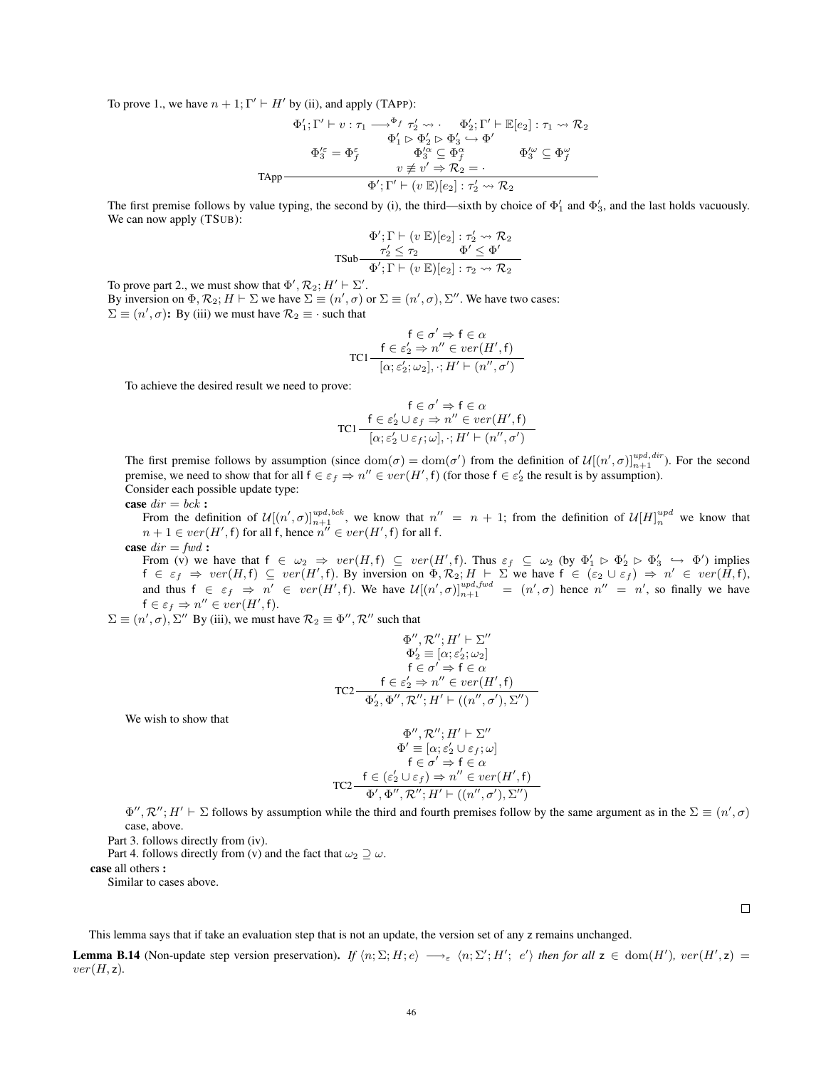To prove 1., we have  $n + 1$ ;  $\Gamma' \vdash H'$  by (ii), and apply (TAPP):

$$
\Phi_1'; \Gamma' \vdash v : \tau_1 \longrightarrow^{\Phi_f} \tau_2' \leadsto \cdot \quad \Phi_2'; \Gamma' \vdash \mathbb{E}[e_2] : \tau_1 \leadsto \mathcal{R}_2
$$

$$
\Phi_1' \rhd \Phi_2' \rhd \Phi_3' \hookrightarrow \Phi'
$$

$$
\Phi_3'^{\varepsilon} = \Phi_f^{\varepsilon} \qquad \Phi_3'^{\alpha} \subseteq \Phi_f^{\alpha} \qquad \Phi_3'^{\omega} \subseteq \Phi_f^{\omega}
$$

$$
v \not\equiv v' \Rightarrow \mathcal{R}_2 = \cdot
$$

$$
\Phi'; \Gamma' \vdash (v \mathbb{E})[e_2] : \tau_2' \leadsto \mathcal{R}_2
$$

The first premise follows by value typing, the second by (i), the third—sixth by choice of  $\Phi'_1$  and  $\Phi'_3$ , and the last holds vacuously. We can now apply (TSUB):

$$
\Phi'; \Gamma \vdash (v \mathbb{E})[e_2] : \tau'_2 \leadsto \mathcal{R}_2
$$
  
\n
$$
\tau'_2 \leq \tau_2 \qquad \Phi' \leq \Phi'
$$
  
\n
$$
\Phi'; \Gamma \vdash (v \mathbb{E})[e_2] : \tau_2 \leadsto \mathcal{R}_2
$$

To prove part 2., we must show that  $\Phi', \mathcal{R}_2; H' \vdash \Sigma'.$ By inversion on  $\Phi$ ,  $\mathcal{R}_2$ ;  $H \vdash \Sigma$  we have  $\Sigma \equiv (n', \sigma)$  or  $\Sigma \equiv (n', \sigma)$ ,  $\Sigma''$ . We have two cases:  $\Sigma \equiv (n', \sigma)$ : By (iii) we must have  $\mathcal{R}_2 \equiv \cdot$  such that

$$
\mathsf{FC} \xrightarrow{\mathsf{f}} \mathsf{F} \in \alpha
$$
\n
$$
\mathsf{TC1} \xrightarrow{\mathsf{f}} \mathsf{C} \varepsilon_2' \Rightarrow n'' \in \text{ver}(H', \mathsf{f})
$$
\n
$$
[\alpha; \varepsilon_2'; \omega_2], \cdot; H' \vdash (n'', \sigma')
$$

To achieve the desired result we need to prove:

$$
\mathsf{f} \in \sigma' \Rightarrow \mathsf{f} \in \alpha
$$
  
TC1
$$
\frac{\mathsf{f} \in \varepsilon_2' \cup \varepsilon_f \Rightarrow n'' \in ver(H', \mathsf{f})}{[\alpha; \varepsilon_2' \cup \varepsilon_f; \omega], \cdot; H' \vdash (n'', \sigma')}
$$

The first premise follows by assumption (since  $\text{dom}(\sigma) = \text{dom}(\sigma')$  from the definition of  $\mathcal{U}[(n', \sigma)]_{n+1}^{\text{upd}, \text{dir}}$ ). For the second premise, we need to show that for all  $f \in \varepsilon_f \Rightarrow n'' \in ver(H', f)$  (for those  $f \in \varepsilon'_2$  the result is by assumption). Consider each possible update type:

case  $dir = bck$ :

From the definition of  $\mathcal{U}[(n', \sigma)]_{n+1}^{upd, bck}$ , we know that  $n'' = n + 1$ ; from the definition of  $\mathcal{U}[H]_n^{upd}$  we know that  $n + 1 \in ver(H', f)$  for all f, hence  $n'' \in ver(H', f)$  for all f.

case  $dir = fwd$ :

From (v) we have that  $f \in \omega_2 \Rightarrow ver(H, f) \subseteq ver(H', f)$ . Thus  $\varepsilon_f \subseteq \omega_2$  (by  $\Phi'_1 \triangleright \Phi'_2 \triangleright \Phi'_3 \hookrightarrow \Phi'$ ) implies  $f \in \varepsilon_f \Rightarrow ver(H, f) \subseteq ver(H', f)$ . By inversion on  $\Phi$ ,  $\mathcal{R}_2$ ;  $H \vdash \Sigma$  we have  $f \in (\varepsilon_2 \cup \varepsilon_f) \Rightarrow n' \in ver(\tilde{H}, f)$ , and thus  $f \in \varepsilon_f \Rightarrow n' \in ver(H', f)$ . We have  $\mathcal{U}[(n', \sigma)]_{n+1}^{upd, fwd} = (n', \sigma)$  hence  $n'' = n'$ , so finally we have  $f \in \varepsilon_f \Rightarrow n'' \in ver(H', f).$ 

 $\Sigma \equiv (n', \sigma), \Sigma''$  By (iii), we must have  $\mathcal{R}_2 \equiv \Phi'', \mathcal{R}''$  such that

$$
\Phi'', \mathcal{R}''; H' \vdash \Sigma''
$$
  
\n
$$
\Phi_2' \equiv [\alpha; \varepsilon_2'; \omega_2]
$$
  
\n
$$
\mathsf{f} \in \sigma' \Rightarrow \mathsf{f} \in \alpha
$$
  
\nTC2  
\n
$$
\mathsf{TC2} \xrightarrow{\mathsf{f} \in \varepsilon_2' \Rightarrow n'' \in ver(H', \mathsf{f})}
$$
  
\n
$$
\Phi_2', \Phi'', \mathcal{R}''; H' \vdash ((n'', \sigma'), \Sigma'')
$$

We wish to show that

$$
\begin{array}{c}\n\Phi'', \mathcal{R}'', H' \vdash \Sigma'' \\
\Phi' \equiv [\alpha; \varepsilon_2' \cup \varepsilon_f; \omega] \\
\mathsf{f} \in \sigma' \Rightarrow \mathsf{f} \in \alpha\n\end{array}
$$
\n
$$
\text{TC2}\frac{\mathsf{f} \in (\varepsilon_2' \cup \varepsilon_f) \Rightarrow n'' \in ver(H', \mathsf{f})}{\Phi', \Phi'', \mathcal{R}'', H' \vdash ((n'', \sigma'), \Sigma'')}
$$

 $\Phi'', \mathcal{R}''$ ;  $H' \vdash \Sigma$  follows by assumption while the third and fourth premises follow by the same argument as in the  $\Sigma \equiv (n', \sigma)$ case, above.

Part 3. follows directly from (iv).

Part 4. follows directly from (v) and the fact that  $\omega_2 \supseteq \omega$ .

case all others :

Similar to cases above.

 $\Box$ 

This lemma says that if take an evaluation step that is not an update, the version set of any z remains unchanged.

<span id="page-45-0"></span>**Lemma B.14** (Non-update step version preservation). If  $\langle n; \Sigma; H; e \rangle \longrightarrow_{\varepsilon} \langle n; \Sigma'; H'; e' \rangle$  then for all  $z \in \text{dom}(H')$ ,  $ver(H', z) =$  $ver(H, z)$ .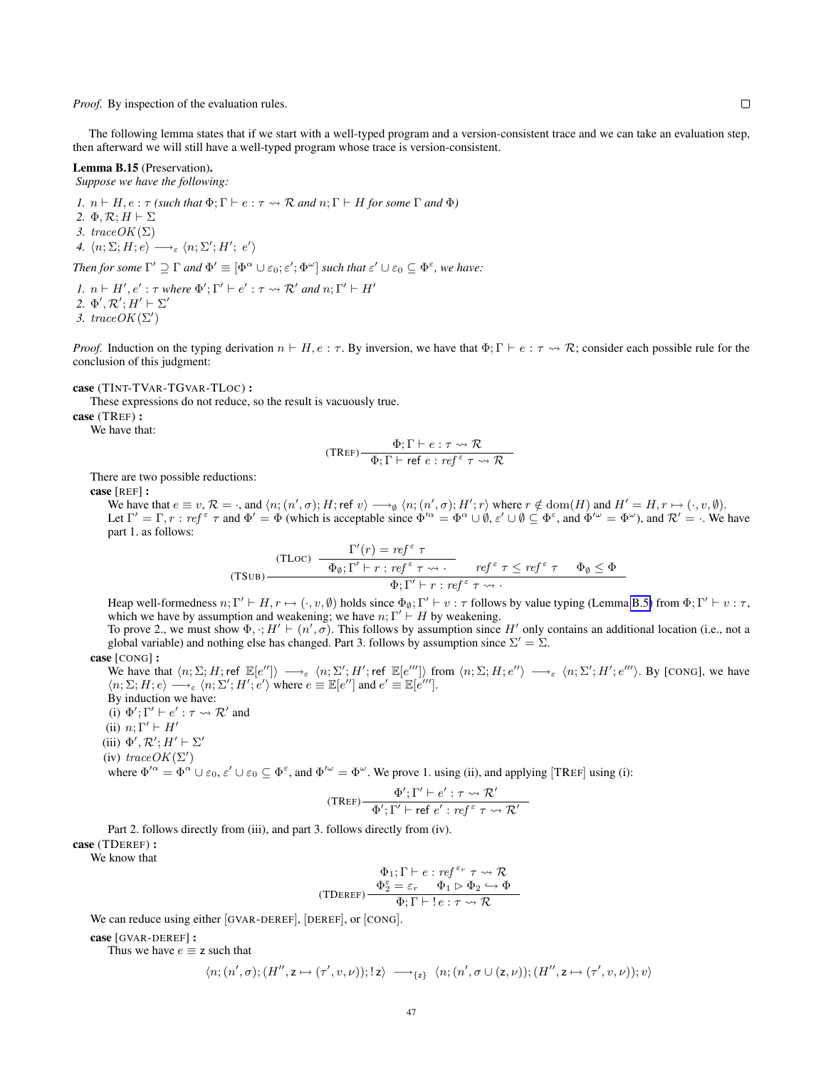*Proof.* By inspection of the evaluation rules.

The following lemma states that if we start with a well-typed program and a version-consistent trace and we can take an evaluation step, then afterward we will still have a well-typed program whose trace is version-consistent.

# <span id="page-46-0"></span>Lemma B.15 (Preservation).

*Suppose we have the following:*

*1.*  $n \vdash H$ ,  $e : \tau$  *(such that*  $\Phi: \Gamma \vdash e : \tau \leadsto \mathcal{R}$  *and*  $n: \Gamma \vdash H$  *for some*  $\Gamma$  *and*  $\Phi$ *)* 2.  $\Phi$ ,  $\mathcal{R}$ ;  $H \vdash \Sigma$ *3.*  $traceOK(\Sigma)$ 4.  $\langle n; \Sigma; H; e \rangle \longrightarrow_{\varepsilon} \langle n; \Sigma'; H'; e' \rangle$ 

*Then for some*  $\Gamma' \supseteq \Gamma$  *and*  $\Phi' \equiv [\Phi^{\alpha} \cup \varepsilon_0; \varepsilon'; \Phi^{\omega}]$  *such that*  $\varepsilon' \cup \varepsilon_0 \subseteq \Phi^{\varepsilon}$ *, we have:* 

*1.*  $n \vdash H', e' : \tau$  *where*  $\Phi'$ ;  $\Gamma' \vdash e' : \tau \leadsto \mathcal{R}'$  *and*  $n; \Gamma' \vdash H'$ 2.  $\Phi', \mathcal{R}'; H' \vdash \Sigma'$ 3. trace  $OK(\Sigma')$ 

*Proof.* Induction on the typing derivation  $n \vdash H$ ,  $e : \tau$ . By inversion, we have that  $\Phi$ ;  $\Gamma \vdash e : \tau \leadsto \mathcal{R}$ ; consider each possible rule for the conclusion of this judgment:

case (TINT-TVAR-TGVAR-TLOC) :

These expressions do not reduce, so the result is vacuously true.

case (TREF) :

We have that:

$$
(\text{TREF})\frac{\Phi; \Gamma \vdash e : \tau \leadsto \mathcal{R}}{\Phi; \Gamma \vdash \text{ref } e : ref^{\varepsilon} \tau \leadsto \mathcal{R}}
$$

There are two possible reductions:

case [REF] :

We have that  $e \equiv v, \mathcal{R} = \cdot$ , and  $\langle n; (n', \sigma); H; \text{ref } v \rangle \longrightarrow_{\emptyset} \langle n; (n', \sigma); H'; r \rangle$  where  $r \notin \text{dom}(H)$  and  $H' = H, r \mapsto (\cdot, v, \emptyset)$ . Let  $\Gamma' = \Gamma, r : ref^{\varepsilon} \tau$  and  $\Phi' = \Phi$  (which is acceptable since  $\Phi'^{\alpha} = \Phi^{\alpha} \cup \emptyset$ ,  $\varepsilon' \cup \emptyset \subseteq \Phi^{\varepsilon}$ , and  $\Phi'^{\omega} = \Phi^{\omega}$ ), and  $\mathcal{R}' = \cdot$ . We have part 1. as follows:

(TLOC) 
$$
\frac{\Gamma'(r) = ref^{\epsilon} \tau}{\Phi_{\emptyset}; \Gamma' \vdash r : ref^{\epsilon} \tau \leadsto \cdot} \quad ref^{\epsilon} \tau \leq ref^{\epsilon} \tau \quad \Phi_{\emptyset} \leq \Phi
$$

$$
\Phi; \Gamma' \vdash r : ref^{\epsilon} \tau \leadsto \cdot
$$

Heap well-formedness  $n; \Gamma' \vdash H, r \mapsto (\cdot, v, \emptyset)$  holds since  $\Phi_{\emptyset}; \Gamma' \vdash v : \tau$  follows by value typing (Lemma [B.5\)](#page-35-4) from  $\Phi; \Gamma' \vdash v : \tau$ , which we have by assumption and weakening; we have  $n; \Gamma' \vdash H$  by weakening.

To prove 2., we must show  $\Phi$ ,  $:H' \vdash (n', \sigma)$ . This follows by assumption since  $H'$  only contains an additional location (i.e., not a global variable) and nothing else has changed. Part 3. follows by assumption since  $\Sigma' = \Sigma$ .

$$
case [CONG]:
$$

We have that  $\langle n; \Sigma; H; \text{ref } \mathbb{E}[e''] \rangle \longrightarrow_{\varepsilon} \langle n; \Sigma'; H'; \text{ref } \mathbb{E}[e'''] \rangle$  from  $\langle n; \Sigma; H; e'' \rangle \longrightarrow_{\varepsilon} \langle n; \Sigma'; H'; e''' \rangle$ . By [CONG], we have  $\langle n; \Sigma; H; e \rangle \longrightarrow_{\varepsilon} \langle n; \Sigma'; H'; e' \rangle$  where  $e \equiv \mathbb{E}[e'']$  and  $e' \equiv \mathbb{E}[e''']$ .

By induction we have:

(i)  $\Phi'$ ;  $\Gamma' \vdash e' : \tau \leadsto \mathcal{R}'$  and

(ii)  $n; \Gamma' \vdash H'$ 

(iii)  $\Phi', \mathcal{R}'; H' \vdash \Sigma'$ 

(iv)  $traceOK(\Sigma')$ 

where  $\Phi'^{\alpha} = \Phi^{\alpha} \cup \varepsilon_0$ ,  $\varepsilon' \cup \varepsilon_0 \subseteq \Phi^{\varepsilon}$ , and  $\Phi'^{\omega} = \Phi^{\omega}$ . We prove 1. using (ii), and applying [TREF] using (i):

$$
(\text{TREF})\frac{\Phi';\Gamma'\vdash e':\tau\leadsto\mathcal{R}'}{\Phi';\Gamma'\vdash \text{ref }e':\text{ref }^{\varepsilon}\tau\leadsto\mathcal{R}'}
$$

Part 2. follows directly from (iii), and part 3. follows directly from (iv). case (TDEREF) :

We know that

$$
\begin{array}{c} \Phi_1;\Gamma\vdash e:ref^{\varepsilon_r}\tau\leadsto \mathcal{R} \\ \Phi_2^{\varepsilon}=\varepsilon_r\hspace{0.5cm}\Phi_1\rhd\Phi_2\hookrightarrow\Phi \\ \hline \Phi;\Gamma\vdash !\,e:\tau\leadsto \mathcal{R} \end{array}
$$

We can reduce using either [GVAR-DEREF], [DEREF], or [CONG].

case [GVAR-DEREF] :

Thus we have  $e \equiv z$  such that

$$
\langle n;(n',\sigma);(H'',\mathbf{z}\mapsto(\tau',v,\nu));\mathbf{z}\rangle\implies_{\mathbf{z}\mathbf{z}}\langle n;(n',\sigma\cup(\mathbf{z},\nu));(H'',\mathbf{z}\mapsto(\tau',v,\nu));v\rangle
$$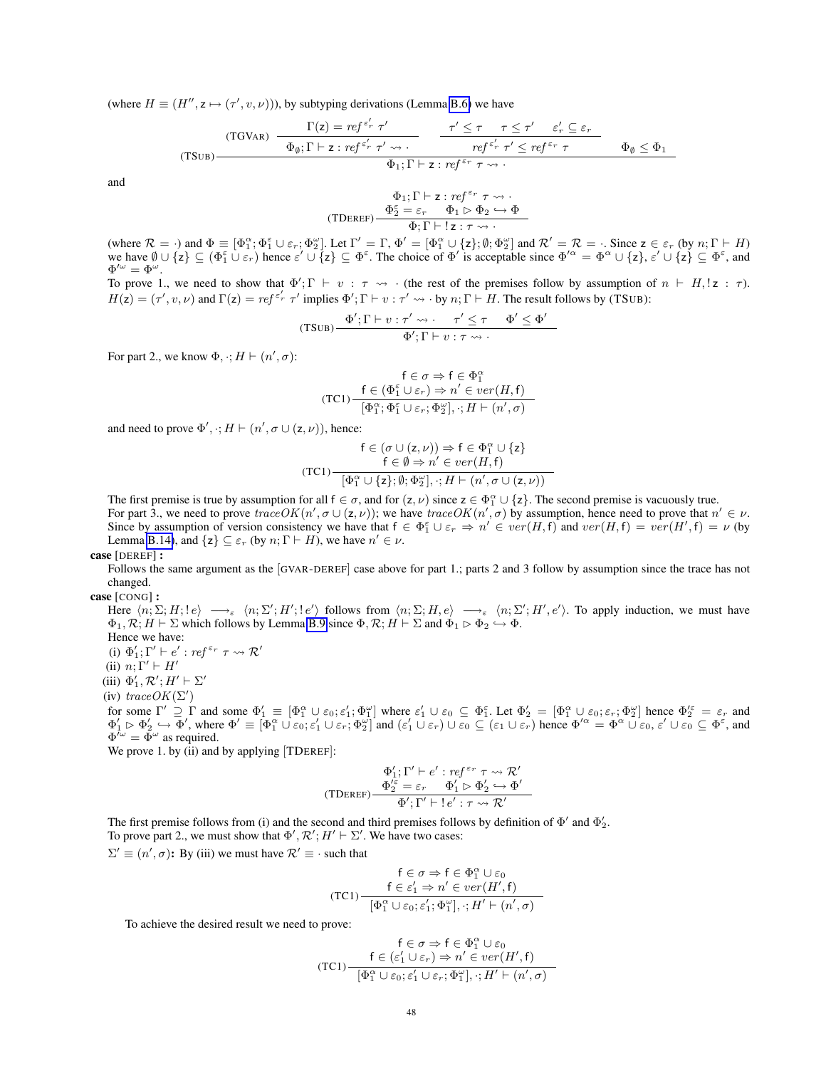(where  $H \equiv (H'', z \mapsto (\tau', v, \nu))$ ), by subtyping derivations (Lemma [B.6\)](#page-36-0) we have

(TSUB)  
\n
$$
\frac{\Gamma(z) = ref^{\varepsilon'_r} \tau'}{\Phi_{\emptyset}; \Gamma \vdash z : ref^{\varepsilon'_r} \tau' \leadsto \cdot} \qquad \frac{\tau' \leq \tau \quad \tau \leq \tau' \quad \varepsilon'_r \subseteq \varepsilon_r}{ref^{\varepsilon'_r} \tau' \leq ref^{\varepsilon_r} \tau} \qquad \Phi_{\emptyset} \leq \Phi_1
$$
\n
$$
\Phi_1; \Gamma \vdash z : ref^{\varepsilon_r} \tau \leadsto \cdot
$$

and

$$
\begin{array}{c} \Phi_1;\Gamma\vdash \mathsf{z}: \mathit{ref}^{\varepsilon_r}\ \tau\leadsto \cdot \\ \Phi_2^\varepsilon=\varepsilon_r\quad \Phi_1 \vartriangleright \Phi_2 \hookrightarrow \Phi \\ \hline \Phi;\Gamma\vdash !\ \mathsf{z}:\tau\leadsto \cdot \end{array}
$$

(where  $\mathcal{R} = \cdot$ ) and  $\Phi \equiv [\Phi_1^{\alpha}; \Phi_1^{\varepsilon} \cup \varepsilon_r; \Phi_2^{\omega}]$ . Let  $\Gamma' = \Gamma$ ,  $\Phi' = [\Phi_1^{\alpha} \cup {\{z\}}; \emptyset; \Phi_2^{\omega}]$  and  $\mathcal{R}' = \mathcal{R} = \cdot$ . Since  $z \in \varepsilon_r$  (by  $n; \Gamma \vdash H$ ) we have  $\emptyset \cup \{\mathsf{z}\} \subseteq (\Phi_1^{\varepsilon} \cup \varepsilon_r)$  hence  $\varepsilon' \cup \{\mathsf{z}\} \subseteq \Phi^{\varepsilon}$ . The choice of  $\Phi'$  is acceptable since  $\Phi'^{\alpha} = \Phi^{\alpha} \cup \{\mathsf{z}\}, \varepsilon' \cup \{\mathsf{z}\} \subseteq \Phi^{\varepsilon}$ , and  $\Phi^{\prime\omega} = \Phi^\omega.$ 

To prove 1., we need to show that  $\Phi'$ ;  $\Gamma \vdash v : \tau \leadsto \cdot$  (the rest of the premises follow by assumption of  $n \vdash H$ ,  $z : \tau$ ).  $H(z) = (\tau', v, \nu)$  and  $\Gamma(z) = ref^{\epsilon'_{r}} \tau'$  implies  $\Phi'; \Gamma \vdash v : \tau' \leadsto \nu$  by  $n; \Gamma \vdash H$ . The result follows by (TSUB):

$$
(TSUB) \frac{\Phi'; \Gamma \vdash v : \tau' \leadsto . \quad \tau' \leq \tau \quad \Phi' \leq \Phi'}{\Phi'; \Gamma \vdash v : \tau \leadsto .}
$$

For part 2., we know  $\Phi$ ,  $\cdot$ ;  $H \vdash (n', \sigma)$ :

$$
\mathsf{f} \in \sigma \Rightarrow \mathsf{f} \in \Phi_1^{\alpha}
$$

$$
(\mathsf{TC1}) \xrightarrow{\mathsf{f} \in (\Phi_1^{\varepsilon} \cup \varepsilon_r) \Rightarrow n' \in ver(H, \mathsf{f})}
$$

$$
[\Phi_1^{\alpha}; \Phi_1^{\varepsilon} \cup \varepsilon_r; \Phi_2^{\omega}], \cdot; H \vdash (n', \sigma)
$$

and need to prove  $\Phi', \cdot; H \vdash (n', \sigma \cup (z, \nu))$ , hence:

$$
f \in (\sigma \cup (z, \nu)) \Rightarrow f \in \Phi_1^{\alpha} \cup \{z\}
$$

$$
(TC1) \frac{f \in \emptyset \Rightarrow n' \in ver(H, f)}{[\Phi_1^{\alpha} \cup \{z\}; \emptyset; \Phi_2^{\omega}], \cdot; H \vdash (n', \sigma \cup (z, \nu))}
$$

The first premise is true by assumption for all  $f \in \sigma$ , and for  $(z, \nu)$  since  $z \in \Phi_1^{\alpha} \cup \{z\}$ . The second premise is vacuously true. For part 3., we need to prove  $traceOK(n', \sigma \cup (z, \nu))$ ; we have  $traceOK(n', \sigma)$  by assumption, hence need to prove that  $n' \in \nu$ . Since by assumption of version consistency we have that  $f \in \Phi_1^{\varepsilon} \cup \varepsilon_r \Rightarrow n' \in ver(H, f)$  and  $ver(H, f) = ver(H', f) = \nu$  (by Lemma [B.14\)](#page-45-0), and  $\{z\} \subseteq \varepsilon_r$  (by  $n; \Gamma \vdash H$ ), we have  $n' \in \nu$ .

# case [DEREF] :

Follows the same argument as the [GVAR-DEREF] case above for part 1.; parts 2 and 3 follow by assumption since the trace has not changed.

case [CONG] :

Here  $\langle n; \Sigma; H; !e \rangle \longrightarrow_{\varepsilon} \langle n; \Sigma'; H'; !e' \rangle$  follows from  $\langle n; \Sigma; H, e \rangle \longrightarrow_{\varepsilon} \langle n; \Sigma'; H', e' \rangle$ . To apply induction, we must have  $\Phi_1, \mathcal{R}; H \vdash \Sigma$  which follows by Lemma [B.9](#page-37-0) since  $\Phi, \mathcal{R}; H \vdash \Sigma$  and  $\Phi_1 \rhd \Phi_2 \hookrightarrow \Phi$ . Hence we have:

(i)  $\Phi'_1$ ;  $\Gamma' \vdash e'$  :  $\mathit{ref}^{\varepsilon_r} \tau \leadsto \mathcal{R}'$ 

(ii)  $n; \Gamma' \vdash H'$ 

(iii)  $\Phi'_1, \mathcal{R}'; H' \vdash \Sigma'$ 

(iv)  $traceOK(\Sigma')$ 

for some  $\Gamma' \supseteq \Gamma$  and some  $\Phi'_1 \equiv [\Phi_1^{\alpha} \cup \varepsilon_0; \varepsilon'_1; \Phi_1^{\omega}]$  where  $\varepsilon'_1 \cup \varepsilon_0 \subseteq \Phi_1^{\varepsilon}$ . Let  $\Phi'_2 = [\Phi_1^{\alpha} \cup \varepsilon_0; \varepsilon_r; \Phi_2^{\omega}]$  hence  $\Phi'_2 = \varepsilon_r$  and  $\Phi'_1 \rhd \Phi'_2 \hookrightarrow \overline{\Phi}'$ , where  $\Phi' \equiv [\Phi_1^{\alpha} \cup \varepsilon_0; \varepsilon'_1 \cup \varepsilon_r; \Phi_2^{\omega}]$  and  $(\varepsilon'_1 \cup \varepsilon_r) \cup \varepsilon_0 \subseteq (\varepsilon_1 \cup \varepsilon_r)$  hence  $\Phi'^{\alpha} = \Phi^{\alpha} \cup \varepsilon_0, \varepsilon' \cup \varepsilon_0 \subseteq \Phi^{\varepsilon}$ , and  $\Phi^{i\omega} = \Phi^{\omega}$  as required.

We prove 1. by (ii) and by applying [TDEREF]:

$$
\Phi_1';\Gamma'\vdash e':\operatorname{ref}^{\varepsilon_r}\tau\leadsto\mathcal{R}'
$$

$$
(\operatorname{TDEREF})\begin{array}{c}\Phi_2^{\prime\varepsilon}=\varepsilon_r\hspace{0.5cm}\Phi_1'\rhd\Phi_2'\hookrightarrow\Phi'\\\hline\Phi';\Gamma'\vdash !\,e':\tau\leadsto\mathcal{R}'\end{array}
$$

The first premise follows from (i) and the second and third premises follows by definition of  $\Phi'$  and  $\Phi'_2$ . To prove part 2., we must show that  $\Phi', \mathcal{R}'; H' \vdash \Sigma'$ . We have two cases:  $\Sigma' \equiv (n', \sigma)$ : By (iii) we must have  $\mathcal{R}' \equiv \cdot$  such that

$$
\mathsf{f} \in \sigma \Rightarrow \mathsf{f} \in \Phi_1^{\alpha} \cup \varepsilon_0
$$
\n
$$
\mathsf{f} \in \varepsilon'_1 \Rightarrow n' \in ver(H', \mathsf{f})
$$
\n
$$
(\mathsf{TC1}) - \left[ \Phi_1^{\alpha} \cup \varepsilon_0; \varepsilon'_1; \Phi_1^{\omega} \right], \, \cdot; H' \vdash (n', \sigma)
$$

To achieve the desired result we need to prove:

$$
\mathsf{f} \in \sigma \Rightarrow \mathsf{f} \in \Phi_1^{\alpha} \cup \varepsilon_0
$$

$$
(\mathsf{T} \mathsf{C} \mathsf{1}) \frac{\mathsf{f} \in (\varepsilon_1' \cup \varepsilon_r) \Rightarrow n' \in \mathit{ver}(H', \mathsf{f})}{[\Phi_1^{\alpha} \cup \varepsilon_0; \varepsilon_1' \cup \varepsilon_r; \Phi_1^{\omega}], \cdot; H' \vdash (n', \sigma)}
$$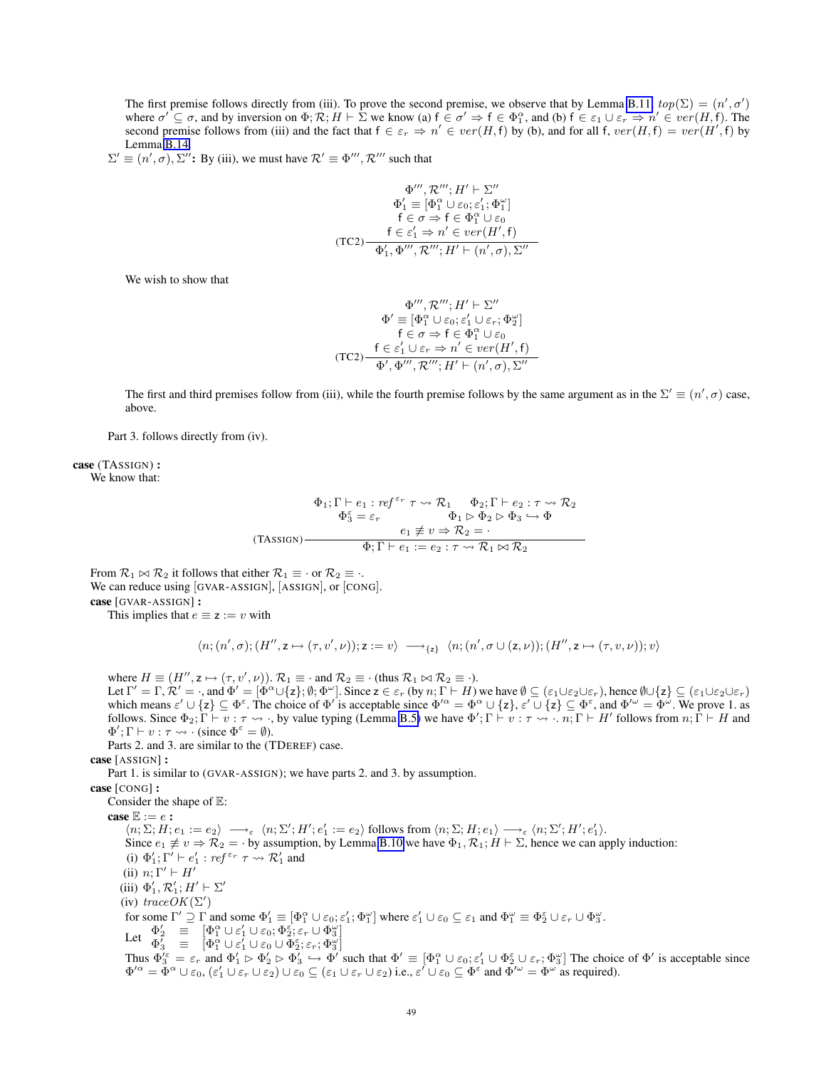The first premise follows directly from (iii). To prove the second premise, we observe that by Lemma [B.11,](#page-40-1)  $top(\Sigma) = (n', \sigma')$ where  $\sigma' \subseteq \sigma$ , and by inversion on  $\Phi$ ;  $\mathcal{R}$ ;  $H \vdash \Sigma$  we know (a)  $f \in \sigma' \Rightarrow f \in \Phi_1^{\alpha}$ , and (b)  $f \in \varepsilon_1 \cup \varepsilon_r \Rightarrow n' \in ver(H, f)$ . The second premise follows from (iii) and the fact that  $f \in \varepsilon_r \Rightarrow n' \in ver(H, f)$  by (b), and for all f,  $ver(H, f) = ver(H', f)$  by Lemma [B.14.](#page-45-0)

 $\Sigma' \equiv (n', \sigma), \Sigma''$ : By (iii), we must have  $\mathcal{R}' \equiv \Phi'''$ ,  $\mathcal{R}'''$  such that

$$
\Phi''', \mathcal{R}'''; H' \vdash \Sigma''
$$
  
\n
$$
\Phi'_1 \equiv [\Phi_1^{\alpha} \cup \varepsilon_0; \varepsilon'_1; \Phi_1^{\omega}]
$$
  
\n
$$
\mathsf{f} \in \sigma \Rightarrow \mathsf{f} \in \Phi_1^{\alpha} \cup \varepsilon_0
$$
  
\n
$$
\mathsf{f} \in \varepsilon'_1 \Rightarrow n' \in ver(H', \mathsf{f})
$$
  
\n(TC2)  
\n
$$
\Phi'_1, \Phi''', \mathcal{R}'''; H' \vdash (n', \sigma), \Sigma''
$$

We wish to show that

$$
\Phi''', \mathcal{R}'''; H' \vdash \Sigma''
$$
  
\n
$$
\Phi' \equiv [\Phi_1^{\alpha} \cup \varepsilon_0; \varepsilon_1' \cup \varepsilon_r; \Phi_2^{\omega}]
$$
  
\n
$$
\mathsf{f} \in \sigma \Rightarrow \mathsf{f} \in \Phi_1^{\alpha} \cup \varepsilon_0
$$
  
\n(TC2)  
\n
$$
\frac{\mathsf{f} \in \varepsilon_1' \cup \varepsilon_r \Rightarrow n' \in ver(H', \mathsf{f})}{\Phi', \Phi''', \mathcal{R}'''; H' \vdash (n', \sigma), \Sigma''}
$$

The first and third premises follow from (iii), while the fourth premise follows by the same argument as in the  $\Sigma' \equiv (n', \sigma)$  case, above.

Part 3. follows directly from (iv).

case (TASSIGN) : We know that:

$$
\Phi_1; \Gamma \vdash e_1 : ref^{\varepsilon_r} \tau \leadsto \mathcal{R}_1 \qquad \Phi_2; \Gamma \vdash e_2 : \tau \leadsto \mathcal{R}_2
$$
\n
$$
\Phi_3^{\varepsilon} = \varepsilon_r \qquad \Phi_1 \rhd \Phi_2 \rhd \Phi_3 \hookrightarrow \Phi
$$
\n
$$
(TASSIGN)
$$
\n
$$
\Phi_1 \not\equiv v \Rightarrow \mathcal{R}_2 = \cdot
$$
\n
$$
\Phi_1 \rhd \varepsilon_2 : \tau \leadsto \mathcal{R}_1 \bowtie \mathcal{R}_2
$$

From  $\mathcal{R}_1 \bowtie \mathcal{R}_2$  it follows that either  $\mathcal{R}_1 \equiv \cdot$  or  $\mathcal{R}_2 \equiv \cdot$ . We can reduce using [GVAR-ASSIGN], [ASSIGN], or [CONG]. case [GVAR-ASSIGN] : This implies that  $e \equiv z := v$  with

$$
\langle n; (n',\sigma); (H'',\mathsf{z} \mapsto (\tau,\mathsf{v}',\nu)); \mathsf{z} := \mathsf{v} \rangle \longrightarrow_{\{\mathsf{z}\}} \langle n; (n',\sigma \cup (\mathsf{z},\nu)); (H'',\mathsf{z} \mapsto (\tau,\mathsf{v},\nu)); \mathsf{v} \rangle
$$

where  $H \equiv (H'', z \mapsto (\tau, v', \nu))$ .  $\mathcal{R}_1 \equiv \cdot$  and  $\mathcal{R}_2 \equiv \cdot$  (thus  $\mathcal{R}_1 \bowtie \mathcal{R}_2 \equiv \cdot$ ). Let  $\Gamma' = \Gamma$ ,  $\mathcal{R}' = \cdot$ , and  $\Phi' = [\Phi^{\alpha} \cup {\zeta}; \emptyset; \Phi^{\omega}]$ . Since  $z \in \varepsilon_r$  (by  $n; \Gamma \vdash H$ ) we have  $\emptyset \subseteq (\varepsilon_1 \cup \varepsilon_2 \cup \varepsilon_r)$ , hence  $\emptyset \cup {\zeta} \subseteq (\varepsilon_1 \cup \varepsilon_2 \cup \varepsilon_r)$ 

which means  $\varepsilon' \cup \{z\} \subseteq \Phi^{\varepsilon}$ . The choice of  $\Phi'$  is acceptable since  $\Phi'^{\alpha} = \Phi^{\alpha} \cup \{z\}, \varepsilon' \cup \{z\} \subseteq \Phi^{\varepsilon}$ , and  $\Phi'^{\omega} = \Phi^{\omega}$ . We prove 1. as follows. Since  $\Phi_2$ ;  $\Gamma \vdash v : \tau \leadsto \cdot$ , by value typing (Lemma [B.5\)](#page-35-4) we have  $\Phi'$ ;  $\Gamma \vdash v : \tau \leadsto \cdot \overline{n}$ ;  $\Gamma \vdash H'$  follows from  $n; \Gamma \vdash H$  and  $\Phi'; \Gamma \vdash v : \tau \leadsto \cdot$  (since  $\Phi^{\varepsilon} = \emptyset$ ).

Parts 2. and 3. are similar to the (TDEREF) case.

case [ASSIGN] :

Part 1. is similar to (GVAR-ASSIGN); we have parts 2. and 3. by assumption.

case [CONG] :

Consider the shape of E: case  $\mathbb{E} := e$ :  $\langle n; \Sigma; H; e_1 := e_2 \rangle \longrightarrow_{\varepsilon} \langle n; \Sigma'; H'; e_1' := e_2 \rangle \text{ follows from } \langle n; \Sigma; H; e_1 \rangle \longrightarrow_{\varepsilon} \langle n; \Sigma'; H'; e_1' \rangle.$ Since  $e_1 \not\equiv v \Rightarrow \mathcal{R}_2 = \cdot$  by assumption, by Lemma [B.10](#page-39-0) we have  $\Phi_1, \mathcal{R}_1$ ;  $H \vdash \Sigma$ , hence we can apply induction: (i)  $\Phi'_1$ ;  $\Gamma' \vdash e'_1$  :  $ref^{\varepsilon_r} \tau \leadsto \mathcal{R}'_1$  and (ii)  $n: \Gamma' \vdash H'$ (iii)  $\Phi'_1, \mathcal{R}'_1$ ;  $H' \vdash \Sigma'$ (iv) trace  $OK(\Sigma')$ for some  $\Gamma' \supseteq \Gamma$  and some  $\Phi'_1 \equiv [\Phi_1^{\alpha} \cup \varepsilon_0; \varepsilon'_1; \Phi_1^{\omega}]$  where  $\varepsilon'_1 \cup \varepsilon_0 \subseteq \varepsilon_1$  and  $\Phi_1^{\omega} \equiv \Phi_2^{\varepsilon} \cup \varepsilon_r \cup \Phi_3^{\omega}$ . Let  $\Phi_2' = [\Phi_1^{\alpha} \cup \varepsilon_1' \cup \varepsilon_0; \Phi_2^{\varepsilon}; \varepsilon_r \cup \Phi_3^{\omega}]$  $\Phi_3^7 \quad \equiv \quad [\Phi_1^{\alpha} \cup \varepsilon_1^{7} \cup \varepsilon_0 \cup \Phi_2^{\varepsilon}; \varepsilon_r; \Phi_3^{\omega}]$ Thus  $\Phi_3^{\prime \varepsilon} = \varepsilon_r$  and  $\Phi_1' \triangleright \Phi_2' \triangleright \Phi_3' \hookrightarrow \Phi'$  such that  $\Phi' \equiv [\Phi_1^{\alpha} \cup \varepsilon_0; \varepsilon_1' \cup \Phi_2^{\varepsilon} \cup \varepsilon_r; \Phi_3^{\omega}]$  The choice of  $\Phi'$  is acceptable since  $\Phi'^{\alpha} = \Phi^{\alpha} \cup \varepsilon_0$ ,  $(\varepsilon'_1 \cup \varepsilon_r \cup \varepsilon_2) \cup \varepsilon_0 \subseteq (\varepsilon_1 \cup \varepsilon_r \cup \varepsilon_2)$  i.e.,  $\varepsilon' \cup \varepsilon_0 \subseteq \Phi^{\varepsilon}$  and  $\Phi'^{\omega} = \Phi^{\omega}$  as required).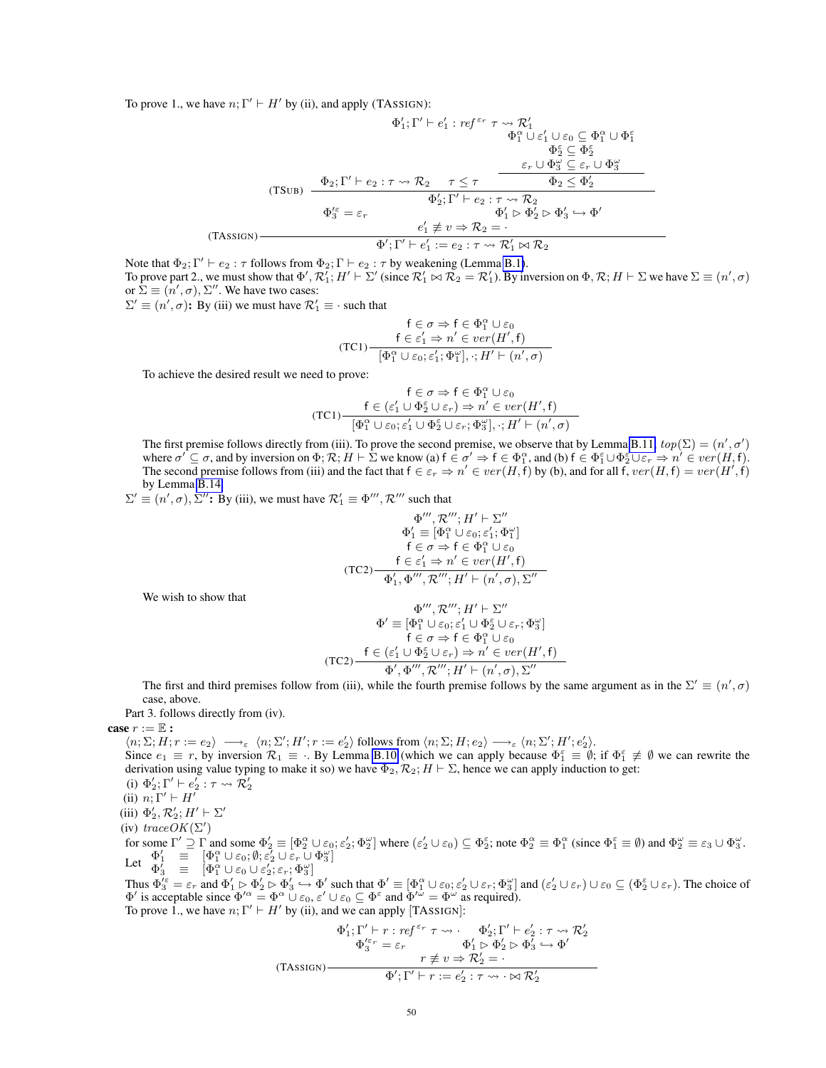To prove 1., we have  $n; \Gamma' \vdash H'$  by (ii), and apply (TASSIGN):

$$
\Phi'_1; \Gamma' \vdash e'_1 : ref^{\varepsilon_r} \tau \leadsto \mathcal{R}'_1
$$
\n
$$
\Phi_1^{\alpha} \cup \varepsilon'_1 \cup \varepsilon_0 \subseteq \Phi_1^{\alpha} \cup \Phi_1^{\varepsilon}
$$
\n
$$
\Phi_2^{\varepsilon} \subseteq \Phi_2^{\varepsilon}
$$
\n(TSUB) 
$$
\frac{\Phi_2; \Gamma' \vdash e_2 : \tau \leadsto \mathcal{R}_2 \quad \tau \leq \tau \quad \overbrace{\Phi_2 \leq \Phi_2^{\varepsilon}}
$$
\n
$$
\Phi_2'; \Gamma' \vdash e_2 : \tau \leadsto \mathcal{R}_2 \quad \Phi_2 \leq \Phi_2'
$$
\n
$$
\Phi_2'; \Gamma' \vdash e_2 : \tau \leadsto \mathcal{R}_2
$$
\n
$$
\Phi_1' \rhd \Phi_2' \rhd \Phi_3' \hookrightarrow \Phi'
$$
\n(TASSIGN) 
$$
\frac{e'_1 \not\equiv v \Rightarrow \mathcal{R}_2 = \cdot}{\Phi'_1; \Gamma' \vdash e'_1 := e_2 : \tau \leadsto \mathcal{R}'_1 \bowtie \mathcal{R}_2}
$$

Note that  $\Phi_2$ ;  $\Gamma' \vdash e_2 : \tau$  follows from  $\Phi_2$ ;  $\Gamma \vdash e_2 : \tau$  by weakening (Lemma [B.1\)](#page-35-3). To prove part 2., we must show that  $\Phi', \mathcal{R}_1'; H' \vdash \Sigma'$  (since  $\mathcal{R}_1' \bowtie \mathcal{R}_2 = \mathcal{R}_1'$ ). By inversion on  $\Phi, \mathcal{R}; H \vdash \Sigma$  we have  $\Sigma \equiv (n', \sigma)$ or  $\hat{\Sigma} \equiv (\hat{n}', \sigma), \Sigma''$ . We have two cases:

 $\Sigma' \equiv (n', \sigma)$ : By (iii) we must have  $\mathcal{R}'_1 \equiv \cdot$  such that

$$
\mathsf{f} \in \sigma \Rightarrow \mathsf{f} \in \Phi_1^{\alpha} \cup \varepsilon_0
$$
\n
$$
\mathsf{f} \in \varepsilon_1' \Rightarrow n' \in ver(H', \mathsf{f})
$$
\n
$$
[\Phi_1^{\alpha} \cup \varepsilon_0; \varepsilon_1'; \Phi_1^{\omega}], \cdot; H' \vdash (n', \sigma)
$$

To achieve the desired result we need to prove:

$$
\mathsf{f} \in \sigma \Rightarrow \mathsf{f} \in \Phi_1^{\alpha} \cup \varepsilon_0
$$

$$
(\mathsf{TC1}) \frac{\mathsf{f} \in (\varepsilon_1' \cup \Phi_2^{\varepsilon} \cup \varepsilon_r) \Rightarrow n' \in \mathit{ver}(H', \mathsf{f})}{[\Phi_1^{\alpha} \cup \varepsilon_0; \varepsilon_1' \cup \Phi_2^{\varepsilon} \cup \varepsilon_r; \Phi_3^{\omega}], \cdot; H' \vdash (n', \sigma)}
$$

The first premise follows directly from (iii). To prove the second premise, we observe that by Lemma [B.11,](#page-40-1)  $top(\Sigma) = (n', \sigma')$ where  $\sigma' \subseteq \sigma$ , and by inversion on  $\Phi$ ;  $\mathcal{R}$ ;  $H \vdash \Sigma$  we know (a)  $f \in \sigma' \Rightarrow f \in \Phi_1^{\alpha}$ , and (b)  $f \in \Phi_1^{\varepsilon} \cup \Phi_2^{\varepsilon} \cup \varepsilon_r \Rightarrow n' \in ver(H, f)$ . The second premise follows from (iii) and the fact that  $f \in \varepsilon_r \Rightarrow n' \in ver(H, f)$  by (b), and for all f,  $ver(H, f) = ver(H', f)$ by Lemma [B.14.](#page-45-0)

 $\Sigma' \equiv (n', \sigma), \Sigma''$ : By (iii), we must have  $\mathcal{R}'_1 \equiv \Phi'''$ ,  $\mathcal{R}'''$  such that

$$
\Phi''', \mathcal{R}'''; H' \vdash \Sigma''
$$
  
\n
$$
\Phi'_1 \equiv [\Phi_1^{\alpha} \cup \varepsilon_0; \varepsilon'_1; \Phi_1^{\omega}]
$$
  
\n
$$
f \in \sigma \Rightarrow f \in \Phi_1^{\alpha} \cup \varepsilon_0
$$
  
\n
$$
f \in \varepsilon'_1 \Rightarrow n' \in ver(H', f)
$$
  
\n(TC2)  
\n
$$
\Phi'_1, \Phi''', \mathcal{R}'''; H' \vdash (n', \sigma), \Sigma''
$$

We wish to show that

$$
\Phi''', \mathcal{R}'''; H' \vdash \Sigma''
$$

$$
\Phi' \equiv [\Phi_1^{\alpha} \cup \varepsilon_0; \varepsilon_1' \cup \Phi_2^{\varepsilon} \cup \varepsilon_r; \Phi_3^{\omega}]
$$

$$
\mathsf{f} \in \sigma \Rightarrow \mathsf{f} \in \Phi_1^{\alpha} \cup \varepsilon_0
$$

$$
(\mathsf{TC2}) \frac{\mathsf{f} \in (\varepsilon_1' \cup \Phi_2^{\varepsilon} \cup \varepsilon_r) \Rightarrow n' \in ver(H', \mathsf{f})}{\Phi', \Phi''', \mathcal{R}'''; H' \vdash (n', \sigma), \Sigma''}
$$

The first and third premises follow from (iii), while the fourth premise follows by the same argument as in the  $\Sigma' \equiv (n', \sigma)$ case, above.

Part 3. follows directly from (iv).

case  $r := \mathbb{E}$  :

 $\langle n; \Sigma; H; r := e_2 \rangle \longrightarrow_{\varepsilon} \langle n; \Sigma'; H'; r := e_2' \rangle$  follows from  $\langle n; \Sigma; H; e_2 \rangle \longrightarrow_{\varepsilon} \langle n; \Sigma'; H'; e_2' \rangle$ . Since  $e_1 \equiv r$ , by inversion  $\mathcal{R}_1 \equiv \cdot$ . By Lemma [B.10](#page-39-0) (which we can apply because  $\Phi_1^{\varepsilon} \equiv \emptyset$ ; if  $\Phi_1^{\varepsilon} \not\equiv \emptyset$  we can rewrite the derivation using value typing to make it so) we have  $\Phi_2$ ,  $\mathcal{R}_2$ ;  $H \vdash \Sigma$ , hence we can apply induction to get: (i)  $\Phi'_2$ ;  $\Gamma' \vdash e'_2 : \tau \leadsto \overline{\mathcal{R}}'_2$ 

(ii)  $n: \Gamma' \vdash H'$ 

(iii)  $\Phi'_2, \mathcal{R}'_2$ ;  $H' \vdash \Sigma'$ 

(iv) trace  $OK(\Sigma')$ 

for some  $\Gamma' \supseteq \Gamma$  and some  $\Phi_2' \equiv [\Phi_2^{\alpha} \cup \varepsilon_0, \varepsilon_2'; \Phi_2^{\omega}]$  where  $(\varepsilon_2' \cup \varepsilon_0) \subseteq \Phi_2^{\varepsilon}$ ; note  $\Phi_2^{\alpha} \equiv \Phi_1^{\alpha}$  (since  $\Phi_1^{\varepsilon} \equiv \emptyset$ ) and  $\Phi_2^{\omega} \equiv \varepsilon_3 \cup \Phi_3^{\omega}$ . Let  $\Phi'_1 = [\Phi_1^{\alpha} \cup \varepsilon_0; \emptyset; \overline{\varepsilon}_2 \cup \varepsilon_r \cup \Phi_3^{\omega}]$ 

 $\Phi_3^{\overline{\prime}} \equiv \left[ \Phi_1^{\alpha} \cup \varepsilon_0 \cup \varepsilon_2^{\prime}; \varepsilon_r; \Phi_3^{\omega} \right]$ 

Thus  $\Phi_3^{\prime \varepsilon} = \varepsilon_r$  and  $\Phi_1' \rhd \Phi_2' \rhd \Phi_3' \to \Phi'$  such that  $\Phi' \equiv [\Phi_1^{\alpha} \cup \varepsilon_0; \varepsilon_2' \cup \varepsilon_r; \Phi_3^{\alpha}]$  and  $(\varepsilon_2' \cup \varepsilon_r) \cup \varepsilon_0 \subseteq (\Phi_2^{\varepsilon} \cup \varepsilon_r)$ . The choice of  $\Phi'$  is acceptable since  $\Phi'^{\alpha} = \Phi^{\alpha} \cup \varepsilon_0, \varepsilon' \cup \varepsilon_0 \subseteq \Phi^{\varepsilon}$  and  $\Phi'^{\omega} = \Phi^{\omega}$  as required). To prove 1., we have  $n; \Gamma' \vdash H'$  by (ii), and we can apply [TASSIGN]:

$$
\Phi'_1; \Gamma' \vdash r : ref^{\varepsilon_r} \tau \leadsto \Phi'_2; \Gamma' \vdash e'_2 : \tau \leadsto \mathcal{R}'_2
$$

$$
\Phi_3^{\prime \varepsilon_r} = \varepsilon_r \qquad \Phi'_1 \rhd \Phi'_2 \rhd \Phi'_3 \hookrightarrow \Phi'
$$

$$
(TASSIGN) \qquad \qquad \tau \not\equiv v \Rightarrow \mathcal{R}'_2 = \cdot
$$

$$
\Phi'; \Gamma' \vdash r := e'_2 : \tau \leadsto \cdot \bowtie \mathcal{R}'_2
$$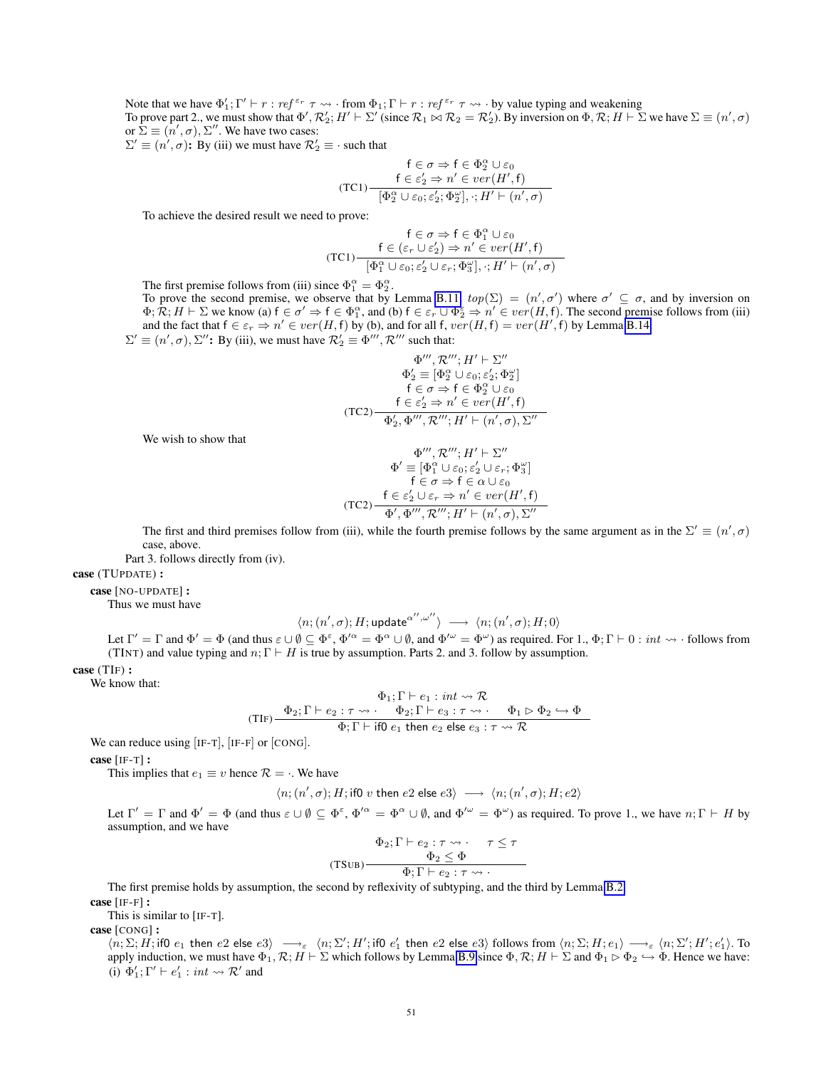Note that we have  $\Phi'_1$ ;  $\Gamma' \vdash r : ref^{\varepsilon_r} \tau \leadsto \cdot$  from  $\Phi_1$ ;  $\Gamma \vdash r : ref^{\varepsilon_r} \tau \leadsto \cdot$  by value typing and weakening To prove part 2., we must show that  $\Phi', \mathcal{R}'_2$ ;  $H' \vdash \Sigma'$  (since  $\mathcal{R}_1 \bowtie \mathcal{R}_2 = \mathcal{R}'_2$ ). By inversion on  $\Phi, \mathcal{R}; H \vdash \Sigma$  we have  $\Sigma \equiv (n', \sigma)$ or  $\hat{\Sigma} \equiv (\hat{n}', \sigma), \Sigma''$ . We have two cases:

 $\Sigma' \equiv (n', \sigma)$ : By (iii) we must have  $\mathcal{R}'_2 \equiv \cdot$  such that

$$
\mathsf{f} \in \sigma \Rightarrow \mathsf{f} \in \Phi_2^{\alpha} \cup \varepsilon_0
$$
\n
$$
\mathsf{f} \in \varepsilon_2' \Rightarrow n' \in ver(H', \mathsf{f})
$$
\n
$$
[\Phi_2^{\alpha} \cup \varepsilon_0; \varepsilon_2'; \Phi_2^{\omega}], \cdot; H' \vdash (n', \sigma)
$$

To achieve the desired result we need to prove:

$$
\mathsf{f}\in\sigma\Rightarrow\mathsf{f}\in\Phi_1^\alpha\cup\varepsilon_0\\\mathsf{f}\in(\varepsilon_r\cup\varepsilon_2')\Rightarrow n'\in ver(H',\mathsf{f})\\\hline\lbrack\Phi_1^\alpha\cup\varepsilon_0;\varepsilon_2'\cup\varepsilon_r;\Phi_3^\omega\rbrack,\cdot;H'\vdash(n',\sigma)
$$

The first premise follows from (iii) since  $\Phi_1^{\alpha} = \Phi_2^{\alpha}$ .

To prove the second premise, we observe that by Lemma [B.11,](#page-40-1)  $top(\Sigma) = (n', \sigma')$  where  $\sigma' \subseteq \sigma$ , and by inversion on  $\Phi$ ;  $\mathcal{R}$ ;  $H \vdash \Sigma$  we know (a)  $f \in \sigma' \Rightarrow f \in \Phi_1^{\alpha}$ , and (b)  $f \in \varepsilon_r \cup \Phi_2^{\varepsilon} \Rightarrow n' \in ver(H, f)$ . The second premise follows from (iii) and the fact that  $f \in \varepsilon_r \Rightarrow n' \in ver(H, f)$  by (b), and for all  $f, ver(H, f) = ver(H', f)$  by Lemma [B.14.](#page-45-0)  $\Sigma' \equiv (n', \sigma), \Sigma''$ : By (iii), we must have  $\mathcal{R}'_2 \equiv \Phi'''$ ,  $\mathcal{R}'''$  such that:

$$
\begin{array}{c}\n\Phi''',\mathcal{R}''',H'\vdash\Sigma'' \\
\Phi'_2\equiv[\Phi_2^\alpha\cup\varepsilon_0;\varepsilon'_2;\Phi_2^\omega] \\
\mathsf{f}\in\sigma\Rightarrow\mathsf{f}\in\Phi_2^\alpha\cup\varepsilon_0 \\
\mathsf{f}\in\varepsilon'_2\Rightarrow n'\in ver(H',\mathsf{f}) \\
(\mathrm{TC2})\overline{\Phi'_2,\Phi''',\mathcal{R}''',H'\vdash(n',\sigma),\Sigma''}\n\end{array}
$$

We wish to show that

$$
\Phi''', \mathcal{R}'''; H' \vdash \Sigma''
$$
  
\n
$$
\Phi' \equiv [\Phi_1^\alpha \cup \varepsilon_0; \varepsilon_2' \cup \varepsilon_r; \Phi_3^\omega]
$$
  
\n
$$
\mathsf{f} \in \sigma \Rightarrow \mathsf{f} \in \alpha \cup \varepsilon_0
$$
  
\n(TC2)  
\n
$$
\frac{\mathsf{f} \in \varepsilon_2' \cup \varepsilon_r \Rightarrow n' \in ver(H', \mathsf{f})}{\Phi', \Phi''', \mathcal{R}'''; H' \vdash (n', \sigma), \Sigma''}
$$

The first and third premises follow from (iii), while the fourth premise follows by the same argument as in the  $\Sigma' \equiv (n', \sigma)$ case, above.

Part 3. follows directly from (iv).

case (TUPDATE) :

case [NO-UPDATE] :

Thus we must have

$$
\langle n;(n',\sigma); H; {\sf update}^{\alpha'',\omega''}\rangle \ \longrightarrow\ \langle n;(n',\sigma); H; 0\rangle
$$

Let  $\Gamma' = \Gamma$  and  $\Phi' = \Phi$  (and thus  $\varepsilon \cup \emptyset \subseteq \Phi^{\varepsilon}$ ,  $\Phi'^{\alpha} = \Phi^{\alpha} \cup \emptyset$ , and  $\Phi'^{\omega} = \Phi^{\omega}$ ) as required. For 1.,  $\Phi$ ;  $\Gamma \vdash 0 : int \leadsto \cdot$  follows from (TINT) and value typing and  $n; \Gamma \vdash H$  is true by assumption. Parts 2. and 3. follow by assumption.

case (TIF) :

We know that:

$$
\Phi_1; \Gamma \vdash e_1 : int \leadsto \mathcal{R}
$$
\n
$$
(TIF) \xrightarrow{\Phi_2; \Gamma \vdash e_2 : \tau \leadsto \cdot \quad \Phi_2; \Gamma \vdash e_3 : \tau \leadsto \cdot \quad \Phi_1 \triangleright \Phi_2 \hookrightarrow \Phi}
$$
\n
$$
\Phi; \Gamma \vdash \text{if0 } e_1 \text{ then } e_2 \text{ else } e_3 : \tau \leadsto \mathcal{R}
$$

We can reduce using [IF-T], [IF-F] or [CONG].

case [IF-T] :

This implies that  $e_1 \equiv v$  hence  $\mathcal{R} = \cdot$ . We have

$$
\langle n;(n',\sigma); H;\text{if} 0 \text{ $v$ then $e2$ else $e3\rangle$ } \longrightarrow \langle n;(n',\sigma); H; e2\rangle
$$

Let  $\Gamma' = \Gamma$  and  $\Phi' = \Phi$  (and thus  $\varepsilon \cup \emptyset \subseteq \Phi^{\varepsilon}$ ,  $\Phi'^{\alpha} = \Phi^{\alpha} \cup \emptyset$ , and  $\Phi'^{\omega} = \Phi^{\omega}$ ) as required. To prove 1., we have  $n; \Gamma \vdash H$  by assumption, and we have

$$
\frac{\Phi_2; \Gamma \vdash e_2 : \tau \leadsto \cdot \quad \tau \leq \tau}{\Phi_2 \leq \Phi}
$$
\n(TSUB)\n
$$
\frac{\Phi_2 \leq \Phi}{\Phi \cdot \Gamma \vdash e_2 : \tau \leadsto \cdot}
$$

The first premise holds by assumption, the second by reflexivity of subtyping, and the third by Lemma [B.2.](#page-35-5)

case [IF-F] :

This is similar to [IF-T].

case [CONG] :

 $\langle n ; \Sigma ; H ;$  if0  $e_1$  then  $e2$  else  $e3\rangle \longrightarrow_{\varepsilon} \langle n ; \Sigma' ; H' ;$  if0  $e'_1$  then  $e2$  else  $e3\rangle$  follows from  $\langle n ; \Sigma ; H ; e_1\rangle \longrightarrow_{\varepsilon} \langle n ; \Sigma' ; H' ; e'_1\rangle.$  To apply induction, we must have  $\Phi_1, \mathcal{R}; H \vdash \Sigma$  which follows by Lemma [B.9](#page-37-0) since  $\Phi, \mathcal{R}; H \vdash \Sigma$  and  $\Phi_1 \rhd \Phi_2 \rightarrow \Phi$ . Hence we have: (i)  $\Phi'_1$ ;  $\Gamma' \vdash e'_1$  : *int*  $\leadsto \mathcal{R}'$  and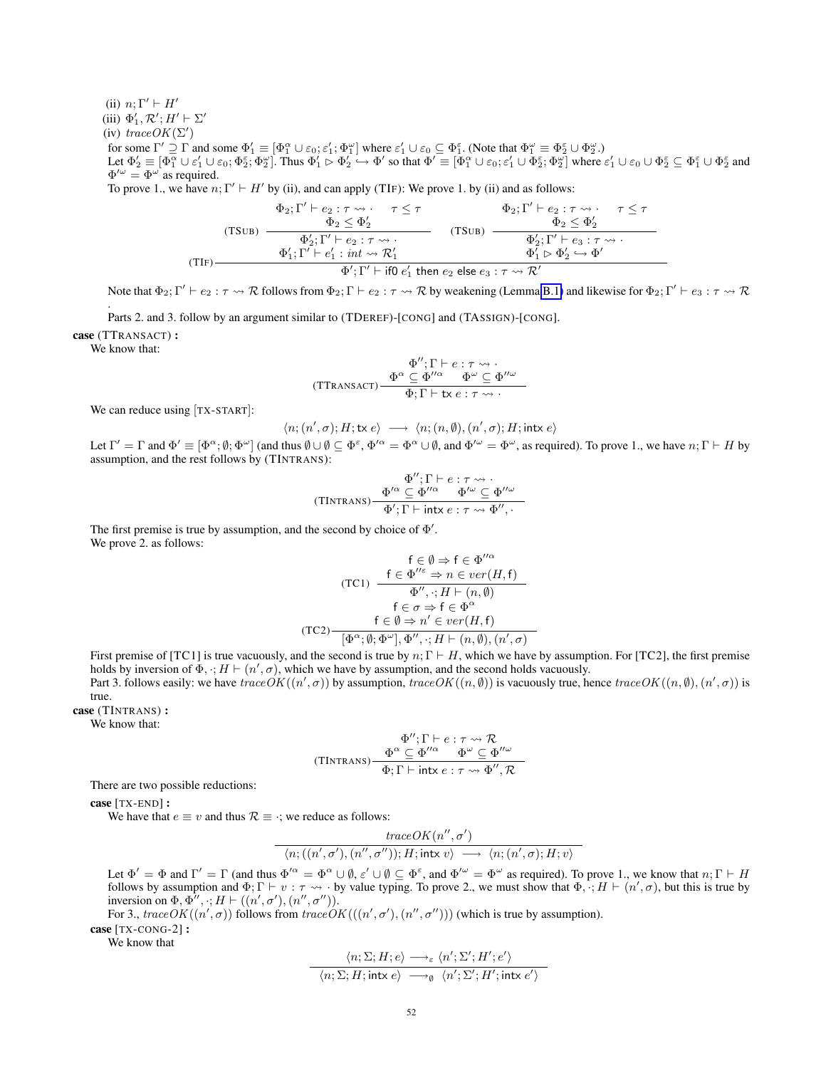(ii)  $n; \Gamma' \vdash H'$ 

(iii)  $\Phi'_1, \mathcal{R}'; H' \vdash \Sigma'$ 

(iv)  $traceOK(\Sigma')$ 

for some  $\Gamma' \supseteq \Gamma$  and some  $\Phi_1' \equiv [\Phi_1^{\alpha} \cup \varepsilon_0; \varepsilon_1'; \Phi_1^{\omega}]$  where  $\varepsilon_1' \cup \varepsilon_0 \subseteq \Phi_1^{\varepsilon}$ . (Note that  $\Phi_1^{\omega} \equiv \Phi_2^{\varepsilon} \cup \Phi_2^{\omega}$ .) Let  $\Phi'_2 \equiv [\Phi_1^{\alpha} \cup \varepsilon'_1 \cup \varepsilon_0, \Phi_2^{\varepsilon}; \Phi_2^{\omega}]$ . Thus  $\Phi'_1 \rhd \Phi'_2 \rightarrow \Phi'$  so that  $\Phi' \equiv [\Phi_1^{\alpha} \cup \varepsilon_0; \varepsilon'_1 \cup \Phi_2^{\varepsilon}; \Phi_2^{\omega}]$  where  $\varepsilon'_1 \cup \varepsilon_0 \cup \Phi_2^{\varepsilon} \subseteq \Phi_1^{\varepsilon} \cup \Phi_2^{\varepsilon}$  and  $\Phi^{\prime\omega} = \Phi^{\omega}$  as required.

To prove 1., we have  $n; \Gamma' \vdash H'$  by (ii), and can apply (TIF): We prove 1. by (ii) and as follows:

(TSUB) 
$$
\frac{\Phi_2; \Gamma' \vdash e_2 : \tau \leadsto . \quad \tau \leq \tau}{\Phi_2 \leq \Phi'_2} \qquad \qquad (\text{TSUB})
$$
\n
$$
\frac{\Phi_2; \Gamma' \vdash e_2 : \tau \leadsto . \quad \tau \leq \tau}{\Phi'_2; \Gamma' \vdash e_2 : \tau \leadsto . \quad (\text{TSUB})} \qquad \frac{\Phi_2; \Gamma' \vdash e_2 : \tau \leadsto . \quad \tau \leq \tau}{\Phi'_2; \Gamma' \vdash e_3 : \tau \leadsto . \quad \tau \leq \tau \wedge . \quad \tau \leq \tau \wedge . \quad (\text{TSUB})}
$$
\n
$$
\frac{\Phi'_1; \Gamma' \vdash e'_1 : \text{int} \leadsto \mathcal{R}'_1}{\Phi'_1; \Gamma' \vdash \text{if0 } e'_1 \text{ then } e_2 \text{ else } e_3 : \tau \leadsto \mathcal{R}'}
$$

Note that  $\Phi_2$ ;  $\Gamma' \vdash e_2 : \tau \leadsto \mathcal{R}$  follows from  $\Phi_2$ ;  $\Gamma \vdash e_2 : \tau \leadsto \mathcal{R}$  by weakening (Lemma [B.1\)](#page-35-3) and likewise for  $\Phi_2$ ;  $\Gamma' \vdash e_3 : \tau \leadsto \mathcal{R}$ .

Parts 2. and 3. follow by an argument similar to (TDEREF)-[CONG] and (TASSIGN)-[CONG].

case (TTRANSACT) :

We know that:

$$
\Phi^{\prime\prime};\Gamma\vdash e:\tau\leadsto\cdot\\\text{(TTransact)}\begin{array}{c}\Phi^{\alpha}\subseteq\Phi^{\prime\prime\alpha}&\Phi^{\omega}\subseteq\Phi^{\prime\prime\omega}\\ \Phi;\Gamma\vdash\text{tx}\,e:\tau\leadsto\cdot\end{array}
$$

We can reduce using [TX-START]:

 $\langle n; (n', \sigma); H; \mathsf{tx} \rangle \longrightarrow \langle n; (n, \emptyset), (n', \sigma); H; \mathsf{intx} \rangle$ 

Let  $\Gamma' = \Gamma$  and  $\Phi' \equiv [\Phi^{\alpha}; \emptyset; \Phi^{\omega}]$  (and thus  $\emptyset \cup \emptyset \subseteq \Phi^{\varepsilon}$ ,  $\Phi'^{\alpha} = \Phi^{\alpha} \cup \emptyset$ , and  $\Phi'^{\omega} = \Phi^{\omega}$ , as required). To prove 1., we have  $n; \Gamma \vdash H$  by assumption, and the rest follows by (TINTRANS):

$$
\Phi''; \Gamma \vdash e : \tau \leadsto \cdot
$$
  
(TINTRANS)
$$
\frac{\Phi'^{\alpha} \subseteq \Phi''^{\alpha}}{\Phi'; \Gamma \vdash \text{intx} e : \tau \leadsto \Phi'', \cdot}.
$$

The first premise is true by assumption, and the second by choice of  $\Phi'$ . We prove 2. as follows:

$$
\mathsf{f} \in \emptyset \Rightarrow \mathsf{f} \in \Phi''^{\alpha}
$$
\n
$$
(\mathsf{TC1}) \quad \frac{\mathsf{f} \in \Phi''^{\varepsilon} \Rightarrow n \in ver(H, \mathsf{f})}{\Phi'', \cdot; H \vdash (n, \emptyset)}
$$
\n
$$
\mathsf{f} \in \sigma \Rightarrow \mathsf{f} \in \Phi^{\alpha}
$$
\n
$$
(\mathsf{TC2}) \quad \frac{\mathsf{f} \in \emptyset \Rightarrow n' \in ver(H, \mathsf{f})}{[\Phi^{\alpha}; \emptyset; \Phi^{\omega}], \Phi'', \cdot; H \vdash (n, \emptyset), (n', \sigma)]}
$$

First premise of [TC1] is true vacuously, and the second is true by  $n: \Gamma \vdash H$ , which we have by assumption. For [TC2], the first premise holds by inversion of  $\Phi$ ,  $:H \vdash (n', \sigma)$ , which we have by assumption, and the second holds vacuously. Part 3. follows easily: we have  $traceOK((n', \sigma))$  by assumption,  $traceOK((n, \emptyset))$  is vacuously true, hence  $traceOK((n, \emptyset), (n', \sigma))$  is

true.

case (TINTRANS) :

We know that:

$$
\Phi''; \Gamma \vdash e : \tau \leadsto \mathcal{R}
$$
  
(TINTRANS)
$$
\frac{\Phi^{\alpha} \subseteq \Phi''^{\alpha}}{\Phi; \Gamma \vdash \text{intx} e : \tau \leadsto \Phi'', \mathcal{R}}
$$

There are two possible reductions:

case [TX-END] :

We have that  $e \equiv v$  and thus  $\mathcal{R} \equiv \cdot$ ; we reduce as follows:

$$
\mathit{traceOK}(n'', \sigma')
$$
  

$$
\langle n; ((n', \sigma'), (n'', \sigma'')); H; \mathsf{intx} \ v \rangle \longrightarrow \langle n; (n', \sigma); H; v \rangle
$$

Let  $\Phi' = \Phi$  and  $\Gamma' = \Gamma$  (and thus  $\Phi'^{\alpha} = \Phi^{\alpha} \cup \emptyset$ ,  $\varepsilon' \cup \emptyset \subseteq \Phi^{\varepsilon}$ , and  $\Phi'^{\omega} = \Phi^{\omega}$  as required). To prove 1., we know that  $n; \Gamma \vdash H$ follows by assumption and  $\Phi; \Gamma \vdash v : \tau \leadsto \cdot$  by value typing. To prove 2., we must show that  $\Phi, \cdot; H \vdash (n', \sigma)$ , but this is true by inversion on  $\Phi$ ,  $\Phi''$ ,  $\cdot$ ;  $H \vdash ((n', \sigma'), (n'', \sigma'')).$ 

For 3., trace  $OK((n', \sigma))$  follows from trace  $OK(((n', \sigma'), (n'', \sigma'')))$  (which is true by assumption). case [TX-CONG-2]:

We know that

$$
\frac{\langle n; \Sigma; H; e \rangle \longrightarrow_{\varepsilon} \langle n'; \Sigma'; H'; e' \rangle}{\langle n; \Sigma; H; \text{intx } e \rangle \longrightarrow_{\emptyset} \langle n'; \Sigma'; H'; \text{intx } e' \rangle}
$$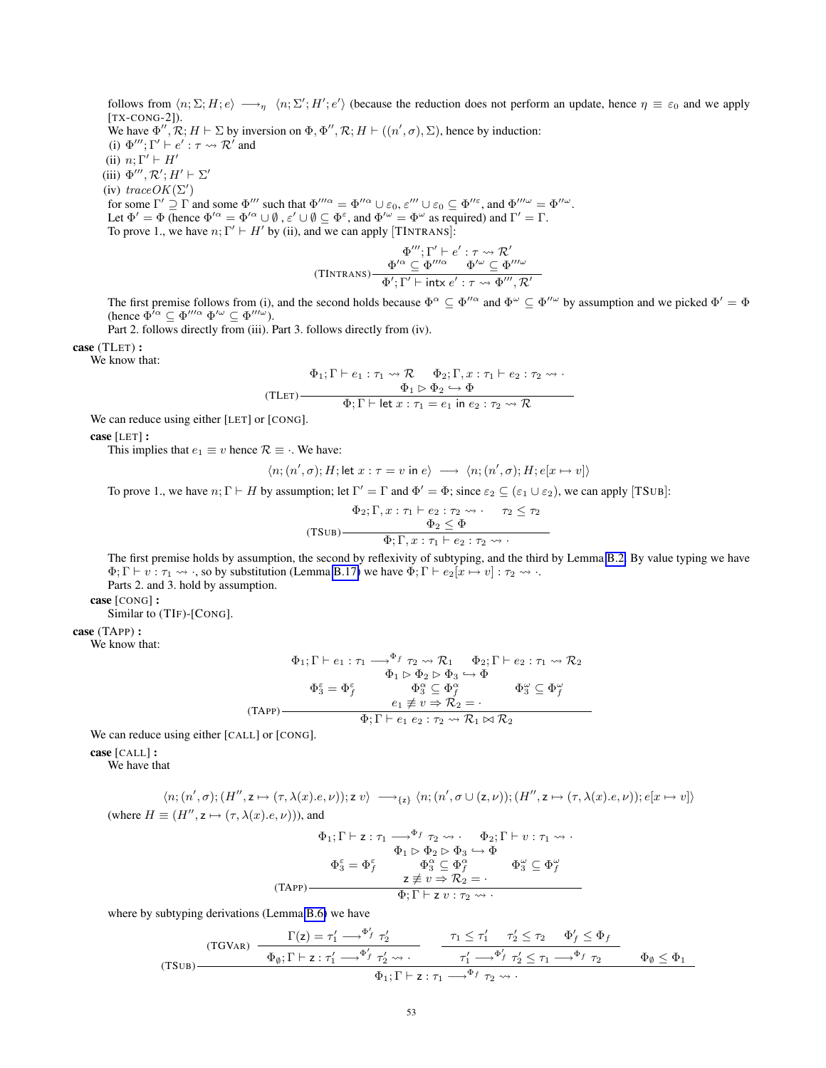follows from  $\langle n; \Sigma; H; e \rangle \longrightarrow_{\eta} \langle n; \Sigma'; H'; e' \rangle$  (because the reduction does not perform an update, hence  $\eta \equiv \varepsilon_0$  and we apply [TX-CONG-2]).

We have  $\Phi'', \mathcal{R}; H \vdash \Sigma$  by inversion on  $\Phi, \Phi'', \mathcal{R}; H \vdash ((n', \sigma), \Sigma)$ , hence by induction:

(i)  $\Phi'''$ ;  $\Gamma' \vdash e' : \tau \leadsto \mathcal{R}'$  and

(ii)  $n: \Gamma' \vdash H'$ 

(iii)  $\Phi'''$ ,  $\mathcal{R}'$ ;  $H' \vdash \Sigma'$ 

(iv)  $traceOK(\Sigma')$ 

for some  $\Gamma' \supseteq \Gamma$  and some  $\Phi'''$  such that  $\Phi'''^{\alpha} = \Phi''^{\alpha} \cup \varepsilon_0$ ,  $\varepsilon''' \cup \varepsilon_0 \subseteq \Phi''^{\varepsilon}$ , and  $\Phi''''^{\omega} = \Phi''^{\omega}$ . Let  $\Phi' = \Phi$  (hence  $\Phi'^{\alpha} = \Phi'^{\alpha} \cup \emptyset$ ,  $\varepsilon' \cup \emptyset \subseteq \Phi^{\varepsilon}$ , and  $\Phi'^{\omega} = \Phi^{\omega}$  as required) and  $\Gamma' = \Gamma$ . To prove 1., we have  $n; \Gamma' \vdash H'$  by (ii), and we can apply [TINTRANS]:

$$
\Phi'''; \Gamma' \vdash e' : \tau \leadsto \mathcal{R}'
$$
  
(TINTRANS) 
$$
\frac{\Phi'^{\alpha} \subseteq \Phi''^{\alpha}}{\Phi'; \Gamma' \vdash \text{intx } e' : \tau \leadsto \Phi''', \mathcal{R}'}
$$

The first premise follows from (i), and the second holds because  $\Phi^{\alpha} \subseteq \Phi''^{\alpha}$  and  $\Phi^{\omega} \subseteq \Phi''^{\omega}$  by assumption and we picked  $\Phi' = \Phi$ (hence  $\Phi^{i\alpha} \subseteq \Phi^{\prime\prime\prime\alpha} \Phi^{\prime\omega} \subseteq \Phi^{\prime\prime\prime\omega}$ ).

Part 2. follows directly from (iii). Part 3. follows directly from (iv).

case (TLET) :

We know that:

$$
\Phi_1; \Gamma \vdash e_1 : \tau_1 \leadsto \mathcal{R} \qquad \Phi_2; \Gamma, x : \tau_1 \vdash e_2 : \tau_2 \leadsto \cdot
$$
\n
$$
\Phi_1 \rhd \Phi_2 \hookrightarrow \Phi
$$
\n
$$
\overline{\Phi}; \Gamma \vdash \text{let } x : \tau_1 = e_1 \text{ in } e_2 : \tau_2 \leadsto \mathcal{R}
$$

We can reduce using either [LET] or [CONG].

case [LET] :

This implies that  $e_1 \equiv v$  hence  $\mathcal{R} \equiv \cdot$ . We have:

$$
\langle n; (n', \sigma); H; \text{let } x : \tau = v \text{ in } e \rangle \longrightarrow \langle n; (n', \sigma); H; e[x \mapsto v] \rangle
$$

To prove 1., we have  $n; \Gamma \vdash H$  by assumption; let  $\Gamma' = \Gamma$  and  $\Phi' = \Phi$ ; since  $\varepsilon_2 \subseteq (\varepsilon_1 \cup \varepsilon_2)$ , we can apply [TSUB]:

$$
\Phi_2; \Gamma, x : \tau_1 \vdash e_2 : \tau_2 \leadsto \cdot \quad \tau_2 \leq \tau_2
$$
  
(TSUB) 
$$
\frac{\Phi_2 \leq \Phi}{\Phi; \Gamma, x : \tau_1 \vdash e_2 : \tau_2 \leadsto \cdot}
$$

The first premise holds by assumption, the second by reflexivity of subtyping, and the third by Lemma [B.2.](#page-35-5) By value typing we have  $\Phi$ ;  $\Gamma \vdash v : \tau_1 \leadsto \tau_2$ , so by substitution (Lemma [B.17\)](#page-57-0) we have  $\Phi$ ;  $\Gamma \vdash e_2[x \mapsto v] : \tau_2 \leadsto \tau_1$ .

Parts 2. and 3. hold by assumption.

case [CONG] :

Similar to (TIF)-[CONG].

case (TAPP) :

We know that:

$$
\Phi_1; \Gamma \vdash e_1 : \tau_1 \longrightarrow^{\Phi_f} \tau_2 \leadsto \mathcal{R}_1 \qquad \Phi_2; \Gamma \vdash e_2 : \tau_1 \leadsto \mathcal{R}_2
$$
\n
$$
\Phi_1 \rhd \Phi_2 \rhd \Phi_3 \hookrightarrow \Phi
$$
\n
$$
\Phi_3^{\varepsilon} = \Phi_f^{\varepsilon} \qquad \Phi_3^{\alpha} \subseteq \Phi_f^{\alpha} \qquad \Phi_3^{\omega} \subseteq \Phi_f^{\omega}
$$
\n
$$
(TAPP)
$$
\n
$$
\Phi_1; \Gamma \vdash e_1 \varepsilon_2 : \tau_2 \leadsto \mathcal{R}_1 \bowtie \mathcal{R}_2
$$

We can reduce using either [CALL] or [CONG].

case [CALL] :

We have that

$$
\langle n; (n',\sigma); (H'',z \mapsto (\tau,\lambda(x).e,\nu)); z \ v \rangle \longrightarrow_{\{z\}} \langle n; (n',\sigma \cup (z,\nu)); (H'',z \mapsto (\tau,\lambda(x).e,\nu)); e[x \mapsto v] \rangle
$$
  
(where  $H \equiv (H'',z \mapsto (\tau,\lambda(x).e,\nu)))$ , and

$$
\Phi_1; \Gamma \vdash z : \tau_1 \longrightarrow^{\Phi_f} \tau_2 \leadsto \cdot \quad \Phi_2; \Gamma \vdash v : \tau_1 \leadsto \cdot
$$
\n
$$
\Phi_1 \rhd \Phi_2 \rhd \Phi_3 \hookrightarrow \Phi
$$
\n
$$
\Phi_3^{\varepsilon} = \Phi_f^{\varepsilon} \qquad \Phi_3^{\alpha} \subseteq \Phi_f^{\alpha} \qquad \Phi_3^{\omega} \subseteq \Phi_f^{\omega}
$$
\n
$$
\tau \neq v \Rightarrow \mathcal{R}_2 = \cdot
$$
\n
$$
\Phi; \Gamma \vdash z \ v : \tau_2 \leadsto \cdot
$$

where by subtyping derivations (Lemma [B.6\)](#page-36-0) we have

(TSUB)  
\n
$$
\frac{\Gamma(z) = \tau_1' \longrightarrow^{\Phi'_f} \tau_2'}{\Phi_{\emptyset}; \Gamma \vdash z : \tau_1' \longrightarrow^{\Phi'_f} \tau_2' \longrightarrow \cdots} \qquad \frac{\tau_1 \leq \tau_1' \qquad \tau_2' \leq \tau_2 \qquad \Phi'_f \leq \Phi_f}{\tau_1' \longrightarrow^{\Phi'_f} \tau_2' \leq \tau_1 \longrightarrow^{\Phi_f} \tau_2} \qquad \Phi_{\emptyset} \leq \Phi_1
$$
\n
$$
\Phi_1; \Gamma \vdash z : \tau_1 \longrightarrow^{\Phi_f} \tau_2 \longrightarrow \cdots
$$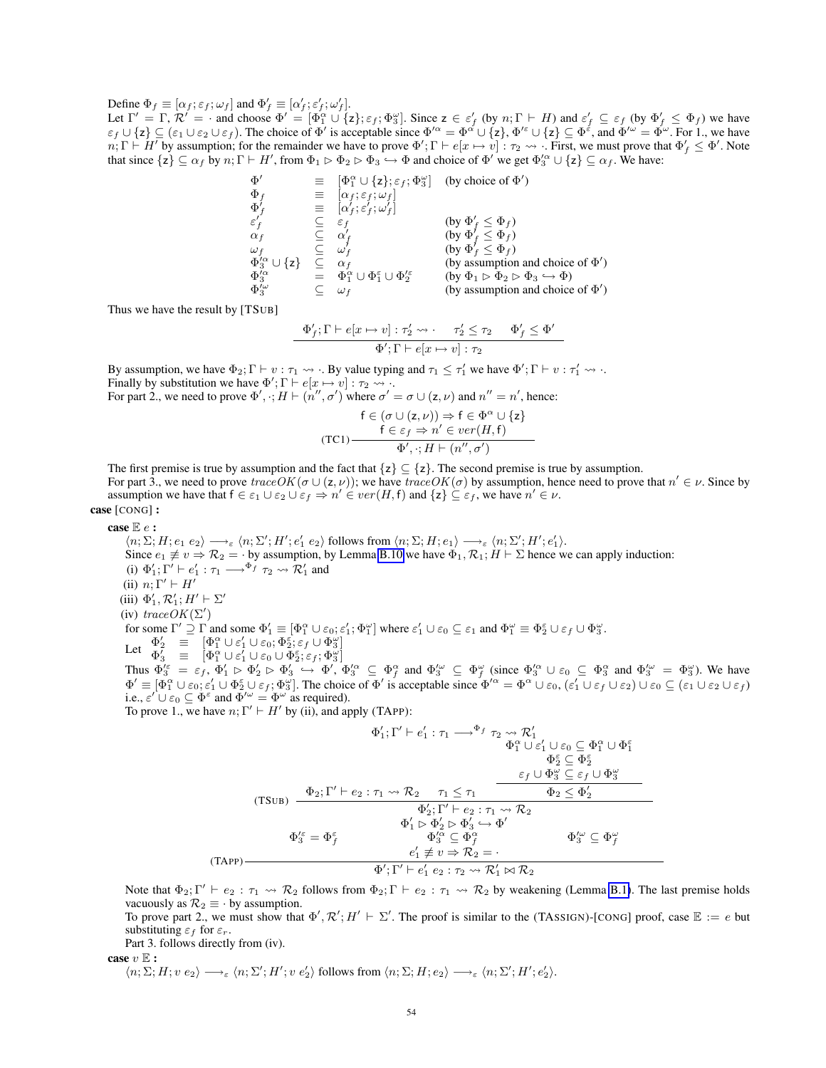Define  $\Phi_f \equiv [\alpha_f; \varepsilon_f; \omega_f]$  and  $\Phi'_f \equiv [\alpha'_f; \varepsilon'_f; \omega'_f]$ .

Let  $\Gamma' = \Gamma$ ,  $\mathcal{R}' = \cdot$  and choose  $\Phi' = [\Phi_1^{\alpha} \cup \{z\}; \varepsilon_f; \Phi_3^{\omega}]$ . Since  $z \in \varepsilon'_f$  (by  $n; \Gamma \vdash H$ ) and  $\varepsilon'_f \subseteq \varepsilon_f$  (by  $\Phi'_f \leq \Phi_f$ ) we have  $\varepsilon_f \cup \{z\} \subseteq (\varepsilon_1 \cup \varepsilon_2 \cup \varepsilon_f)$ . The choice of  $\Phi'$  is acceptable since  $\Phi'^{\alpha} = \Phi^{\alpha} \cup \{z\}, \Phi'^{\varepsilon} \cup \{z\} \subseteq \Phi^{\varepsilon}$ , and  $\Phi'^{\omega} = \Phi^{\omega}$ . For 1., we have  $n; \Gamma \vdash \overline{H'}$  by assumption; for the remainder we have to prove  $\Phi'; \Gamma \vdash e[x \mapsto v] : \tau_2 \leadsto \overline{\cdot}$  First, we must prove that  $\Phi'_f \leq \Phi'$ . Note that since  $\{z\} \subseteq \alpha_f$  by  $n; \Gamma \vdash H'$ , from  $\Phi_1 \rhd \Phi_2 \rhd \Phi_3 \rightarrow \Phi$  and choice of  $\Phi'$  we get  $\Phi_3'^{\alpha} \cup \{z\} \subseteq \alpha_f$ . We have:

$$
\begin{array}{llll}\n\Phi' & \equiv & [\Phi_1^{\alpha} \cup \{z\}; \varepsilon_f; \Phi_3^{\omega}] & \text{(by choice of } \Phi') \\
\Phi_f & \equiv & [\alpha_f; \varepsilon_f; \omega_f] \\
\Phi'_f & \equiv & [\alpha'_f; \varepsilon'_f; \omega'_f] \\
\varepsilon'_f & \subseteq & \varepsilon_f \\
\alpha_f & \subseteq & \alpha'_f \\
\omega_f & \subseteq & \omega'_f \\
\Phi_3^{\lambda \alpha} \cup \{z\} & \subseteq & \alpha_f \\
\Phi_3^{\lambda \alpha} & \equiv & \Phi_1^{\alpha} \cup \Phi_1^{\varepsilon} \cup \Phi_2^{\lambda \varepsilon} & \text{(by } \Phi_1 \rhd \Phi_2 \rhd \Phi_3 \rightarrow \Phi) \\
\Phi_3^{\lambda \alpha} & \equiv & \Phi_1^{\alpha} \cup \Phi_1^{\varepsilon} \cup \Phi_2^{\lambda \varepsilon} & \text{(by assumption and choice of } \Phi') \\
\Phi_3^{\lambda \omega} & \subseteq & \omega_f & \text{(by assumption and choice of } \Phi')\n\end{array}
$$

Thus we have the result by [TSUB]

$$
\frac{\Phi'_f;\Gamma\vdash e[x\mapsto v]:\tau'_2\leadsto\cdot\quad \tau'_2\leq\tau_2\quad \Phi'_f\leq\Phi'}{\Phi';\Gamma\vdash e[x\mapsto v]:\tau_2}
$$

By assumption, we have  $\Phi_2$ ;  $\Gamma \vdash v : \tau_1 \leadsto \cdot$ . By value typing and  $\tau_1 \leq \tau'_1$  we have  $\Phi'$ ;  $\Gamma \vdash v : \tau'_1 \leadsto \cdot$ . Finally by substitution we have  $\Phi'$ ;  $\Gamma \vdash e[x \mapsto v] : \tau_2 \leadsto \ldots$ 

For part 2., we need to prove  $\Phi', \cdot, H \vdash (n'', \sigma')$  where  $\sigma' = \sigma \cup (\mathsf{z}, \nu)$  and  $n'' = n'$ , hence:

$$
\mathsf{f} \in (\sigma \cup (\mathsf{z}, \nu)) \Rightarrow \mathsf{f} \in \Phi^{\alpha} \cup \{\mathsf{z}\}
$$
\n
$$
\mathsf{f} \in \varepsilon_f \Rightarrow n' \in ver(H, \mathsf{f})
$$
\n
$$
\Phi', \cdot; H \vdash (n'', \sigma')
$$

The first premise is true by assumption and the fact that  $\{z\} \subseteq \{z\}$ . The second premise is true by assumption. For part 3., we need to prove  $traceOK(\sigma \cup (z, \nu))$ ; we have  $traceOK(\sigma)$  by assumption, hence need to prove that  $n' \in \nu$ . Since by assumption we have that  $f \in \varepsilon_1 \cup \varepsilon_2 \cup \varepsilon_f \Rightarrow n' \in ver(H, f)$  and  $\{z\} \subseteq \varepsilon_f$ , we have  $n' \in \nu$ . case [CONG] :

case  $\mathbb{E} e$  :

 $\langle n; \Sigma; H; e_1 \ e_2 \rangle \longrightarrow_{\varepsilon} \langle n; \Sigma'; H'; e_1' \ e_2 \rangle$  follows from  $\langle n; \Sigma; H; e_1 \rangle \longrightarrow_{\varepsilon} \langle n; \Sigma'; H'; e_1' \rangle$ . Since  $e_1 \not\equiv v \Rightarrow \mathcal{R}_2 = \cdot$  by assumption, by Lemma [B.10](#page-39-0) we have  $\Phi_1, \mathcal{R}_1; H \vdash \Sigma$  hence we can apply induction: (i)  $\Phi'_1$ ;  $\Gamma' \vdash e'_1 : \tau_1 \longrightarrow^{\Phi_f} \tau_2 \leadsto \mathcal{R}'_1$  and (ii)  $n; \Gamma' \vdash H'$ (iii)  $\Phi'_1, \mathcal{R}'_1$ ;  $H' \vdash \Sigma'$ (iv) trace  $OK(\Sigma')$ for some  $\Gamma' \supseteq \Gamma$  and some  $\Phi'_1 \equiv [\Phi_1^{\alpha} \cup \varepsilon_0; \varepsilon'_1; \Phi_1^{\omega}]$  where  $\varepsilon'_1 \cup \varepsilon_0 \subseteq \varepsilon_1$  and  $\Phi_1^{\omega} \equiv \Phi_2^{\varepsilon} \cup \varepsilon_f \cup \Phi_3^{\omega}$ . Let  $\Phi_2' \equiv [\Phi_1^{\alpha} \cup \varepsilon_1' \cup \varepsilon_0; \Phi_2^{\varepsilon}; \varepsilon_1' \cup \Phi_3^{\omega}]$  $\Phi'_3$  =  $[\Phi_1^\alpha \cup \varepsilon'_1 \cup \varepsilon_0 \cup \Phi_2^\varepsilon; \varepsilon_f; \Phi_3^\omega]$ Thus  $\Phi_3^{\prime \varepsilon} = \varepsilon_f$ ,  $\Phi_1' \triangleright \Phi_2' \triangleright \Phi_3' \hookrightarrow \Phi_1'$ ,  $\Phi_3^{\prime \alpha} \subseteq \Phi_f^{\alpha}$  and  $\Phi_3^{\prime \omega} \subseteq \Phi_f^{\omega}$  (since  $\Phi_3^{\prime \alpha} \cup \varepsilon_0 \subseteq \Phi_3^{\alpha}$  and  $\Phi_3^{\prime \omega} = \Phi_3^{\omega}$ ). We have  $\Phi' \equiv [\Phi_1^{\alpha} \cup \varepsilon_0; \varepsilon_1' \cup \Phi_2^{\varepsilon} \cup \varepsilon_f; \Phi_3^{\omega}]$ . The choice of  $\Phi'$  is acceptable since  $\Phi'^{\alpha} = \Phi^{\alpha} \cup \varepsilon_0$ ,  $(\varepsilon_1' \cup \varepsilon_f \cup \varepsilon_2) \cup \varepsilon_0 \subseteq (\varepsilon_1 \cup \varepsilon_2 \cup \varepsilon_f)$ i.e.,  $\varepsilon' \cup \varepsilon_0 \subseteq \Phi^{\varepsilon}$  and  $\Phi'^{\omega} = \Phi^{\omega}$  as required).

To prove 1., we have 
$$
n; \Gamma' \vdash H'
$$
 by (ii), and apply (TAPP):

$$
\Phi_1'; \Gamma' \vdash e_1' : \tau_1 \longrightarrow^{\Phi_f} \tau_2 \leadsto \mathcal{R}_1' \n\Phi_1^{\alpha} \cup \varepsilon_1' \cup \varepsilon_0 \subseteq \Phi_1^{\alpha} \cup \Phi_1^{\varepsilon} \n\Phi_2^{\varepsilon} \subseteq \Phi_2^{\varepsilon} \n(TSUB) \quad \frac{\Phi_2; \Gamma' \vdash e_2 : \tau_1 \leadsto \mathcal{R}_2 \qquad \tau_1 \leq \tau_1 \qquad \frac{\varepsilon_f \cup \Phi_3^{\omega} \subseteq \varepsilon_f \cup \Phi_3^{\omega} \n\Phi_2' \subseteq \mathcal{R}_2' \qquad \frac{\varepsilon_f \cup \Phi_3^{\omega} \subseteq \varepsilon_f \cup \Phi_3^{\omega} \n\Phi_2' \subseteq \mathcal{R}_2' \qquad \frac{\varepsilon_1' \vdash e_2 : \tau_1 \leadsto \mathcal{R}_2}{\Phi_3' \subseteq \Phi_1^{\omega} \land \Phi_3' \subseteq \Phi_1^{\omega} \qquad \Phi_3'^{\omega} \subseteq \Phi_1^{\omega} \n\epsilon_1' \not\equiv v \Rightarrow \mathcal{R}_2 = \cdot \n\Phi'; \Gamma' \vdash e_1' \in 2 : \tau_2 \leadsto \mathcal{R}_1' \bowtie \mathcal{R}_2
$$

Note that  $\Phi_2$ ;  $\Gamma' \vdash e_2 : \tau_1 \leadsto \mathcal{R}_2$  follows from  $\Phi_2$ ;  $\Gamma \vdash e_2 : \tau_1 \leadsto \mathcal{R}_2$  by weakening (Lemma [B.1\)](#page-35-3). The last premise holds vacuously as  $\mathcal{R}_2 \equiv \cdot$  by assumption.

To prove part 2., we must show that  $\Phi', \mathcal{R}'; H' \vdash \Sigma'$ . The proof is similar to the (TASSIGN)-[CONG] proof, case  $\mathbb{E} := e$  but substituting  $\varepsilon_f$  for  $\varepsilon_r$ .

Part 3. follows directly from (iv).

case  $v \mathbb{E}$  :

 $\langle n; \Sigma; H; v e_2 \rangle \longrightarrow_{\varepsilon} \langle n; \Sigma'; H'; v e_2' \rangle$  follows from  $\langle n; \Sigma; H; e_2 \rangle \longrightarrow_{\varepsilon} \langle n; \Sigma'; H'; e_2' \rangle$ .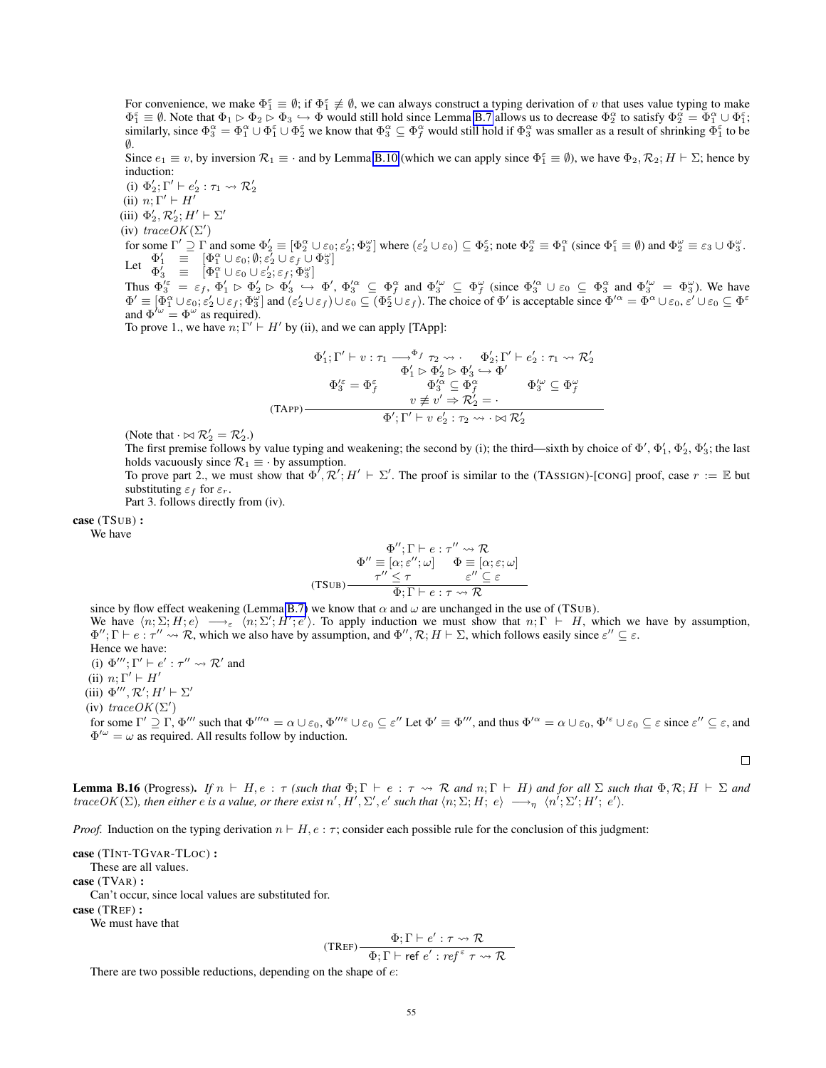For convenience, we make  $\Phi_1^{\varepsilon} \equiv \emptyset$ ; if  $\Phi_1^{\varepsilon} \neq \emptyset$ , we can always construct a typing derivation of v that uses value typing to make  $\Phi_1^{\varepsilon} \equiv \emptyset$ . Note that  $\Phi_1 \rhd \Phi_2 \rhd \Phi_3 \hookrightarrow \Phi$  would still hold since Lemma [B.7](#page-36-1) allows us to decrease  $\Phi_2^{\alpha}$  to satisfy  $\Phi_2^{\alpha} = \Phi_1^{\alpha} \cup \Phi_1^{\varepsilon}$ ; similarly, since  $\Phi_3^\alpha = \Phi_1^\alpha \cup \Phi_1^\varepsilon \cup \Phi_2^\varepsilon$  we know that  $\Phi_3^\alpha \subseteq \Phi_f^\alpha$  would still hold if  $\Phi_3^\alpha$  was smaller as a result of shrinking  $\bar{\Phi}_1^\varepsilon$  to be  $\emptyset$ .

Since  $e_1 \equiv v$ , by inversion  $\mathcal{R}_1 \equiv \cdot$  and by Lemma [B.10](#page-39-0) (which we can apply since  $\Phi_1^{\varepsilon} \equiv \emptyset$ ), we have  $\Phi_2$ ,  $\mathcal{R}_2$ ;  $H \vdash \Sigma$ ; hence by induction:

(i)  $\Phi'_2$ ;  $\Gamma' \vdash e'_2 : \tau_1 \leadsto \mathcal{R}'_2$ (ii)  $n; \Gamma' \vdash H'$ 

(iii)  $\Phi'_2, \mathcal{R}'_2$ ;  $H' \vdash \Sigma'$ 

(iv)  $traceOK(\Sigma')$ 

for some  $\Gamma' \supseteq \Gamma$  and some  $\Phi_2' \equiv [\Phi_2^{\alpha} \cup \varepsilon_0, \varepsilon_2'; \Phi_2^{\omega}]$  where  $(\varepsilon_2' \cup \varepsilon_0) \subseteq \Phi_2^{\varepsilon}$ ; note  $\Phi_2^{\alpha} \equiv \Phi_1^{\alpha}$  (since  $\Phi_1^{\varepsilon} \equiv \emptyset$ ) and  $\Phi_2^{\omega} \equiv \varepsilon_3 \cup \Phi_3^{\omega}$ . Let  $\begin{array}{rcl} \Phi'_1 & \equiv & [\Phi_1^\alpha \cup \varepsilon_0; \emptyset; \varepsilon'_2 \cup \varepsilon_f \cup \\ \Phi'_3 & \equiv & [\Phi_1^\alpha \cup \varepsilon_0 \cup \varepsilon'_2; \varepsilon_f; \Phi_3^\omega] \end{array}$  $\mathbf{q}'_1 \equiv [\Phi_1^{\alpha} \cup \varepsilon_0; \emptyset; \varepsilon_2' \cup \varepsilon_f \cup \Phi_3^{\omega}]$ 

Thus  $\Phi_3^{\prime \varepsilon} = \varepsilon_f$ ,  $\Phi_1^{\prime} \triangleright \Phi_2^{\prime} \triangleright \Phi_3^{\prime} \hookrightarrow \Phi_1^{\prime}$ ,  $\Phi_3^{\prime \alpha} \subseteq \Phi_f^{\alpha}$  and  $\Phi_3^{\prime \omega} \subseteq \Phi_f^{\omega}$  (since  $\Phi_3^{\prime \alpha} \cup \varepsilon_0 \subseteq \Phi_3^{\alpha}$  and  $\Phi_3^{\prime \omega} = \Phi_3^{\omega}$ ). We have  $\Phi' \equiv [\Phi_1^{\alpha} \cup \varepsilon_0; \varepsilon_2' \cup \varepsilon_f; \Phi_3^{\omega}]$  and  $(\varepsilon_2' \cup \varepsilon_f) \cup \varepsilon_0 \subseteq (\Phi_2^{\varepsilon} \cup \varepsilon_f)$ . The choice of  $\Phi'$  is acceptable since  $\Phi'^{\alpha} = \Phi^{\alpha} \cup \varepsilon_0, \varepsilon' \cup \varepsilon_0 \subseteq \Phi^{\varepsilon}$ and  $\Phi^{\prime\omega} = \Phi^{\omega}$  as required).

To prove 1., we have  $n; \Gamma' \vdash H'$  by (ii), and we can apply [TApp]:

$$
\Phi'_1; \Gamma' \vdash v : \tau_1 \longrightarrow^{\Phi_f} \tau_2 \leadsto . \qquad \Phi'_2; \Gamma' \vdash e'_2 : \tau_1 \leadsto \mathcal{R}'_2
$$
\n
$$
\Phi'_1 \rhd \Phi'_2 \rhd \Phi'_3 \hookrightarrow \Phi'
$$
\n
$$
\Phi'^{\varepsilon}_3 = \Phi^{\varepsilon}_f \qquad \qquad \Phi'^{\alpha}_3 \subseteq \Phi^{\alpha}_f \qquad \qquad \Phi'^{\omega}_3 \subseteq \Phi^{\omega}_f
$$
\n
$$
(TAPP)
$$
\n
$$
\Phi'; \Gamma' \vdash v \ e'_2 : \tau_2 \leadsto \ldots \bowtie \mathcal{R}'_2
$$

(Note that  $\cdot \bowtie \mathcal{R}'_2 = \mathcal{R}'_2$ .)

The first premise follows by value typing and weakening; the second by (i); the third—sixth by choice of  $\Phi'$ ,  $\Phi'_1$ ,  $\Phi'_2$ ,  $\Phi'_3$ ; the last holds vacuously since  $\mathcal{R}_1 \equiv \cdot$  by assumption.

To prove part 2., we must show that  $\Phi', \mathcal{R}'; H' \vdash \Sigma'$ . The proof is similar to the (TASSIGN)-[CONG] proof, case  $r := \mathbb{E}$  but substituting  $\varepsilon_f$  for  $\varepsilon_r$ .

Part 3. follows directly from (iv).

case (TSUB) :

We have

$$
\Phi''; \Gamma \vdash e : \tau'' \leadsto \mathcal{R}
$$
\n
$$
\Phi'' \equiv [\alpha; \varepsilon''; \omega] \qquad \Phi \equiv [\alpha; \varepsilon; \omega]
$$
\n(TSUB)\n
$$
\begin{array}{c}\n\tau'' \leq \tau & \varepsilon'' \subseteq \varepsilon \\
\Phi; \Gamma \vdash e : \tau \leadsto \mathcal{R}\n\end{array}
$$

since by flow effect weakening (Lemma [B.7\)](#page-36-1) we know that  $\alpha$  and  $\omega$  are unchanged in the use of (TSUB). We have  $\langle n; \Sigma; H; e \rangle \longrightarrow_{\varepsilon} \langle n; \Sigma'; H'; e' \rangle$ . To apply induction we must show that  $n; \Gamma \vdash H$ , which we have by assumption,  $\Phi''$ ;  $\Gamma \vdash e : \tau'' \leadsto \mathcal{R}$ , which we also have by assumption, and  $\Phi'', \mathcal{R}$ ;  $H \vdash \Sigma$ , which follows easily since  $\varepsilon'' \subseteq \varepsilon$ . Hence we have: (i)  $\Phi'''$ ;  $\Gamma' \vdash e' : \tau'' \leadsto \mathcal{R}'$  and (ii)  $n; \Gamma' \vdash H'$ 

(iii)  $\Phi'''$ ,  $\mathcal{R}'$ ;  $H' \vdash \Sigma'$ 

(iv)  $traceOK(\Sigma')$ 

for some  $\Gamma' \supseteq \Gamma$ ,  $\Phi'''$  such that  $\Phi'''^{\alpha} = \alpha \cup \varepsilon_0$ ,  $\Phi'''^{\varepsilon} \cup \varepsilon_0 \subseteq \varepsilon''$  Let  $\Phi' \equiv \Phi'''$ , and thus  $\Phi'^{\alpha} = \alpha \cup \varepsilon_0$ ,  $\Phi'^{\varepsilon} \cup \varepsilon_0 \subseteq \varepsilon$  since  $\varepsilon'' \subseteq \varepsilon$ , and  $\Phi^{\prime\omega} = \omega$  as required. All results follow by induction.

 $\Box$ 

<span id="page-54-0"></span>**Lemma B.16** (Progress). If  $n \vdash H$ ,  $e : \tau$  *(such that*  $\Phi$ ;  $\Gamma \vdash e : \tau \leadsto \mathcal{R}$  *and*  $n$ ;  $\Gamma \vdash H$ *) and for all*  $\Sigma$  *such that*  $\Phi$ ,  $\mathcal{R}$ ;  $H \vdash \Sigma$  *and*  $traceOK(\Sigma)$ , then either e is a value, or there exist  $n', H', \Sigma', e'$  such that  $\langle n, \Sigma, H; e \rangle \longrightarrow_{\eta} \langle n', \Sigma', H'; e' \rangle$ .

*Proof.* Induction on the typing derivation  $n \vdash H$ ,  $e : \tau$ ; consider each possible rule for the conclusion of this judgment:

case (TINT-TGVAR-TLOC) : These are all values. case (TVAR) : Can't occur, since local values are substituted for. case (TREF) :

We must have that

$$
(\text{TREF})\frac{\Phi; \Gamma \vdash e': \tau \leadsto \mathcal{R}}{\Phi; \Gamma \vdash \text{ref } e': \text{ref }^{\varepsilon} \tau \leadsto \mathcal{R}}
$$

There are two possible reductions, depending on the shape of  $e$ :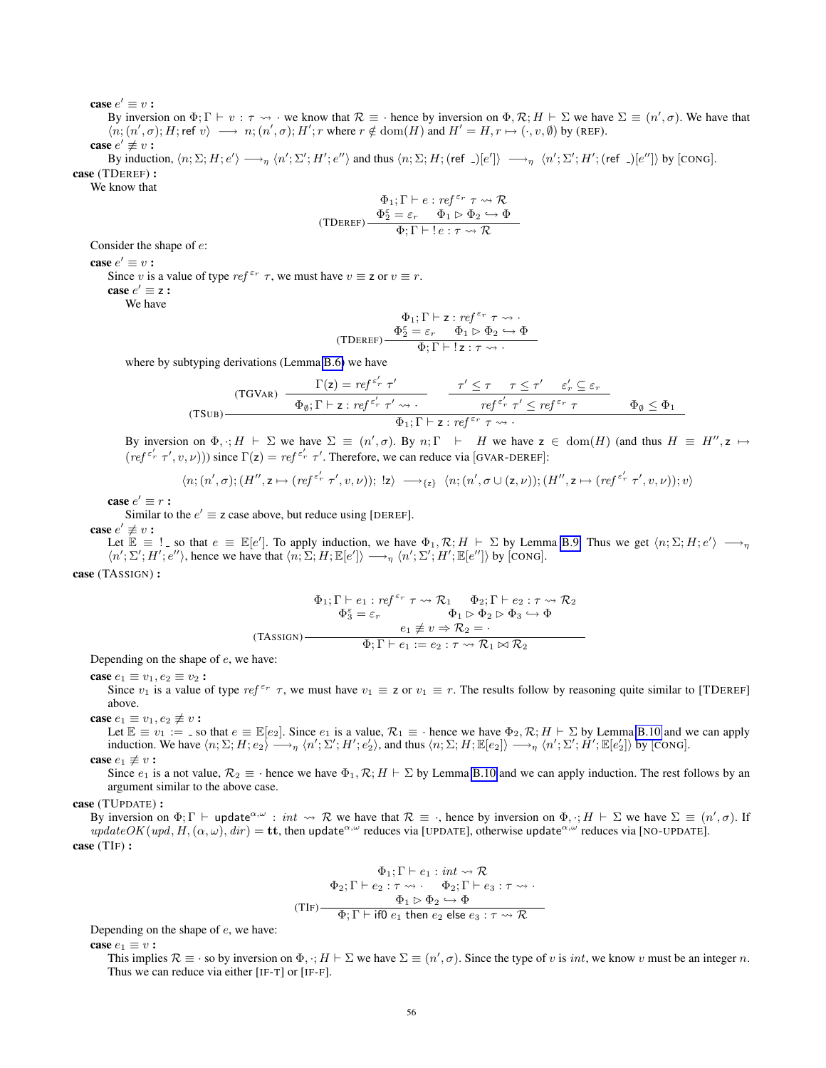case  $e' \equiv v$  :

By inversion on  $\Phi$ ;  $\Gamma \vdash v : \tau \leadsto \cdot$  we know that  $\mathcal{R} \equiv \cdot$  hence by inversion on  $\Phi$ ,  $\mathcal{R}$ ;  $H \vdash \Sigma$  we have  $\Sigma \equiv (n', \sigma)$ . We have that  $\langle n; (n', \sigma); H; \text{ref } v \rangle \longrightarrow n; (n', \sigma); H'; r \text{ where } r \notin \text{dom}(H) \text{ and } H' = H, r \mapsto (\cdot, v, \emptyset) \text{ by (REF)}.$ 

case  $e' \not\equiv v$ :

By induction,  $\langle n; \Sigma; H; e' \rangle \longrightarrow_{\eta} \langle n'; \Sigma'; H'; e'' \rangle$  and thus  $\langle n; \Sigma; H; (ref_-)[e'] \rangle \longrightarrow_{\eta} \langle n'; \Sigma'; H'; (ref_-)[e''] \rangle$  by [CONG]. case (TDEREF) :

We know that

$$
\Phi_1; \Gamma \vdash e : \mathit{ref}^{\varepsilon_r} \tau \leadsto \mathcal{R}
$$
\n
$$
(\text{TDEREF}) \begin{array}{c} \Phi_2^{\varepsilon} = \varepsilon_r \quad \Phi_1 \rhd \Phi_2 \hookrightarrow \Phi\\ \hline \Phi; \Gamma \vdash ! \, e : \tau \leadsto \mathcal{R} \end{array}
$$

Consider the shape of e:

case  $e' \equiv v$  :

Since v is a value of type  $ref^{\varepsilon_r} \tau$ , we must have  $v \equiv z$  or  $v \equiv r$ .

case  $e' \equiv z$  :

We have

$$
\Phi_1;\Gamma\vdash \mathsf{z}: \mathsf{ref}^{\varepsilon_r}\ \tau\leadsto \cdot\\\ \frac{\Phi_2^\varepsilon=\varepsilon_r\quad \Phi_1\rhd \Phi_2\hookrightarrow \Phi}{\Phi;\Gamma\vdash \mathsf{!}\ z:\tau\leadsto \cdot}
$$

where by subtyping derivations (Lemma [B.6\)](#page-36-0) we have

(TSUB)  
\n
$$
\frac{\Gamma(z) = ref^{c'_r} \tau'}{\Phi_{\emptyset}; \Gamma \vdash z : ref^{c'_r} \tau' \leadsto \cdot} \frac{\tau' \leq \tau \quad \tau \leq \tau' \quad \varepsilon'_r \subseteq \varepsilon_r}{ref^{c'_r} \tau' \leq ref^{c_r} \tau} \qquad \Phi_{\emptyset} \leq \Phi_1}{\Phi_1; \Gamma \vdash z : ref^{c_r} \tau \leadsto \cdot}
$$

By inversion on  $\Phi$ ,  $:H \vdash \Sigma$  we have  $\Sigma \equiv (n', \sigma)$ . By  $n; \Gamma \vdash H$  we have  $z \in \text{dom}(H)$  (and thus  $H \equiv H''$ ,  $z \mapsto$  $(ref^{\epsilon'_r} \tau', v, \nu))$  since  $\Gamma(z) = ref^{\epsilon'_r} \tau'$ . Therefore, we can reduce via [GVAR-DEREF]:

$$
\langle n; (n',\sigma); (H'',z \mapsto (ref^{\varepsilon'_r} \tau', v, \nu)); \; \mathsf{I}z \rangle \; \longrightarrow_{\{z\}} \; \langle n; (n',\sigma \cup (z,\nu)); (H'',z \mapsto (ref^{\varepsilon'_r} \tau', v, \nu)); v \rangle
$$

case  $e' \equiv r$  :

Similar to the  $e' \equiv z$  case above, but reduce using [DEREF].

case  $e' \not\equiv v$ :

Let  $\mathbb{E} \equiv !$  so that  $e \equiv \mathbb{E}[e']$ . To apply induction, we have  $\Phi_1, \mathcal{R}; H \vdash \Sigma$  by Lemma [B.9.](#page-37-0) Thus we get  $\langle n; \Sigma; H; e' \rangle \longrightarrow_{\eta}$  $\langle n'; \Sigma'; H'; e'' \rangle$ , hence we have that  $\langle n; \Sigma; H; \mathbb{E}[e'] \rangle \longrightarrow_{\eta} \langle n'; \Sigma'; H'; \mathbb{E}[e''] \rangle$  by [CONG].

case (TASSIGN) :

$$
\Phi_1; \Gamma \vdash e_1 : ref^{\varepsilon_r} \tau \leadsto \mathcal{R}_1 \qquad \Phi_2; \Gamma \vdash e_2 : \tau \leadsto \mathcal{R}_2
$$
\n
$$
\Phi_3^{\varepsilon} = \varepsilon_r \qquad \Phi_1 \rhd \Phi_2 \rhd \Phi_3 \hookrightarrow \Phi
$$
\n
$$
(TASSIGN)
$$
\n
$$
\Phi_1 \rhd \tau \Rightarrow \mathcal{R}_2 = \cdot
$$
\n
$$
\Phi_1 \rhd \tau \Rightarrow \mathcal{R}_2 = \cdot
$$
\n
$$
\Phi_1 \rhd \tau \Rightarrow \mathcal{R}_2 = \cdot
$$

Depending on the shape of e, we have:

case  $e_1 \equiv v_1, e_2 \equiv v_2$ :

Since  $v_1$  is a value of type ref<sup> $\varepsilon_r$ </sup>  $\tau$ , we must have  $v_1 \equiv z$  or  $v_1 \equiv r$ . The results follow by reasoning quite similar to [TDEREF] above.

case  $e_1 \equiv v_1, e_2 \not\equiv v$ :

Let  $\mathbb{E} \equiv v_1 :=$  so that  $e \equiv \mathbb{E}[e_2]$ . Since  $e_1$  is a value,  $\mathcal{R}_1 \equiv \cdot$  hence we have  $\Phi_2, \mathcal{R}; H \vdash \Sigma$  by Lemma [B.10](#page-39-0) and we can apply induction. We have  $\langle n; \Sigma; H; e_2 \rangle \longrightarrow_{\eta} \langle n'; \Sigma'; H'; e_2' \rangle$ , and thus  $\langle n; \Sigma; H; \mathbb{E}[e_2] \rangle \longrightarrow_{\eta} \langle n'; \Sigma'; H'; \mathbb{E}[e_2'] \rangle$  by [CONG]. case  $e_1 \not\equiv v$ :

Since  $e_1$  is a not value,  $\mathcal{R}_2 \equiv \cdot$  hence we have  $\Phi_1, \mathcal{R}$ ;  $H \vdash \Sigma$  by Lemma [B.10](#page-39-0) and we can apply induction. The rest follows by an argument similar to the above case.

case (TUPDATE) :

By inversion on  $\Phi$ ;  $\Gamma \vdash$  update<sup> $\alpha, \omega$ </sup>: int  $\leadsto \mathcal{R}$  we have that  $\mathcal{R} \equiv \cdot$ , hence by inversion on  $\Phi$ ,  $\cdot$ ;  $H \vdash \Sigma$  we have  $\Sigma \equiv (n', \sigma)$ . If  $updateOK(upd, H, (\alpha, \omega), dir) =$ tt, then update<sup> $\alpha, \omega$ </sup> reduces via [UPDATE], otherwise update $\alpha, \omega$  reduces via [NO-UPDATE]. case (TIF) :

$$
\Phi_1; \Gamma \vdash e_1 : int \leadsto \mathcal{R}
$$
\n
$$
\Phi_2; \Gamma \vdash e_2 : \tau \leadsto \cdots \Phi_2; \Gamma \vdash e_3 : \tau \leadsto \cdot
$$
\n
$$
(TIF) \xrightarrow{\Phi_1 \vdash \Phi_2 \hookrightarrow \Phi} \Phi
$$
\n
$$
\Phi; \Gamma \vdash \text{if } 0 \text{ } e_1 \text{ then } e_2 \text{ else } e_3 : \tau \leadsto \mathcal{R}
$$

Depending on the shape of e, we have:

case  $e_1 \equiv v$ :

This implies  $\mathcal{R} \equiv \cdot$  so by inversion on  $\Phi$ ,  $\cdot$ ;  $H \vdash \Sigma$  we have  $\Sigma \equiv (n', \sigma)$ . Since the type of v is *int*, we know v must be an integer n. Thus we can reduce via either [IF-T] or [IF-F].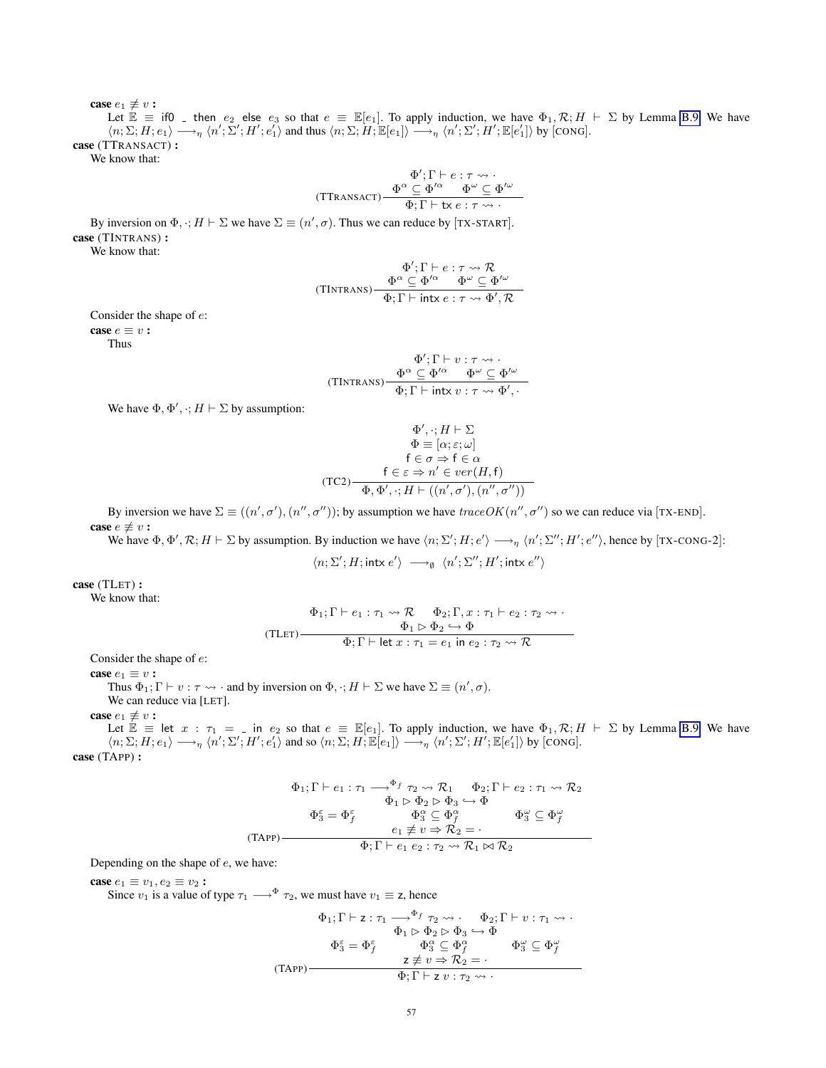case  $e_1 \not\equiv v$ : Let  $\mathbb{E} = \text{if } 0$  then  $e_2$  else  $e_3$  so that  $e \equiv \mathbb{E}[e_1]$ . To apply induction, we have  $\Phi_1, \mathcal{R}; H \vdash \Sigma$  by Lemma [B.9.](#page-37-0) We have  $\langle n; \Sigma; H; e_1 \rangle \longrightarrow_{\eta} \langle n'; \Sigma'; H'; e_1' \rangle$  and thus  $\langle n; \Sigma; H; \mathbb{E}[e_1] \rangle \longrightarrow_{\eta} \langle n'; \Sigma'; H'; \mathbb{E}[e_1''] \rangle$  by [CONG]. case (TTRANSACT) :

We know that:

$$
\Phi';\Gamma \vdash e : \tau \leadsto \cdot
$$
  
(Ttransact)
$$
\frac{\Phi^{\alpha} \subseteq \Phi'^{\alpha} \qquad \Phi^{\omega} \subseteq \Phi'^{\omega}}{\Phi; \Gamma \vdash \text{tx } e : \tau \leadsto \cdot}
$$

By inversion on  $\Phi$ ,  $\cdot$ ;  $H \vdash \Sigma$  we have  $\Sigma \equiv (n', \sigma)$ . Thus we can reduce by [TX-START]. case (TINTRANS) :

We know that:

$$
\Phi'; \Gamma \vdash e : \tau \leadsto \mathcal{R}
$$
  
(TINTRANS) 
$$
\frac{\Phi^{\alpha} \subseteq \Phi'^{\alpha} \qquad \Phi^{\omega} \subseteq \Phi'^{\omega}}{\Phi; \Gamma \vdash \text{intx } e : \tau \leadsto \Phi', \mathcal{R}}
$$

Consider the shape of e:

case  $e \equiv v$ : Thus

$$
\Phi'; \Gamma \vdash v : \tau \leadsto \cdot
$$
  
(TINTRANS) 
$$
\frac{\Phi^{\alpha} \subseteq \Phi'^{\alpha} \qquad \Phi^{\omega} \subseteq \Phi'^{\omega}}{\Phi; \Gamma \vdash \text{intx } v : \tau \leadsto \Phi', \cdot}
$$

We have  $\Phi$ ,  $\Phi'$ ,  $\cdot$ ;  $H \vdash \Sigma$  by assumption:

$$
\Phi', \cdot; H \vdash \Sigma
$$
  
\n
$$
\Phi \equiv [\alpha; \varepsilon; \omega]
$$
  
\n
$$
\mathsf{f} \in \sigma \Rightarrow \mathsf{f} \in \alpha
$$
  
\n(TC2)  
\n
$$
\Phi \equiv \Phi \Rightarrow \mathsf{f} \in \alpha
$$
  
\n
$$
\Phi \Rightarrow \mathsf{f} \in \mathsf{f} \Rightarrow \mathsf{f} \in \mathsf{f} \Rightarrow \mathsf{f} \in \mathsf{f} \Rightarrow \mathsf{f} \in \mathsf{f} \Rightarrow \mathsf{f} \in \mathsf{f} \Rightarrow \mathsf{f} \in \mathsf{f} \Rightarrow \mathsf{f} \in \mathsf{f} \Rightarrow \mathsf{f} \in \mathsf{f} \Rightarrow \mathsf{f} \in \mathsf{f} \Rightarrow \mathsf{f} \in \mathsf{f} \Rightarrow \mathsf{f} \in \mathsf{f} \Rightarrow \mathsf{f} \in \mathsf{f} \Rightarrow \mathsf{f} \in \mathsf{f} \Rightarrow \mathsf{f} \in \mathsf{f} \Rightarrow \mathsf{f} \in \mathsf{f} \Rightarrow \mathsf{f} \in \mathsf{f} \Rightarrow \mathsf{f} \in \mathsf{f} \Rightarrow \mathsf{f} \in \mathsf{f} \Rightarrow \mathsf{f} \in \mathsf{f} \Rightarrow \mathsf{f} \in \mathsf{f} \Rightarrow \mathsf{f} \in \mathsf{f} \Rightarrow \mathsf{f} \in \mathsf{f} \Rightarrow \mathsf{f} \in \mathsf{f} \Rightarrow \mathsf{f} \in \mathsf{f} \Rightarrow \mathsf{f} \in \mathsf{f} \Rightarrow \mathsf{f} \in \mathsf{f} \Rightarrow \mathsf{f} \in \mathsf{f} \Rightarrow \mathsf{f} \in \mathsf{f} \Rightarrow \mathsf{f} \in \mathsf{f} \Rightarrow \mathsf{f} \in \mathsf{f} \Rightarrow \mathsf{f} \in \mathsf{f} \Rightarrow \mathsf{f} \in \mathsf{f} \Rightarrow \mathsf{f} \in \mathsf{f} \Rightarrow \mathsf{f} \in \mathsf{f} \Rightarrow \mathsf{f} \in \mathsf{f} \Rightarrow \mathsf{f} \in \mathsf{f} \Rightarrow \mathsf{f} \in \mathsf{f} \Rightarrow \mathsf{f} \in \mathsf{f} \Rightarrow \mathsf{f} \in \mathsf{f} \Rightarrow \mathsf{f} \in \mathsf{f} \
$$

By inversion we have  $\Sigma \equiv ((n', \sigma'), (n'', \sigma''))$ ; by assumption we have  $traceOK(n'', \sigma'')$  so we can reduce via [TX-END]. case  $e \not\equiv v$ :

We have  $\Phi$ ,  $\Phi'$ ,  $\mathcal{R}$ ;  $H \vdash \Sigma$  by assumption. By induction we have  $\langle n, \Sigma' ; H ; e' \rangle \longrightarrow_{\eta} \langle n' ; \Sigma'' ; H' ; e'' \rangle$ , hence by [TX-CONG-2]:

$$
\langle n; \Sigma'; H; \text{intx} \ e' \rangle \ \longrightarrow_{\emptyset} \ \langle n'; \Sigma''; H'; \text{intx} \ e'' \rangle
$$

case (TLET) :

We know that:

$$
\Phi_1; \Gamma \vdash e_1 : \tau_1 \leadsto \mathcal{R} \qquad \Phi_2; \Gamma, x : \tau_1 \vdash e_2 : \tau_2 \leadsto \cdot
$$
\n
$$
\Phi_1 \rhd \Phi_2 \hookrightarrow \Phi
$$
\n
$$
\Phi; \Gamma \vdash \text{let } x : \tau_1 = e_1 \text{ in } e_2 : \tau_2 \leadsto \mathcal{R}
$$

Consider the shape of e:

case  $e_1 \equiv v$ :

Thus  $\Phi_1$ ;  $\Gamma \vdash v : \tau \leadsto \cdot$  and by inversion on  $\Phi$ ,  $\cdot$ ;  $H \vdash \Sigma$  we have  $\Sigma \equiv (n', \sigma)$ . We can reduce via [LET].

case  $e_1 \not\equiv v$ :

Let  $\mathbb{E} \equiv$  let  $x : \tau_1 = \bot$  in  $e_2$  so that  $e \equiv \mathbb{E}[e_1]$ . To apply induction, we have  $\Phi_1, \mathcal{R}; H \vdash \Sigma$  by Lemma [B.9.](#page-37-0) We have  $\langle n; \Sigma; H; e_1 \rangle \longrightarrow_{\eta} \langle n'; \Sigma'; H'; e'_1 \rangle$  and so  $\langle n; \Sigma; H; \mathbb{E}[e_1] \rangle \longrightarrow_{\eta} \langle n'; \Sigma'; H'; \mathbb{E}[e'_1] \rangle$  by [CONG]. case (TAPP) :

$$
\Phi_1; \Gamma \vdash e_1 : \tau_1 \longrightarrow^{\Phi_f} \tau_2 \leadsto \mathcal{R}_1 \qquad \Phi_2; \Gamma \vdash e_2 : \tau_1 \leadsto \mathcal{R}_2
$$
\n
$$
\Phi_1 \rhd \Phi_2 \rhd \Phi_3 \hookrightarrow \Phi
$$
\n
$$
\Phi_3^{\varepsilon} = \Phi_f^{\varepsilon} \qquad \Phi_3^{\alpha} \subseteq \Phi_f^{\alpha} \qquad \Phi_3^{\omega} \subseteq \Phi_f^{\omega}
$$
\n
$$
\text{(TAPP)} \longrightarrow \qquad \Phi_1; \Gamma \vdash e_1 \ e_2 : \tau_2 \leadsto \mathcal{R}_1 \bowtie \mathcal{R}_2
$$

Depending on the shape of e, we have:

case  $e_1 \equiv v_1, e_2 \equiv v_2$ :

Since  $v_1$  is a value of type  $\tau_1 \longrightarrow^{\Phi} \tau_2$ , we must have  $v_1 \equiv z$ , hence

$$
\Phi_1; \Gamma \vdash z : \tau_1 \longrightarrow^{\Phi_f} \tau_2 \leadsto . \qquad \Phi_2; \Gamma \vdash v : \tau_1 \leadsto .
$$
\n
$$
\Phi_1 \rhd \Phi_2 \rhd \Phi_3 \hookrightarrow \Phi
$$
\n
$$
\Phi_3^{\varepsilon} = \Phi_f^{\varepsilon} \qquad \Phi_3^{\alpha} \subseteq \Phi_f^{\alpha} \qquad \Phi_3^{\omega} \subseteq \Phi_f^{\omega}
$$
\n
$$
\tau \neq v \Rightarrow \mathcal{R}_2 = .
$$
\n
$$
\Phi; \Gamma \vdash z \ v : \tau_2 \leadsto .
$$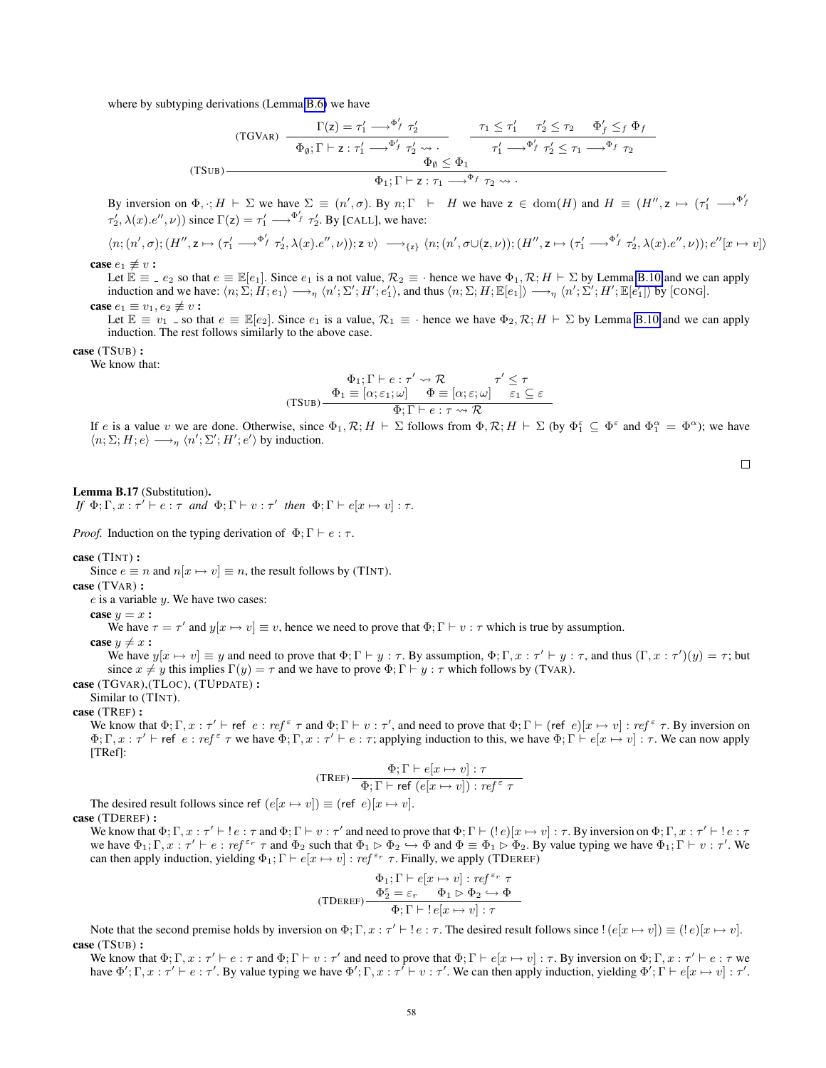where by subtyping derivations (Lemma [B.6\)](#page-36-0) we have

(TGVAR) 
$$
\frac{\Gamma(z) = \tau_1' \longrightarrow^{\Phi'_f} \tau_2'}{\Phi_{\emptyset}; \Gamma \vdash z : \tau_1' \longrightarrow^{\Phi'_f} \tau_2' \longrightarrow \tau_1' \longrightarrow^{\Phi'_f} \tau_2' \leq \tau_1 \longrightarrow^{\Phi'_f} \tau_2' \leq \tau_1 \longrightarrow^{\Phi_f} \tau_2}
$$
  
(TSUB) 
$$
\frac{\Phi_{\emptyset} \leq \Phi_1}{\Phi_1; \Gamma \vdash z : \tau_1 \longrightarrow^{\Phi_f} \tau_2 \longrightarrow \tau_1' \longrightarrow^{\Phi_f} \tau_2}
$$

By inversion on  $\Phi$ ,  $\cdot$ ;  $H \vdash \Sigma$  we have  $\Sigma \equiv (n', \sigma)$ . By  $n; \Gamma \vdash H$  we have  $z \in \text{dom}(H)$  and  $H \equiv (H'', z \mapsto (\tau_1' \longrightarrow^{\Phi'} H)$  $\tau'_2, \lambda(x) \cdot e'', \nu)$  since  $\Gamma(z) = \tau'_1 \longrightarrow^{\Phi'_f} \tau'_2$ . By [CALL], we have:

$$
\langle n; (n',\sigma); (H'',z \mapsto (\tau_1' \longrightarrow^{\Phi'_f} \tau_2',\lambda(x).e'',\nu)); z \ v \rangle \longrightarrow_{\{z\}} \langle n; (n',\sigma \cup (z,\nu)); (H'',z \mapsto (\tau_1' \longrightarrow^{\Phi'_f} \tau_2',\lambda(x).e'',\nu)); e''[x \mapsto v] \rangle
$$

case  $e_1 \not\equiv v$ :

Let  $\mathbb{E} \equiv e_2$  so that  $e \equiv \mathbb{E}[e_1]$ . Since  $e_1$  is a not value,  $\mathcal{R}_2 \equiv \cdot$  hence we have  $\Phi_1, \mathcal{R}; H \vdash \Sigma$  by Lemma [B.10](#page-39-0) and we can apply induction and we have:  $\langle n; \Sigma; H; e_1 \rangle \longrightarrow_{\eta} \langle n'; \Sigma'; H'; e_1' \rangle$ , and thus  $\langle n; \Sigma; H; \mathbb{E}[e_1] \rangle \longrightarrow_{\eta} \langle n'; \Sigma'; H'; \mathbb{E}[e_1'] \rangle$  by [CONG]. case  $e_1 \equiv v_1, e_2 \not\equiv v$ :

Let  $\mathbb{E} \equiv v_1$  \_ so that  $e \equiv \mathbb{E}[e_2]$ . Since  $e_1$  is a value,  $\mathcal{R}_1 \equiv \cdot$  hence we have  $\Phi_2, \mathcal{R}; H \vdash \Sigma$  by Lemma [B.10](#page-39-0) and we can apply induction. The rest follows similarly to the above case.

$$
case \; (TSUB):
$$

We know that:

$$
\Phi_1; \Gamma \vdash e : \tau' \leadsto \mathcal{R} \qquad \tau' \leq \tau
$$
  
(TSUB) 
$$
\frac{\Phi_1 \equiv [\alpha; \varepsilon_1; \omega] \qquad \Phi \equiv [\alpha; \varepsilon; \omega] \qquad \varepsilon_1 \subseteq \varepsilon}{\Phi; \Gamma \vdash e : \tau \leadsto \mathcal{R}}
$$

If e is a value v we are done. Otherwise, since  $\Phi_1, \mathcal{R}; H \vdash \Sigma$  follows from  $\Phi, \mathcal{R}; H \vdash \Sigma$  (by  $\Phi_1^{\varepsilon} \subseteq \Phi^{\varepsilon}$  and  $\Phi_1^{\alpha} = \Phi^{\alpha}$ ); we have  $\langle n; \Sigma; H; e \rangle \longrightarrow_{\eta} \langle n'; \Sigma'; H'; e' \rangle$  by induction.

# <span id="page-57-0"></span>Lemma B.17 (Substitution).

*If*  $\Phi$ ;  $\Gamma$ ,  $x : \tau' \vdash e : \tau$  *and*  $\Phi$ ;  $\Gamma \vdash v : \tau'$  *then*  $\Phi$ ;  $\Gamma \vdash e[x \mapsto v] : \tau$ *.* 

*Proof.* Induction on the typing derivation of  $\Phi$ ;  $\Gamma \vdash e : \tau$ .

### case (TINT) :

Since  $e \equiv n$  and  $n[x \mapsto v] \equiv n$ , the result follows by (TINT).

case (TVAR) :

 $e$  is a variable  $y$ . We have two cases:

$$
case \; y = x:
$$

We have  $\tau = \tau'$  and  $y[x \mapsto v] \equiv v$ , hence we need to prove that  $\Phi; \Gamma \vdash v : \tau$  which is true by assumption.

case  $y \neq x$ :

We have  $y[x \mapsto v] \equiv y$  and need to prove that  $\Phi; \Gamma \vdash y : \tau$ . By assumption,  $\Phi; \Gamma, x : \tau' \vdash y : \tau$ , and thus  $(\Gamma, x : \tau')(y) = \tau$ ; but since  $x \neq y$  this implies  $\Gamma(y) = \tau$  and we have to prove  $\Phi$ ;  $\Gamma \vdash y : \tau$  which follows by (TVAR).

case (TGVAR),(TLOC), (TUPDATE) :

Similar to (TINT).

#### case (TREF) :

We know that  $\Phi; \Gamma, x : \tau' \vdash \mathsf{ref} \in : \mathit{ref} \in \tau$  and  $\Phi; \Gamma \vdash v : \tau'$ , and need to prove that  $\Phi; \Gamma \vdash (\mathsf{ref} \; e)[x \mapsto v] : \mathit{ref} \in \tau$ . By inversion on  $\Phi; \Gamma, x : \tau' \vdash \mathsf{ref} \; e : \mathsf{ref} \; \tau$  we have  $\Phi; \Gamma, x : \tau' \vdash e : \tau$ ; applying induction to this, we have  $\Phi; \Gamma \vdash e[x \mapsto v] : \tau$ . We can now apply [TRef]:

$$
(\text{TREF}) - \frac{\Phi; \Gamma \vdash e[x \mapsto v] : \tau}{\Phi; \Gamma \vdash \text{ref} \ (e[x \mapsto v]) : \text{ref}^{\varepsilon} \ \tau}
$$

The desired result follows since ref  $(e[x \mapsto v]) \equiv (ref \ e)[x \mapsto v]$ .

#### case (TDEREF) :

We know that  $\Phi$ ;  $\Gamma$ ,  $x : \tau' \vdash \vdash e : \tau$  and  $\Phi$ ;  $\Gamma \vdash v : \tau'$  and need to prove that  $\Phi$ ;  $\Gamma \vdash (\vdash e)[x \mapsto v] : \tau$ . By inversion on  $\Phi$ ;  $\Gamma$ ,  $x : \tau' \vdash \vdash e : \tau$ we have  $\Phi_1$ ;  $\Gamma$ ,  $x : \tau' \vdash e : ref^{\varepsilon_r} \tau$  and  $\Phi_2$  such that  $\Phi_1 \rhd \Phi_2 \rightarrow \Phi$  and  $\Phi \equiv \Phi_1 \rhd \Phi_2$ . By value typing we have  $\Phi_1$ ;  $\Gamma \vdash v : \tau'$ . We can then apply induction, yielding  $\Phi_1$ ;  $\Gamma \vdash e[x \mapsto v] : ref^{\varepsilon_r} \tau$ . Finally, we apply (TDEREF)

$$
\begin{array}{c} \Phi_1;\Gamma\vdash e[x\mapsto v]:\mathit{ref}^{\,\varepsilon_r}\;\tau\\ \Phi_2^\varepsilon=\varepsilon_r\quad \Phi_1\rhd\Phi_2\hookrightarrow\Phi\\ \hline \Phi;\Gamma\vdash !\mathit{e}[x\mapsto v]:\tau \end{array}
$$

Note that the second premise holds by inversion on  $\Phi; \Gamma, x : \tau' \vdash ! e : \tau$ . The desired result follows since  $!(e[x \mapsto v]) \equiv (! e)(x \mapsto v].$ case (TSUB) :

We know that  $\Phi; \Gamma, x : \tau' \vdash e : \tau$  and  $\Phi; \Gamma \vdash v : \tau'$  and need to prove that  $\Phi; \Gamma \vdash e[x \mapsto v] : \tau$ . By inversion on  $\Phi; \Gamma, x : \tau' \vdash e : \tau$  we have  $\Phi'$ ;  $\Gamma$ ,  $x : \tau' \vdash e : \tau'$ . By value typing we have  $\Phi'$ ;  $\Gamma$ ,  $x : \tau' \vdash v : \tau'$ . We can then apply induction, yielding  $\Phi'$ ;  $\Gamma \vdash e[x \mapsto v] : \tau'$ .